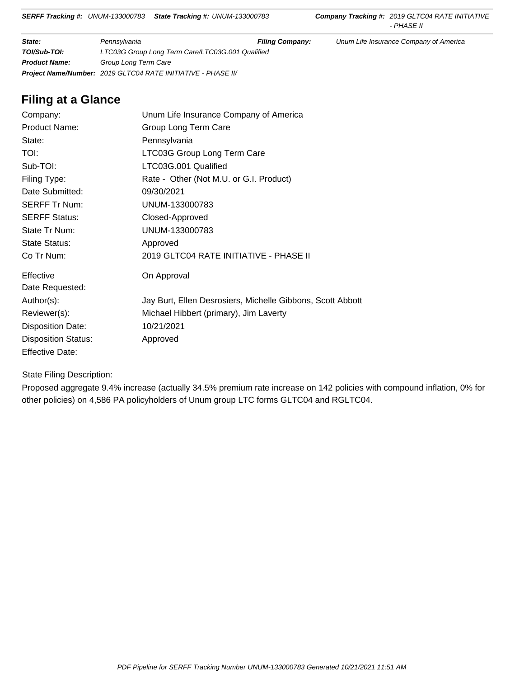**State: Fillip Pennsylvania Fillip Company:** Unum Life Insurance Company of America **TOI/Sub-TOI:** LTC03G Group Long Term Care/LTC03G.001 Qualified **Product Name:** Group Long Term Care **Project Name/Number:** 2019 GLTC04 RATE INITIATIVE - PHASE II/

# **Filing at a Glance**

| Company:                   | Unum Life Insurance Company of America                     |
|----------------------------|------------------------------------------------------------|
| <b>Product Name:</b>       | Group Long Term Care                                       |
| State:                     | Pennsylvania                                               |
| <b>TOI:</b>                | LTC03G Group Long Term Care                                |
| Sub-TOI:                   | LTC03G.001 Qualified                                       |
| Filing Type:               | Rate - Other (Not M.U. or G.I. Product)                    |
| Date Submitted:            | 09/30/2021                                                 |
| <b>SERFF Tr Num:</b>       | UNUM-133000783                                             |
| <b>SERFF Status:</b>       | Closed-Approved                                            |
| State Tr Num:              | UNUM-133000783                                             |
| State Status:              | Approved                                                   |
| Co Tr Num:                 | 2019 GLTC04 RATE INITIATIVE - PHASE II                     |
| Effective                  | On Approval                                                |
| Date Requested:            |                                                            |
| Author(s):                 | Jay Burt, Ellen Desrosiers, Michelle Gibbons, Scott Abbott |
| Reviewer(s):               | Michael Hibbert (primary), Jim Laverty                     |
| <b>Disposition Date:</b>   | 10/21/2021                                                 |
| <b>Disposition Status:</b> | Approved                                                   |
| <b>Effective Date:</b>     |                                                            |

State Filing Description:

Proposed aggregate 9.4% increase (actually 34.5% premium rate increase on 142 policies with compound inflation, 0% for other policies) on 4,586 PA policyholders of Unum group LTC forms GLTC04 and RGLTC04.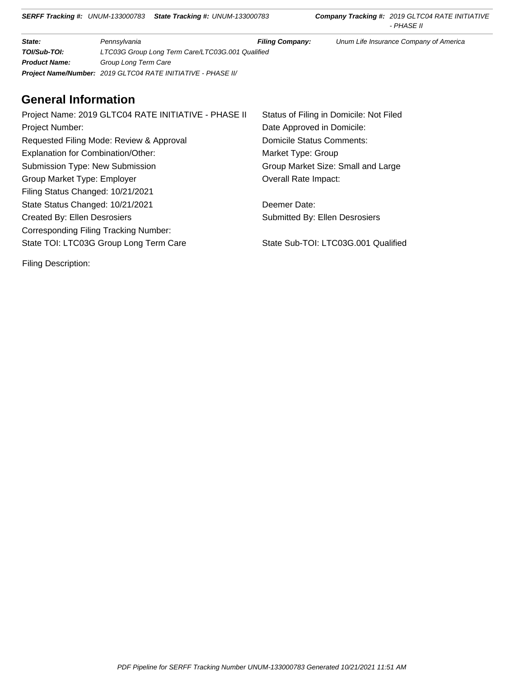**State: Fillip Pennsylvania Fillip Company:** Unum Life Insurance Company of America **TOI/Sub-TOI:** LTC03G Group Long Term Care/LTC03G.001 Qualified **Product Name:** Group Long Term Care **Project Name/Number:** 2019 GLTC04 RATE INITIATIVE - PHASE II/

# **General Information**

Project Name: 2019 GLTC04 RATE INITIATIVE - PHASE II Status of Filing in Domicile: Not Filed Project Number: Date Approved in Domicile: Requested Filing Mode: Review & Approval Domicile Status Comments: Explanation for Combination/Other: Market Type: Group Submission Type: New Submission Group Market Size: Small and Large Group Market Type: Employer Overall Rate Impact: Filing Status Changed: 10/21/2021 State Status Changed: 10/21/2021 Deemer Date: Created By: Ellen Desrosiers Submitted By: Ellen Desrosiers Corresponding Filing Tracking Number: State TOI: LTC03G Group Long Term Care State Sub-TOI: LTC03G.001 Qualified

Filing Description: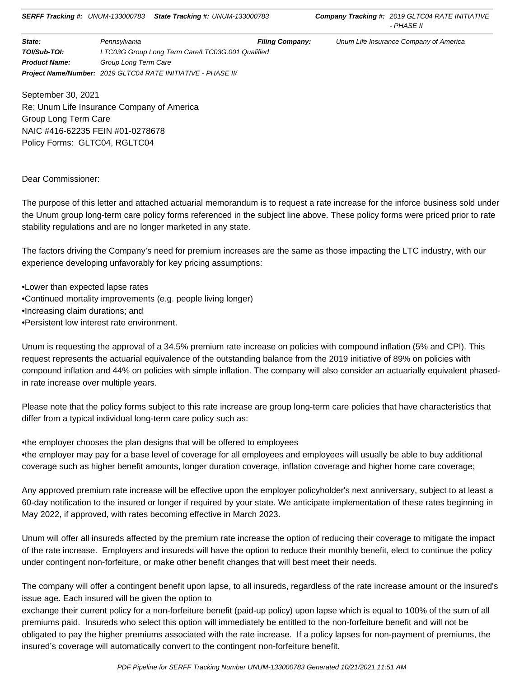**State:** Pennsylvania **Filing Company:** Unum Life Insurance Company of America **TOI/Sub-TOI:** LTC03G Group Long Term Care/LTC03G.001 Qualified **Product Name:** Group Long Term Care **Project Name/Number:** 2019 GLTC04 RATE INITIATIVE - PHASE II/

September 30, 2021 Re: Unum Life Insurance Company of America Group Long Term Care NAIC #416-62235 FEIN #01-0278678 Policy Forms: GLTC04, RGLTC04

## Dear Commissioner:

The purpose of this letter and attached actuarial memorandum is to request a rate increase for the inforce business sold under the Unum group long-term care policy forms referenced in the subject line above. These policy forms were priced prior to rate stability regulations and are no longer marketed in any state.

The factors driving the Company's need for premium increases are the same as those impacting the LTC industry, with our experience developing unfavorably for key pricing assumptions:

•Lower than expected lapse rates •Continued mortality improvements (e.g. people living longer) •Increasing claim durations; and

•Persistent low interest rate environment.

Unum is requesting the approval of a 34.5% premium rate increase on policies with compound inflation (5% and CPI). This request represents the actuarial equivalence of the outstanding balance from the 2019 initiative of 89% on policies with compound inflation and 44% on policies with simple inflation. The company will also consider an actuarially equivalent phasedin rate increase over multiple years.

Please note that the policy forms subject to this rate increase are group long-term care policies that have characteristics that differ from a typical individual long-term care policy such as:

•the employer chooses the plan designs that will be offered to employees •the employer may pay for a base level of coverage for all employees and employees will usually be able to buy additional coverage such as higher benefit amounts, longer duration coverage, inflation coverage and higher home care coverage;

Any approved premium rate increase will be effective upon the employer policyholder's next anniversary, subject to at least a 60-day notification to the insured or longer if required by your state. We anticipate implementation of these rates beginning in May 2022, if approved, with rates becoming effective in March 2023.

Unum will offer all insureds affected by the premium rate increase the option of reducing their coverage to mitigate the impact of the rate increase. Employers and insureds will have the option to reduce their monthly benefit, elect to continue the policy under contingent non-forfeiture, or make other benefit changes that will best meet their needs.

The company will offer a contingent benefit upon lapse, to all insureds, regardless of the rate increase amount or the insured's issue age. Each insured will be given the option to

exchange their current policy for a non-forfeiture benefit (paid-up policy) upon lapse which is equal to 100% of the sum of all premiums paid. Insureds who select this option will immediately be entitled to the non-forfeiture benefit and will not be obligated to pay the higher premiums associated with the rate increase. If a policy lapses for non-payment of premiums, the insured's coverage will automatically convert to the contingent non-forfeiture benefit.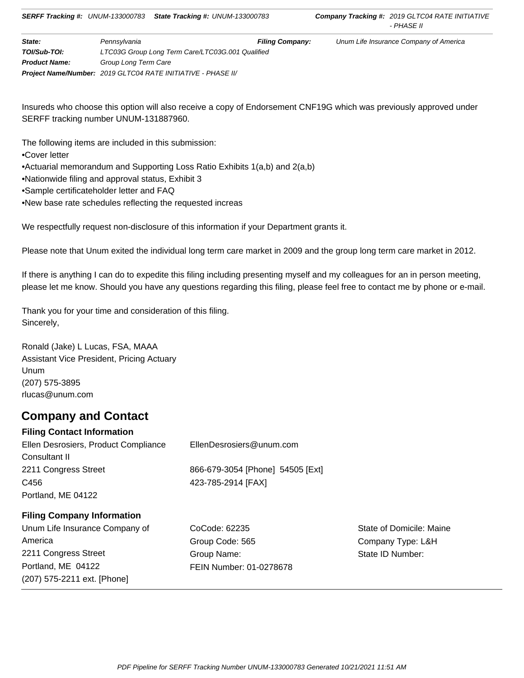| State:               | Pennsvlvania                                                 | <b>Filing Company:</b> | Unum Life Insurance Company of America |  |  |  |
|----------------------|--------------------------------------------------------------|------------------------|----------------------------------------|--|--|--|
| TOI/Sub-TOI:         | LTC03G Group Long Term Care/LTC03G.001 Qualified             |                        |                                        |  |  |  |
| <b>Product Name:</b> | Group Long Term Care                                         |                        |                                        |  |  |  |
|                      | Project Name/Number: 2019 GLTC04 RATE INITIATIVE - PHASE II/ |                        |                                        |  |  |  |

Insureds who choose this option will also receive a copy of Endorsement CNF19G which was previously approved under SERFF tracking number UNUM-131887960.

The following items are included in this submission:

•Cover letter

•Actuarial memorandum and Supporting Loss Ratio Exhibits 1(a,b) and 2(a,b)

•Nationwide filing and approval status, Exhibit 3

•Sample certificateholder letter and FAQ

•New base rate schedules reflecting the requested increas

We respectfully request non-disclosure of this information if your Department grants it.

Please note that Unum exited the individual long term care market in 2009 and the group long term care market in 2012.

If there is anything I can do to expedite this filing including presenting myself and my colleagues for an in person meeting, please let me know. Should you have any questions regarding this filing, please feel free to contact me by phone or e-mail.

Thank you for your time and consideration of this filing. Sincerely,

Ronald (Jake) L Lucas, FSA, MAAA Assistant Vice President, Pricing Actuary Unum (207) 575-3895 rlucas@unum.com

# **Company and Contact**

## **Filing Contact Information**

(207) 575-2211 ext. [Phone]

| Ellen Desrosiers, Product Compliance | EllenDesrosiers@unum.com         |       |  |
|--------------------------------------|----------------------------------|-------|--|
| Consultant II                        |                                  |       |  |
| 2211 Congress Street                 | 866-679-3054 [Phone] 54505 [Ext] |       |  |
| 423-785-2914 [FAX]<br>C456           |                                  |       |  |
| Portland, ME 04122                   |                                  |       |  |
| <b>Filing Company Information</b>    |                                  |       |  |
| Unum Life Insurance Company of       | CoCode: 62235                    | State |  |
| America                              | Group Code: 565                  | Com   |  |
| 2211 Congress Street                 | Group Name:                      | State |  |
| Portland, ME 04122                   | FEIN Number: 01-0278678          |       |  |

of Domicile: Maine pany Type: L&H ID Number: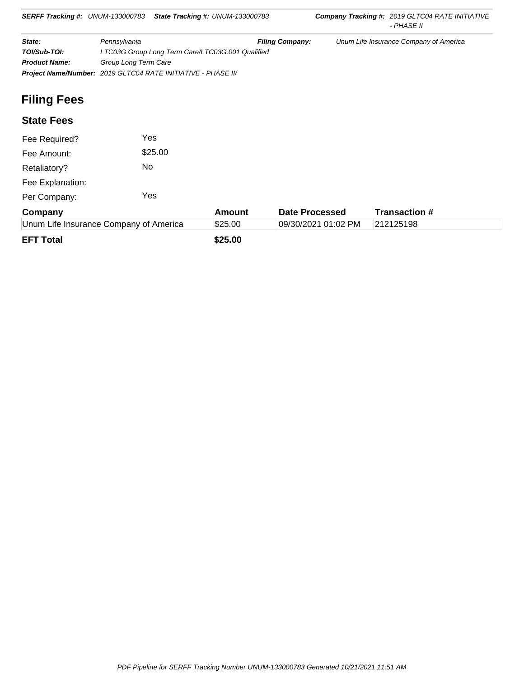| <b>SERFF Tracking #: UNUM-133000783</b>                      |                      | <b>State Tracking #: UNUM-133000783</b>          |        |                        | <b>Company Tracking #: 2019 GLTC04 RATE INITIATIVE</b><br>- PHASE II |
|--------------------------------------------------------------|----------------------|--------------------------------------------------|--------|------------------------|----------------------------------------------------------------------|
| State:                                                       | Pennsylvania         |                                                  |        | <b>Filing Company:</b> | Unum Life Insurance Company of America                               |
| TOI/Sub-TOI:                                                 |                      | LTC03G Group Long Term Care/LTC03G.001 Qualified |        |                        |                                                                      |
| <b>Product Name:</b>                                         | Group Long Term Care |                                                  |        |                        |                                                                      |
| Project Name/Number: 2019 GLTC04 RATE INITIATIVE - PHASE II/ |                      |                                                  |        |                        |                                                                      |
| <b>Filing Fees</b>                                           |                      |                                                  |        |                        |                                                                      |
| <b>State Fees</b>                                            |                      |                                                  |        |                        |                                                                      |
| Fee Required?                                                |                      | Yes                                              |        |                        |                                                                      |
| Fee Amount:                                                  |                      | \$25.00                                          |        |                        |                                                                      |
| Retaliatory?                                                 | No.                  |                                                  |        |                        |                                                                      |
| Fee Explanation:                                             |                      |                                                  |        |                        |                                                                      |
| Per Company:                                                 |                      | Yes                                              |        |                        |                                                                      |
| Company                                                      |                      |                                                  | Amount | <b>Date Processed</b>  | <b>Transaction #</b>                                                 |

| Company                                | Amount  | <b>Date Processed</b> | Transaction # |  |
|----------------------------------------|---------|-----------------------|---------------|--|
| Unum Life Insurance Company of America | \$25.00 | 09/30/2021 01:02 PM   | 212125198     |  |
| <b>EFT Total</b>                       | \$25.00 |                       |               |  |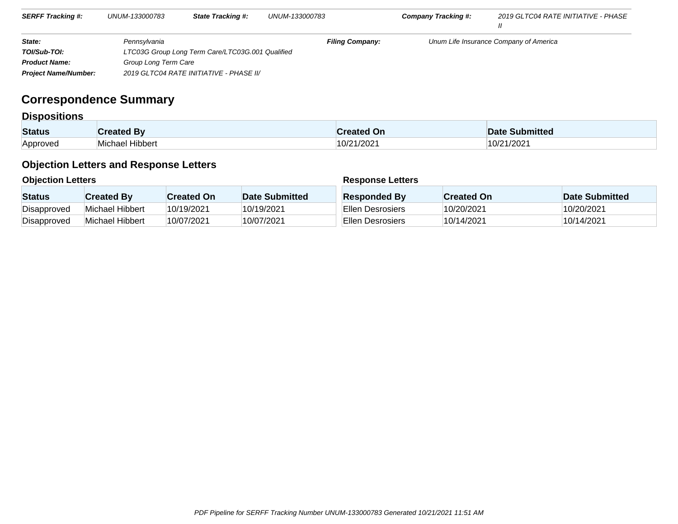| <b>SERFF Tracking #:</b>    | UNUM-133000783       | <b>State Tracking #:</b>                         | UNUM-133000783         | Company Tracking #: | 2019 GLTC04 RATE INITIATIVE - PHASE    |
|-----------------------------|----------------------|--------------------------------------------------|------------------------|---------------------|----------------------------------------|
|                             |                      |                                                  |                        |                     |                                        |
| State:                      | Pennsvlvania         |                                                  | <b>Filing Company:</b> |                     | Unum Life Insurance Company of America |
| TOI/Sub-TOI:                |                      | LTC03G Group Long Term Care/LTC03G.001 Qualified |                        |                     |                                        |
| <b>Product Name:</b>        | Group Long Term Care |                                                  |                        |                     |                                        |
| <b>Project Name/Number:</b> |                      | 2019 GLTC04 RATE INITIATIVE - PHASE II/          |                        |                     |                                        |

# **Correspondence Summary**

## **Dispositions**

| <b>Status</b>   | ີີລາ <b>ated</b> Bv | reated On | <b>Date Submitted</b> |
|-----------------|---------------------|-----------|-----------------------|
| <b>Annroved</b> | Michael Hibbert     | 0/21/2021 | 21/2021               |

# **Objection Letters and Response Letters**

## **Objection Letters**

## **Response Letters**

| <b>Status</b> | <b>Created By</b> | <b>Created On</b> | Date Submitted | <b>Responded By</b> | <b>Created On</b> | <b>Date Submitted</b> |
|---------------|-------------------|-------------------|----------------|---------------------|-------------------|-----------------------|
| Disapproved   | Michael Hibbert   | 10/19/2021        | 10/19/2021     | Ellen Desrosiers    | 10/20/2021        | 10/20/2021            |
| Disapproved   | Michael Hibbert   | 10/07/2021        | 10/07/2021     | Ellen Desrosiers    | 10/14/2021        | 10/14/2021            |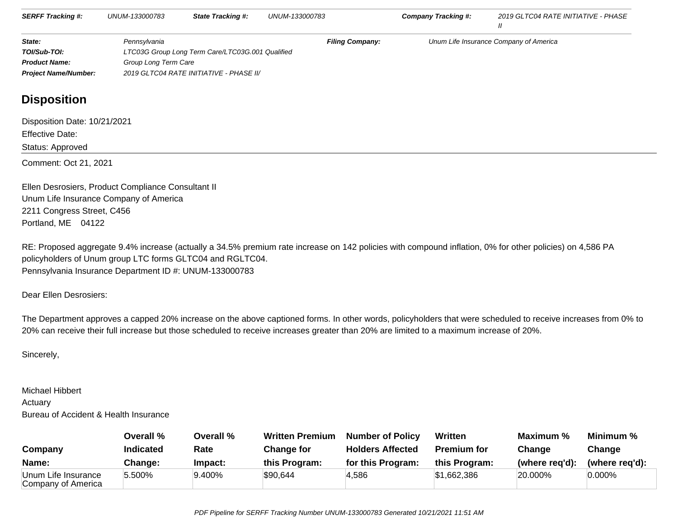| <b>SERFF Tracking #:</b>    | UNUM-133000783       | <b>State Tracking #:</b>                         | UNUM-133000783         | Company Tracking #: | 2019 GLTC04 RATE INITIATIVE - PHASE    |
|-----------------------------|----------------------|--------------------------------------------------|------------------------|---------------------|----------------------------------------|
| State:                      | Pennsvlvania         |                                                  | <b>Filing Company:</b> |                     | Unum Life Insurance Company of America |
| TOI/Sub-TOI:                |                      | LTC03G Group Long Term Care/LTC03G.001 Qualified |                        |                     |                                        |
| <b>Product Name:</b>        | Group Long Term Care |                                                  |                        |                     |                                        |
| <b>Project Name/Number:</b> |                      | 2019 GLTC04 RATE INITIATIVE - PHASE II/          |                        |                     |                                        |

# **Disposition**

Disposition Date: 10/21/2021Effective Date:Status: ApprovedComment: Oct 21, 2021

Ellen Desrosiers, Product Compliance Consultant IIUnum Life Insurance Company of America2211 Congress Street, C456Portland, ME 04122

RE: Proposed aggregate 9.4% increase (actually a 34.5% premium rate increase on 142 policies with compound inflation, 0% for other policies) on 4,586 PA policyholders of Unum group LTC forms GLTC04 and RGLTC04.Pennsylvania Insurance Department ID #: UNUM-133000783

Dear Ellen Desrosiers:

The Department approves a capped 20% increase on the above captioned forms. In other words, policyholders that were scheduled to receive increases from 0% to20% can receive their full increase but those scheduled to receive increases greater than 20% are limited to a maximum increase of 20%.

Sincerely,

## Michael Hibbert

Actuary

Bureau of Accident & Health Insurance

|                                           | Overall %        | Overall % | <b>Written Premium</b> | <b>Number of Policy</b> | <b>Written</b>     | Maximum %      | Minimum %      |
|-------------------------------------------|------------------|-----------|------------------------|-------------------------|--------------------|----------------|----------------|
| Company                                   | <b>Indicated</b> | Rate      | Change for             | <b>Holders Affected</b> | <b>Premium for</b> | Change         | Change         |
| Name:                                     | <b>Change:</b>   | Impact:   | this Program:          | for this Program:       | this Program:      | (where reg'd): | (where reg'd): |
| Unum Life Insurance<br>Company of America | 5.500%           | 9.400%    | \$90,644               | 4,586                   | \$1,662,386        | 20.000%        | $0.000\%$      |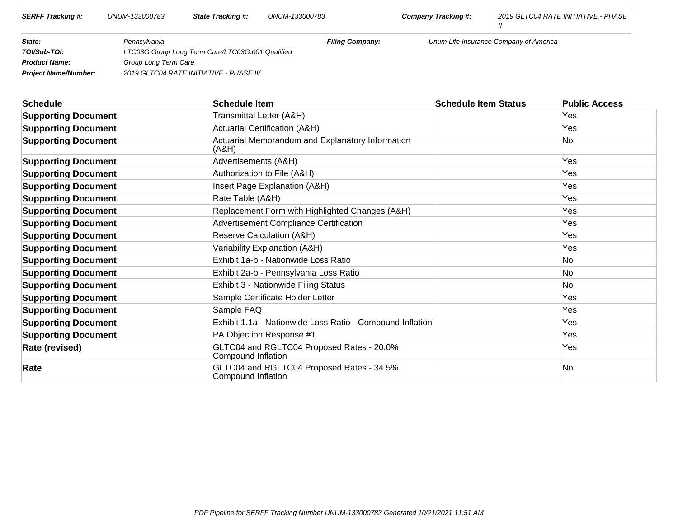| <b>SERFF Tracking #:</b>    | UNUM-133000783       | <b>State Tracking #:</b>                         | UNUM-133000783         | Company Tracking #: | 2019 GLTC04 RATE INITIATIVE - PHASE    |
|-----------------------------|----------------------|--------------------------------------------------|------------------------|---------------------|----------------------------------------|
|                             |                      |                                                  |                        |                     |                                        |
| State:                      | Pennsvlvania         |                                                  | <b>Filing Company:</b> |                     | Unum Life Insurance Company of America |
| TOI/Sub-TOI:                |                      | LTC03G Group Long Term Care/LTC03G.001 Qualified |                        |                     |                                        |
| <b>Product Name:</b>        | Group Long Term Care |                                                  |                        |                     |                                        |
| <b>Project Name/Number:</b> |                      | 2019 GLTC04 RATE INITIATIVE - PHASE II/          |                        |                     |                                        |

| <b>Schedule</b>            | <b>Schedule Item</b>                                            | <b>Schedule Item Status</b> | <b>Public Access</b> |
|----------------------------|-----------------------------------------------------------------|-----------------------------|----------------------|
| <b>Supporting Document</b> | Transmittal Letter (A&H)                                        |                             | Yes                  |
| <b>Supporting Document</b> | <b>Actuarial Certification (A&amp;H)</b>                        |                             | Yes                  |
| <b>Supporting Document</b> | Actuarial Memorandum and Explanatory Information<br>(A&H)       |                             | No                   |
| <b>Supporting Document</b> | Advertisements (A&H)                                            |                             | Yes                  |
| <b>Supporting Document</b> | Authorization to File (A&H)                                     |                             | Yes                  |
| <b>Supporting Document</b> | Insert Page Explanation (A&H)                                   |                             | Yes                  |
| <b>Supporting Document</b> | Rate Table (A&H)                                                |                             | Yes                  |
| <b>Supporting Document</b> | Replacement Form with Highlighted Changes (A&H)                 |                             | Yes                  |
| <b>Supporting Document</b> | <b>Advertisement Compliance Certification</b>                   |                             | Yes                  |
| <b>Supporting Document</b> | Reserve Calculation (A&H)                                       |                             | Yes                  |
| <b>Supporting Document</b> | Variability Explanation (A&H)                                   |                             | Yes                  |
| <b>Supporting Document</b> | Exhibit 1a-b - Nationwide Loss Ratio                            |                             | No.                  |
| <b>Supporting Document</b> | Exhibit 2a-b - Pennsylvania Loss Ratio                          |                             | No                   |
| <b>Supporting Document</b> | Exhibit 3 - Nationwide Filing Status                            |                             | No                   |
| <b>Supporting Document</b> | Sample Certificate Holder Letter                                |                             | Yes                  |
| <b>Supporting Document</b> | Sample FAQ                                                      |                             | Yes                  |
| <b>Supporting Document</b> | Exhibit 1.1a - Nationwide Loss Ratio - Compound Inflation       |                             | Yes                  |
| <b>Supporting Document</b> | PA Objection Response #1                                        |                             | Yes                  |
| <b>Rate (revised)</b>      | GLTC04 and RGLTC04 Proposed Rates - 20.0%<br>Compound Inflation |                             | Yes                  |
| Rate                       | GLTC04 and RGLTC04 Proposed Rates - 34.5%<br>Compound Inflation |                             | No                   |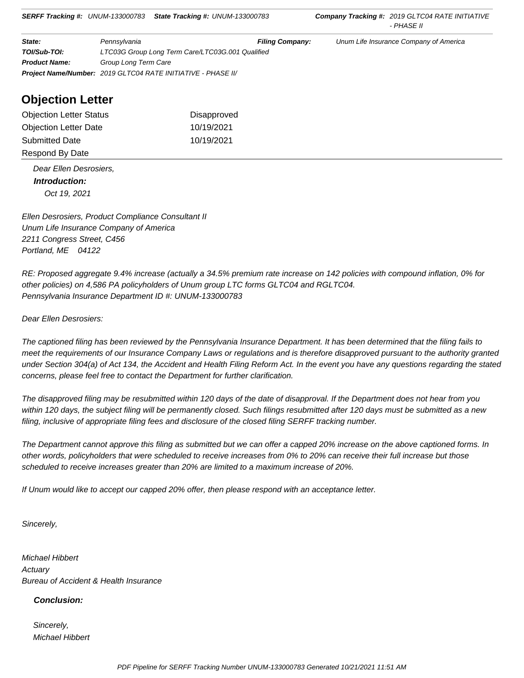| State:               | Pennsylvania                                                        | <b>Filing Company:</b> | Unum Life Insurance Company of America |  |
|----------------------|---------------------------------------------------------------------|------------------------|----------------------------------------|--|
| TOI/Sub-TOI:         | LTC03G Group Long Term Care/LTC03G.001 Qualified                    |                        |                                        |  |
| <b>Product Name:</b> | Group Long Term Care                                                |                        |                                        |  |
|                      | <b>Project Name/Number: 2019 GLTC04 RATE INITIATIVE - PHASE II/</b> |                        |                                        |  |

# **Objection Letter**

| <b>Objection Letter Status</b> | Disapproved |
|--------------------------------|-------------|
| <b>Objection Letter Date</b>   | 10/19/2021  |
| <b>Submitted Date</b>          | 10/19/2021  |
| Respond By Date                |             |

 Dear Ellen Desrosiers,  **Introduction:** Oct 19, 2021

Ellen Desrosiers, Product Compliance Consultant II Unum Life Insurance Company of America 2211 Congress Street, C456 Portland, ME 04122

RE: Proposed aggregate 9.4% increase (actually a 34.5% premium rate increase on 142 policies with compound inflation, 0% for other policies) on 4,586 PA policyholders of Unum group LTC forms GLTC04 and RGLTC04. Pennsylvania Insurance Department ID #: UNUM-133000783

Dear Ellen Desrosiers:

The captioned filing has been reviewed by the Pennsylvania Insurance Department. It has been determined that the filing fails to meet the requirements of our Insurance Company Laws or regulations and is therefore disapproved pursuant to the authority granted under Section 304(a) of Act 134, the Accident and Health Filing Reform Act. In the event you have any questions regarding the stated concerns, please feel free to contact the Department for further clarification.

The disapproved filing may be resubmitted within 120 days of the date of disapproval. If the Department does not hear from you within 120 days, the subject filing will be permanently closed. Such filings resubmitted after 120 days must be submitted as a new filing, inclusive of appropriate filing fees and disclosure of the closed filing SERFF tracking number.

The Department cannot approve this filing as submitted but we can offer a capped 20% increase on the above captioned forms. In other words, policyholders that were scheduled to receive increases from 0% to 20% can receive their full increase but those scheduled to receive increases greater than 20% are limited to a maximum increase of 20%.

If Unum would like to accept our capped 20% offer, then please respond with an acceptance letter.

Sincerely,

Michael Hibbert **Actuary** Bureau of Accident & Health Insurance

## **Conclusion:**

 Sincerely, Michael Hibbert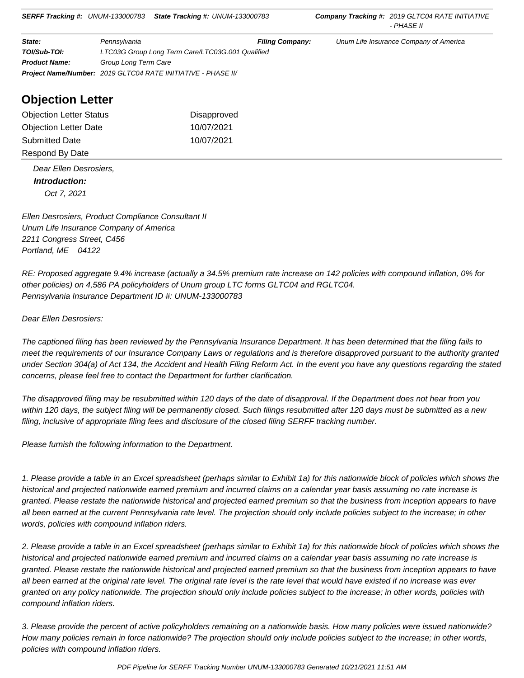| State:               | Pennsylvania                                                        | <b>Filing Company:</b> | Unum Life Insurance Company of America |  |  |
|----------------------|---------------------------------------------------------------------|------------------------|----------------------------------------|--|--|
| TOI/Sub-TOI:         | LTC03G Group Long Term Care/LTC03G.001 Qualified                    |                        |                                        |  |  |
| <b>Product Name:</b> | Group Long Term Care                                                |                        |                                        |  |  |
|                      | <b>Project Name/Number: 2019 GLTC04 RATE INITIATIVE - PHASE II/</b> |                        |                                        |  |  |

# **Objection Letter**

| <b>Objection Letter Status</b> | Disapproved |
|--------------------------------|-------------|
| <b>Objection Letter Date</b>   | 10/07/2021  |
| <b>Submitted Date</b>          | 10/07/2021  |
| Respond By Date                |             |

 Dear Ellen Desrosiers,  **Introduction:** Oct 7, 2021

Ellen Desrosiers, Product Compliance Consultant II Unum Life Insurance Company of America 2211 Congress Street, C456 Portland, ME 04122

RE: Proposed aggregate 9.4% increase (actually a 34.5% premium rate increase on 142 policies with compound inflation, 0% for other policies) on 4,586 PA policyholders of Unum group LTC forms GLTC04 and RGLTC04. Pennsylvania Insurance Department ID #: UNUM-133000783

Dear Ellen Desrosiers:

The captioned filing has been reviewed by the Pennsylvania Insurance Department. It has been determined that the filing fails to meet the requirements of our Insurance Company Laws or regulations and is therefore disapproved pursuant to the authority granted under Section 304(a) of Act 134, the Accident and Health Filing Reform Act. In the event you have any questions regarding the stated concerns, please feel free to contact the Department for further clarification.

The disapproved filing may be resubmitted within 120 days of the date of disapproval. If the Department does not hear from you within 120 days, the subject filing will be permanently closed. Such filings resubmitted after 120 days must be submitted as a new filing, inclusive of appropriate filing fees and disclosure of the closed filing SERFF tracking number.

Please furnish the following information to the Department.

1. Please provide a table in an Excel spreadsheet (perhaps similar to Exhibit 1a) for this nationwide block of policies which shows the historical and projected nationwide earned premium and incurred claims on a calendar year basis assuming no rate increase is granted. Please restate the nationwide historical and projected earned premium so that the business from inception appears to have all been earned at the current Pennsylvania rate level. The projection should only include policies subject to the increase; in other words, policies with compound inflation riders.

2. Please provide a table in an Excel spreadsheet (perhaps similar to Exhibit 1a) for this nationwide block of policies which shows the historical and projected nationwide earned premium and incurred claims on a calendar year basis assuming no rate increase is granted. Please restate the nationwide historical and projected earned premium so that the business from inception appears to have all been earned at the original rate level. The original rate level is the rate level that would have existed if no increase was ever granted on any policy nationwide. The projection should only include policies subject to the increase; in other words, policies with compound inflation riders.

3. Please provide the percent of active policyholders remaining on a nationwide basis. How many policies were issued nationwide? How many policies remain in force nationwide? The projection should only include policies subject to the increase; in other words, policies with compound inflation riders.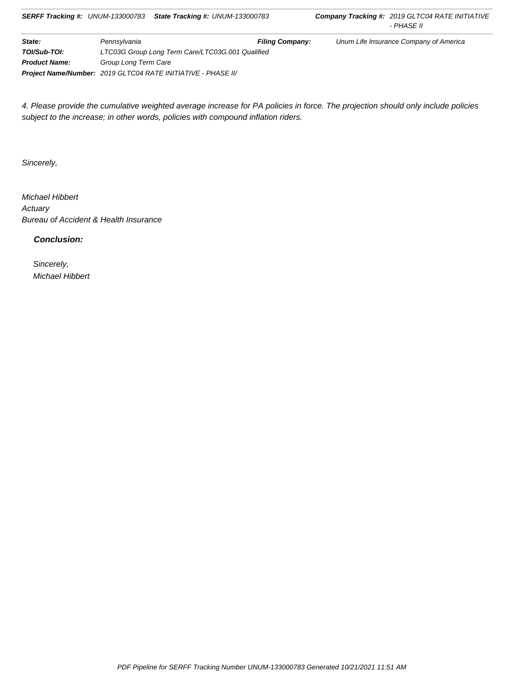| State:               | Pennsvlvania                                                 | <b>Filing Company:</b> | Unum Life Insurance Company of America |  |
|----------------------|--------------------------------------------------------------|------------------------|----------------------------------------|--|
| TOI/Sub-TOI:         | LTC03G Group Long Term Care/LTC03G.001 Qualified             |                        |                                        |  |
| <b>Product Name:</b> | Group Long Term Care                                         |                        |                                        |  |
|                      | Project Name/Number: 2019 GLTC04 RATE INITIATIVE - PHASE II/ |                        |                                        |  |

4. Please provide the cumulative weighted average increase for PA policies in force. The projection should only include policies subject to the increase; in other words, policies with compound inflation riders.

Sincerely,

Michael Hibbert **Actuary** Bureau of Accident & Health Insurance

 **Conclusion:**

 Sincerely, Michael Hibbert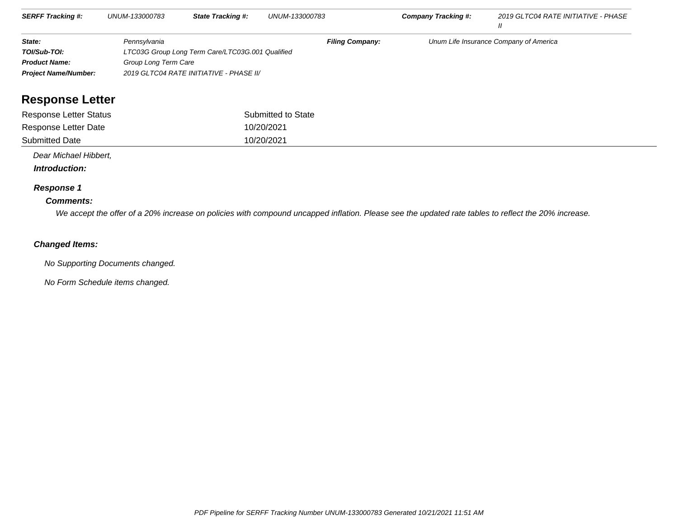| <b>SERFF Tracking #:</b>    | UNUM-133000783       | <b>State Tracking #:</b>                         | UNUM-133000783         | Company Tracking #: | 2019 GLTC04 RATE INITIATIVE - PHASE    |
|-----------------------------|----------------------|--------------------------------------------------|------------------------|---------------------|----------------------------------------|
| State:                      | Pennsylvania         |                                                  | <b>Filing Company:</b> |                     | Unum Life Insurance Company of America |
| TOI/Sub-TOI:                |                      | LTC03G Group Long Term Care/LTC03G.001 Qualified |                        |                     |                                        |
| <b>Product Name:</b>        | Group Long Term Care |                                                  |                        |                     |                                        |
| <b>Project Name/Number:</b> |                      | 2019 GLTC04 RATE INITIATIVE - PHASE II/          |                        |                     |                                        |
|                             |                      |                                                  |                        |                     |                                        |

# **Response Letter**

| Response Letter Status | Submitted to State |
|------------------------|--------------------|
| Response Letter Date   | 10/20/2021         |
| <b>Submitted Date</b>  | 10/20/2021         |

Dear Michael Hibbert,

 **Introduction:**

## **Response 1**

## **Comments:**

We accept the offer of a 20% increase on policies with compound uncapped inflation. Please see the updated rate tables to reflect the 20% increase.

## **Changed Items:**

No Supporting Documents changed.

No Form Schedule items changed.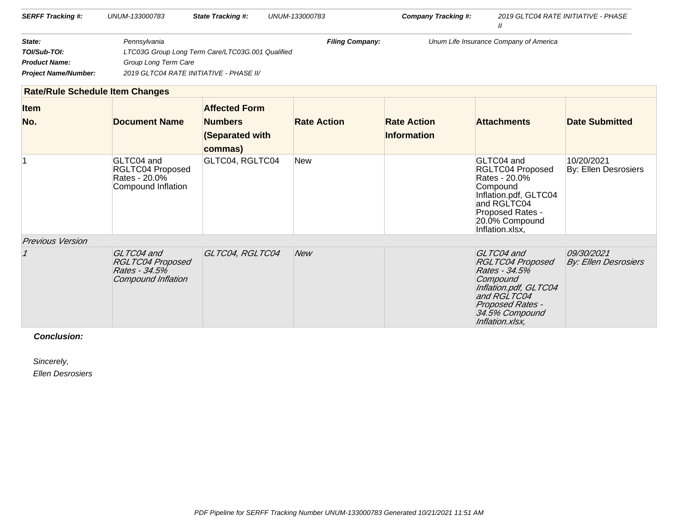| <b>SERFF Tracking #:</b>    | UNUM-133000783 | <b>State Tracking #:</b>                         | UNUM-133000783         | <b>Company Tracking #:</b>             | 2019 GLTC04 RATE INITIATIVE - PHASE |
|-----------------------------|----------------|--------------------------------------------------|------------------------|----------------------------------------|-------------------------------------|
| State:                      | Pennsvlvania   |                                                  | <b>Filing Company:</b> | Unum Life Insurance Company of America |                                     |
| TOI/Sub-TOI:                |                | LTC03G Group Long Term Care/LTC03G.001 Qualified |                        |                                        |                                     |
| <b>Product Name:</b>        |                | Group Long Term Care                             |                        |                                        |                                     |
| <b>Project Name/Number:</b> |                | 2019 GLTC04 RATE INITIATIVE - PHASE II/          |                        |                                        |                                     |

|                         | <b>Rate/Rule Schedule Item Changes</b>                                       |                                                                      |                    |                                          |                                                                                                                                                                            |                                           |
|-------------------------|------------------------------------------------------------------------------|----------------------------------------------------------------------|--------------------|------------------------------------------|----------------------------------------------------------------------------------------------------------------------------------------------------------------------------|-------------------------------------------|
| <b>Item</b><br>No.      | <b>Document Name</b>                                                         | <b>Affected Form</b><br><b>Numbers</b><br>(Separated with<br>commas) | <b>Rate Action</b> | <b>Rate Action</b><br><b>Information</b> | <b>Attachments</b>                                                                                                                                                         | <b>Date Submitted</b>                     |
|                         | GLTC04 and<br>RGLTC04 Proposed<br>Rates - 20.0%<br>Compound Inflation        | GLTC04, RGLTC04                                                      | New                |                                          | GLTC04 and<br>RGLTC04 Proposed<br>Rates - 20.0%<br>Compound<br>Inflation.pdf, GLTC04<br>and RGLTC04<br>Proposed Rates -<br>20.0% Compound<br>Inflation.xlsx,               | 10/20/2021<br>By: Ellen Desrosiers        |
| <b>Previous Version</b> |                                                                              |                                                                      |                    |                                          |                                                                                                                                                                            |                                           |
|                         | GLTC04 and<br><b>RGLTC04 Proposed</b><br>Rates - 34.5%<br>Compound Inflation | GLTC04, RGLTC04                                                      | <b>New</b>         |                                          | GLTC04 and<br><b>RGLTC04 Proposed</b><br>Rates - 34.5%<br>Compound<br>Inflation.pdf, GLTC04<br>and RGLTC04<br><b>Proposed Rates -</b><br>34.5% Compound<br>Inflation.xlsx, | 09/30/2021<br><b>By: Ellen Desrosiers</b> |

 **Conclusion:**

Sincerely,

Ellen Desrosiers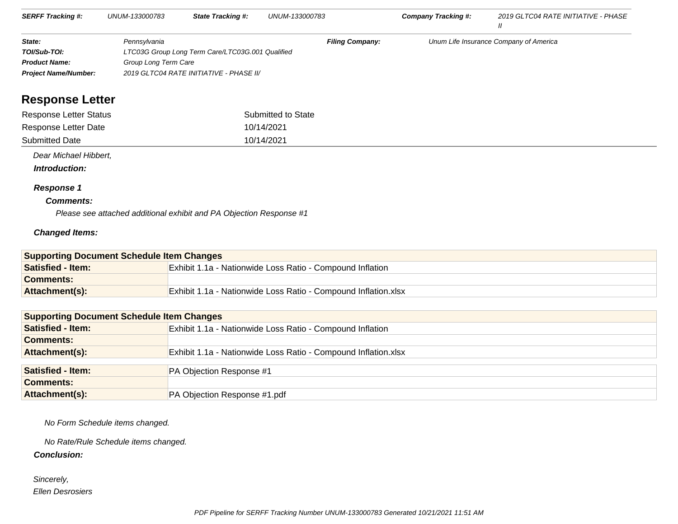| <b>SERFF Tracking #:</b>    | UNUM-133000783                                   | <b>State Tracking #:</b>                | UNUM-133000783                         | Company Tracking #: | 2019 GLTC04 RATE INITIATIVE - PHASE |
|-----------------------------|--------------------------------------------------|-----------------------------------------|----------------------------------------|---------------------|-------------------------------------|
| State:                      | <b>Filing Company:</b><br>Pennsylvania           |                                         | Unum Life Insurance Company of America |                     |                                     |
| TOI/Sub-TOI:                | LTC03G Group Long Term Care/LTC03G.001 Qualified |                                         |                                        |                     |                                     |
| <b>Product Name:</b>        | Group Long Term Care                             |                                         |                                        |                     |                                     |
| <b>Project Name/Number:</b> |                                                  | 2019 GLTC04 RATE INITIATIVE - PHASE II/ |                                        |                     |                                     |

# **Response Letter**

| Response Letter Status | Submitted to State |
|------------------------|--------------------|
| Response Letter Date   | 10/14/2021         |
| <b>Submitted Date</b>  | 10/14/2021         |

Dear Michael Hibbert,

 **Introduction:**

## **Response 1**

## **Comments:**

Please see attached additional exhibit and PA Objection Response #1

## **Changed Items:**

| <b>Supporting Document Schedule Item Changes</b> |                                                                  |  |  |
|--------------------------------------------------|------------------------------------------------------------------|--|--|
| <b>Satisfied - Item:</b>                         | <b>Exhibit 1.1a - Nationwide Loss Ratio - Compound Inflation</b> |  |  |
| <b>Comments:</b>                                 |                                                                  |  |  |
| Attachment(s):                                   | Exhibit 1.1a - Nationwide Loss Ratio - Compound Inflation.xlsx   |  |  |

| <b>Supporting Document Schedule Item Changes</b> |                                                                |
|--------------------------------------------------|----------------------------------------------------------------|
| <b>Satisfied - Item:</b>                         | Exhibit 1.1a - Nationwide Loss Ratio - Compound Inflation      |
| <b>Comments:</b>                                 |                                                                |
| Attachment(s):                                   | Exhibit 1.1a - Nationwide Loss Ratio - Compound Inflation.xlsx |
|                                                  |                                                                |
| <b>Satisfied - Item:</b>                         | PA Objection Response #1                                       |
| <b>Comments:</b>                                 |                                                                |
| Attachment(s):                                   | <b>PA Objection Response #1.pdf</b>                            |

No Form Schedule items changed.

No Rate/Rule Schedule items changed.

 **Conclusion:**

 Sincerely,Ellen Desrosiers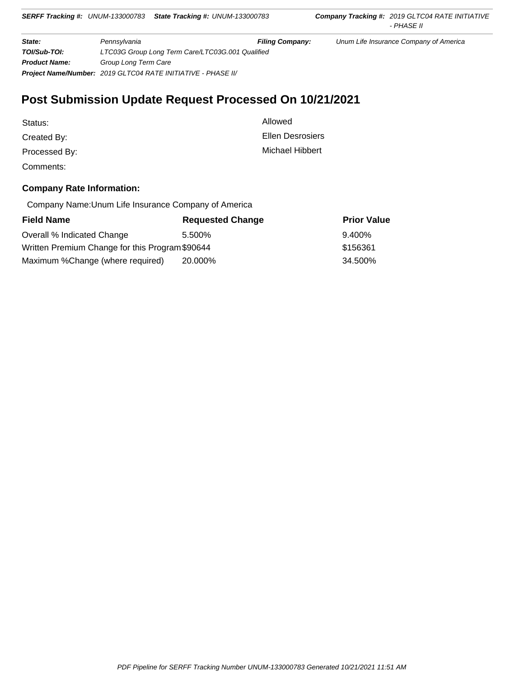**State: Fillip Pennsylvania Fillip Company:** Unum Life Insurance Company of America **TOI/Sub-TOI:** LTC03G Group Long Term Care/LTC03G.001 Qualified **Product Name:** Group Long Term Care **Project Name/Number:** 2019 GLTC04 RATE INITIATIVE - PHASE II/

# **Post Submission Update Request Processed On 10/21/2021**

| Status:       | Allowed          |
|---------------|------------------|
| Created By:   | Ellen Desrosiers |
| Processed By: | Michael Hibbert  |
| Comments:     |                  |

## **Company Rate Information:**

Company Name:Unum Life Insurance Company of America

| <b>Field Name</b>                               | <b>Requested Change</b> | <b>Prior Value</b> |
|-------------------------------------------------|-------------------------|--------------------|
| Overall % Indicated Change                      | 5.500%                  | 9.400%             |
| Written Premium Change for this Program \$90644 |                         | \$156361           |
| Maximum %Change (where required)                | 20.000%                 | 34.500%            |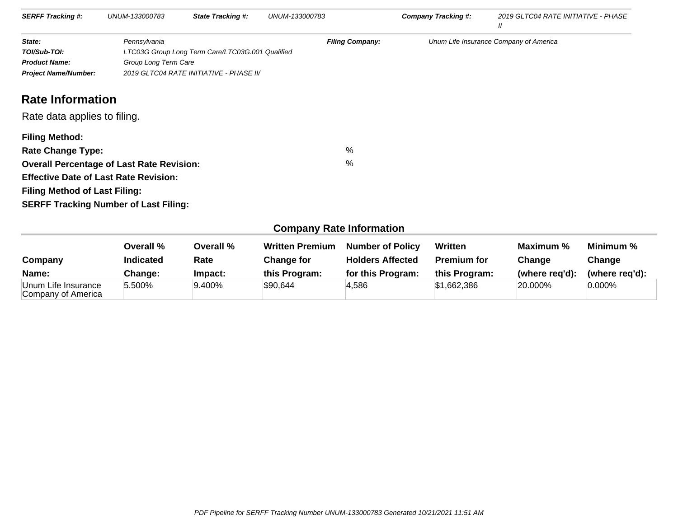| <b>SERFF Tracking #:</b>                                                                                                                                                                                                                      | UNUM-133000783                       | <b>State Tracking #:</b>                                                                    | UNUM-133000783 |                        | Company Tracking #: | 2019 GLTC04 RATE INITIATIVE - PHASE<br>$^{\prime\prime}$ |
|-----------------------------------------------------------------------------------------------------------------------------------------------------------------------------------------------------------------------------------------------|--------------------------------------|---------------------------------------------------------------------------------------------|----------------|------------------------|---------------------|----------------------------------------------------------|
| State:<br>TOI/Sub-TOI:<br><b>Product Name:</b><br><b>Project Name/Number:</b>                                                                                                                                                                 | Pennsylvania<br>Group Long Term Care | LTC03G Group Long Term Care/LTC03G.001 Qualified<br>2019 GLTC04 RATE INITIATIVE - PHASE II/ |                | <b>Filing Company:</b> |                     | Unum Life Insurance Company of America                   |
| <b>Rate Information</b><br>Rate data applies to filing.                                                                                                                                                                                       |                                      |                                                                                             |                |                        |                     |                                                          |
| <b>Filing Method:</b><br><b>Rate Change Type:</b><br><b>Overall Percentage of Last Rate Revision:</b><br><b>Effective Date of Last Rate Revision:</b><br><b>Filing Method of Last Filing:</b><br><b>SERFF Tracking Number of Last Filing:</b> |                                      |                                                                                             |                | %<br>%                 |                     |                                                          |

# **Company Rate Information**

| Company                                   | Overall %<br><b>Indicated</b> | Overall %<br>Rate | <b>Written Premium</b><br><b>Change for</b> | <b>Number of Policy</b><br><b>Holders Affected</b> | Written<br><b>Premium for</b> | Maximum %<br>Change | Minimum %<br>Change |
|-------------------------------------------|-------------------------------|-------------------|---------------------------------------------|----------------------------------------------------|-------------------------------|---------------------|---------------------|
| Name:                                     | Change:                       | Impact:           | this Program:                               | for this Program:                                  | this Program:                 | (where reg'd):      | (where reg'd):      |
| Unum Life Insurance<br>Company of America | 5.500%                        | 9.400%            | \$90,644                                    | 4.586                                              | \$1,662,386                   | 20.000%             | $0.000\%$           |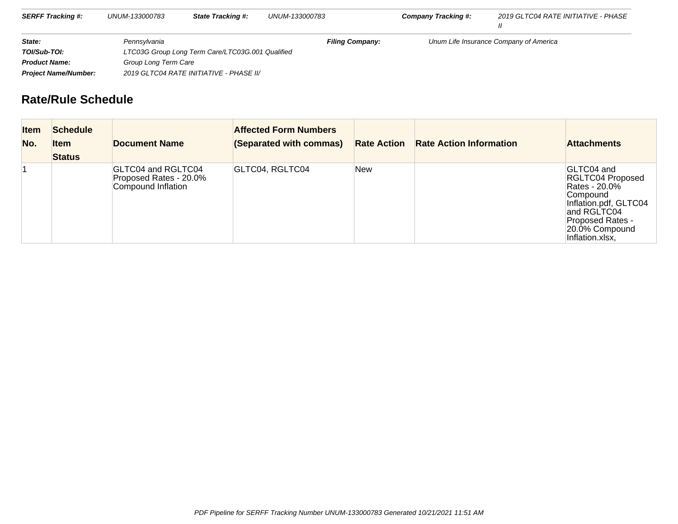| <b>SERFF Tracking #:</b>                                               | UNUM-133000783       | <b>State Tracking #:</b>                         | UNUM-133000783         | <b>Company Tracking #:</b> | 2019 GLTC04 RATE INITIATIVE - PHASE    |
|------------------------------------------------------------------------|----------------------|--------------------------------------------------|------------------------|----------------------------|----------------------------------------|
| State:                                                                 | Pennsylvania         |                                                  | <b>Filing Company:</b> |                            | Unum Life Insurance Company of America |
| TOI/Sub-TOI:                                                           |                      | LTC03G Group Long Term Care/LTC03G.001 Qualified |                        |                            |                                        |
| <b>Product Name:</b>                                                   | Group Long Term Care |                                                  |                        |                            |                                        |
| 2019 GLTC04 RATE INITIATIVE - PHASE II/<br><b>Project Name/Number:</b> |                      |                                                  |                        |                            |                                        |

# **Rate/Rule Schedule**

| <b>Item</b><br>No. | <b>Schedule</b><br>ltem<br><b>Status</b> | <b>Document Name</b>                                               | <b>Affected Form Numbers</b><br>(Separated with commas) | <b>Rate Action</b> | <b>Rate Action Information</b> | <b>Attachments</b>                                                                                                                                                  |
|--------------------|------------------------------------------|--------------------------------------------------------------------|---------------------------------------------------------|--------------------|--------------------------------|---------------------------------------------------------------------------------------------------------------------------------------------------------------------|
|                    |                                          | GLTC04 and RGLTC04<br>Proposed Rates - 20.0%<br>Compound Inflation | GLTC04, RGLTC04                                         | New                |                                | GLTC04 and<br>RGLTC04 Proposed<br>Rates - 20.0%<br>Compound<br>Inflation.pdf, GLTC04<br>and RGLTC04<br><b>Proposed Rates -</b><br>20.0% Compound<br>Inflation.xlsx, |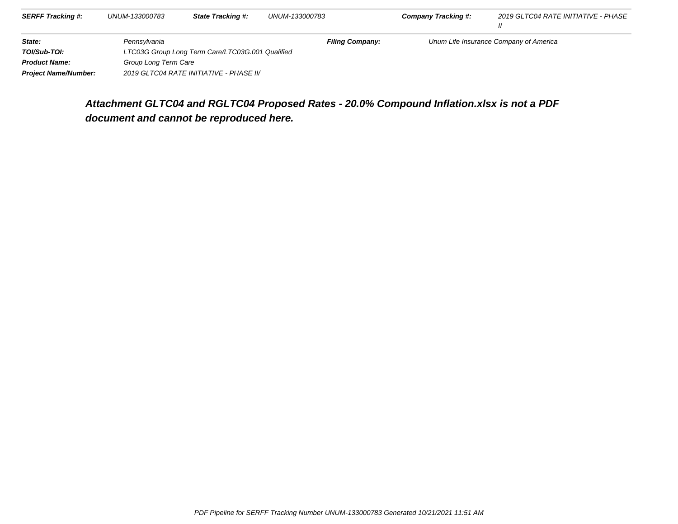| <b>SERFF Tracking #:</b>    | UNUM-133000783       | <b>State Tracking #:</b>                         | UNUM-133000783         | <b>Company Tracking #:</b> | 2019 GLTC04 RATE INITIATIVE - PHASE    |
|-----------------------------|----------------------|--------------------------------------------------|------------------------|----------------------------|----------------------------------------|
| State:                      | Pennsylvania         |                                                  | <b>Filing Company:</b> |                            | Unum Life Insurance Company of America |
| TOI/Sub-TOI:                |                      | LTC03G Group Long Term Care/LTC03G.001 Qualified |                        |                            |                                        |
| <b>Product Name:</b>        | Group Long Term Care |                                                  |                        |                            |                                        |
| <b>Project Name/Number:</b> |                      | 2019 GLTC04 RATE INITIATIVE - PHASE II/          |                        |                            |                                        |

# **Attachment GLTC04 and RGLTC04 Proposed Rates - 20.0% Compound Inflation.xlsx is not a PDFdocument and cannot be reproduced here.**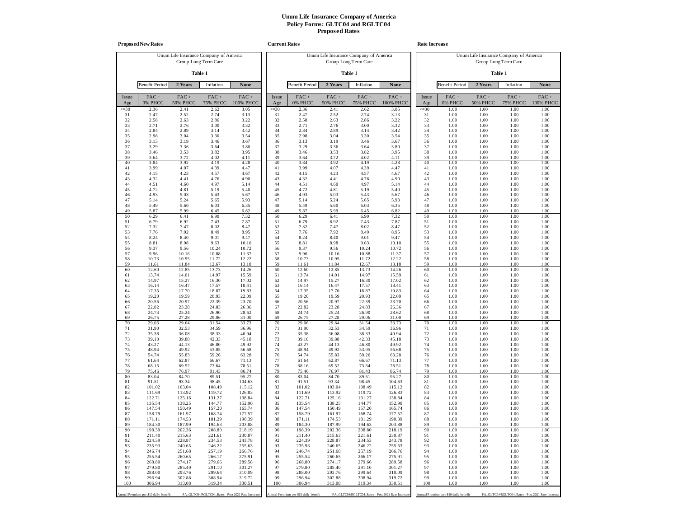|                 | <b>Proposed New Rates</b>             |                            |                                                                |                      | <b>Current Rates</b> |                                       |                            |                                                                |                                                  | <b>Rate Increase</b> |                                       |                            |                                                                |                      |
|-----------------|---------------------------------------|----------------------------|----------------------------------------------------------------|----------------------|----------------------|---------------------------------------|----------------------------|----------------------------------------------------------------|--------------------------------------------------|----------------------|---------------------------------------|----------------------------|----------------------------------------------------------------|----------------------|
|                 |                                       |                            | Unum Life Insurance Company of America<br>Group Long Term Care |                      |                      |                                       |                            | Unum Life Insurance Company of America<br>Group Long Term Care |                                                  |                      |                                       |                            | Unum Life Insurance Company of America<br>Group Long Term Care |                      |
|                 |                                       |                            | Table 1                                                        |                      |                      |                                       |                            | Table 1                                                        |                                                  |                      |                                       |                            | Table 1                                                        |                      |
|                 | <b>Benefit Period</b>                 | 2 Years                    | Inflation                                                      | None                 |                      | <b>Benefit Period</b>                 | 2 Years                    | Inflation                                                      | <b>None</b>                                      |                      | <b>Benefit Period</b>                 | 2 Years                    | Inflation                                                      | <b>None</b>          |
| Issue<br>Age    | $FAC +$<br>0% PHCC                    | $FAC +$<br><b>50% PHCC</b> | $FAC +$<br><b>75% PHCC</b>                                     | $FAC +$<br>100% PHCC | Issue<br>Age         | $FAC +$<br>0% PHCC                    | $FAC +$<br><b>50% PHCC</b> | $FAC +$<br><b>75% PHCC</b>                                     | $FAC +$<br>100% PHCC                             | Issue<br>Age         | $FAC +$<br>0% PHCC                    | $FAC +$<br><b>50% PHCC</b> | $FAC +$<br><b>75% PHCC</b>                                     | $FAC +$<br>100% PHCC |
| $\leq 30$<br>31 | 2.36<br>2.47                          | 2.41<br>2.52               | 2.62<br>2.74                                                   | 3.05<br>3.13         | $\leq 30$<br>31      | 2.36<br>2.47                          | 2.41<br>2.52               | 2.62<br>2.74                                                   | 3.05<br>3.13                                     | $\leq 30$<br>31      | 1.00<br>1.00                          | 1.00<br>1.00               | 1.00<br>1.00                                                   | 1.00<br>1.00         |
| 32              | 2.58                                  | 2.63                       | 2.86                                                           | 3.22                 | 32                   | 2.58                                  | 2.63                       | 2.86                                                           | 3.22                                             | 32                   | 1.00                                  | 1.00                       | 1.00                                                           | 1.00                 |
| 33<br>34        | 2.71<br>2.84                          | 2.76<br>2.89               | 3.00<br>3.14                                                   | 3.32<br>3.42         | 33<br>34             | 2.71<br>2.84                          | 2.76<br>2.89               | 3.00<br>3.14                                                   | 3.32<br>3.42                                     | 33<br>34             | 1.00<br>1.00                          | 1.00<br>1.00               | 1.00<br>1.00                                                   | 1.00<br>1.00         |
| 35              | 2.98                                  | 3.04                       | 3.30                                                           | 3.54                 | 35                   | 2.98                                  | 3.04                       | 3.30                                                           | 3.54                                             | 35                   | 1.00                                  | 1.00                       | 1.00                                                           | 1.00                 |
| 36              | 3.13                                  | 3.19                       | 3.46                                                           | 3.67                 | 36<br>37             | 3.13                                  | 3.19                       | 3.46                                                           | 3.67                                             | 36<br>37             | 1.00                                  | 1.00<br>1.00               | 1.00                                                           | 1.00                 |
| 37<br>38        | 3.29<br>3.46                          | 3.36<br>3.53               | 3.64<br>3.82                                                   | 3.80<br>3.95         | 38                   | 3.29<br>3.46                          | 3.36<br>3.53               | 3.64<br>3.82                                                   | 3.80<br>3.95                                     | 38                   | 1.00<br>1.00                          | 1.00                       | 1.00<br>1.00                                                   | 1.00<br>1.00         |
| 39              | 3.64                                  | 3.72                       | 4.02                                                           | 4.11                 | 39                   | 3.64                                  | 3.72                       | 4.02                                                           | 4.11                                             | 39                   | 1.00                                  | 1.00                       | 1.00                                                           | 1.00                 |
| 40<br>41        | 3.84<br>3.99                          | 3.92<br>4.07               | 4.19<br>4.39                                                   | 4.28<br>4.47         | 40<br>41             | 3.84<br>3.99                          | 3.92<br>4.07               | 4.19<br>4.39                                                   | 4.28<br>4.47                                     | 40<br>41             | 1.00<br>1.00                          | 1.00<br>1.00               | 1.00<br>1.00                                                   | 1.00<br>1.00         |
| 42              | 4.15                                  | 4.23                       | 4.57                                                           | 4.67                 | 42                   | 4.15                                  | 4.23                       | 4.57                                                           | 4.67                                             | 42                   | 1.00                                  | 1.00                       | 1.00                                                           | 1.00                 |
| 43<br>44        | 4.32<br>4.51                          | 4.41<br>4.60               | 4.76<br>4.97                                                   | 4.90<br>5.14         | 43<br>44             | 4.32<br>4.51                          | 4.41<br>4.60               | 4.76<br>4.97                                                   | 4.90<br>5.14                                     | 43<br>44             | 1.00<br>1.00                          | 1.00<br>1.00               | 1.00<br>1.00                                                   | 1.00<br>1.00         |
| 45              | 4.72                                  | 4.81                       | 5.19                                                           | 5.40                 | 45                   | 4.72                                  | 4.81                       | 5.19                                                           | 5.40                                             | 45                   | 1.00                                  | 1.00                       | 1.00                                                           | 1.00                 |
| 46<br>47        | 4.93<br>5.14                          | 5.03<br>5.24               | 5.43<br>5.65                                                   | 5.67<br>5.93         | 46<br>47             | 4.93<br>5.14                          | 5.03<br>5.24               | 5.43<br>5.65                                                   | 5.67<br>5.93                                     | 46<br>47             | 1.00<br>1.00                          | 1.00<br>1.00               | 1.00<br>1.00                                                   | 1.00<br>1.00         |
| 48              | 5.49                                  | 5.60                       | 6.03                                                           | 6.35                 | 48                   | 5.49                                  | 5.60                       | 6.03                                                           | 6.35                                             | 48                   | 1.00                                  | 1.00                       | 1.00                                                           | 1.00                 |
| 49<br>50        | 5.87<br>6.29                          | 5.99<br>6.41               | 6.45<br>6.90                                                   | 6.82<br>7.32         | 49<br>50             | 5.87<br>6.29                          | 5.99<br>6.41               | 6.45<br>6.90                                                   | 6.82<br>7.32                                     | 49<br>50             | 1.00<br>1.00                          | 1.00<br>1.00               | 1.00<br>1.00                                                   | 1.00<br>1.00         |
| 51              | 6.79                                  | 6.92                       | 7.43                                                           | 7.87                 | 51                   | 6.79                                  | 6.92                       | 7.43                                                           | 7.87                                             | 51                   | 1.00                                  | 1.00                       | 1.00                                                           | 1.00                 |
| 52              | 7.32                                  | 7.47                       | 8.02                                                           | 8.47                 | 52                   | 7.32                                  | 7.47                       | 8.02                                                           | 8.47                                             | 52                   | 1.00                                  | 1.00                       | 1.00                                                           | 1.00                 |
| 53<br>54        | 7.76<br>8.24                          | 7.92<br>8.40               | 8.49<br>9.01                                                   | 8.95<br>9.47         | 53<br>54             | 7.76<br>8.24                          | 7.92<br>8.40               | 8.49<br>9.01                                                   | 8.95<br>9.47                                     | 53<br>54             | 1.00<br>1.00                          | 1.00<br>1.00               | 1.00<br>1.00                                                   | 1.00<br>1.00         |
| 55              | 8.81                                  | 8.98                       | 9.63                                                           | 10.10                | 55                   | 8.81                                  | 8.98                       | 9.63                                                           | 10.10                                            | 55                   | 1.00                                  | 1.00                       | 1.00                                                           | 1.00                 |
| 56<br>57        | 9.37<br>9.96                          | 9.56<br>10.16              | 10.24<br>10.88                                                 | 10.72<br>11.37       | 56<br>57             | 9.37<br>9.96                          | 9.56<br>10.16              | 10.24<br>10.88                                                 | 10.72<br>11.37                                   | 56<br>57             | 1.00<br>1.00                          | 1.00<br>1.00               | 1.00<br>1.00                                                   | 1.00<br>1.00         |
| 58              | 10.73                                 | 10.95                      | 11.72                                                          | 12.22                | 58                   | 10.73                                 | 10.95                      | 11.72                                                          | 12.22                                            | 58                   | 1.00                                  | 1.00                       | 1.00                                                           | 1.00                 |
| 59<br>60        | 11.61<br>12.60                        | 11.84<br>12.85             | 12.67<br>13.73                                                 | 13.18<br>14.26       | 59<br>60             | 11.61<br>12.60                        | 11.84<br>12.85             | 12.67<br>13.73                                                 | 13.18<br>14.26                                   | 59<br>60             | 1.00<br>1.00                          | 1.00<br>1.00               | 1.00<br>1.00                                                   | 1.00<br>1.00         |
| 61              | 13.74                                 | 14.01                      | 14.97                                                          | 15.59                | 61                   | 13.74                                 | 14.01                      | 14.97                                                          | 15.59                                            | 61                   | 1.00                                  | 1.00                       | 1.00                                                           | 1.00                 |
| 62              | 14.97                                 | 15.27<br>16.47             | 16.30                                                          | 17.02                | 62                   | 14.97                                 | 15.27                      | 16.30                                                          | 17.02                                            | 62                   | 1.00                                  | 1.00<br>1.00               | 1.00                                                           | 1.00<br>1.00         |
| 63<br>64        | 16.14<br>17.35                        | 17.70                      | 17.57<br>18.87                                                 | 18.41<br>19.83       | 63<br>64             | 16.14<br>17.35                        | 16.47<br>17.70             | 17.57<br>18.87                                                 | 18.41<br>19.83                                   | 63<br>64             | 1.00<br>1.00                          | 1.00                       | 1.00<br>1.00                                                   | 1.00                 |
| 65              | 19.20                                 | 19.59                      | 20.93                                                          | 22.09                | 65                   | 19.20                                 | 19.59                      | 20.93                                                          | 22.09                                            | 65                   | 1.00                                  | 1.00                       | 1.00                                                           | 1.00                 |
| 66<br>67        | 20.56<br>22.82                        | 20.97<br>23.28             | 22.39<br>24.83                                                 | 23.70<br>26.36       | 66<br>67             | 20.56<br>22.82                        | 20.97<br>23.28             | 22.39<br>24.83                                                 | 23.70<br>26.36                                   | 66<br>67             | 1.00<br>1.00                          | 1.00<br>1.00               | 1.00<br>1.00                                                   | 1.00<br>1.00         |
| 68              | 24.74                                 | 25.24                      | 26.90                                                          | 28.62                | 68                   | 24.74                                 | 25.24                      | 26.90                                                          | 28.62                                            | 68                   | 1.00                                  | 1.00                       | 1.00                                                           | 1.00                 |
| 69<br>70        | 26.75<br>29.06                        | 27.28<br>29.64             | 29.06<br>31.54                                                 | 31.00<br>33.73       | 69<br>70             | 26.75<br>29.06                        | 27.28<br>29.64             | 29.06<br>31.54                                                 | 31.00<br>33.73                                   | 69<br>70             | 1.00<br>1.00                          | 1.00<br>1.00               | 1.00<br>1.00                                                   | 1.00<br>1.00         |
| 71              | 31.90                                 | 32.53                      | 34.59                                                          | 36.96                | 71                   | 31.90                                 | 32.53                      | 34.59                                                          | 36.96                                            | 71                   | 1.00                                  | 1.00                       | 1.00                                                           | 1.00                 |
| 72<br>73        | 35.38<br>39.10                        | 36.08<br>39.88             | 38.33<br>42.33                                                 | 40.94<br>45.18       | 72<br>73             | 35.38<br>39.10                        | 36.08<br>39.88             | 38.33<br>42.33                                                 | 40.94<br>45.18                                   | 72<br>73             | 1.00<br>1.00                          | 1.00<br>1.00               | 1.00<br>1.00                                                   | 1.00<br>1.00         |
| 74              | 43.27                                 | 44.13                      | 46.80                                                          | 49.92                | 74                   | 43.27                                 | 44.13                      | 46.80                                                          | 49.92                                            | 74                   | 1.00                                  | 1.00                       | 1.00                                                           | 1.00                 |
| 75<br>76        | 48.94<br>54.74                        | 49.92<br>55.83             | 53.05<br>59.26                                                 | 56.68<br>63.28       | 75<br>76             | 48.94<br>54.74                        | 49.92<br>55.83             | 53.05<br>59.26                                                 | 56.68<br>63.28                                   | 75<br>76             | 1.00<br>1.00                          | 1.00<br>1.00               | 1.00<br>1.00                                                   | 1.00<br>1.00         |
| 77              | 61.64                                 | 62.87                      | 66.67                                                          | 71.13                | 77                   | 61.64                                 | 62.87                      | 66.67                                                          | 71.13                                            | 77                   | 1.00                                  | 1.00                       | 1.00                                                           | 1.00                 |
| 78<br>79        | 68.16<br>75.46                        | 69.52<br>76.97             | 73.64<br>81.43                                                 | 78.51<br>86.74       | 78<br>79             | 68.16<br>75.46                        | 69.52<br>76.97             | 73.64<br>81.43                                                 | 78.51<br>86.74                                   | 78<br>79             | 1.00<br>1.00                          | 1.00<br>1.00               | 1.00<br>1.00                                                   | 1.00<br>1.00         |
| 80              | 83.04                                 | 84.70                      | 89.51                                                          | 95.27                | 80                   | 83.04                                 | 84.70                      | 89.51                                                          | 95.27                                            | 80                   | 1.00                                  | 1.00                       | 1.00                                                           | 1.00                 |
| 81              | 91.51                                 | 93.34                      | 98.45                                                          | 104.63               | 81                   | 91.51                                 | 93.34                      | 98.45                                                          | 104.63                                           | 81                   | 1.00                                  | 1.00                       | 1.00                                                           | 1.00                 |
| 82<br>83        | 101.02<br>111.69                      | 103.04<br>113.92           | 108.49<br>119.72                                               | 115.12<br>126.83     | 82<br>83             | 101.02<br>111.69                      | 103.04<br>113.92           | 108.49<br>119.72                                               | 115.12<br>126.83                                 | 82<br>83             | 1.00<br>1.00                          | 1.00<br>1.00               | 1.00<br>1.00                                                   | 1.00<br>1.00         |
| 84              | 122.71                                | 125.16                     | 131.27                                                         | 138.84               | 84                   | 122.71                                | 125.16                     | 131.27                                                         | 138.84                                           | 84                   | 1.00                                  | 1.00                       | 1.00                                                           | 1.00                 |
| 85<br>86        | 135.54<br>147.54                      | 138.25<br>150.49           | 144.77<br>157.20                                               | 152.90<br>165.74     | 85<br>86             | 135.54<br>147.54                      | 138.25<br>150.49           | 144.77<br>157.20                                               | 152.90<br>165.74                                 | 85<br>86             | 1.00<br>1.00                          | 1.00<br>1.00               | 1.00<br>1.00                                                   | 1.00<br>1.00         |
| 87              | 158.79                                | 161.97                     | 168.74                                                         | 177.57               | 87                   | 158.79                                | 161.97                     | 168.74                                                         | 177.57                                           | 87                   | 1.00                                  | 1.00                       | 1.00                                                           | 1.00                 |
| 88<br>89        | 171.11<br>184.50                      | 174.53<br>187.99           | 181.29<br>194.63                                               | 190.39<br>203.88     | 88<br>89             | 171.11<br>184.30                      | 174.53<br>187.99           | 181.29<br>194.63                                               | 190.39<br>203.88                                 | 88<br>89             | 1.00<br>1.00                          | 1.00<br>1.00               | 1.00<br>1.00                                                   | 1.00<br>1.00         |
| 90              | 198.39                                | 202.36                     | 208.80                                                         | 218.19               | 90                   | 198.39                                | 202.36                     | 208.80                                                         | 218.19                                           | 90                   | 1.00                                  | 1.00                       | 1.00                                                           | 1.00                 |
| 91<br>92        | 211.40<br>224.39                      | 215.63                     | 221.61<br>234.53                                               | 230.87               | 91<br>92             | 211.40<br>224.39                      | 215.63<br>228.87           | 221.61<br>234.53                                               | 230.87<br>243.78                                 | 91<br>92             | 1.00                                  | 1.00                       | 1.00<br>1.00                                                   | 1.00<br>1.00         |
| 93              | 235.93                                | 228.87<br>240.65           | 246.22                                                         | 243.78<br>255.63     | 93                   | 235.93                                | 240.65                     | 246.22                                                         | 255.63                                           | 93                   | 1.00<br>1.00                          | 1.00<br>1.00               | 1.00                                                           | 1.00                 |
| 94              | 246.74                                | 251.68                     | 257.19                                                         | 266.76               | 94                   | 246.74                                | 251.68                     | 257.19                                                         | 266.76                                           | 94                   | 1.00                                  | 1.00                       | 1.00                                                           | 1.00                 |
| 95<br>96        | 255.54<br>268.80                      | 260.65<br>274.17           | 266.17<br>279.66                                               | 275.91<br>289.58     | 95<br>96             | 255.54<br>268.80                      | 260.65<br>274.17           | 266.17<br>279.66                                               | 275.91<br>289.58                                 | 95<br>96             | 1.00<br>1.00                          | 1.00<br>1.00               | 1.00<br>1.00                                                   | 1.00<br>1.00         |
| 97              | 279.80                                | 285.40                     | 291.10                                                         | 301.27               | 97                   | 279.80                                | 285.40                     | 291.10                                                         | 301.27                                           | 97                   | 1.00                                  | 1.00                       | 1.00                                                           | 1.00                 |
| 98<br>99        | 288.00<br>296.94                      | 293.76<br>302.88           | 299.64<br>308.94                                               | 310.09<br>319.72     | 98<br>99             | 288.00<br>296.94                      | 293.76<br>302.88           | 299.64<br>308.94                                               | 310.09<br>319.72                                 | 98<br>99             | 1.00<br>1.00                          | 1.00<br>1.00               | 1.00<br>1.00                                                   | 1.00<br>1.00         |
| 100             | 306.94                                | 313.08                     | 319.34                                                         | 330.51               | 100                  | 306.94                                | 313.08                     | 319.34                                                         | 330.51                                           | 100                  | 1.00                                  | 1.00                       | 1.00                                                           | 1.00                 |
|                 | Annual Premium per \$10 daily benefit |                            | PA_GLTC04/RGLTC04_Rates - Post 2021 Rate Increas               |                      |                      | Annual Premium per \$10 daily benefit |                            |                                                                | PA_GLTC04/RGLTC04_Rates - Post 2021 Rate Increas |                      | Annual Premium per \$10 daily benefit |                            | PA_GLTC04/RGLTC04_Rates - Post 2021 Rate Increas               |                      |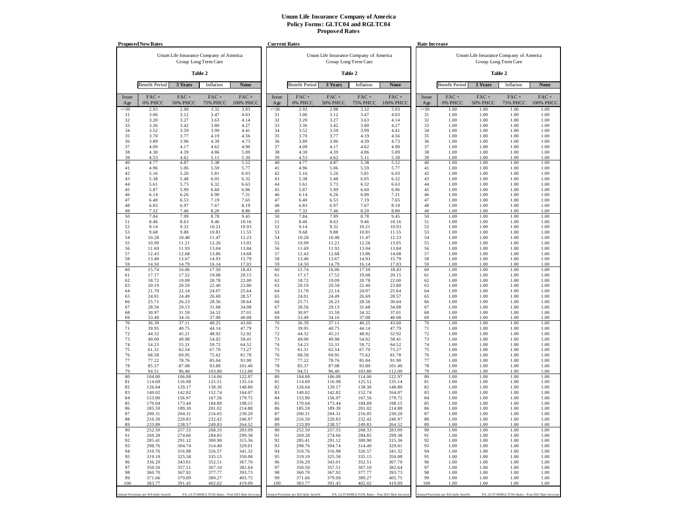|              | <b>Proposed New Rates</b>             |                            |                                                                |                      | <b>Current Rates</b> |                                       |                            |                                                                |                                                   | <b>Rate Increase</b> |                                       |                            |                                                                |                      |
|--------------|---------------------------------------|----------------------------|----------------------------------------------------------------|----------------------|----------------------|---------------------------------------|----------------------------|----------------------------------------------------------------|---------------------------------------------------|----------------------|---------------------------------------|----------------------------|----------------------------------------------------------------|----------------------|
|              |                                       |                            | Unum Life Insurance Company of America<br>Group Long Term Care |                      |                      |                                       |                            | Unum Life Insurance Company of America<br>Group Long Term Care |                                                   |                      |                                       |                            | Unum Life Insurance Company of America<br>Group Long Term Care |                      |
|              |                                       |                            | Table 2                                                        |                      |                      |                                       |                            | Table 2                                                        |                                                   |                      |                                       |                            | Table 2                                                        |                      |
|              | <b>Benefit Period</b>                 | 3 Years                    | Inflation                                                      | None                 |                      | <b>Benefit Period</b>                 | 3 Years                    | Inflation                                                      | None                                              |                      | <b>Benefit Period</b>                 | 3 Years                    | Inflation                                                      | None                 |
| Issue<br>Age | $FAC +$<br>0% PHCC                    | $FAC +$<br><b>50% PHCC</b> | $FAC +$<br><b>75% PHCC</b>                                     | $FAC +$<br>100% PHCC | Issue<br>Age         | $FAC +$<br>0% PHCC                    | $FAC +$<br><b>50% PHCC</b> | $FAC +$<br><b>75% PHCC</b>                                     | $FAC +$<br>100% PHCC                              | Issue<br>Age         | $FAC +$<br>0% PHCC                    | $FAC +$<br><b>50% PHCC</b> | $FAC +$<br><b>75% PHCC</b>                                     | $FAC +$<br>100% PHCC |
| $\leq 30$    | 2.93                                  | 2.98                       | 3.32                                                           | 3.93                 | $\leq 30$            | 2.93                                  | 2.98                       | 3.32                                                           | 3.93                                              | $\leq 30$            | 1.00                                  | 1.00                       | 1.00                                                           | 1.00                 |
| 31<br>32     | 3.06<br>3.20                          | 3.12<br>3.27               | 3.47<br>3.63                                                   | 4.03<br>4.14         | 31<br>32             | 3.06<br>3.20                          | 3.12<br>3.27               | 3.47<br>3.63                                                   | 4.03<br>4.14                                      | 31<br>32             | 1.00<br>1.00                          | 1.00<br>1.00               | 1.00<br>1.00                                                   | 1.00<br>1.00         |
| 33           | 3.36                                  | 3.42                       | 3.80                                                           | 4.27                 | 33                   | 3.36                                  | 3.42                       | 3.80                                                           | 4.27                                              | 33                   | 1.00                                  | 1.00                       | 1.00                                                           | 1.00                 |
| 34           | 3.52                                  | 3.59                       | 3.99                                                           | 4.41                 | 34                   | 3.52                                  | 3.59                       | 3.99                                                           | 4.41                                              | 34                   | 1.00                                  | 1.00                       | 1.00                                                           | 1.00                 |
| 35<br>36     | 3.70<br>3.89                          | 3.77<br>3.96               | 4.19<br>4.39                                                   | 4.56<br>4.73         | 35<br>36             | 3.70<br>3.89                          | 3.77<br>3.96               | 4.19<br>4.39                                                   | 4.56<br>4.73                                      | 35<br>36             | 1.00<br>1.00                          | 1.00<br>1.00               | 1.00<br>1.00                                                   | 1.00<br>1.00         |
| 37           | 4.09                                  | 4.17                       | 4.62                                                           | 4.90                 | 37                   | 4.09                                  | 4.17                       | 4.62                                                           | 4.90                                              | 37                   | 1.00                                  | 1.00                       | 1.00                                                           | 1.00                 |
| 38           | 4.30                                  | 4.39                       | 4.86                                                           | 5.09                 | 38                   | 4.30                                  | 4.39                       | 4.86                                                           | 5.09                                              | 38                   | 1.00                                  | 1.00                       | 1.00                                                           | 1.00                 |
| 39<br>40     | 4.53<br>4.77                          | 4.62<br>4.87               | 5.11<br>5.38                                                   | 5.30<br>5.52         | 39<br>40             | 4.53<br>4.77                          | 4.62<br>4.87               | 5.11<br>5.38                                                   | 5.30<br>5.52                                      | 39<br>40             | 1.00<br>1.00                          | 1.00<br>1.00               | 1.00<br>1.00                                                   | 1.00<br>1.00         |
| 41           | 4.96                                  | 5.06                       | 5.59                                                           | 5.77                 | 41                   | 4.96                                  | 5.06                       | 5.59                                                           | 5.77                                              | 41                   | 1.00                                  | 1.00                       | 1.00                                                           | 1.00                 |
| 42           | 5.16                                  | 5.26                       | 5.81                                                           | 6.03                 | 42                   | 5.16                                  | 5.26                       | 5.81                                                           | 6.03                                              | 42                   | 1.00                                  | 1.00                       | 1.00                                                           | 1.00                 |
| 43<br>44     | 5.38                                  | 5.48<br>5.73               | 6.05                                                           | 6.32                 | 43<br>44             | 5.38                                  | 5.48<br>5.73               | 6.05                                                           | 6.32                                              | 43<br>44             | 1.00<br>1.00                          | 1.00<br>1.00               | 1.00<br>1.00                                                   | 1.00<br>1.00         |
| 45           | 5.61<br>5.87                          | 5.99                       | 6.32<br>6.60                                                   | 6.63<br>6.96         | 45                   | 5.61<br>5.87                          | 5.99                       | 6.32<br>6.60                                                   | 6.63<br>6.96                                      | 45                   | 1.00                                  | 1.00                       | 1.00                                                           | 1.00                 |
| 46           | 6.14                                  | 6.26                       | 6.90                                                           | 7.31                 | 46                   | 6.14                                  | 6.26                       | 6.90                                                           | 7.31                                              | 46                   | 1.00                                  | 1.00                       | 1.00                                                           | 1.00                 |
| 47           | 6.40                                  | 6.53                       | 7.19                                                           | 7.65                 | 47                   | 6.40                                  | 6.53                       | 7.19                                                           | 7.65                                              | 47                   | 1.00                                  | 1.00                       | 1.00                                                           | 1.00                 |
| 48<br>49     | 6.83<br>7.32                          | 6.97<br>7.46               | 7.67<br>8.20                                                   | 8.19<br>8.80         | 48<br>49             | 6.83<br>7.32                          | 6.97<br>7.46               | 7.67<br>8.20                                                   | 8.19<br>8.80                                      | 48<br>49             | 1.00<br>1.00                          | 1.00<br>1.00               | 1.00<br>1.00                                                   | 1.00<br>1.00         |
| 50           | 7.84                                  | 7.99                       | 8.78                                                           | 9.45                 | 50                   | 7.84                                  | 7.99                       | 8.78                                                           | 9.45                                              | 50                   | 1.00                                  | 1.00                       | 1.00                                                           | 1.00                 |
| 51           | 8.46                                  | 8.63                       | 9.46                                                           | 10.16                | 51                   | 8.46                                  | 8.63                       | 9.46                                                           | 10.16                                             | 51                   | 1.00                                  | 1.00                       | 1.00                                                           | 1.00                 |
| 52<br>53     | 9.14<br>9.68                          | 9.32<br>9.88               | 10.21<br>10.81                                                 | 10.93<br>11.55       | 52<br>53             | 9.14<br>9.68                          | 9.32<br>9.88               | 10.21<br>10.81                                                 | 10.93<br>11.55                                    | 52<br>53             | 1.00<br>1.00                          | 1.00<br>1.00               | 1.00<br>1.00                                                   | 1.00<br>1.00         |
| 54           | 10.28                                 | 10.48                      | 11.47                                                          | 12.23                | 54                   | 10.28                                 | 10.48                      | 11.47                                                          | 12.23                                             | 54                   | 1.00                                  | 1.00                       | 1.00                                                           | 1.00                 |
| 55           | 10.99                                 | 11.21                      | 12.26                                                          | 13.05                | 55                   | 10.99                                 | 11.21                      | 12.26                                                          | 13.05                                             | 55                   | 1.00                                  | 1.00                       | 1.00                                                           | 1.00                 |
| 56<br>57     | 11.69<br>12.43                        | 11.93<br>12.68             | 13.04<br>13.86                                                 | 13.84<br>14.68       | 56<br>57             | 11.69<br>12.43                        | 11.93<br>12.68             | 13.04<br>13.86                                                 | 13.84<br>14.68                                    | 56<br>57             | 1.00<br>1.00                          | 1.00<br>1.00               | 1.00<br>1.00                                                   | 1.00<br>1.00         |
| 58           | 13.40                                 | 13.67                      | 14.93                                                          | 15.79                | 58                   | 13.40                                 | 13.67                      | 14.93                                                          | 15.79                                             | 58                   | 1.00                                  | 1.00                       | 1.00                                                           | 1.00                 |
| 59           | 14.50                                 | 14.79                      | 16.14                                                          | 17.03                | 59                   | 14.50                                 | 14.79                      | 16.14                                                          | 17.03                                             | 59                   | 1.00                                  | 1.00                       | 1.00                                                           | 1.00                 |
| 60<br>61     | 15.74<br>17.17                        | 16.06<br>17.52             | 17.50<br>19.08                                                 | 18.43<br>20.15       | 60<br>61             | 15.74<br>17.17                        | 16.06<br>17.52             | 17.50<br>19.08                                                 | 18.43<br>20.15                                    | 60<br>61             | 1.00<br>1.00                          | 1.00<br>1.00               | 1.00<br>1.00                                                   | 1.00<br>1.00         |
| 62           | 18.72                                 | 19.09                      | 20.78                                                          | 22.00                | 62                   | 18.72                                 | 19.09                      | 20.78                                                          | 22.00                                             | 62                   | 1.00                                  | 1.00                       | 1.00                                                           | 1.00                 |
| 63           | 20.19                                 | 20.59                      | 22.40                                                          | 23.80                | 63                   | 20.19                                 | 20.59                      | 22.40                                                          | 23.80                                             | 63                   | 1.00                                  | 1.00                       | 1.00                                                           | 1.00                 |
| 64<br>65     | 21.70<br>24.01                        | 22.14<br>24.49             | 24.07<br>26.69                                                 | 25.64<br>28.57       | 64<br>65             | 21.70<br>24.01                        | 22.14<br>24.49             | 24.07<br>26.69                                                 | 25.64<br>28.57                                    | 64<br>65             | 1.00<br>1.00                          | 1.00<br>1.00               | 1.00<br>1.00                                                   | 1.00<br>1.00         |
| 66           | 25.71                                 | 26.23                      | 28.56                                                          | 30.64                | 66                   | 25.71                                 | 26.23                      | 28.56                                                          | 30.64                                             | 66                   | 1.00                                  | 1.00                       | 1.00                                                           | 1.00                 |
| 67           | 28.56                                 | 29.13                      | 31.68                                                          | 34.08                | 67                   | 28.56                                 | 29.13                      | 31.68                                                          | 34.08                                             | 67                   | 1.00                                  | 1.00                       | 1.00                                                           | 1.00                 |
| 68<br>69     | 30.97<br>33.49                        | 31.59<br>34.16             | 34.32<br>37.08                                                 | 37.01<br>40.08       | 68<br>69             | 30.97<br>33.49                        | 31.59<br>34.16             | 34.32<br>37.08                                                 | 37.01<br>40.08                                    | 68<br>69             | 1.00<br>1.00                          | 1.00<br>1.00               | 1.00<br>1.00                                                   | 1.00<br>1.00         |
| 70           | 36.39                                 | 37.11                      | 40.25                                                          | 43.60                | 70                   | 36.39                                 | 37.11                      | 40.25                                                          | 43.60                                             | 70                   | 1.00                                  | 1.00                       | 1.00                                                           | 1.00                 |
| 71           | 39.95                                 | 40.75                      | 44.14                                                          | 47.79                | 71                   | 39.95                                 | 40.75                      | 44.14                                                          | 47.79                                             | 71                   | 1.00                                  | 1.00                       | 1.00                                                           | 1.00                 |
| 72<br>73     | 44.32<br>49.00                        | 45.21<br>49.98             | 48.92<br>54.02                                                 | 52.92<br>58.41       | 72<br>73             | 44.32<br>49.00                        | 45.21<br>49.98             | 48.92<br>54.02                                                 | 52.92<br>58.41                                    | 72<br>73             | 1.00<br>1.00                          | 1.00<br>1.00               | 1.00<br>1.00                                                   | 1.00<br>1.00         |
| 74           | 54.23                                 | 55.31                      | 59.72                                                          | 64.52                | 74                   | 54.23                                 | 55.31                      | 59.72                                                          | 64.52                                             | 74                   | 1.00                                  | 1.00                       | 1.00                                                           | 1.00                 |
| 75           | 61.31                                 | 62.54                      | 67.70                                                          | 73.27                | 75                   | 61.31                                 | 62.54                      | 67.70                                                          | 73.27                                             | 75                   | 1.00                                  | 1.00                       | 1.00                                                           | 1.00                 |
| 76<br>77     | 68.58<br>77.22                        | 69.95<br>78.76             | 75.62<br>85.04                                                 | 81.78<br>91.90       | 76<br>77             | 68.58<br>77.22                        | 69.95<br>78.76             | 75.62<br>85.04                                                 | 81.78<br>91.90                                    | 76<br>77             | 1.00<br>1.00                          | 1.00<br>1.00               | 1.00<br>1.00                                                   | 1.00<br>1.00         |
| 78           | 85.37                                 | 87.08                      | 93.89                                                          | 101.40               | 78                   | 85.37                                 | 87.08                      | 93.89                                                          | 101.40                                            | 78                   | 1.00                                  | 1.00                       | 1.00                                                           | 1.00                 |
| 79           | 94.51                                 | 96.40                      | 103.80                                                         | 112.00               | 79                   | 94.51                                 | 96.40                      | 103.80                                                         | 112.00                                            | 79                   | 1.00                                  | 1.00                       | 1.00                                                           | 1.00                 |
| 80<br>81     | 104.00<br>114.69                      | 106.08<br>116.98           | 114.06<br>125.51                                               | 122.97<br>135.14     | 80<br>81             | 104.00<br>114.69                      | 106.08<br>116.98           | 114.06<br>125.51                                               | 122.97<br>135.14                                  | 80<br>81             | 1.00<br>1.00                          | 1.00<br>1.00               | 1.00<br>1.00                                                   | 1.00<br>1.00         |
| 82           | 126.64                                | 129.17                     | 138.36                                                         | 148.80               | 82                   | 126.64                                | 129.17                     | 138.36                                                         | 148.80                                            | 82                   | 1.00                                  | 1.00                       | 1.00                                                           | 1.00                 |
| 83           | 140.02                                | 142.82                     | 152.74                                                         | 164.07               | 83                   | 140.02                                | 142.82                     | 152.74                                                         | 164.07                                            | 83                   | 1.00                                  | 1.00                       | 1.00                                                           | 1.00                 |
| 84<br>85     | 153.90<br>170.04                      | 156.97<br>173.44           | 167.56<br>184.89                                               | 179.75<br>198.15     | 84<br>85             | 153.90<br>170.04                      | 156.97<br>173.44           | 167.56<br>184.89                                               | 179.75<br>198.15                                  | 84<br>85             | 1.00<br>1.00                          | 1.00<br>1.00               | 1.00<br>1.00                                                   | 1.00<br>1.00         |
| 86           | 185.59                                | 189.30                     | 201.02                                                         | 214.88               | 86                   | 185.59                                | 189.30                     | 201.02                                                         | 214.88                                            | 86                   | 1.00                                  | 1.00                       | 1.00                                                           | 1.00                 |
| 87           | 200.31                                | 204.31                     | 216.05                                                         | 230.29               | 87                   | 200.31                                | 204.31                     | 216.05                                                         | 230.29                                            | 87                   | 1.00                                  | 1.00                       | 1.00                                                           | 1.00                 |
| 88<br>ΩQ     | 216.50<br>233.80                      | 220.83<br>238.57           | 232.42<br>249.83                                               | 246.97<br>264.52     | 88<br>80             | 216.50<br>233.80                      | 220.83<br>238.57           | 232.42<br>249.83                                               | 246.97<br>264.52                                  | 88<br>80             | 1.00<br>1.00                          | 1.00<br>1.00               | 1.00<br>1.00                                                   | 1.00<br>1.00         |
| 90           | 252.50                                | 257.55                     | 268.33                                                         | 283.09               | 90                   | 252.50                                | 257.55                     | 268.33                                                         | 283.09                                            | 90                   | 1.00                                  | 1.00                       | 1.00                                                           | 1.00                 |
| 91           | 269.28                                | 274.66                     | 284.85                                                         | 299.38               | 91                   | 269.28                                | 274.66                     | 284.85                                                         | 299.38                                            | 91                   | 1.00                                  | 1.00                       | 1.00                                                           | 1.00                 |
| 92<br>93     | 285.41<br>298.76                      | 291.12<br>304.74           | 300.90<br>314.40                                               | 315.36<br>329.01     | 92<br>93             | 285.41<br>298.76                      | 291.12<br>304.74           | 300.90<br>314.40                                               | 315.36<br>329.01                                  | 92<br>93             | 1.00<br>1.00                          | 1.00<br>1.00               | 1.00<br>1.00                                                   | 1.00<br>1.00         |
| 94           | 310.76                                | 316.98                     | 326.57                                                         | 341.32               | 94                   | 310.76                                | 316.98                     | 326.57                                                         | 341.32                                            | 94                   | 1.00                                  | 1.00                       | 1.00                                                           | 1.00                 |
| 95           | 319.19                                | 325.58                     | 335.15                                                         | 350.08               | 95                   | 319.19                                | 325.58                     | 335.15                                                         | 350.08                                            | 95                   | 1.00                                  | 1.00                       | 1.00                                                           | 1.00                 |
| 96<br>97     | 336.29<br>350.50                      | 343.01<br>357.51           | 352.51<br>367.10                                               | 367.70<br>382.64     | 96<br>97             | 336.29<br>350.50                      | 343.01<br>357.51           | 352.51<br>367.10                                               | 367.70<br>382.64                                  | 96<br>97             | 1.00<br>1.00                          | 1.00<br>1.00               | 1.00<br>1.00                                                   | 1.00<br>1.00         |
| 98           | 360.70                                | 367.92                     | 377.77                                                         | 393.73               | 98                   | 360.70                                | 367.92                     | 377.77                                                         | 393.73                                            | 98                   | 1.00                                  | 1.00                       | 1.00                                                           | 1.00                 |
| 99           | 371.66                                | 379.09                     | 389.27                                                         | 405.75               | 99                   | 371.66                                | 379.09                     | 389.27                                                         | 405.75                                            | 99                   | 1.00                                  | 1.00                       | 1.00                                                           | 1.00                 |
| 100          | 383.77                                | 391.45                     | 402.02                                                         | 419.09               | 100                  | 383.77                                | 391.45                     | 402.02                                                         | 419.09                                            | 100                  | 1.00                                  | 1.00                       | 1.00                                                           | 1.00                 |
|              | Annual Premium per \$10 daily benefit |                            | PA_GLTC04/RGLTC04_Rates - Post 2021 Rate Increas               |                      |                      | Annual Premium per \$10 daily benefit |                            |                                                                | PA_GLTC04/RGLTC04_Rates - Post 2021 Rate Increase |                      | Annual Premium per \$10 daily benefit |                            | PA_GLTC04/RGLTC04_Rates - Post 2021 Rate Increase              |                      |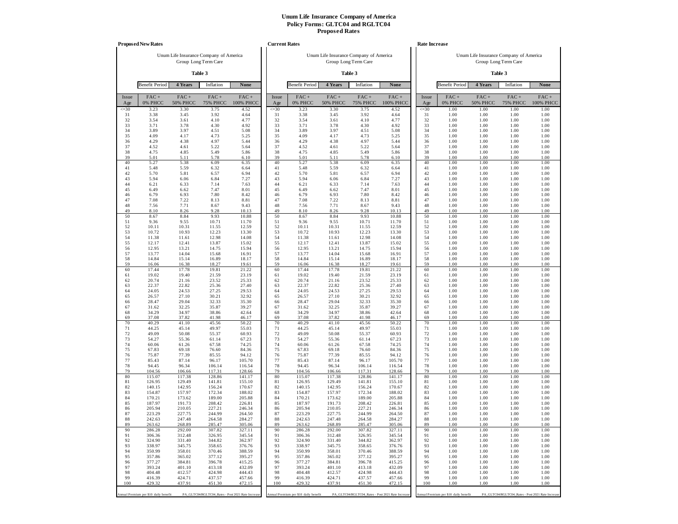|              | <b>Proposed New Rates</b>             |                                        |                            |                                                   | <b>Current Rates</b> |                                       |                                        |                            |                                                   | <b>Rate Increase</b> |                                       |                                        |                                                   |                      |
|--------------|---------------------------------------|----------------------------------------|----------------------------|---------------------------------------------------|----------------------|---------------------------------------|----------------------------------------|----------------------------|---------------------------------------------------|----------------------|---------------------------------------|----------------------------------------|---------------------------------------------------|----------------------|
|              |                                       | Unum Life Insurance Company of America |                            |                                                   |                      |                                       | Unum Life Insurance Company of America |                            |                                                   |                      |                                       | Unum Life Insurance Company of America |                                                   |                      |
|              |                                       |                                        | Group Long Term Care       |                                                   |                      |                                       |                                        | Group Long Term Care       |                                                   |                      |                                       |                                        | Group Long Term Care                              |                      |
|              |                                       |                                        | Table 3                    |                                                   |                      | Table 3                               |                                        |                            |                                                   |                      |                                       |                                        | Table 3                                           |                      |
|              | <b>Benefit Period</b>                 | 4 Years                                | Inflation                  | None                                              |                      | <b>Benefit Period</b>                 | 4 Years                                | Inflation                  | None                                              |                      | <b>Benefit Period</b>                 | 4 Years                                | Inflation                                         | None                 |
| Issue<br>Age | FAC+<br>0% PHCC                       | $FAC +$<br><b>50% PHCC</b>             | $FAC +$<br><b>75% PHCC</b> | $FAC +$<br><b>100% PHCC</b>                       | Issue<br>Age         | FAC+<br>0% PHCC                       | $FAC +$<br><b>50% PHCC</b>             | $FAC +$<br><b>75% PHCC</b> | FAC+<br>100% PHCC                                 | Issue<br>Age         | FAC+<br>0% PHCC                       | $FAC +$<br><b>50% PHCC</b>             | $FAC +$<br><b>75% PHCC</b>                        | $FAC +$<br>100% PHCC |
| $\leq 30$    | 3.23                                  | 3.30                                   | 3.75                       | 4.52                                              | $\leq 30$            | 3.23                                  | 3.30                                   | 3.75                       | 4.52                                              | $\leq 30$            | 1.00                                  | 1.00                                   | 1.00                                              | 1.00                 |
| 31<br>32     | 3.38<br>3.54                          | 3.45<br>3.61                           | 3.92<br>4.10               | 4.64<br>4.77                                      | 31<br>32             | 3.38<br>3.54                          | 3.45<br>3.61                           | 3.92<br>4.10               | 4.64<br>4.77                                      | 31<br>32             | 1.00<br>1.00                          | 1.00<br>1.00                           | 1.00<br>1.00                                      | 1.00<br>1.00         |
| 33           | 3.71                                  | 3.78                                   | 4.30                       | 4.92                                              | 33                   | 3.71                                  | 3.78                                   | 4.30                       | 4.92                                              | 33                   | 1.00                                  | 1.00                                   | 1.00                                              | 1.00                 |
| 34           | 3.89                                  | 3.97                                   | 4.51                       | 5.08                                              | 34                   | 3.89                                  | 3.97                                   | 4.51                       | 5.08                                              | 34                   | 1.00                                  | 1.00                                   | 1.00                                              | 1.00                 |
| 35<br>36     | 4.09<br>4.29                          | 4.17<br>4.38                           | 4.73<br>4.97               | 5.25<br>5.44                                      | 35<br>36             | 4.09<br>4.29                          | 4.17<br>4.38                           | 4.73<br>4.97               | 5.25<br>5.44                                      | 35<br>36             | 1.00<br>1.00                          | 1.00<br>1.00                           | 1.00<br>1.00                                      | 1.00<br>1.00         |
| 37           | 4.52                                  | 4.61                                   | 5.22                       | 5.64                                              | 37                   | 4.52                                  | 4.61                                   | 5.22                       | 5.64                                              | 37                   | 1.00                                  | 1.00                                   | 1.00                                              | 1.00                 |
| 38           | 4.75                                  | 4.85                                   | 5.49                       | 5.86                                              | 38                   | 4.75                                  | 4.85                                   | 5.49                       | 5.86                                              | 38                   | 1.00                                  | 1.00                                   | 1.00                                              | 1.00                 |
| 39<br>40     | 5.01<br>5.27                          | 5.11<br>5.38                           | 5.78<br>6.09               | 6.10<br>6.35                                      | 39<br>40             | 5.01<br>5.27                          | 5.11<br>5.38                           | 5.78<br>6.09               | 6.10<br>6.35                                      | 39<br>40             | 1.00<br>1.00                          | 1.00<br>1.00                           | 1.00<br>1.00                                      | 1.00<br>1.00         |
| 41           | 5.48                                  | 5.59                                   | 6.32                       | 6.64                                              | 41                   | 5.48                                  | 5.59                                   | 6.32                       | 6.64                                              | 41                   | 1.00                                  | 1.00                                   | 1.00                                              | 1.00                 |
| 42           | 5.70                                  | 5.81                                   | 6.57                       | 6.94                                              | 42                   | 5.70                                  | 5.81                                   | 6.57                       | 6.94                                              | 42                   | 1.00                                  | 1.00                                   | 1.00                                              | 1.00                 |
| 43<br>44     | 5.94<br>6.21                          | 6.06<br>6.33                           | 6.84<br>7.14               | 7.27<br>7.63                                      | 43<br>44             | 5.94<br>6.21                          | 6.06<br>6.33                           | 6.84<br>7.14               | 7.27<br>7.63                                      | 43<br>44             | 1.00<br>1.00                          | 1.00<br>1.00                           | 1.00<br>1.00                                      | 1.00<br>1.00         |
| 45           | 6.49                                  | 6.62                                   | 7.47                       | 8.01                                              | 45                   | 6.49                                  | 6.62                                   | 7.47                       | 8.01                                              | 45                   | 1.00                                  | 1.00                                   | 1.00                                              | 1.00                 |
| 46           | 6.79                                  | 6.93                                   | 7.80                       | 8.42                                              | 46                   | 6.79                                  | 6.93                                   | 7.80                       | 8.42                                              | 46                   | 1.00                                  | 1.00                                   | 1.00                                              | 1.00                 |
| 47<br>48     | 7.08<br>7.56                          | 7.22<br>7.71                           | 8.13<br>8.67               | 8.81<br>9.43                                      | 47<br>48             | 7.08<br>7.56                          | 7.22<br>7.71                           | 8.13<br>8.67               | 8.81<br>9.43                                      | 47<br>48             | 1.00<br>1.00                          | 1.00<br>1.00                           | 1.00<br>1.00                                      | 1.00<br>1.00         |
| 49           | 8.10                                  | 8.26                                   | 9.28                       | 10.13                                             | 49                   | 8.10                                  | 8.26                                   | 9.28                       | 10.13                                             | 49                   | 1.00                                  | 1.00                                   | 1.00                                              | 1.00                 |
| 50           | 8.67                                  | 8.84                                   | 9.93                       | 10.88                                             | 50                   | 8.67                                  | 8.84                                   | 9.93                       | 10.88                                             | 50                   | 1.00                                  | 1.00                                   | 1.00                                              | 1.00                 |
| 51<br>52     | 9.36<br>10.11                         | 9.55<br>10.31                          | 10.71<br>11.55             | 11.70<br>12.59                                    | 51<br>52             | 9.36<br>10.11                         | 9.55<br>10.31                          | 10.71<br>11.55             | 11.70<br>12.59                                    | 51<br>52             | 1.00<br>1.00                          | 1.00<br>1.00                           | 1.00<br>1.00                                      | 1.00<br>1.00         |
| 53           | 10.72                                 | 10.93                                  | 12.23                      | 13.30                                             | 53                   | 10.72                                 | 10.93                                  | 12.23                      | 13.30                                             | 53                   | 1.00                                  | 1.00                                   | 1.00                                              | 1.00                 |
| 54           | 11.38                                 | 11.61                                  | 12.98                      | 14.08                                             | 54                   | 11.38                                 | 11.61                                  | 12.98                      | 14.08                                             | 54                   | 1.00                                  | 1.00                                   | 1.00                                              | 1.00                 |
| 55<br>56     | 12.17<br>12.95                        | 12.41<br>13.21                         | 13.87<br>14.75             | 15.02<br>15.94                                    | 55<br>56             | 12.17<br>12.95                        | 12.41<br>13.21                         | 13.87<br>14.75             | 15.02<br>15.94                                    | 55<br>56             | 1.00<br>1.00                          | 1.00<br>1.00                           | 1.00<br>1.00                                      | 1.00<br>1.00         |
| 57           | 13.77                                 | 14.04                                  | 15.68                      | 16.91                                             | 57                   | 13.77                                 | 14.04                                  | 15.68                      | 16.91                                             | 57                   | 1.00                                  | 1.00                                   | 1.00                                              | 1.00                 |
| 58<br>59     | 14.84<br>16.06                        | 15.14<br>16.38                         | 16.89<br>18.27             | 18.17<br>19.61                                    | 58<br>59             | 14.84<br>16.06                        | 15.14<br>16.38                         | 16.89<br>18.27             | 18.17<br>19.61                                    | 58<br>59             | 1.00<br>1.00                          | 1.00<br>1.00                           | 1.00<br>1.00                                      | 1.00<br>1.00         |
| 60           | 17.44                                 | 17.78                                  | 19.81                      | 21.22                                             | 60                   | 17.44                                 | 17.78                                  | 19.81                      | 21.22                                             | 60                   | 1.00                                  | 1.00                                   | 1.00                                              | 1.00                 |
| 61           | 19.02                                 | 19.40                                  | 21.59                      | 23.19                                             | 61                   | 19.02                                 | 19.40                                  | 21.59                      | 23.19                                             | 61                   | 1.00                                  | 1.00                                   | 1.00                                              | 1.00                 |
| 62<br>63     | 20.74<br>22.37                        | 21.16<br>22.82                         | 23.52<br>25.36             | 25.33<br>27.40                                    | 62<br>63             | 20.74<br>22.37                        | 21.16<br>22.82                         | 23.52<br>25.36             | 25.33<br>27.40                                    | 62<br>63             | 1.00<br>1.00                          | 1.00<br>1.00                           | 1.00<br>1.00                                      | 1.00<br>1.00         |
| 64           | 24.05                                 | 24.53                                  | 27.25                      | 29.53                                             | 64                   | 24.05                                 | 24.53                                  | 27.25                      | 29.53                                             | 64                   | 1.00                                  | 1.00                                   | 1.00                                              | 1.00                 |
| 65           | 26.57                                 | 27.10                                  | 30.21                      | 32.92                                             | 65                   | 26.57                                 | 27.10                                  | 30.21                      | 32.92                                             | 65                   | 1.00                                  | 1.00                                   | 1.00                                              | 1.00                 |
| 66<br>67     | 28.47<br>31.62                        | 29.04<br>32.25                         | 32.33<br>35.87             | 35.30<br>39.27                                    | 66<br>67             | 28.47<br>31.62                        | 29.04<br>32.25                         | 32.33<br>35.87             | 35.30<br>39.27                                    | 66<br>67             | 1.00<br>1.00                          | 1.00<br>1.00                           | 1.00<br>1.00                                      | 1.00<br>1.00         |
| 68           | 34.29                                 | 34.97                                  | 38.86                      | 42.64                                             | 68                   | 34.29                                 | 34.97                                  | 38.86                      | 42.64                                             | 68                   | 1.00                                  | 1.00                                   | 1.00                                              | 1.00                 |
| 69           | 37.08                                 | 37.82                                  | 41.98                      | 46.17                                             | 69                   | 37.08                                 | 37.82                                  | 41.98                      | 46.17                                             | 69                   | 1.00                                  | 1.00                                   | 1.00                                              | 1.00                 |
| 70<br>71     | 40.29<br>44.25                        | 41.10<br>45.14                         | 45.56<br>49.97             | 50.22<br>55.03                                    | 70<br>71             | 40.29<br>44.25                        | 41.10<br>45.14                         | 45.56<br>49.97             | 50.22<br>55.03                                    | 70<br>71             | 1.00<br>1.00                          | 1.00<br>1.00                           | 1.00<br>1.00                                      | 1.00<br>1.00         |
| 72           | 49.09                                 | 50.08                                  | 55.37                      | 60.93                                             | 72                   | 49.09                                 | 50.08                                  | 55.37                      | 60.93                                             | 72                   | 1.00                                  | 1.00                                   | 1.00                                              | 1.00                 |
| 73           | 54.27                                 | 55.36                                  | 61.14                      | 67.23                                             | 73                   | 54.27                                 | 55.36                                  | 61.14                      | 67.23                                             | 73                   | 1.00                                  | 1.00                                   | 1.00                                              | 1.00                 |
| 74<br>75     | 60.06<br>67.83                        | 61.26<br>69.18                         | 67.58<br>76.60             | 74.25<br>84.36                                    | 74<br>75             | 60.06<br>67.83                        | 61.26<br>69.18                         | 67.58<br>76.60             | 74.25<br>84.36                                    | 74<br>75             | 1.00<br>1.00                          | 1.00<br>1.00                           | 1.00<br>1.00                                      | 1.00<br>1.00         |
| 76           | 75.87                                 | 77.39                                  | 85.55                      | 94.12                                             | 76                   | 75.87                                 | 77.39                                  | 85.55                      | 94.12                                             | 76                   | 1.00                                  | 1.00                                   | 1.00                                              | 1.00                 |
| 77           | 85.43                                 | 87.14                                  | 96.17                      | 105.70                                            | 77                   | 85.43                                 | 87.14                                  | 96.17                      | 105.70                                            | 77                   | 1.00                                  | 1.00                                   | 1.00                                              | 1.00                 |
| 78<br>79     | 94.45<br>104.56                       | 96.34<br>106.66                        | 106.14<br>117.31           | 116.54<br>128.66                                  | 78<br>79             | 94.45<br>104.56                       | 96.34<br>106.66                        | 106.14<br>117.31           | 116.54<br>128.66                                  | 78<br>79             | 1.00<br>1.00                          | 1.00<br>1.00                           | 1.00<br>1.00                                      | 1.00<br>1.00         |
| 80           | 115.07                                | 117.38                                 | 128.86                     | 141.17                                            | 80                   | 115.07                                | 117.38                                 | 128.86                     | 141.17                                            | 80                   | 1.00                                  | 1.00                                   | 1.00                                              | 1.00                 |
| 81           | 126.95                                | 129.49                                 | 141.81                     | 155.10                                            | 81                   | 126.95                                | 129.49                                 | 141.81                     | 155.10                                            | 81                   | 1.00                                  | 1.00                                   | 1.00                                              | 1.00                 |
| 82<br>83     | 140.15<br>154.87                      | 142.95<br>157.97                       | 156.24<br>172.34           | 170.67<br>188.02                                  | 82<br>83             | 140.15<br>154.87                      | 142.95<br>157.97                       | 156.24<br>172.34           | 170.67<br>188.02                                  | 82<br>83             | 1.00<br>1.00                          | 1.00<br>1.00                           | 1.00<br>1.00                                      | 1.00<br>1.00         |
| 84           | 170.21                                | 173.62                                 | 189.00                     | 205.88                                            | 84                   | 170.21                                | 173.62                                 | 189.00                     | 205.88                                            | 84                   | 1.00                                  | 1.00                                   | 1.00                                              | 1.00                 |
| 85           | 187.97<br>205.94                      | 191.73                                 | 208.42<br>227.21           | 226.81                                            | 85<br>86             | 187.97<br>205.94                      | 191.73<br>210.05                       | 208.42<br>227.21           | 226.81<br>246.34                                  | 85<br>86             | 1.00<br>1.00                          | 1.00                                   | 1.00                                              | 1.00                 |
| 86<br>87     | 223.29                                | 210.05<br>227.75                       | 244.99                     | 246.34<br>264.50                                  | 87                   | 223.29                                | 227.75                                 | 244.99                     | 264.50                                            | 87                   | 1.00                                  | 1.00<br>1.00                           | 1.00<br>1.00                                      | 1.00<br>1.00         |
| 88           | 242.63                                | 247.48                                 | 264.58                     | 284.27                                            | 88                   | 242.63                                | 247.48                                 | 264.58                     | 284.27                                            | 88                   | 1.00                                  | 1.00                                   | 1.00                                              | 1.00                 |
| 89<br>90     | 263.62                                | 268.89                                 | 285.47                     | 305.06                                            | 89                   | 263.62                                | 268.89                                 | 285.47                     | 305.06                                            | 89                   | 1.00                                  | 1.00                                   | 1.00                                              | 1.00                 |
| 91           | 286.28<br>306.36                      | 292.00<br>312.48                       | 307.82<br>326.95           | 327.11<br>345.54                                  | 90<br>91             | 286.28<br>306.36                      | 292.00<br>312.48                       | 307.82<br>326.95           | 327.11<br>345.54                                  | 90<br>91             | 1.00<br>1.00                          | 1.00<br>1.00                           | 1.00<br>1.00                                      | 1.00<br>1.00         |
| 92           | 324.90                                | 331.40                                 | 344.82                     | 362.97                                            | 92                   | 324.90                                | 331.40                                 | 344.82                     | 362.97                                            | 92                   | 1.00                                  | 1.00                                   | 1.00                                              | 1.00                 |
| 93           | 338.97                                | 345.75                                 | 358.65                     | 376.76                                            | 93                   | 338.97                                | 345.75                                 | 358.65                     | 376.76                                            | 93                   | 1.00                                  | 1.00                                   | 1.00                                              | 1.00                 |
| 94<br>95     | 350.99<br>357.86                      | 358.01<br>365.02                       | 370.46<br>377.12           | 388.59<br>395.27                                  | 94<br>95             | 350.99<br>357.86                      | 358.01<br>365.02                       | 370.46<br>377.12           | 388.59<br>395.27                                  | 94<br>95             | 1.00<br>1.00                          | 1.00<br>1.00                           | 1.00<br>1.00                                      | 1.00<br>1.00         |
| 96           | 377.27                                | 384.81                                 | 396.78                     | 415.25                                            | 96                   | 377.27                                | 384.81                                 | 396.78                     | 415.25                                            | 96                   | 1.00                                  | 1.00                                   | 1.00                                              | 1.00                 |
| 97           | 393.24                                | 401.10                                 | 413.18                     | 432.09                                            | 97                   | 393.24                                | 401.10                                 | 413.18                     | 432.09                                            | 97                   | 1.00                                  | 1.00                                   | 1.00                                              | 1.00                 |
| 98<br>99     | 404.48<br>416.39                      | 412.57<br>424.71                       | 424.98<br>437.57           | 444.43<br>457.66                                  | 98<br>99             | 404.48<br>416.39                      | 412.57<br>424.71                       | 424.98<br>437.57           | 444.43<br>457.66                                  | 98<br>99             | 1.00<br>1.00                          | 1.00<br>1.00                           | 1.00<br>1.00                                      | 1.00<br>1.00         |
| 100          | 429.32                                | 437.91                                 | 451.30                     | 472.15                                            | 100                  | 429.32                                | 437.91                                 | 451.30                     | 472.15                                            | 100                  | 1.00                                  | 1.00                                   | 1.00                                              | 1.00                 |
|              |                                       |                                        |                            |                                                   |                      |                                       |                                        |                            |                                                   |                      |                                       |                                        |                                                   |                      |
|              | Annual Premium per \$10 daily benefit |                                        |                            | PA_GLTC04/RGLTC04_Rates - Post 2021 Rate Increase |                      | Annual Premium per \$10 daily benefit |                                        |                            | PA_GLTC04/RGLTC04_Rates - Post 2021 Rate Increase |                      | Annual Premium per \$10 daily benefit |                                        | PA_GLTC04/RGLTC04_Rates - Post 2021 Rate Increase |                      |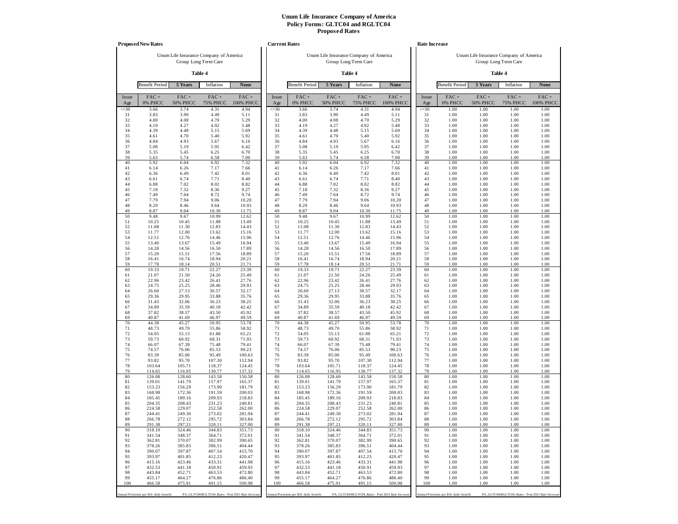|                 | <b>Proposed New Rates</b>             |                                        |                            |                                                   | <b>Current Rates</b> |                                       |                                        |                         |                                                   | <b>Rate Increase</b> |                                       |                                        |                                                   |                      |
|-----------------|---------------------------------------|----------------------------------------|----------------------------|---------------------------------------------------|----------------------|---------------------------------------|----------------------------------------|-------------------------|---------------------------------------------------|----------------------|---------------------------------------|----------------------------------------|---------------------------------------------------|----------------------|
|                 |                                       | Unum Life Insurance Company of America |                            |                                                   |                      |                                       | Unum Life Insurance Company of America |                         |                                                   |                      |                                       | Unum Life Insurance Company of America |                                                   |                      |
|                 |                                       |                                        | Group Long Term Care       |                                                   |                      |                                       |                                        | Group Long Term Care    |                                                   |                      |                                       |                                        | Group Long Term Care                              |                      |
|                 |                                       |                                        | Table 4                    |                                                   |                      |                                       |                                        | Table 4                 |                                                   |                      |                                       |                                        | Table 4                                           |                      |
|                 | <b>Benefit Period</b>                 | 5 Years                                | Inflation                  | None                                              |                      | <b>Benefit Period</b>                 | 5 Years                                | Inflation               | None                                              |                      | <b>Benefit Period</b>                 | 5 Years                                | Inflation                                         | <b>None</b>          |
| Issue<br>Age    | $FAC +$<br>0% PHCC                    | FAC+<br><b>50% PHCC</b>                | $FAC +$<br><b>75% PHCC</b> | $FAC +$<br>100% PHCC                              | Issue<br>Age         | FAC+<br>0% PHCC                       | FAC+<br><b>50% PHCC</b>                | FAC+<br><b>75% PHCC</b> | FAC+<br>100% PHCC                                 | Issue<br>Age         | FAC+<br>0% PHCC                       | $FAC +$<br><b>50% PHCC</b>             | $FAC +$<br><b>75% PHCC</b>                        | $FAC +$<br>100% PHCC |
| $\leq 30$<br>31 | 3.66<br>3.83                          | 3.74<br>3.90                           | 4.31<br>4.49               | 4.94<br>5.11                                      | $\leq 30$<br>31      | 3.66<br>3.83                          | 3.74<br>3.90                           | 4.31<br>4.49            | 4.94<br>5.11                                      | $\leq 30$<br>31      | 1.00<br>1.00                          | 1.00<br>1.00                           | 1.00<br>1.00                                      | 1.00<br>1.00         |
| 32              | 4.00                                  | 4.08                                   | 4.70                       | 5.29                                              | 32                   | 4.00                                  | 4.08                                   | 4.70                    | 5.29                                              | 32                   | 1.00                                  | 1.00                                   | 1.00                                              | 1.00                 |
| 33              | 4.19                                  | 4.27                                   | 4.92                       | 5.48                                              | 33<br>34             | 4.19                                  | 4.27                                   | 4.92                    | 5.48                                              | 33<br>34             | 1.00                                  | 1.00                                   | 1.00                                              | 1.00                 |
| 34<br>35        | 4.39<br>4.61                          | 4.48<br>4.70                           | 5.15<br>5.40               | 5.69<br>5.92                                      | 35                   | 4.39<br>4.61                          | 4.48<br>4.70                           | 5.15<br>5.40            | 5.69<br>5.92                                      | 35                   | 1.00<br>1.00                          | 1.00<br>1.00                           | 1.00<br>1.00                                      | 1.00<br>1.00         |
| 36              | 4.84                                  | 4.93                                   | 5.67                       | 6.16                                              | 36                   | 4.84                                  | 4.93                                   | 5.67                    | 6.16                                              | 36                   | 1.00                                  | 1.00                                   | 1.00                                              | 1.00                 |
| 37<br>38        | 5.08<br>5.35                          | 5.19<br>5.45                           | 5.95<br>6.25               | 6.42<br>6.70                                      | 37<br>38             | 5.08<br>5.35                          | 5.19<br>5.45                           | 5.95<br>6.25            | 6.42<br>6.70                                      | 37<br>38             | 1.00<br>1.00                          | 1.00<br>1.00                           | 1.00<br>1.00                                      | 1.00<br>1.00         |
| 39              | 5.63                                  | 5.74                                   | 6.58                       | 7.00                                              | 39                   | 5.63                                  | 5.74                                   | 6.58                    | 7.00                                              | 39                   | 1.00                                  | 1.00                                   | 1.00                                              | 1.00                 |
| 40              | 5.92                                  | 6.04                                   | 6.92                       | 7.32                                              | 40                   | 5.92                                  | 6.04                                   | 6.92                    | 7.32                                              | 40                   | 1.00                                  | 1.00                                   | 1.00                                              | 1.00                 |
| 41<br>42        | 6.14<br>6.36                          | 6.26<br>6.49                           | 7.17<br>7.42               | 7.66<br>8.01                                      | 41<br>42             | 6.14<br>6.36                          | 6.26<br>6.49                           | 7.17<br>7.42            | 7.66<br>8.01                                      | 41<br>42             | 1.00<br>1.00                          | 1.00<br>1.00                           | 1.00<br>1.00                                      | 1.00<br>1.00         |
| 43              | 6.61                                  | 6.74                                   | 7.71                       | 8.40                                              | 43                   | 6.61                                  | 6.74                                   | 7.71                    | 8.40                                              | 43                   | 1.00                                  | 1.00                                   | 1.00                                              | 1.00                 |
| 44<br>45        | 6.88                                  | 7.02<br>7.32                           | 8.02                       | 8.82<br>9.27                                      | 44<br>45             | 6.88<br>7.18                          | 7.02<br>7.32                           | 8.02<br>8.36            | 8.82<br>9.27                                      | 44<br>45             | 1.00<br>1.00                          | 1.00<br>1.00                           | 1.00<br>1.00                                      | 1.00<br>1.00         |
| 46              | 7.18<br>7.49                          | 7.64                                   | 8.36<br>8.72               | 9.74                                              | 46                   | 7.49                                  | 7.64                                   | 8.72                    | 9.74                                              | 46                   | 1.00                                  | 1.00                                   | 1.00                                              | 1.00                 |
| 47              | 7.79                                  | 7.94                                   | 9.06                       | 10.20                                             | 47                   | 7.79                                  | 7.94                                   | 9.06                    | 10.20                                             | 47                   | 1.00                                  | 1.00                                   | 1.00                                              | 1.00                 |
| 48<br>49        | 8.29<br>8.87                          | 8.46<br>9.04                           | 9.64<br>10.30              | 10.93<br>11.75                                    | 48<br>49             | 8.29<br>8.87                          | 8.46<br>9.04                           | 9.64<br>10.30           | 10.93<br>11.75                                    | 48<br>49             | 1.00<br>1.00                          | 1.00<br>1.00                           | 1.00<br>1.00                                      | 1.00<br>1.00         |
| 50              | 9.48                                  | 9.67                                   | 10.99                      | 12.62                                             | 50                   | 9.48                                  | 9.67                                   | 10.99                   | 12.62                                             | 50                   | 1.00                                  | 1.00                                   | 1.00                                              | 1.00                 |
| 51<br>52        | 10.25<br>11.08                        | 10.45<br>11.30                         | 11.88<br>12.83             | 13.49<br>14.43                                    | 51<br>52             | 10.25<br>11.08                        | 10.45<br>11.30                         | 11.88<br>12.83          | 13.49<br>14.43                                    | 51<br>52             | 1.00<br>1.00                          | 1.00<br>1.00                           | 1.00<br>1.00                                      | 1.00<br>1.00         |
| 53              | 11.77                                 | 12.00                                  | 13.62                      | 15.16                                             | 53                   | 11.77                                 | 12.00                                  | 13.62                   | 15.16                                             | 53                   | 1.00                                  | 1.00                                   | 1.00                                              | 1.00                 |
| 54              | 12.51                                 | 12.76                                  | 14.46                      | 15.96                                             | 54                   | 12.51                                 | 12.76                                  | 14.46                   | 15.96                                             | 54                   | 1.00                                  | 1.00                                   | 1.00                                              | 1.00                 |
| 55<br>56        | 13.40<br>14.28                        | 13.67<br>14.56                         | 15.49<br>16.50             | 16.94<br>17.89                                    | 55<br>56             | 13.40<br>14.28                        | 13.67<br>14.56                         | 15.49<br>16.50          | 16.94<br>17.89                                    | 55<br>56             | 1.00<br>1.00                          | 1.00<br>1.00                           | 1.00<br>1.00                                      | 1.00<br>1.00         |
| 57              | 15.20                                 | 15.51                                  | 17.56                      | 18.89                                             | 57                   | 15.20                                 | 15.51                                  | 17.56                   | 18.89                                             | 57                   | 1.00                                  | 1.00                                   | 1.00                                              | 1.00                 |
| 58<br>59        | 16.41<br>17.78                        | 16.74<br>18.14                         | 18.94<br>20.51             | 20.21<br>21.71                                    | 58<br>59             | 16.41<br>17.78                        | 16.74<br>18.14                         | 18.94<br>20.51          | 20.21<br>21.71                                    | 58<br>59             | 1.00<br>1.00                          | 1.00<br>1.00                           | 1.00<br>1.00                                      | 1.00<br>1.00         |
| 60              | 19.33                                 | 19.71                                  | 22.27                      | 23.39                                             | 60                   | 19.33                                 | 19.71                                  | 22.27                   | 23.39                                             | 60                   | 1.00                                  | 1.00                                   | 1.00                                              | 1.00                 |
| 61              | 21.07                                 | 21.50                                  | 24.26                      | 25.49                                             | 61                   | 21.07                                 | 21.50                                  | 24.26                   | 25.49                                             | 61                   | 1.00                                  | 1.00                                   | 1.00                                              | 1.00                 |
| 62<br>63        | 22.96<br>24.75                        | 23.42<br>25.25                         | 26.41<br>28.46             | 27.76<br>29.93                                    | 62<br>63             | 22.96<br>24.75                        | 23.42<br>25.25                         | 26.41<br>28.46          | 27.76<br>29.93                                    | 62<br>63             | 1.00<br>1.00                          | 1.00<br>1.00                           | 1.00<br>1.00                                      | 1.00<br>1.00         |
| 64              | 26.60                                 | 27.13                                  | 30.57                      | 32.17                                             | 64                   | 26.60                                 | 27.13                                  | 30.57                   | 32.17                                             | 64                   | 1.00                                  | 1.00                                   | 1.00                                              | 1.00                 |
| 65<br>66        | 29.36<br>31.43                        | 29.95<br>32.06                         | 33.88<br>36.23             | 35.76<br>38.25                                    | 65<br>66             | 29.36<br>31.43                        | 29.95<br>32.06                         | 33.88<br>36.23          | 35.76<br>38.25                                    | 65<br>66             | 1.00<br>1.00                          | 1.00<br>1.00                           | 1.00<br>1.00                                      | 1.00<br>1.00         |
| 67              | 34.89                                 | 35.59                                  | 40.18                      | 42.42                                             | 67                   | 34.89                                 | 35.59                                  | 40.18                   | 42.42                                             | 67                   | 1.00                                  | 1.00                                   | 1.00                                              | 1.00                 |
| 68              | 37.82                                 | 38.57                                  | 43.50                      | 45.92                                             | 68                   | 37.82                                 | 38.57                                  | 43.50                   | 45.92                                             | 68                   | 1.00                                  | 1.00                                   | 1.00                                              | 1.00                 |
| 69<br>70        | 40.87<br>44.38                        | 41.69<br>45.27                         | 46.97<br>50.95             | 49.59<br>53.78                                    | 69<br>70             | 40.87<br>44.38                        | 41.69<br>45.27                         | 46.97<br>50.95          | 49.59<br>53.78                                    | 69<br>70             | 1.00<br>1.00                          | 1.00<br>1.00                           | 1.00<br>1.00                                      | 1.00<br>1.00         |
| 71              | 48.73                                 | 49.70                                  | 55.86                      | 58.92                                             | 71                   | 48.73                                 | 49.70                                  | 55.86                   | 58.92                                             | 71                   | 1.00                                  | 1.00                                   | 1.00                                              | 1.00                 |
| 72<br>73        | 54.05<br>59.73                        | 55.13<br>60.92                         | 61.88<br>68.31             | 65.21<br>71.93                                    | 72<br>73             | 54.05<br>59.73                        | 55.13<br>60.92                         | 61.88<br>68.31          | 65.21<br>71.93                                    | 72<br>73             | 1.00<br>1.00                          | 1.00<br>1.00                           | 1.00<br>1.00                                      | 1.00<br>1.00         |
| 74              | 66.07                                 | 67.39                                  | 75.48                      | 79.41                                             | 74                   | 66.07                                 | 67.39                                  | 75.48                   | 79.41                                             | 74                   | 1.00                                  | 1.00                                   | 1.00                                              | 1.00                 |
| 75              | 74.57                                 | 76.06                                  | 85.53                      | 90.23                                             | 75                   | 74.57                                 | 76.06                                  | 85.53                   | 90.23                                             | 75                   | 1.00                                  | 1.00                                   | 1.00                                              | 1.00                 |
| 76<br>77        | 83.39<br>93.82                        | 85.06<br>95.70                         | 95.49<br>107.30            | 100.63<br>112.94                                  | 76<br>77             | 83.39<br>93.82                        | 85.06<br>95.70                         | 95.49<br>107.30         | 100.63<br>112.94                                  | 76<br>77             | 1.00<br>1.00                          | 1.00<br>1.00                           | 1.00<br>1.00                                      | 1.00<br>1.00         |
| 78              | 103.64                                | 105.71                                 | 118.37                     | 124.45                                            | 78                   | 103.64                                | 105.71                                 | 118.37                  | 124.45                                            | 78                   | 1.00                                  | 1.00                                   | 1.00                                              | 1.00                 |
| 79<br>80        | 114.65<br>126.08                      | 116.95<br>128.60                       | 130.77<br>143.58           | 137.32<br>150.58                                  | 79<br>80             | 114.65<br>126.08                      | 116.95<br>128.60                       | 130.77<br>143.58        | 137.32<br>150.58                                  | 79<br>80             | 1.00<br>1.00                          | 1.00<br>1.00                           | 1.00<br>1.00                                      | 1.00<br>1.00         |
| 81              | 139.01                                | 141.79                                 | 157.97                     | 165.37                                            | 81                   | 139.01                                | 141.79                                 | 157.97                  | 165.37                                            | 81                   | 1.00                                  | 1.00                                   | 1.00                                              | 1.00                 |
| 82              | 153.23                                | 156.29                                 | 173.90                     | 181.79                                            | 82                   | 153.23                                | 156.29                                 | 173.90                  | 181.79                                            | 82                   | 1.00                                  | 1.00                                   | 1.00                                              | 1.00                 |
| 83<br>84        | 168.98<br>185.45                      | 172.36<br>189.16                       | 191.59<br>209.93           | 200.03<br>218.83                                  | 83<br>84             | 168.98<br>185.45                      | 172.36<br>189.16                       | 191.59<br>209.93        | 200.03<br>218.83                                  | 83<br>84             | 1.00<br>1.00                          | 1.00<br>1.00                           | 1.00<br>1.00                                      | 1.00<br>1.00         |
| 85              | 204.35                                | 208.43                                 | 231.23                     | 240.81                                            | 85                   | 204.35                                | 208.43                                 | 231.23                  | 240.81                                            | 85                   | 1.00                                  | 1.00                                   | 1.00                                              | 1.00                 |
| 86<br>87        | 224.58<br>244.41                      | 229.07<br>249.30                       | 252.58<br>273.02           | 262.00<br>281.94                                  | 86<br>87             | 224.58<br>244.41                      | 229.07<br>249.30                       | 252.58<br>273.02        | 262.00<br>281.94                                  | 86<br>87             | 1.00<br>1.00                          | 1.00<br>1.00                           | 1.00<br>1.00                                      | 1.00<br>1.00         |
| 88              | 266.78                                | 272.12                                 | 295.72                     | 303.84                                            | 88                   | 266.78                                | 272.12                                 | 295.72                  | 303.84                                            | 88                   | 1.00                                  | 1.00                                   | 1.00                                              | 1.00                 |
| 89              | 291.38                                | 297.21                                 | 320.11                     | 327.00                                            | 89                   | 291.38                                | 297.21                                 | 320.11                  | 327.00                                            | 89                   | 1.00                                  | 1.00                                   | 1.00                                              | 1.00                 |
| 90<br>91        | 318.10<br>341.54                      | 324.46<br>348.37                       | 344.83<br>364.71           | 351.73<br>372.01                                  | 90<br>91             | 318.10<br>341.54                      | 324.46<br>348.37                       | 344.83<br>364.71        | 351.73<br>372.01                                  | 90<br>91             | 1.00<br>1.00                          | 1.00<br>1.00                           | 1.00<br>1.00                                      | 1.00<br>1.00         |
| 92              | 362.81                                | 370.07                                 | 382.99                     | 390.65                                            | 92                   | 362.81                                | 370.07                                 | 382.99                  | 390.65                                            | 92                   | 1.00                                  | 1.00                                   | 1.00                                              | 1.00                 |
| 93<br>94        | 378.26<br>390.07                      | 385.83<br>397.87                       | 396.51<br>407.54           | 404.44<br>415.70                                  | 93<br>94             | 378.26<br>390.07                      | 385.83<br>397.87                       | 396.51<br>407.54        | 404.44<br>415.70                                  | 93<br>94             | 1.00<br>1.00                          | 1.00<br>1.00                           | 1.00<br>1.00                                      | 1.00<br>1.00         |
| 95              | 393.97                                | 401.85                                 | 412.23                     | 420.47                                            | 95                   | 393.97                                | 401.85                                 | 412.23                  | 420.47                                            | 95                   | 1.00                                  | 1.00                                   | 1.00                                              | 1.00                 |
| 96              | 415.16                                | 423.46                                 | 433.31                     | 441.98                                            | 96                   | 415.16                                | 423.46                                 | 433.31                  | 441.98                                            | 96                   | 1.00                                  | 1.00                                   | 1.00                                              | 1.00                 |
| 97<br>98        | 432.53<br>443.84                      | 441.18<br>452.71                       | 450.91<br>463.53           | 459.93<br>472.80                                  | 97<br>98             | 432.53<br>443.84                      | 441.18<br>452.71                       | 450.91<br>463.53        | 459.93<br>472.80                                  | 97<br>98             | 1.00<br>1.00                          | 1.00<br>1.00                           | 1.00<br>1.00                                      | 1.00<br>1.00         |
| 99              | 455.17                                | 464.27                                 | 476.86                     | 486.40                                            | 99                   | 455.17                                | 464.27                                 | 476.86                  | 486.40                                            | 99                   | 1.00                                  | 1.00                                   | 1.00                                              | 1.00                 |
| 100             | 466.58                                | 475.91                                 | 491.15                     | 500.98                                            | 100                  | 466.58                                | 475.91                                 | 491.15                  | 500.98                                            | 100                  | 1.00                                  | 1.00                                   | 1.00                                              | 1.00                 |
|                 | Annual Premium per \$10 daily benefit |                                        |                            | PA_GLTC04/RGLTC04_Rates - Post 2021 Rate Increase |                      | Annual Premium per \$10 daily benefit |                                        |                         | PA_GLTC04/RGLTC04_Rates - Post 2021 Rate Increase |                      | Annual Premium per \$10 daily benefit |                                        | PA_GLTC04/RGLTC04_Rates - Post 2021 Rate Increase |                      |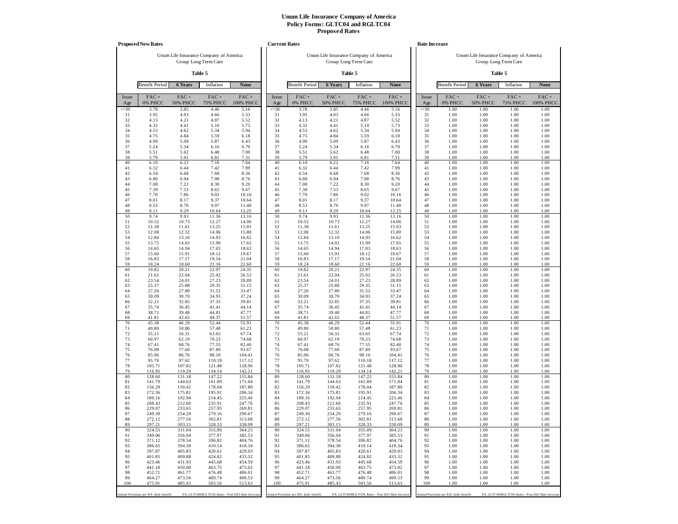|              | <b>Proposed New Rates</b>             |                         |                                        |                                                   | <b>Current Rates</b> |                                       |                            |                                        |                                                   |              | <b>Rate Increase</b>                  |                                        |                                                   |                      |
|--------------|---------------------------------------|-------------------------|----------------------------------------|---------------------------------------------------|----------------------|---------------------------------------|----------------------------|----------------------------------------|---------------------------------------------------|--------------|---------------------------------------|----------------------------------------|---------------------------------------------------|----------------------|
|              |                                       |                         | Unum Life Insurance Company of America |                                                   |                      |                                       |                            | Unum Life Insurance Company of America |                                                   |              |                                       | Unum Life Insurance Company of America |                                                   |                      |
|              |                                       |                         | Group Long Term Care                   |                                                   |                      |                                       |                            | Group Long Term Care                   |                                                   |              |                                       |                                        | Group Long Term Care                              |                      |
|              |                                       |                         | Table 5                                |                                                   |                      |                                       |                            | Table 5                                |                                                   |              |                                       |                                        | Table 5                                           |                      |
|              | <b>Benefit Period</b>                 | 6 Years                 | Inflation                              | None                                              |                      | <b>Benefit Period</b>                 | 6 Years                    | Inflation                              | None                                              |              | <b>Benefit Period</b>                 | 6 Years                                | Inflation                                         | None                 |
| Issue<br>Age | $FAC +$<br>0% PHCC                    | FAC+<br><b>50% PHCC</b> | $FAC +$<br><b>75% PHCC</b>             | $FAC +$<br>100% PHCC                              | Issue<br>Age         | FAC+<br>0% PHCC                       | $FAC +$<br><b>50% PHCC</b> | FAC+<br><b>75% PHCC</b>                | FAC+<br>100% PHCC                                 | Issue<br>Age | $FAC +$<br>0% PHCC                    | $FAC +$<br><b>50% PHCC</b>             | $FAC +$<br><b>75% PHCC</b>                        | $FAC +$<br>100% PHCC |
| $\leq 30$    | 3.78                                  | 3.85                    | 4.46                                   | 5.16                                              | $\leq 30$            | 3.78                                  | 3.85                       | 4.46                                   | 5.16                                              | $\leq 30$    | 1.00                                  | 1.00                                   | 1.00                                              | 1.00                 |
| 31<br>32     | 3.95<br>4.13                          | 4.03<br>4.21            | 4.66<br>4.87                           | 5.33<br>5.52                                      | 31<br>32             | 3.95<br>4.13                          | 4.03<br>4.21               | 4.66<br>4.87                           | 5.33<br>5.52                                      | 31<br>32     | 1.00<br>1.00                          | 1.00<br>1.00                           | 1.00<br>1.00                                      | 1.00<br>1.00         |
| 33           | 4.32                                  | 4.41                    | 5.10                                   | 5.73                                              | 33                   | 4.32                                  | 4.41                       | 5.10                                   | 5.73                                              | 33           | 1.00                                  | 1.00                                   | 1.00                                              | 1.00                 |
| 34<br>35     | 4.53<br>4.75                          | 4.62<br>4.84            | 5.34<br>5.59                           | 5.94<br>6.18                                      | 34<br>35             | 4.53<br>4.75                          | 4.62<br>4.84               | 5.34<br>5.59                           | 5.94<br>6.18                                      | 34<br>35     | 1.00<br>1.00                          | 1.00<br>1.00                           | 1.00<br>1.00                                      | 1.00<br>1.00         |
| 36           | 4.99                                  | 5.09                    | 5.87                                   | 6.43                                              | 36                   | 4.99                                  | 5.09                       | 5.87                                   | 6.43                                              | 36           | 1.00                                  | 1.00                                   | 1.00                                              | 1.00                 |
| 37           | 5.24                                  | 5.34                    | 6.16                                   | 6.70                                              | 37                   | 5.24                                  | 5.34                       | 6.16                                   | 6.70                                              | 37           | 1.00                                  | 1.00                                   | 1.00                                              | 1.00                 |
| 38<br>39     | 5.51<br>5.79                          | 5.62<br>5.91            | 6.48<br>6.81                           | 7.00<br>7.31                                      | 38<br>39             | 5.51<br>5.79                          | 5.62<br>5.91               | 6.48<br>6.81                           | 7.00<br>7.31                                      | 38<br>39     | 1.00<br>1.00                          | 1.00<br>1.00                           | 1.00<br>1.00                                      | 1.00<br>1.00         |
| 40           | 6.10                                  | 6.22                    | 7.16                                   | 7.64                                              | 40                   | 6.10                                  | 6.22                       | 7.16                                   | 7.64                                              | 40           | 1.00                                  | 1.00                                   | 1.00                                              | 1.00                 |
| 41<br>42     | 6.32<br>6.54                          | 6.44<br>6.68            | 7.42<br>7.68                           | 7.99<br>8.36                                      | 41<br>42             | 6.32<br>6.54                          | 6.44<br>6.68               | 7.42<br>7.68                           | 7.99<br>8.36                                      | 41<br>42     | 1.00<br>1.00                          | 1.00<br>1.00                           | 1.00<br>1.00                                      | 1.00<br>1.00         |
| 43           | 6.80                                  | 6.94                    | 7.98                                   | 8.76                                              | 43                   | 6.80                                  | 6.94                       | 7.98                                   | 8.76                                              | 43           | 1.00                                  | 1.00                                   | 1.00                                              | 1.00                 |
| 44           | 7.08                                  | 7.22                    | 8.30                                   | 9.20                                              | 44                   | 7.08                                  | 7.22                       | 8.30                                   | 9.20                                              | 44           | 1.00                                  | 1.00                                   | 1.00                                              | 1.00                 |
| 45<br>46     | 7.39<br>7.70                          | 7.53<br>7.86            | 8.65<br>9.02                           | 9.67<br>10.16                                     | 45<br>46             | 7.39<br>7.70                          | 7.53<br>7.86               | 8.65<br>9.02                           | 9.67<br>10.16                                     | 45<br>46     | 1.00<br>1.00                          | 1.00<br>1.00                           | 1.00<br>1.00                                      | 1.00<br>1.00         |
| 47           | 8.01                                  | 8.17                    | 9.37                                   | 10.64                                             | 47                   | 8.01                                  | 8.17                       | 9.37                                   | 10.64                                             | 47           | 1.00                                  | 1.00                                   | 1.00                                              | 1.00                 |
| 48<br>49     | 8.53<br>9.11                          | 8.70<br>9.29            | 9.97<br>10.64                          | 11.40                                             | 48<br>49             | 8.53<br>9.11                          | 8.70<br>9.29               | 9.97<br>10.64                          | 11.40<br>12.25                                    | 48<br>49     | 1.00<br>1.00                          | 1.00<br>1.00                           | 1.00<br>1.00                                      | 1.00<br>1.00         |
| 50           | 9.74                                  | 9.93                    | 11.36                                  | 12.25<br>13.16                                    | 50                   | 9.74                                  | 9.93                       | 11.36                                  | 13.16                                             | 50           | 1.00                                  | 1.00                                   | 1.00                                              | 1.00                 |
| 51           | 10.52                                 | 10.73                   | 12.27                                  | 14.06                                             | 51                   | 10.52                                 | 10.73                      | 12.27                                  | 14.06                                             | 51           | 1.00                                  | 1.00                                   | 1.00                                              | 1.00                 |
| 52<br>53     | 11.38<br>12.08                        | 11.61<br>12.32          | 13.25<br>14.06                         | 15.03<br>15.80                                    | 52<br>53             | 11.38<br>12.08                        | 11.61<br>12.32             | 13.25<br>14.06                         | 15.03<br>15.80                                    | 52<br>53     | 1.00<br>1.00                          | 1.00<br>1.00                           | 1.00<br>1.00                                      | 1.00<br>1.00         |
| 54           | 12.84                                 | 13.10                   | 14.93                                  | 16.62                                             | 54                   | 12.84                                 | 13.10                      | 14.93                                  | 16.62                                             | 54           | 1.00                                  | 1.00                                   | 1.00                                              | 1.00                 |
| 55           | 13.75                                 | 14.02                   | 15.99                                  | 17.65                                             | 55                   | 13.75                                 | 14.02                      | 15.99                                  | 17.65                                             | 55           | 1.00                                  | 1.00                                   | 1.00                                              | 1.00                 |
| 56<br>57     | 14.65<br>15.60                        | 14.94<br>15.91          | 17.03<br>18.12                         | 18.63<br>19.67                                    | 56<br>57             | 14.65<br>15.60                        | 14.94<br>15.91             | 17.03<br>18.12                         | 18.63<br>19.67                                    | 56<br>57     | 1.00<br>1.00                          | 1.00<br>1.00                           | 1.00<br>1.00                                      | 1.00<br>1.00         |
| 58           | 16.83                                 | 17.17                   | 19.54                                  | 21.04                                             | 58                   | 16.83                                 | 17.17                      | 19.54                                  | 21.04                                             | 58           | 1.00                                  | 1.00                                   | 1.00                                              | 1.00                 |
| 59<br>60     | 18.24<br>19.82                        | 18.60<br>20.21          | 21.16<br>22.97                         | 22.60<br>24.35                                    | 59<br>60             | 18.24<br>19.82                        | 18.60<br>20.21             | 21.16<br>22.97                         | 22.60<br>24.35                                    | 59<br>60     | 1.00<br>1.00                          | 1.00<br>1.00                           | 1.00<br>1.00                                      | 1.00<br>1.00         |
| 61           | 21.61                                 | 22.04                   | 25.02                                  | 26.53                                             | 61                   | 21.61                                 | 22.04                      | 25.02                                  | 26.53                                             | 61           | 1.00                                  | 1.00                                   | 1.00                                              | 1.00                 |
| 62           | 23.54                                 | 24.01                   | 27.23                                  | 28.89                                             | 62                   | 23.54                                 | 24.01                      | 27.23                                  | 28.89                                             | 62           | 1.00                                  | 1.00                                   | 1.00                                              | 1.00                 |
| 63<br>64     | 25.37<br>27.26                        | 25.88<br>27.80          | 29.35<br>31.52                         | 31.15<br>33.47                                    | 63<br>64             | 25.37<br>27.26                        | 25.88<br>27.80             | 29.35<br>31.52                         | 31.15<br>33.47                                    | 63<br>64     | 1.00<br>1.00                          | 1.00<br>1.00                           | 1.00<br>1.00                                      | 1.00<br>1.00         |
| 65           | 30.09                                 | 30.70                   | 34.93                                  | 37.24                                             | 65                   | 30.09                                 | 30.70                      | 34.93                                  | 37.24                                             | 65           | 1.00                                  | 1.00                                   | 1.00                                              | 1.00                 |
| 66<br>67     | 32.21<br>35.74                        | 32.85<br>36.45          | 37.35<br>41.41                         | 39.81<br>44.14                                    | 66<br>67             | 32.21<br>35.74                        | 32.85<br>36.45             | 37.35<br>41.41                         | 39.81<br>44.14                                    | 66<br>67     | 1.00<br>1.00                          | 1.00<br>1.00                           | 1.00<br>1.00                                      | 1.00<br>1.00         |
| 68           | 38.71                                 | 39.48                   | 44.81                                  | 47.77                                             | 68                   | 38.71                                 | 39.48                      | 44.81                                  | 47.77                                             | 68           | 1.00                                  | 1.00                                   | 1.00                                              | 1.00                 |
| 69           | 41.81                                 | 42.65                   | 48.37                                  | 51.57                                             | 69                   | 41.81                                 | 42.65                      | 48.37                                  | 51.57                                             | 69           | 1.00                                  | 1.00                                   | 1.00                                              | 1.00                 |
| 70<br>71     | 45.38<br>49.80                        | 46.29<br>50.80          | 52.44<br>57.48                         | 55.91<br>61.23                                    | 70<br>71             | 45.38<br>49.80                        | 46.29<br>50.80             | 52.44<br>57.48                         | 55.91<br>61.23                                    | 70<br>71     | 1.00<br>1.00                          | 1.00<br>1.00                           | 1.00<br>1.00                                      | 1.00<br>1.00         |
| 72           | 55.21                                 | 56.31                   | 63.65                                  | 67.74                                             | 72                   | 55.21                                 | 56.31                      | 63.65                                  | 67.74                                             | 72           | 1.00                                  | 1.00                                   | 1.00                                              | 1.00                 |
| 73<br>74     | 60.97<br>67.41                        | 62.19<br>68.76          | 70.23<br>77.55                         | 74.68<br>82.40                                    | 73<br>74             | 60.97<br>67.41                        | 62.19<br>68.76             | 70.23<br>77.55                         | 74.68<br>82.40                                    | 73<br>74     | 1.00<br>1.00                          | 1.00<br>1.00                           | 1.00<br>1.00                                      | 1.00<br>1.00         |
| 75           | 76.08                                 | 77.60                   | 87.89                                  | 93.67                                             | 75                   | 76.08                                 | 77.60                      | 87.89                                  | 93.67                                             | 75           | 1.00                                  | 1.00                                   | 1.00                                              | 1.00                 |
| 76           | 85.06                                 | 86.76                   | 98.10                                  | 104.41                                            | 76                   | 85.06                                 | 86.76                      | 98.10                                  | 104.41                                            | 76           | 1.00                                  | 1.00                                   | 1.00                                              | 1.00                 |
| 77<br>78     | 95.70<br>105.71                       | 97.62<br>107.82         | 110.18<br>121.48                       | 117.12<br>128.96                                  | 77<br>78             | 95.70<br>105.71                       | 97.62<br>107.82            | 110.18<br>121.48                       | 117.12<br>128.96                                  | 77<br>78     | 1.00<br>1.00                          | 1.00<br>1.00                           | 1.00<br>1.00                                      | 1.00<br>1.00         |
| 79           | 116.95                                | 119.29                  | 134.14                                 | 142.21                                            | 79                   | 116.95                                | 119.29                     | 134.14                                 | 142.21                                            | 79           | 1.00                                  | 1.00                                   | 1.00                                              | 1.00                 |
| 80<br>81     | 128.60<br>141.79                      | 131.18<br>144.63        | 147.22<br>161.89                       | 155.84<br>171.04                                  | 80<br>81             | 128.60<br>141.79                      | 131.18<br>144.63           | 147.22<br>161.89                       | 155.84<br>171.04                                  | 80<br>81     | 1.00<br>1.00                          | 1.00<br>1.00                           | 1.00<br>1.00                                      | 1.00<br>1.00         |
| 82           | 156.29                                | 159.42                  | 178.04                                 | 187.80                                            | 82                   | 156.29                                | 159.42                     | 178.04                                 | 187.80                                            | 82           | 1.00                                  | 1.00                                   | 1.00                                              | 1.00                 |
| 83<br>84     | 172.36<br>189.16                      | 175.81<br>192.94        | 195.91<br>214.45                       | 206.34<br>225.46                                  | 83<br>84             | 172.36<br>189.16                      | 175.81<br>192.94           | 195.91<br>214.45                       | 206.34<br>225.46                                  | 83<br>84     | 1.00<br>1.00                          | 1.00<br>1.00                           | 1.00<br>1.00                                      | 1.00<br>1.00         |
| 85           | 208.43                                | 212.60                  | 235.91                                 | 247.76                                            | 85                   | 208.43                                | 212.60                     | 235.91                                 | 247.76                                            | 85           | 1.00                                  | 1.00                                   | 1.00                                              | 1.00                 |
| 86           | 229.07                                | 233.65                  | 257.95                                 | 269.81                                            | 86                   | 229.07                                | 233.65                     | 257.95                                 | 269.81                                            | 86           | 1.00                                  | 1.00                                   | 1.00                                              | 1.00                 |
| 87<br>88     | 249.30<br>272.12                      | 254.29<br>277.56        | 279.16<br>302.81                       | 290.67<br>313.68                                  | 87<br>88             | 249.30<br>272.12                      | 254.29<br>277.56           | 279.16<br>302.81                       | 290.67<br>313.68                                  | 87<br>88     | 1.00<br>1.00                          | 1.00<br>1.00                           | 1.00<br>1.00                                      | 1.00<br>1.00         |
| 89           | 297.21                                | 303.15                  | 328.33                                 | 338.09                                            | 89                   | 297.21                                | 303.15                     | 328.33                                 | 338.09                                            | 89           | 1.00                                  | 1.00                                   | 1.00                                              | 1.00                 |
| 90           | 324.55                                | 331.04                  | 355.89                                 | 364.23                                            | 90                   | 324.55                                | 331.04                     | 355.89                                 | 364.23                                            | 90           | 1.00<br>1.00                          | 1.00                                   | 1.00                                              | 1.00                 |
| 91<br>92     | 349.06<br>371.12                      | 356.04<br>378.54        | 377.97<br>396.82                       | 385.53<br>404.76                                  | 91<br>92             | 349.06<br>371.12                      | 356.04<br>378.54           | 377.97<br>396.82                       | 385.53<br>404.76                                  | 91<br>92     | 1.00                                  | 1.00<br>1.00                           | 1.00<br>1.00                                      | 1.00<br>1.00         |
| 93           | 386.65                                | 394.38                  | 410.14                                 | 418.34                                            | 93                   | 386.65                                | 394.38                     | 410.14                                 | 418.34                                            | 93           | 1.00                                  | 1.00                                   | 1.00                                              | 1.00                 |
| 94<br>95     | 397.87<br>401.85                      | 405.83<br>409.88        | 420.61<br>424.82                       | 429.03<br>433.32                                  | 94<br>95             | 397.87<br>401.85                      | 405.83<br>409.88           | 420.61<br>424.82                       | 429.03<br>433.32                                  | 94<br>95     | 1.00<br>1.00                          | 1.00<br>1.00                           | 1.00<br>1.00                                      | 1.00<br>1.00         |
| 96           | 423.46                                | 431.93                  | 445.68                                 | 454.59                                            | 96                   | 423.46                                | 431.93                     | 445.68                                 | 454.59                                            | 96           | 1.00                                  | 1.00                                   | 1.00                                              | 1.00                 |
| 97           | 441.18                                | 450.00                  | 463.75                                 | 473.02                                            | 97                   | 441.18                                | 450.00                     | 463.75                                 | 473.02                                            | 97           | 1.00                                  | 1.00                                   | 1.00                                              | 1.00                 |
| 98<br>99     | 452.71<br>464.27                      | 461.77<br>473.56        | 476.48<br>489.74                       | 486.01<br>499.53                                  | 98<br>99             | 452.71<br>464.27                      | 461.77<br>473.56           | 476.48<br>489.74                       | 486.01<br>499.53                                  | 98<br>99     | 1.00<br>1.00                          | 1.00<br>1.00                           | 1.00<br>1.00                                      | 1.00<br>1.00         |
| 100          | 475.91                                | 485.43                  | 503.56                                 | 513.63                                            | 100                  | 475.91                                | 485.43                     | 503.56                                 | 513.63                                            | 100          | 1.00                                  | 1.00                                   | 1.00                                              | 1.00                 |
|              | Annual Premium per \$10 daily benefit |                         |                                        | PA_GLTC04/RGLTC04_Rates - Post 2021 Rate Increase |                      | Annual Premium per \$10 daily benefit |                            |                                        | PA_GLTC04/RGLTC04_Rates - Post 2021 Rate Increase |              | Annual Premium per \$10 daily benefit |                                        | PA_GLTC04/RGLTC04_Rates - Post 2021 Rate Increase |                      |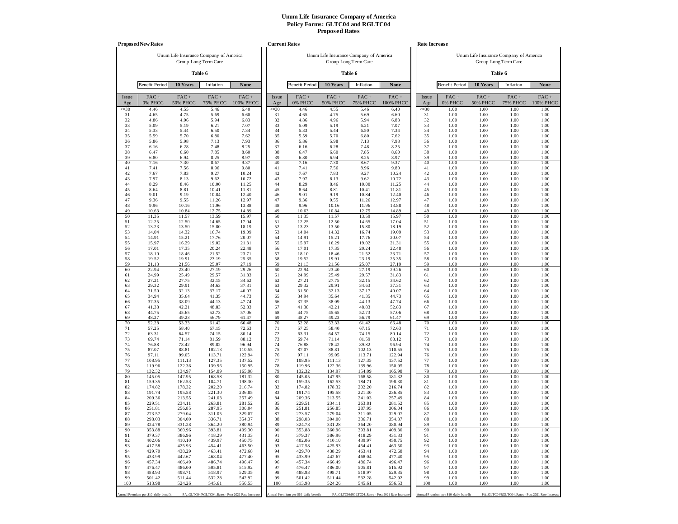|              | <b>Proposed New Rates</b>             |                            |                                                   |                   |              | <b>Current Rates</b>                  |                                        |                         |                                                   |              | <b>Rate Increase</b>                  |                                        |                                                   |                      |
|--------------|---------------------------------------|----------------------------|---------------------------------------------------|-------------------|--------------|---------------------------------------|----------------------------------------|-------------------------|---------------------------------------------------|--------------|---------------------------------------|----------------------------------------|---------------------------------------------------|----------------------|
|              |                                       |                            | Unum Life Insurance Company of America            |                   |              |                                       | Unum Life Insurance Company of America |                         |                                                   |              |                                       | Unum Life Insurance Company of America |                                                   |                      |
|              |                                       |                            | Group Long Term Care                              |                   |              |                                       |                                        | Group Long Term Care    |                                                   |              |                                       |                                        | Group Long Term Care                              |                      |
|              |                                       |                            | Table 6                                           |                   |              |                                       |                                        | Table 6                 |                                                   |              |                                       |                                        | Table 6                                           |                      |
|              | <b>Benefit Period</b>                 | 10 Years                   | Inflation                                         | None              |              | <b>Benefit Period</b>                 | 10 Years                               | Inflation               | None                                              |              | <b>Benefit Period</b>                 | 10 Years                               | Inflation                                         | <b>None</b>          |
| Issue<br>Age | $FAC +$<br>0% PHCC                    | $FAC +$<br><b>50% PHCC</b> | $FAC +$<br><b>75% PHCC</b>                        | FAC+<br>100% PHCC | Issue<br>Age | FAC+<br>0% PHCC                       | $FAC +$<br><b>50% PHCC</b>             | FAC+<br><b>75% PHCC</b> | FAC+<br>100% PHCC                                 | Issue<br>Age | $FAC +$<br>0% PHCC                    | $FAC +$<br><b>50% PHCC</b>             | $FAC +$<br><b>75% PHCC</b>                        | $FAC +$<br>100% PHCC |
| $\leq 30$    | 4.46                                  | 4.55                       | 5.46                                              | 6.40              | $\leq 30$    | 4.46                                  | 4.55                                   | 5.46                    | 6.40                                              | $\leq 30$    | 1.00                                  | 1.00                                   | 1.00                                              | 1.00                 |
| 31<br>32     | 4.65<br>4.86                          | 4.75<br>4.96               | 5.69<br>5.94                                      | 6.60<br>6.83      | 31<br>32     | 4.65<br>4.86                          | 4.75<br>4.96                           | 5.69<br>5.94            | 6.60<br>6.83                                      | 31<br>32     | 1.00<br>1.00                          | 1.00<br>1.00                           | 1.00<br>1.00                                      | 1.00<br>1.00         |
| 33           | 5.09                                  | 5.19                       | 6.21                                              | 7.07              | 33           | 5.09                                  | 5.19                                   | 6.21                    | 7.07                                              | 33           | 1.00                                  | 1.00                                   | 1.00                                              | 1.00                 |
| 34<br>35     | 5.33<br>5.59                          | 5.44<br>5.70               | 6.50<br>6.80                                      | 7.34<br>7.62      | 34<br>35     | 5.33<br>5.59                          | 5.44<br>5.70                           | 6.50<br>6.80            | 7.34<br>7.62                                      | 34<br>35     | 1.00<br>1.00                          | 1.00<br>1.00                           | 1.00<br>1.00                                      | 1.00<br>1.00         |
| 36           | 5.86                                  | 5.98                       | 7.13                                              | 7.93              | 36           | 5.86                                  | 5.98                                   | 7.13                    | 7.93                                              | 36           | 1.00                                  | 1.00                                   | 1.00                                              | 1.00                 |
| 37           | 6.16                                  | 6.28                       | 7.48                                              | 8.25              | 37<br>38     | 6.16                                  | 6.28                                   | 7.48                    | 8.25                                              | 37<br>38     | 1.00                                  | 1.00                                   | 1.00                                              | 1.00                 |
| 38<br>39     | 6.47<br>6.80                          | 6.60<br>6.94               | 7.85<br>8.25                                      | 8.60<br>8.97      | 39           | 6.47<br>6.80                          | 6.60<br>6.94                           | 7.85<br>8.25            | 8.60<br>8.97                                      | 39           | 1.00<br>1.00                          | 1.00<br>1.00                           | 1.00<br>1.00                                      | 1.00<br>1.00         |
| 40           | 7.16                                  | 7.30                       | 8.67                                              | 9.37              | 40           | 7.16                                  | 7.30                                   | 8.67                    | 9.37                                              | 40           | 1.00                                  | 1.00                                   | 1.00                                              | 1.00                 |
| 41<br>42     | 7.41<br>7.67                          | 7.56<br>7.83               | 8.96<br>9.27                                      | 9.80<br>10.24     | 41<br>42     | 7.41<br>7.67                          | 7.56<br>7.83                           | 8.96<br>9.27            | 9.80<br>10.24                                     | 41<br>42     | 1.00<br>1.00                          | 1.00<br>1.00                           | 1.00<br>1.00                                      | 1.00<br>1.00         |
| 43           | 7.97                                  | 8.13                       | 9.62                                              | 10.72             | 43           | 7.97                                  | 8.13                                   | 9.62                    | 10.72                                             | 43           | 1.00                                  | 1.00                                   | 1.00                                              | 1.00                 |
| 44           | 8.29                                  | 8.46                       | 10.00                                             | 11.25             | 44           | 8.29                                  | 8.46                                   | 10.00                   | 11.25                                             | 44           | 1.00                                  | 1.00                                   | 1.00                                              | 1.00                 |
| 45<br>46     | 8.64<br>9.01                          | 8.81<br>9.19               | 10.41<br>10.84                                    | 11.81<br>12.40    | 45<br>46     | 8.64<br>9.01                          | 8.81<br>9.19                           | 10.41<br>10.84          | 11.81<br>12.40                                    | 45<br>46     | 1.00<br>1.00                          | 1.00<br>1.00                           | 1.00<br>1.00                                      | 1.00<br>1.00         |
| 47           | 9.36                                  | 9.55                       | 11.26                                             | 12.97             | 47           | 9.36                                  | 9.55                                   | 11.26                   | 12.97                                             | 47           | 1.00                                  | 1.00                                   | 1.00                                              | 1.00                 |
| 48<br>49     | 9.96<br>10.63                         | 10.16<br>10.84             | 11.96<br>12.75                                    | 13.88<br>14.89    | 48<br>49     | 9.96<br>10.63                         | 10.16<br>10.84                         | 11.96<br>12.75          | 13.88<br>14.89                                    | 48<br>49     | 1.00<br>1.00                          | 1.00<br>1.00                           | 1.00<br>1.00                                      | 1.00<br>1.00         |
| 50           | 11.35                                 | 11.57                      | 13.59                                             | 15.97             | 50           | 11.35                                 | 11.57                                  | 13.59                   | 15.97                                             | 50           | 1.00                                  | 1.00                                   | 1.00                                              | 1.00                 |
| 51           | 12.25                                 | 12.50                      | 14.65                                             | 17.04             | 51           | 12.25                                 | 12.50                                  | 14.65                   | 17.04                                             | 51<br>52     | 1.00                                  | 1.00                                   | 1.00                                              | 1.00                 |
| 52<br>53     | 13.23<br>14.04                        | 13.50<br>14.32             | 15.80<br>16.74                                    | 18.19<br>19.09    | 52<br>53     | 13.23<br>14.04                        | 13.50<br>14.32                         | 15.80<br>16.74          | 18.19<br>19.09                                    | 53           | 1.00<br>1.00                          | 1.00<br>1.00                           | 1.00<br>1.00                                      | 1.00<br>1.00         |
| 54           | 14.91                                 | 15.21                      | 17.76                                             | 20.07             | 54           | 14.91                                 | 15.21                                  | 17.76                   | 20.07                                             | 54           | 1.00                                  | 1.00                                   | 1.00                                              | 1.00                 |
| 55<br>56     | 15.97<br>17.01                        | 16.29<br>17.35             | 19.02<br>20.24                                    | 21.31<br>22.48    | 55<br>56     | 15.97<br>17.01                        | 16.29<br>17.35                         | 19.02<br>20.24          | 21.31<br>22.48                                    | 55<br>56     | 1.00<br>1.00                          | 1.00<br>1.00                           | 1.00<br>1.00                                      | 1.00<br>1.00         |
| 57           | 18.10                                 | 18.46                      | 21.52                                             | 23.71             | 57           | 18.10                                 | 18.46                                  | 21.52                   | 23.71                                             | 57           | 1.00                                  | 1.00                                   | 1.00                                              | 1.00                 |
| 58           | 19.52                                 | 19.91                      | 23.19                                             | 25.35             | 58           | 19.52                                 | 19.91                                  | 23.19                   | 25.35                                             | 58           | 1.00                                  | 1.00                                   | 1.00                                              | 1.00                 |
| 59<br>60     | 21.13<br>22.94                        | 21.56<br>23.40             | 25.07<br>27.19                                    | 27.19<br>29.26    | 59<br>60     | 21.13<br>22.94                        | 21.56<br>23.40                         | 25.07<br>27.19          | 27.19<br>29.26                                    | 59<br>60     | 1.00<br>1.00                          | 1.00<br>1.00                           | 1.00<br>1.00                                      | 1.00<br>1.00         |
| 61           | 24.99                                 | 25.49                      | 29.57                                             | 31.83             | 61           | 24.99                                 | 25.49                                  | 29.57                   | 31.83                                             | 61           | 1.00                                  | 1.00                                   | 1.00                                              | 1.00                 |
| 62<br>63     | 27.21<br>29.32                        | 27.75<br>29.91             | 32.15<br>34.63                                    | 34.62<br>37.31    | 62<br>63     | 27.21<br>29.32                        | 27.75<br>29.91                         | 32.15<br>34.63          | 34.62<br>37.31                                    | 62<br>63     | 1.00<br>1.00                          | 1.00<br>1.00                           | 1.00<br>1.00                                      | 1.00<br>1.00         |
| 64           | 31.50                                 | 32.13                      | 37.17                                             | 40.07             | 64           | 31.50                                 | 32.13                                  | 37.17                   | 40.07                                             | 64           | 1.00                                  | 1.00                                   | 1.00                                              | 1.00                 |
| 65           | 34.94                                 | 35.64                      | 41.35                                             | 44.73             | 65           | 34.94                                 | 35.64                                  | 41.35                   | 44.73                                             | 65           | 1.00                                  | 1.00                                   | 1.00                                              | 1.00                 |
| 66<br>67     | 37.35<br>41.38                        | 38.09<br>42.21             | 44.13<br>48.83                                    | 47.74<br>52.83    | 66<br>67     | 37.35<br>41.38                        | 38.09<br>42.21                         | 44.13<br>48.83          | 47.74<br>52.83                                    | 66<br>67     | 1.00<br>1.00                          | 1.00<br>1.00                           | 1.00<br>1.00                                      | 1.00<br>1.00         |
| 68           | 44.75                                 | 45.65                      | 52.73                                             | 57.06             | 68           | 44.75                                 | 45.65                                  | 52.73                   | 57.06                                             | 68           | 1.00                                  | 1.00                                   | 1.00                                              | 1.00                 |
| 69<br>70     | 48.27<br>52.28                        | 49.23<br>53.33             | 56.79<br>61.42                                    | 61.47<br>66.48    | 69<br>70     | 48.27<br>52.28                        | 49.23<br>53.33                         | 56.79<br>61.42          | 61.47<br>66.48                                    | 69<br>70     | 1.00<br>1.00                          | 1.00<br>1.00                           | 1.00<br>1.00                                      | 1.00<br>1.00         |
| 71           | 57.25                                 | 58.40                      | 67.15                                             | 72.63             | 71           | 57.25                                 | 58.40                                  | 67.15                   | 72.63                                             | 71           | 1.00                                  | 1.00                                   | 1.00                                              | 1.00                 |
| 72           | 63.31                                 | 64.57                      | 74.15                                             | 80.14             | 72           | 63.31                                 | 64.57                                  | 74.15                   | 80.14                                             | 72           | 1.00                                  | 1.00                                   | 1.00                                              | 1.00                 |
| 73<br>74     | 69.74<br>76.88                        | 71.14<br>78.42             | 81.59<br>89.82                                    | 88.12<br>96.94    | 73<br>74     | 69.74<br>76.88                        | 71.14<br>78.42                         | 81.59<br>89.82          | 88.12<br>96.94                                    | 73<br>74     | 1.00<br>1.00                          | 1.00<br>1.00                           | 1.00<br>1.00                                      | 1.00<br>1.00         |
| 75           | 87.07                                 | 88.81                      | 102.13                                            | 110.55            | 75           | 87.07                                 | 88.81                                  | 102.13                  | 110.55                                            | 75           | 1.00                                  | 1.00                                   | 1.00                                              | 1.00                 |
| 76<br>77     | 97.11<br>108.95                       | 99.05<br>111.13            | 113.71<br>127.35                                  | 122.94<br>137.52  | 76<br>77     | 97.11<br>108.95                       | 99.05<br>111.13                        | 113.71<br>127.35        | 122.94<br>137.52                                  | 76<br>77     | 1.00<br>1.00                          | 1.00<br>1.00                           | 1.00<br>1.00                                      | 1.00<br>1.00         |
| 78           | 119.96                                | 122.36                     | 139.96                                            | 150.95            | 78           | 119.96                                | 122.36                                 | 139.96                  | 150.95                                            | 78           | 1.00                                  | 1.00                                   | 1.00                                              | 1.00                 |
| 79<br>80     | 132.32<br>145.05                      | 134.97<br>147.95           | 154.09<br>168.58                                  | 165.98<br>181.32  | 79<br>80     | 132.32<br>145.05                      | 134.97<br>147.95                       | 154.09<br>168.58        | 165.98<br>181.32                                  | 79<br>80     | 1.00<br>1.00                          | 1.00<br>1.00                           | 1.00<br>1.00                                      | 1.00<br>1.00         |
| 81           | 159.35                                | 162.53                     | 184.71                                            | 198.30            | 81           | 159.35                                | 162.53                                 | 184.71                  | 198.30                                            | 81           | 1.00                                  | 1.00                                   | 1.00                                              | 1.00                 |
| 82           | 174.82                                | 178.32                     | 202.20                                            | 216.74            | 82           | 174.82                                | 178.32                                 | 202.20                  | 216.74                                            | 82           | 1.00                                  | 1.00                                   | 1.00                                              | 1.00                 |
| 83<br>84     | 191.74<br>209.36                      | 195.58<br>213.55           | 221.30<br>241.03                                  | 236.85<br>257.49  | 83<br>84     | 191.74<br>209.36                      | 195.58<br>213.55                       | 221.30<br>241.03        | 236.85<br>257.49                                  | 83<br>84     | 1.00<br>1.00                          | 1.00<br>1.00                           | 1.00<br>1.00                                      | 1.00<br>1.00         |
| 85           | 229.51                                | 234.11                     | 263.81                                            | 281.52            | 85           | 229.51                                | 234.11                                 | 263.81                  | 281.52                                            | 85           | 1.00                                  | 1.00                                   | 1.00                                              | 1.00                 |
| 86<br>87     | 251.81<br>273.57                      | 256.85<br>279.04           | 287.95<br>311.05                                  | 306.04<br>329.07  | 86<br>87     | 251.81<br>273.57                      | 256.85<br>279.04                       | 287.95<br>311.05        | 306.04<br>329.07                                  | 86<br>87     | 1.00<br>1.00                          | 1.00<br>1.00                           | 1.00<br>1.00                                      | 1.00<br>1.00         |
| 88           | 298.03                                | 304.00                     | 336.71                                            | 354.37            | 88           | 298.03                                | 304.00                                 | 336.71                  | 354.37                                            | 88           | 1.00                                  | 1.00                                   | 1.00                                              | 1.00                 |
| 89           | 324.78                                | 331.28                     | 364.20                                            | 380.94            | 89           | 324.78                                | 331.28                                 | 364.20                  | 380.94                                            | 89           | 1.00                                  | 1.00                                   | 1.00                                              | 1.00                 |
| 90<br>91     | 353.88<br>379.37                      | 360.96<br>386.96           | 393.81<br>418.29                                  | 409.30<br>431.33  | 90<br>91     | 353.88<br>379.37                      | 360.96<br>386.96                       | 393.81<br>418.29        | 409.30<br>431.33                                  | 90<br>91     | 1.00<br>1.00                          | 1.00<br>1.00                           | 1.00<br>1.00                                      | 1.00<br>1.00         |
| 92           | 402.06                                | 410.10                     | 439.97                                            | 450.75            | 92           | 402.06                                | 410.10                                 | 439.97                  | 450.75                                            | 92           | 1.00                                  | 1.00                                   | 1.00                                              | 1.00                 |
| 93           | 417.58                                | 425.93                     | 454.41                                            | 463.50            | 93           | 417.58                                | 425.93                                 | 454.41                  | 463.50                                            | 93           | 1.00                                  | 1.00                                   | 1.00                                              | 1.00                 |
| 94<br>95     | 429.70<br>433.99                      | 438.29<br>442.67           | 463.41<br>468.04                                  | 472.68<br>477.40  | 94<br>95     | 429.70<br>433.99                      | 438.29<br>442.67                       | 463.41<br>468.04        | 472.68<br>477.40                                  | 94<br>95     | 1.00<br>1.00                          | 1.00<br>1.00                           | 1.00<br>1.00                                      | 1.00<br>1.00         |
| 96           | 457.34                                | 466.49                     | 486.74                                            | 496.47            | 96           | 457.34                                | 466.49                                 | 486.74                  | 496.47                                            | 96           | 1.00                                  | 1.00                                   | 1.00                                              | 1.00                 |
| 97<br>98     | 476.47<br>488.93                      | 486.00<br>498.71           | 505.81<br>518.97                                  | 515.92<br>529.35  | 97<br>98     | 476.47<br>488.93                      | 486.00<br>498.71                       | 505.81<br>518.97        | 515.92<br>529.35                                  | 97<br>98     | 1.00<br>1.00                          | 1.00<br>1.00                           | 1.00<br>1.00                                      | 1.00<br>1.00         |
| 99           | 501.42                                | 511.44                     | 532.28                                            | 542.92            | 99           | 501.42                                | 511.44                                 | 532.28                  | 542.92                                            | 99           | 1.00                                  | 1.00                                   | 1.00                                              | 1.00                 |
| 100          | 513.98                                | 524.26                     | 545.61                                            | 556.53            | 100          | 513.98                                | 524.26                                 | 545.61                  | 556.53                                            | 100          | 1.00                                  | 1.00                                   | 1.00                                              | 1.00                 |
|              | Annual Premium per \$10 daily benefit |                            | PA_GLTC04/RGLTC04_Rates - Post 2021 Rate Increase |                   |              | Annual Premium per \$10 daily benefit |                                        |                         | PA_GLTC04/RGLTC04_Rates - Post 2021 Rate Increase |              | Annual Premium per \$10 daily benefit |                                        | PA_GLTC04/RGLTC04_Rates - Post 2021 Rate Increase |                      |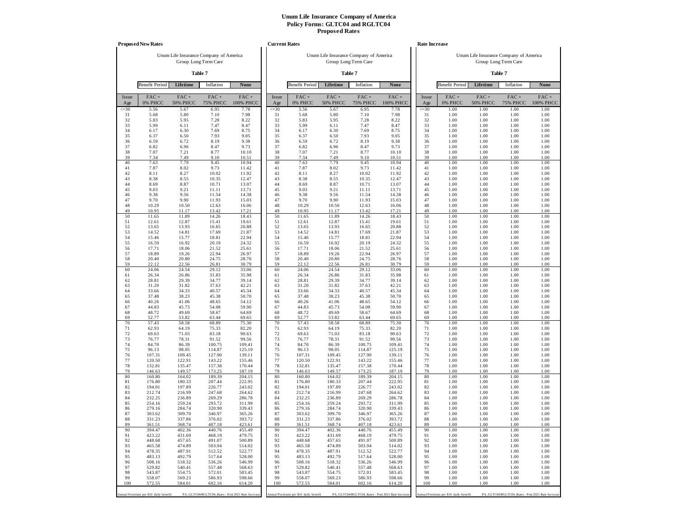|              | <b>Proposed New Rates</b>             |                         |                                        |                                                   | <b>Current Rates</b> |                                       |                                        |                         |                                                   |              | <b>Rate Increase</b>                  |                                        |                                                   |                      |
|--------------|---------------------------------------|-------------------------|----------------------------------------|---------------------------------------------------|----------------------|---------------------------------------|----------------------------------------|-------------------------|---------------------------------------------------|--------------|---------------------------------------|----------------------------------------|---------------------------------------------------|----------------------|
|              |                                       |                         | Unum Life Insurance Company of America |                                                   |                      |                                       | Unum Life Insurance Company of America |                         |                                                   |              |                                       | Unum Life Insurance Company of America |                                                   |                      |
|              |                                       |                         | Group Long Term Care                   |                                                   |                      |                                       |                                        | Group Long Term Care    |                                                   |              |                                       |                                        | Group Long Term Care                              |                      |
|              |                                       |                         | Table 7                                |                                                   |                      |                                       |                                        | Table 7                 |                                                   |              |                                       |                                        | Table 7                                           |                      |
|              | <b>Benefit Period</b>                 | Lifetime                | Inflation                              | None                                              |                      | <b>Benefit Period</b>                 | Lifetime                               | Inflation               | None                                              |              | <b>Benefit Period</b>                 | Lifetime                               | Inflation                                         | None                 |
| Issue<br>Age | $FAC +$<br>0% PHCC                    | FAC+<br><b>50% PHCC</b> | $FAC +$<br><b>75% PHCC</b>             | FAC+<br>100% PHCC                                 | Issue<br>Age         | FAC+<br>0% PHCC                       | FAC+<br><b>50% PHCC</b>                | FAC+<br><b>75% PHCC</b> | FAC+<br>100% PHCC                                 | Issue<br>Age | $FAC +$<br>0% PHCC                    | FAC+<br><b>50% PHCC</b>                | $FAC +$<br><b>75% PHCC</b>                        | $FAC +$<br>100% PHCC |
| $\leq 30$    | 5.56                                  | 5.67                    | 6.95                                   | 7.78                                              | $\leq 30$            | 5.56                                  | 5.67                                   | 6.95                    | 7.78                                              | $\leq 30$    | 1.00                                  | 1.00                                   | 1.00                                              | 1.00                 |
| 31<br>32     | 5.68<br>5.83                          | 5.80<br>5.95            | 7.10<br>7.28                           | 7.98<br>8.22                                      | 31<br>32             | 5.68<br>5.83                          | 5.80<br>5.95                           | 7.10<br>7.28            | 7.98<br>8.22                                      | 31<br>32     | 1.00<br>1.00                          | 1.00<br>1.00                           | 1.00<br>1.00                                      | 1.00<br>1.00         |
| 33           | 5.99                                  | 6.11                    | 7.47                                   | 8.47                                              | 33                   | 5.99                                  | 6.11                                   | 7.47                    | 8.47                                              | 33           | 1.00                                  | 1.00                                   | 1.00                                              | 1.00                 |
| 34<br>35     | 6.17<br>6.37                          | 6.30<br>6.50            | 7.69<br>7.93                           | 8.75<br>9.05                                      | 34<br>35             | 6.17<br>6.37                          | 6.30<br>6.50                           | 7.69<br>7.93            | 8.75<br>9.05                                      | 34<br>35     | 1.00<br>1.00                          | 1.00<br>1.00                           | 1.00<br>1.00                                      | 1.00<br>1.00         |
| 36           | 6.59                                  | 6.72                    | 8.19                                   | 9.38                                              | 36                   | 6.59                                  | 6.72                                   | 8.19                    | 9.38                                              | 36           | 1.00                                  | 1.00                                   | 1.00                                              | 1.00                 |
| 37<br>38     | 6.82<br>7.07                          | 6.96<br>7.21            | 8.47<br>8.77                           | 9.73<br>10.10                                     | 37<br>38             | 6.82<br>7.07                          | 6.96<br>7.21                           | 8.47<br>8.77            | 9.73<br>10.10                                     | 37<br>38     | 1.00<br>1.00                          | 1.00<br>1.00                           | 1.00<br>1.00                                      | 1.00<br>1.00         |
| 39           | 7.34                                  | 7.49                    | 9.10                                   | 10.51                                             | 39                   | 7.34                                  | 7.49                                   | 9.10                    | 10.51                                             | 39           | 1.00                                  | 1.00                                   | 1.00                                              | 1.00                 |
| 40           | 7.63                                  | 7.79                    | 9.45                                   | 10.94                                             | 40                   | 7.63                                  | 7.79                                   | 9.45                    | 10.94                                             | 40           | 1.00                                  | 1.00                                   | 1.00                                              | 1.00                 |
| 41<br>42     | 7.87<br>8.11                          | 8.02<br>8.27            | 9.73<br>10.02                          | 11.42<br>11.92                                    | 41<br>42             | 7.87<br>8.11                          | 8.02<br>8.27                           | 9.73<br>10.02           | 11.42<br>11.92                                    | 41<br>42     | 1.00<br>1.00                          | 1.00<br>1.00                           | 1.00<br>1.00                                      | 1.00<br>1.00         |
| 43           | 8.38                                  | 8.55                    | 10.35                                  | 12.47                                             | 43                   | 8.38                                  | 8.55                                   | 10.35                   | 12.47                                             | 43           | 1.00                                  | 1.00                                   | 1.00                                              | 1.00                 |
| 44<br>45     | 8.69<br>9.03                          | 8.87<br>9.21            | 10.71<br>11.11                         | 13.07<br>13.71                                    | 44<br>45             | 8.69<br>9.03                          | 8.87<br>9.21                           | 10.71<br>11.11          | 13.07<br>13.71                                    | 44<br>45     | 1.00<br>1.00                          | 1.00<br>1.00                           | 1.00<br>1.00                                      | 1.00<br>1.00         |
| 46           | 9.38                                  | 9.56                    | 11.54                                  | 14.38                                             | 46                   | 9.38                                  | 9.56                                   | 11.54                   | 14.38                                             | 46           | 1.00                                  | 1.00                                   | 1.00                                              | 1.00                 |
| 47<br>48     | 9.70                                  | 9.90                    | 11.93                                  | 15.03                                             | 47<br>48             | 9.70                                  | 9.90                                   | 11.93                   | 15.03                                             | 47<br>48     | 1.00                                  | 1.00                                   | 1.00                                              | 1.00                 |
| 49           | 10.29<br>10.95                        | 10.50<br>11.17          | 12.63<br>13.42                         | 16.06<br>17.21                                    | 49                   | 10.29<br>10.95                        | 10.50<br>11.17                         | 12.63<br>13.42          | 16.06<br>17.21                                    | 49           | 1.00<br>1.00                          | 1.00<br>1.00                           | 1.00<br>1.00                                      | 1.00<br>1.00         |
| 50           | 11.65                                 | 11.89                   | 14.26                                  | 18.43                                             | 50                   | 11.65                                 | 11.89                                  | 14.26                   | 18.43                                             | 50           | 1.00                                  | 1.00                                   | 1.00                                              | 1.00                 |
| 51<br>52     | 12.61<br>13.65                        | 12.87<br>13.93          | 15.41<br>16.65                         | 19.61<br>20.88                                    | 51<br>52             | 12.61<br>13.65                        | 12.87<br>13.93                         | 15.41<br>16.65          | 19.61<br>20.88                                    | 51<br>52     | 1.00<br>1.00                          | 1.00<br>1.00                           | 1.00<br>1.00                                      | 1.00<br>1.00         |
| 53           | 14.52                                 | 14.81                   | 17.69                                  | 21.87                                             | 53                   | 14.52                                 | 14.81                                  | 17.69                   | 21.87                                             | 53           | 1.00                                  | 1.00                                   | 1.00                                              | 1.00                 |
| 54<br>55     | 15.46<br>16.59                        | 15.77<br>16.92          | 18.81<br>20.19                         | 22.94<br>24.32                                    | 54<br>55             | 15.46<br>16.59                        | 15.77<br>16.92                         | 18.81<br>20.19          | 22.94<br>24.32                                    | 54<br>55     | 1.00<br>1.00                          | 1.00<br>1.00                           | 1.00<br>1.00                                      | 1.00<br>1.00         |
| 56           | 17.71                                 | 18.06                   | 21.52                                  | 25.61                                             | 56                   | 17.71                                 | 18.06                                  | 21.52                   | 25.61                                             | 56           | 1.00                                  | 1.00                                   | 1.00                                              | 1.00                 |
| 57           | 18.89<br>20.40                        | 19.26                   | 22.94                                  | 26.97                                             | 57<br>58             | 18.89<br>20.40                        | 19.26                                  | 22.94                   | 26.97                                             | 57<br>58     | 1.00                                  | 1.00                                   | 1.00                                              | 1.00                 |
| 58<br>59     | 22.12                                 | 20.80<br>22.56          | 24.75<br>26.81                         | 28.76<br>30.79                                    | 59                   | 22.12                                 | 20.80<br>22.56                         | 24.75<br>26.81          | 28.76<br>30.79                                    | 59           | 1.00<br>1.00                          | 1.00<br>1.00                           | 1.00<br>1.00                                      | 1.00<br>1.00         |
| 60           | 24.06                                 | 24.54                   | 29.12                                  | 33.06                                             | 60                   | 24.06                                 | 24.54                                  | 29.12                   | 33.06                                             | 60           | 1.00                                  | 1.00                                   | 1.00                                              | 1.00                 |
| 61<br>62     | 26.34<br>28.81                        | 26.86<br>29.39          | 31.83<br>34.77                         | 35.98<br>39.14                                    | 61<br>62             | 26.34<br>28.81                        | 26.86<br>29.39                         | 31.83<br>34.77          | 35.98<br>39.14                                    | 61<br>62     | 1.00<br>1.00                          | 1.00<br>1.00                           | 1.00<br>1.00                                      | 1.00<br>1.00         |
| 63           | 31.20                                 | 31.82                   | 37.63                                  | 42.21                                             | 63                   | 31.20                                 | 31.82                                  | 37.63                   | 42.21                                             | 63           | 1.00                                  | 1.00                                   | 1.00                                              | 1.00                 |
| 64<br>65     | 33.66<br>37.48                        | 34.33<br>38.23          | 40.57<br>45.38                         | 45.34<br>50.70                                    | 64<br>65             | 33.66<br>37.48                        | 34.33<br>38.23                         | 40.57<br>45.38          | 45.34<br>50.70                                    | 64<br>65     | 1.00<br>1.00                          | 1.00<br>1.00                           | 1.00<br>1.00                                      | 1.00<br>1.00         |
| 66           | 40.26                                 | 41.06                   | 48.65                                  | 54.12                                             | 66                   | 40.26                                 | 41.06                                  | 48.65                   | 54.12                                             | 66           | 1.00                                  | 1.00                                   | 1.00                                              | 1.00                 |
| 67           | 44.83                                 | 45.73                   | 54.08                                  | 59.90                                             | 67                   | 44.83                                 | 45.73                                  | 54.08                   | 59.90                                             | 67           | 1.00                                  | 1.00                                   | 1.00                                              | 1.00                 |
| 68<br>69     | 48.72<br>52.77                        | 49.69<br>53.82          | 58.67<br>63.44                         | 64.69<br>69.65                                    | 68<br>69             | 48.72<br>52.77                        | 49.69<br>53.82                         | 58.67<br>63.44          | 64.69<br>69.65                                    | 68<br>69     | 1.00<br>1.00                          | 1.00<br>1.00                           | 1.00<br>1.00                                      | 1.00<br>1.00         |
| 70           | 57.43                                 | 58.58                   | 68.89                                  | 75.30                                             | 70                   | 57.43                                 | 58.58                                  | 68.89                   | 75.30                                             | 70           | 1.00                                  | 1.00                                   | 1.00                                              | 1.00                 |
| 71<br>72     | 62.93<br>69.63                        | 64.19<br>71.03          | 75.33<br>83.18                         | 82.20<br>90.63                                    | 71<br>72             | 62.93<br>69.63                        | 64.19<br>71.03                         | 75.33<br>83.18          | 82.20<br>90.63                                    | 71<br>72     | 1.00<br>1.00                          | 1.00<br>1.00                           | 1.00<br>1.00                                      | 1.00<br>1.00         |
| 73           | 76.77                                 | 78.31                   | 91.52                                  | 99.56                                             | 73                   | 76.77                                 | 78.31                                  | 91.52                   | 99.56                                             | 73           | 1.00                                  | 1.00                                   | 1.00                                              | 1.00                 |
| 74<br>75     | 84.70<br>96.13                        | 86.39<br>98.05          | 100.75<br>114.87                       | 109.41<br>125.19                                  | 74<br>75             | 84.70<br>96.13                        | 86.39<br>98.05                         | 100.75<br>114.87        | 109.41<br>125.19                                  | 74<br>75     | 1.00<br>1.00                          | 1.00<br>1.00                           | 1.00<br>1.00                                      | 1.00<br>1.00         |
| 76           | 107.31                                | 109.45                  | 127.90                                 | 139.11                                            | 76                   | 107.31                                | 109.45                                 | 127.90                  | 139.11                                            | 76           | 1.00                                  | 1.00                                   | 1.00                                              | 1.00                 |
| 77<br>78     | 120.50<br>132.81                      | 122.91<br>135.47        | 143.22<br>157.38                       | 155.46<br>170.44                                  | 77<br>78             | 120.50<br>132.81                      | 122.91<br>135.47                       | 143.22<br>157.38        | 155.46<br>170.44                                  | 77<br>78     | 1.00<br>1.00                          | 1.00<br>1.00                           | 1.00<br>1.00                                      | 1.00<br>1.00         |
| 79           | 146.63                                | 149.57                  | 173.25                                 | 187.19                                            | 79                   | 146.63                                | 149.57                                 | 173.25                  | 187.19                                            | 79           | 1.00                                  | 1.00                                   | 1.00                                              | 1.00                 |
| 80           | 160.80                                | 164.02                  | 189.39                                 | 204.15                                            | 80                   | 160.80                                | 164.02                                 | 189.39                  | 204.15                                            | 80           | 1.00                                  | 1.00                                   | 1.00                                              | 1.00                 |
| 81<br>82     | 176.80<br>194.01                      | 180.33<br>197.89        | 207.44<br>226.77                       | 222.95<br>243.02                                  | 81<br>82             | 176.80<br>194.01                      | 180.33<br>197.89                       | 207.44<br>226.77        | 222.95<br>243.02                                  | 81<br>82     | 1.00<br>1.00                          | 1.00<br>1.00                           | 1.00<br>1.00                                      | 1.00<br>1.00         |
| 83           | 212.74                                | 216.99                  | 247.68                                 | 264.62                                            | 83                   | 212.74                                | 216.99                                 | 247.68                  | 264.62                                            | 83           | 1.00                                  | 1.00                                   | 1.00                                              | 1.00                 |
| 84<br>85     | 232.25<br>254.16                      | 236.89<br>259.24        | 269.29<br>293.72                       | 286.78<br>311.99                                  | 84<br>85             | 232.25<br>254.16                      | 236.89<br>259.24                       | 269.29<br>293.72        | 286.78<br>311.99                                  | 84<br>85     | 1.00<br>1.00                          | 1.00<br>1.00                           | 1.00<br>1.00                                      | 1.00<br>1.00         |
| 86           | 279.16                                | 284.74                  | 320.90                                 | 339.43                                            | 86                   | 279.16                                | 284.74                                 | 320.90                  | 339.43                                            | 86           | 1.00                                  | 1.00                                   | 1.00                                              | 1.00                 |
| 87           | 303.62                                | 309.70                  | 346.97                                 | 365.26                                            | 87                   | 303.62                                | 309.70                                 | 346.97                  | 365.26                                            | 87           | 1.00                                  | 1.00                                   | 1.00                                              | 1.00                 |
| 88<br>89     | 331.23<br>361.51                      | 337.86<br>368.74        | 376.02<br>407.18                       | 393.72<br>423.61                                  | 88<br>89             | 331.23<br>361.51                      | 337.86<br>368.74                       | 376.02<br>407.18        | 393.72<br>423.61                                  | 88<br>89     | 1.00<br>1.00                          | 1.00<br>1.00                           | 1.00<br>1.00                                      | 1.00<br>1.00         |
| 90           | 394.47                                | 402.36                  | 440.76                                 | 455.49                                            | 90                   | 394.47                                | 402.36                                 | 440.76                  | 455.49                                            | 90           | 1.00                                  | 1.00                                   | 1.00                                              | 1.00                 |
| 91<br>92     | 423.22<br>448.68                      | 431.69<br>457.65        | 468.19<br>491.07                       | 479.75<br>500.89                                  | 91<br>92             | 423.22<br>448.68                      | 431.69<br>457.65                       | 468.19<br>491.07        | 479.75<br>500.89                                  | 91<br>92     | 1.00<br>1.00                          | 1.00<br>1.00                           | 1.00<br>1.00                                      | 1.00<br>1.00         |
| 93           | 465.58                                | 474.89                  | 503.94                                 | 514.02                                            | 93                   | 465.58                                | 474.89                                 | 503.94                  | 514.02                                            | 93           | 1.00                                  | 1.00                                   | 1.00                                              | 1.00                 |
| 94           | 478.35                                | 487.91                  | 512.52                                 | 522.77                                            | 94                   | 478.35                                | 487.91                                 | 512.52                  | 522.77                                            | 94           | 1.00                                  | 1.00                                   | 1.00                                              | 1.00                 |
| 95<br>96     | 483.13<br>508.16                      | 492.79<br>518.32        | 517.64<br>536.26                       | 528.00<br>546.99                                  | 95<br>96             | 483.13<br>508.16                      | 492.79<br>518.32                       | 517.64<br>536.26        | 528.00<br>546.99                                  | 95<br>96     | 1.00<br>1.00                          | 1.00<br>1.00                           | 1.00<br>1.00                                      | 1.00<br>1.00         |
| 97           | 529.82                                | 540.41                  | 557.48                                 | 568.63                                            | 97                   | 529.82                                | 540.41                                 | 557.48                  | 568.63                                            | 97           | 1.00                                  | 1.00                                   | 1.00                                              | 1.00                 |
| 98<br>99     | 543.87<br>558.07                      | 554.75<br>569.23        | 572.01<br>586.93                       | 583.45<br>598.66                                  | 98<br>99             | 543.87<br>558.07                      | 554.75<br>569.23                       | 572.01<br>586.93        | 583.45<br>598.66                                  | 98<br>99     | 1.00<br>1.00                          | 1.00<br>1.00                           | 1.00<br>1.00                                      | 1.00<br>1.00         |
| 100          | 572.55                                | 584.01                  | 602.16                                 | 614.20                                            | 100                  | 572.55                                | 584.01                                 | 602.16                  | 614.20                                            | 100          | 1.00                                  | 1.00                                   | 1.00                                              | 1.00                 |
|              | Annual Premium per \$10 daily benefit |                         |                                        | PA_GLTC04/RGLTC04_Rates - Post 2021 Rate Increase |                      | Annual Premium per \$10 daily benefit |                                        |                         | PA_GLTC04/RGLTC04_Rates - Post 2021 Rate Increase |              | Annual Premium per \$10 daily benefit |                                        | PA_GLTC04/RGLTC04_Rates - Post 2021 Rate Increase |                      |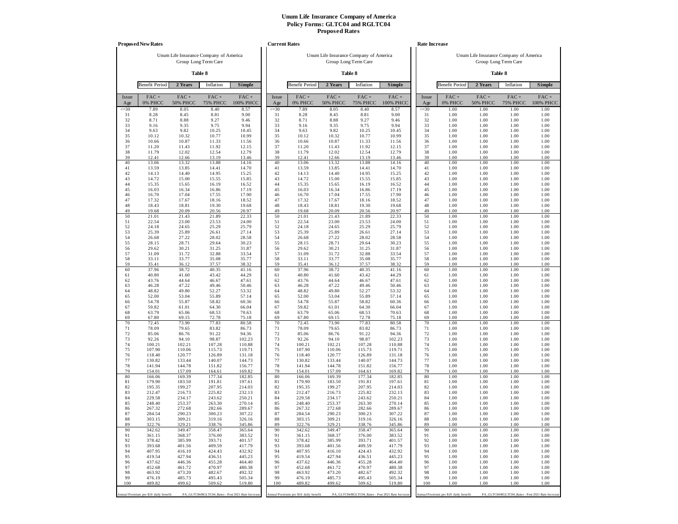|              | <b>Proposed New Rates</b>             |                                        |                                                   |                      | <b>Current Rates</b> |                                       |                                        |                            |                                                   |              | <b>Rate Increase</b>                  |                                        |                            |                                                   |
|--------------|---------------------------------------|----------------------------------------|---------------------------------------------------|----------------------|----------------------|---------------------------------------|----------------------------------------|----------------------------|---------------------------------------------------|--------------|---------------------------------------|----------------------------------------|----------------------------|---------------------------------------------------|
|              |                                       | Unum Life Insurance Company of America | Group Long Term Care                              |                      |                      |                                       | Unum Life Insurance Company of America | Group Long Term Care       |                                                   |              |                                       | Unum Life Insurance Company of America | Group Long Term Care       |                                                   |
|              |                                       |                                        | Table 8                                           |                      |                      |                                       |                                        | Table 8                    |                                                   |              |                                       |                                        | Table 8                    |                                                   |
|              | <b>Benefit Period</b>                 | 2 Years                                | Inflation                                         | Simple               |                      | <b>Benefit Period</b>                 | 2 Years                                | Inflation                  | Simple                                            |              | <b>Benefit Period</b>                 | 2 Years                                | Inflation                  | Simple                                            |
| Issue<br>Age | $FAC +$<br>0% PHCC                    | FAC+<br><b>50% PHCC</b>                | $FAC +$<br><b>75% PHCC</b>                        | $FAC +$<br>100% PHCC | Issue<br>Age         | FAC+<br>0% PHCC                       | FAC+<br><b>50% PHCC</b>                | $FAC +$<br><b>75% PHCC</b> | FAC+<br>100% PHCC                                 | Issue<br>Age | $FAC +$<br>0% PHCC                    | $FAC +$<br><b>50% PHCC</b>             | $FAC +$<br><b>75% PHCC</b> | $FAC +$<br>100% PHCC                              |
| $\leq 30$    | 7.89                                  | 8.05                                   | 8.40                                              | 8.57                 | $\leq 30$            | 7.89                                  | 8.05                                   | 8.40                       | 8.57                                              | $\leq 30$    | 1.00                                  | 1.00                                   | 1.00                       | 1.00                                              |
| 31<br>32     | 8.28<br>8.71                          | 8.45<br>8.88                           | 8.81<br>9.27                                      | 9.00<br>9.46         | 31<br>32             | 8.28<br>8.71                          | 8.45<br>8.88                           | 8.81<br>9.27               | 9.00<br>9.46                                      | 31<br>32     | 1.00<br>1.00                          | 1.00<br>1.00                           | 1.00<br>1.00               | 1.00<br>1.00                                      |
| 33           | 9.16                                  | 9.35                                   | 9.75                                              | 9.94                 | 33                   | 9.16                                  | 9.35                                   | 9.75                       | 9.94                                              | 33           | 1.00                                  | 1.00                                   | 1.00                       | 1.00                                              |
| 34<br>35     | 9.63<br>10.12                         | 9.82<br>10.32                          | 10.25<br>10.77                                    | 10.45<br>10.99       | 34<br>35             | 9.63<br>10.12                         | 9.82<br>10.32                          | 10.25<br>10.77             | 10.45<br>10.99                                    | 34<br>35     | 1.00<br>1.00                          | 1.00<br>1.00                           | 1.00<br>1.00               | 1.00<br>1.00                                      |
| 36           | 10.66                                 | 10.87                                  | 11.33                                             | 11.56                | 36                   | 10.66                                 | 10.87                                  | 11.33                      | 11.56                                             | 36           | 1.00                                  | 1.00                                   | 1.00                       | 1.00                                              |
| 37<br>38     | 11.20<br>11.79                        | 11.43<br>12.02                         | 11.92<br>12.54                                    | 12.15<br>12.79       | 37<br>38             | 11.20<br>11.79                        | 11.43<br>12.02                         | 11.92<br>12.54             | 12.15<br>12.79                                    | 37<br>38     | 1.00<br>1.00                          | 1.00<br>1.00                           | 1.00<br>1.00               | 1.00<br>1.00                                      |
| 39           | 12.41                                 | 12.66                                  | 13.19                                             | 13.46                | 39                   | 12.41                                 | 12.66                                  | 13.19                      | 13.46                                             | 39           | 1.00                                  | 1.00                                   | 1.00                       | 1.00                                              |
| 40           | 13.06                                 | 13.32                                  | 13.88                                             | 14.16                | 40                   | 13.06                                 | 13.32                                  | 13.88                      | 14.16                                             | 40           | 1.00                                  | 1.00                                   | 1.00                       | 1.00                                              |
| 41<br>42     | 13.59<br>14.13                        | 13.85<br>14.40                         | 14.41<br>14.95                                    | 14.70<br>15.25       | 41<br>42             | 13.59<br>14.13                        | 13.85<br>14.40                         | 14.41<br>14.95             | 14.70<br>15.25                                    | 41<br>42     | 1.00<br>1.00                          | 1.00<br>1.00                           | 1.00<br>1.00               | 1.00<br>1.00                                      |
| 43           | 14.72                                 | 15.00                                  | 15.55                                             | 15.85                | 43                   | 14.72                                 | 15.00                                  | 15.55                      | 15.85                                             | 43           | 1.00                                  | 1.00                                   | 1.00                       | 1.00                                              |
| 44<br>45     | 15.35<br>16.03                        | 15.65<br>16.34                         | 16.19<br>16.86                                    | 16.52<br>17.19       | 44<br>45             | 15.35<br>16.03                        | 15.65<br>16.34                         | 16.19<br>16.86             | 16.52<br>17.19                                    | 44<br>45     | 1.00<br>1.00                          | 1.00<br>1.00                           | 1.00<br>1.00               | 1.00<br>1.00                                      |
| 46           | 16.70                                 | 17.04                                  | 17.55                                             | 17.90                | 46                   | 16.70                                 | 17.04                                  | 17.55                      | 17.90                                             | 46           | 1.00                                  | 1.00                                   | 1.00                       | 1.00                                              |
| 47           | 17.32                                 | 17.67                                  | 18.16                                             | 18.52                | 47                   | 17.32                                 | 17.67                                  | 18.16                      | 18.52                                             | 47           | 1.00                                  | 1.00                                   | 1.00                       | 1.00                                              |
| 48<br>49     | 18.43<br>19.68                        | 18.81<br>20.09                         | 19.30<br>20.56                                    | 19.68<br>20.97       | 48<br>49             | 18.43<br>19.68                        | 18.81<br>20.09                         | 19.30<br>20.56             | 19.68<br>20.97                                    | 48<br>49     | 1.00<br>1.00                          | 1.00<br>1.00                           | 1.00<br>1.00               | 1.00<br>1.00                                      |
| 50           | 21.01                                 | 21.43                                  | 21.89                                             | 22.33                | 50                   | 21.01                                 | 21.43                                  | 21.89                      | 22.33                                             | 50           | 1.00                                  | 1.00                                   | 1.00                       | 1.00                                              |
| 51<br>52     | 22.54<br>24.18                        | 23.00<br>24.65                         | 23.53<br>25.29                                    | 24.00<br>25.79       | 51<br>52             | 22.54<br>24.18                        | 23.00<br>24.65                         | 23.53<br>25.29             | 24.00<br>25.79                                    | 51<br>52     | 1.00<br>1.00                          | 1.00<br>1.00                           | 1.00<br>1.00               | 1.00<br>1.00                                      |
| 53           | 25.39                                 | 25.89                                  | 26.61                                             | 27.14                | 53                   | 25.39                                 | 25.89                                  | 26.61                      | 27.14                                             | 53           | 1.00                                  | 1.00                                   | 1.00                       | 1.00                                              |
| 54           | 26.68                                 | 27.22                                  | 28.02                                             | 28.58                | 54                   | 26.68                                 | 27.22                                  | 28.02                      | 28.58                                             | 54           | 1.00                                  | 1.00                                   | 1.00                       | 1.00                                              |
| 55<br>56     | 28.15<br>29.62                        | 28.71<br>30.21                         | 29.64<br>31.25                                    | 30.23<br>31.87       | 55<br>56             | 28.15<br>29.62                        | 28.71<br>30.21                         | 29.64<br>31.25             | 30.23<br>31.87                                    | 55<br>56     | 1.00<br>1.00                          | 1.00<br>1.00                           | 1.00<br>1.00               | 1.00<br>1.00                                      |
| 57           | 31.09                                 | 31.72                                  | 32.88                                             | 33.54                | 57                   | 31.09                                 | 31.72                                  | 32.88                      | 33.54                                             | 57           | 1.00                                  | 1.00                                   | 1.00                       | 1.00                                              |
| 58<br>59     | 33.11<br>35.41                        | 33.77<br>36.12                         | 35.08<br>37.57                                    | 35.77<br>38.32       | 58<br>59             | 33.11<br>35.41                        | 33.77<br>36.12                         | 35.08<br>37.57             | 35.77<br>38.32                                    | 58<br>59     | 1.00<br>1.00                          | 1.00<br>1.00                           | 1.00<br>1.00               | 1.00<br>1.00                                      |
| 60           | 37.96                                 | 38.72                                  | 40.35                                             | 41.16                | 60                   | 37.96                                 | 38.72                                  | 40.35                      | 41.16                                             | 60           | 1.00                                  | 1.00                                   | 1.00                       | 1.00                                              |
| 61           | 40.80                                 | 41.60                                  | 43.42                                             | 44.29                | 61                   | 40.80                                 | 41.60                                  | 43.42                      | 44.29                                             | 61           | 1.00                                  | 1.00                                   | 1.00                       | 1.00                                              |
| 62<br>63     | 43.76<br>46.28                        | 44.64<br>47.22                         | 46.67<br>49.46                                    | 47.61<br>50.46       | 62<br>63             | 43.76<br>46.28                        | 44.64<br>47.22                         | 46.67<br>49.46             | 47.61<br>50.46                                    | 62<br>63     | 1.00<br>1.00                          | 1.00<br>1.00                           | 1.00<br>1.00               | 1.00<br>1.00                                      |
| 64           | 48.82                                 | 49.80                                  | 52.27                                             | 53.32                | 64                   | 48.82                                 | 49.80                                  | 52.27                      | 53.32                                             | 64           | 1.00                                  | 1.00                                   | 1.00                       | 1.00                                              |
| 65<br>66     | 52.00<br>54.78                        | 53.04<br>55.87                         | 55.89<br>58.82                                    | 57.14<br>60.36       | 65<br>66             | 52.00<br>54.78                        | 53.04<br>55.87                         | 55.89<br>58.82             | 57.14<br>60.36                                    | 65<br>66     | 1.00<br>1.00                          | 1.00<br>1.00                           | 1.00<br>1.00               | 1.00<br>1.00                                      |
| 67           | 59.82                                 | 61.01                                  | 64.30                                             | 66.04                | 67                   | 59.82                                 | 61.01                                  | 64.30                      | 66.04                                             | 67           | 1.00                                  | 1.00                                   | 1.00                       | 1.00                                              |
| 68<br>69     | 63.79                                 | 65.06                                  | 68.53<br>72.78                                    | 70.63                | 68<br>69             | 63.79                                 | 65.06<br>69.15                         | 68.53<br>72.78             | 70.63                                             | 68<br>69     | 1.00<br>1.00                          | 1.00<br>1.00                           | 1.00<br>1.00               | 1.00<br>1.00                                      |
| 70           | 67.80<br>72.45                        | 69.15<br>73.90                         | 77.83                                             | 75.18<br>80.58       | 70                   | 67.80<br>72.45                        | 73.90                                  | 77.83                      | 75.18<br>80.58                                    | 70           | 1.00                                  | 1.00                                   | 1.00                       | 1.00                                              |
| 71           | 78.09                                 | 79.65                                  | 83.82                                             | 86.73                | 71                   | 78.09                                 | 79.65                                  | 83.82                      | 86.73                                             | 71           | 1.00                                  | 1.00                                   | 1.00                       | 1.00                                              |
| 72<br>73     | 85.06<br>92.26                        | 86.76<br>94.10                         | 91.22<br>98.87                                    | 94.36<br>102.23      | 72<br>73             | 85.06<br>92.26                        | 86.76<br>94.10                         | 91.22<br>98.87             | 94.36<br>102.23                                   | 72<br>73     | 1.00<br>1.00                          | 1.00<br>1.00                           | 1.00<br>1.00               | 1.00<br>1.00                                      |
| 74           | 100.21                                | 102.21                                 | 107.28                                            | 110.88               | 74                   | 100.21                                | 102.21                                 | 107.28                     | 110.88                                            | 74           | 1.00                                  | 1.00                                   | 1.00                       | 1.00                                              |
| 75<br>76     | 107.90                                | 110.06                                 | 115.73                                            | 119.71               | 75                   | 107.90                                | 110.06                                 | 115.73                     | 119.71                                            | 75<br>76     | 1.00                                  | 1.00<br>1.00                           | 1.00                       | 1.00                                              |
| 77           | 118.40<br>130.82                      | 120.77<br>133.44                       | 126.89<br>140.07                                  | 131.18<br>144.73     | 76<br>77             | 118.40<br>130.82                      | 120.77<br>133.44                       | 126.89<br>140.07           | 131.18<br>144.73                                  | 77           | 1.00<br>1.00                          | 1.00                                   | 1.00<br>1.00               | 1.00<br>1.00                                      |
| 78           | 141.94                                | 144.78                                 | 151.82                                            | 156.77               | 78                   | 141.94                                | 144.78                                 | 151.82                     | 156.77                                            | 78           | 1.00                                  | 1.00                                   | 1.00                       | 1.00                                              |
| 79<br>80     | 154.01<br>166.06                      | 157.09<br>169.39                       | 164.61<br>177.34                                  | 169.82<br>182.85     | 79<br>80             | 154.01<br>166.06                      | 157.09<br>169.39                       | 164.61<br>177.34           | 169.82<br>182.85                                  | 79<br>80     | 1.00<br>1.00                          | 1.00<br>1.00                           | 1.00<br>1.00               | 1.00<br>1.00                                      |
| 81           | 179.90                                | 183.50                                 | 191.81                                            | 197.61               | 81                   | 179.90                                | 183.50                                 | 191.81                     | 197.61                                            | 81           | 1.00                                  | 1.00                                   | 1.00                       | 1.00                                              |
| 82<br>83     | 195.35<br>212.47                      | 199.27<br>216.73                       | 207.95<br>225.82                                  | 214.03<br>232.13     | 82<br>83             | 195.35<br>212.47                      | 199.27<br>216.73                       | 207.95<br>225.82           | 214.03<br>232.13                                  | 82<br>83     | 1.00<br>1.00                          | 1.00<br>1.00                           | 1.00<br>1.00               | 1.00<br>1.00                                      |
| 84           | 229.58                                | 234.17                                 | 243.62                                            | 250.21               | 84                   | 229.58                                | 234.17                                 | 243.62                     | 250.21                                            | 84           | 1.00                                  | 1.00                                   | 1.00                       | 1.00                                              |
| 85           | 248.40                                | 253.37                                 | 263.30                                            | 270.14               | 85                   | 248.40                                | 253.37                                 | 263.30                     | 270.14                                            | 85           | 1.00                                  | 1.00                                   | 1.00                       | 1.00                                              |
| 86<br>87     | 267.32<br>284.54                      | 272.68<br>290.23                       | 282.66<br>300.23                                  | 289.67<br>307.22     | 86<br>87             | 267.32<br>284.54                      | 272.68<br>290.23                       | 282.66<br>300.23           | 289.67<br>307.22                                  | 86<br>87     | 1.00<br>1.00                          | 1.00<br>1.00                           | 1.00<br>1.00               | 1.00<br>1.00                                      |
| 88           | 303.15                                | 309.21                                 | 319.16                                            | 326.16               | 88                   | 303.15                                | 309.21                                 | 319.16                     | 326.16                                            | 88           | 1.00                                  | 1.00                                   | 1.00                       | 1.00                                              |
| 89<br>90     | 322.76<br>342.62                      | 329.21<br>349.47                       | 338.76<br>358.47                                  | 345.86<br>365.64     | 89<br>90             | 322.76<br>342.62                      | 329.21<br>349.47                       | 338.76<br>358.47           | 345.86<br>365.64                                  | 89<br>90     | 1.00<br>1.00                          | 1.00<br>1.00                           | 1.00<br>1.00               | 1.00<br>1.00                                      |
| 91           | 361.15                                | 368.37                                 | 376.00                                            | 383.52               | 91                   | 361.15                                | 368.37                                 | 376.00                     | 383.52                                            | 91           | 1.00                                  | 1.00                                   | 1.00                       | 1.00                                              |
| 92           | 378.42                                | 385.99                                 | 393.71                                            | 401.57               | 92                   | 378.42                                | 385.99                                 | 393.71                     | 401.57                                            | 92           | 1.00                                  | 1.00                                   | 1.00                       | 1.00                                              |
| 93<br>94     | 393.68<br>407.95                      | 401.56<br>416.10                       | 409.59<br>424.43                                  | 417.79<br>432.92     | 93<br>94             | 393.68<br>407.95                      | 401.56<br>416.10                       | 409.59<br>424.43           | 417.79<br>432.92                                  | 93<br>94     | 1.00<br>1.00                          | 1.00<br>1.00                           | 1.00<br>1.00               | 1.00<br>1.00                                      |
| 95           | 419.54                                | 427.94                                 | 436.51                                            | 445.23               | 95                   | 419.54                                | 427.94                                 | 436.51                     | 445.23                                            | 95           | 1.00                                  | 1.00                                   | 1.00                       | 1.00                                              |
| 96<br>97     | 437.62<br>452.68                      | 446.36<br>461.72                       | 455.28<br>470.97                                  | 464.40<br>480.38     | 96<br>97             | 437.62<br>452.68                      | 446.36<br>461.72                       | 455.28<br>470.97           | 464.40<br>480.38                                  | 96<br>97     | 1.00<br>1.00                          | 1.00<br>1.00                           | 1.00<br>1.00               | 1.00<br>1.00                                      |
| 98           | 463.92                                | 473.20                                 | 482.67                                            | 492.32               | 98                   | 463.92                                | 473.20                                 | 482.67                     | 492.32                                            | 98           | 1.00                                  | 1.00                                   | 1.00                       | 1.00                                              |
| 99           | 476.19                                | 485.73                                 | 495.43                                            | 505.34               | 99                   | 476.19                                | 485.73                                 | 495.43                     | 505.34                                            | 99           | 1.00                                  | 1.00                                   | 1.00                       | 1.00                                              |
| 100          | 489.82                                | 499.62                                 | 509.62                                            | 519.80               | 100                  | 489.82                                | 499.62                                 | 509.62                     | 519.80                                            | 100          | 1.00                                  | 1.00                                   | 1.00                       | 1.00                                              |
|              | Annual Premium per \$10 daily benefit |                                        | PA_GLTC04/RGLTC04_Rates - Post 2021 Rate Increase |                      |                      | Annual Premium per \$10 daily benefit |                                        |                            | PA_GLTC04/RGLTC04_Rates - Post 2021 Rate Increase |              | Annual Premium per \$10 daily benefit |                                        |                            | PA_GLTC04/RGLTC04_Rates - Post 2021 Rate Increase |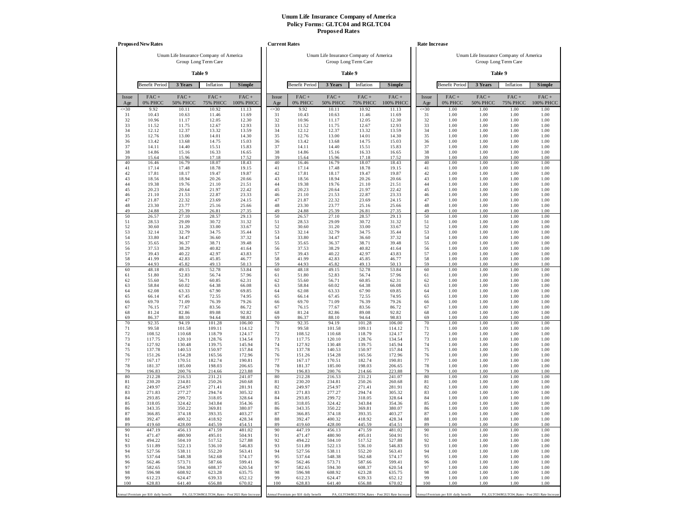|              | <b>Proposed New Rates</b>             |                            |                                                   |                      | <b>Current Rates</b> |                                       |                            |                                        |                                                   |              | <b>Rate Increase</b>                  |                                        |                                                   |                      |
|--------------|---------------------------------------|----------------------------|---------------------------------------------------|----------------------|----------------------|---------------------------------------|----------------------------|----------------------------------------|---------------------------------------------------|--------------|---------------------------------------|----------------------------------------|---------------------------------------------------|----------------------|
|              |                                       |                            | Unum Life Insurance Company of America            |                      |                      |                                       |                            | Unum Life Insurance Company of America |                                                   |              |                                       | Unum Life Insurance Company of America |                                                   |                      |
|              |                                       |                            | Group Long Term Care                              |                      |                      |                                       |                            | Group Long Term Care                   |                                                   |              |                                       |                                        | Group Long Term Care                              |                      |
|              |                                       |                            | Table 9                                           |                      |                      |                                       |                            | Table 9                                |                                                   |              |                                       |                                        | Table 9                                           |                      |
|              | <b>Benefit Period</b>                 | 3 Years                    | Inflation                                         | Simple               |                      | <b>Benefit Period</b>                 | 3 Years                    | Inflation                              | <b>Simple</b>                                     |              | <b>Benefit Period</b>                 | 3 Years                                | Inflation                                         | Simple               |
| Issue<br>Age | $FAC +$<br>0% PHCC                    | $FAC +$<br><b>50% PHCC</b> | $FAC +$<br><b>75% PHCC</b>                        | $FAC +$<br>100% PHCC | Issue<br>Age         | FAC+<br>0% PHCC                       | $FAC +$<br><b>50% PHCC</b> | FAC+<br><b>75% PHCC</b>                | FAC+<br>100% PHCC                                 | Issue<br>Age | $FAC +$<br>0% PHCC                    | $FAC +$<br><b>50% PHCC</b>             | $FAC +$<br><b>75% PHCC</b>                        | $FAC +$<br>100% PHCC |
| $\leq 30$    | 9.92                                  | 10.11                      | 10.92                                             | 11.13                | $\leq 30$            | 9.92                                  | 10.11                      | 10.92                                  | 11.13                                             | $\leq 30$    | 1.00                                  | 1.00                                   | 1.00                                              | 1.00                 |
| 31<br>32     | 10.43<br>10.96                        | 10.63<br>11.17             | 11.46<br>12.05                                    | 11.69<br>12.30       | 31<br>32             | 10.43<br>10.96                        | 10.63<br>11.17             | 11.46<br>12.05                         | 11.69<br>12.30                                    | 31<br>32     | 1.00<br>1.00                          | 1.00<br>1.00                           | 1.00<br>1.00                                      | 1.00<br>1.00         |
| 33           | 11.52                                 | 11.75                      | 12.67                                             | 12.93                | 33                   | 11.52                                 | 11.75                      | 12.67                                  | 12.93                                             | 33           | 1.00                                  | 1.00                                   | 1.00                                              | 1.00                 |
| 34<br>35     | 12.12<br>12.76                        | 12.37<br>13.00             | 13.32<br>14.01                                    | 13.59<br>14.30       | 34<br>35             | 12.12<br>12.76                        | 12.37<br>13.00             | 13.32<br>14.01                         | 13.59<br>14.30                                    | 34<br>35     | 1.00<br>1.00                          | 1.00<br>1.00                           | 1.00<br>1.00                                      | 1.00<br>1.00         |
| 36           | 13.42                                 | 13.68                      | 14.75                                             | 15.03                | 36                   | 13.42                                 | 13.68                      | 14.75                                  | 15.03                                             | 36           | 1.00                                  | 1.00                                   | 1.00                                              | 1.00                 |
| 37           | 14.11                                 | 14.40                      | 15.51                                             | 15.83                | 37                   | 14.11                                 | 14.40                      | 15.51                                  | 15.83                                             | 37           | 1.00                                  | 1.00                                   | 1.00                                              | 1.00                 |
| 38<br>39     | 14.86<br>15.64                        | 15.16<br>15.96             | 16.33<br>17.18                                    | 16.65<br>17.52       | 38<br>39             | 14.86<br>15.64                        | 15.16<br>15.96             | 16.33<br>17.18                         | 16.65<br>17.52                                    | 38<br>39     | 1.00<br>1.00                          | 1.00<br>1.00                           | 1.00<br>1.00                                      | 1.00<br>1.00         |
| 40           | 16.46                                 | 16.79                      | 18.07                                             | 18.43                | 40                   | 16.46                                 | 16.79                      | 18.07                                  | 18.43                                             | 40           | 1.00                                  | 1.00                                   | 1.00                                              | 1.00                 |
| 41           | 17.14                                 | 17.48                      | 18.78                                             | 19.15                | 41                   | 17.14                                 | 17.48                      | 18.78                                  | 19.15                                             | 41           | 1.00                                  | 1.00                                   | 1.00                                              | 1.00                 |
| 42<br>43     | 17.81<br>18.56                        | 18.17<br>18.94             | 19.47<br>20.26                                    | 19.87<br>20.66       | 42<br>43             | 17.81<br>18.56                        | 18.17<br>18.94             | 19.47<br>20.26                         | 19.87<br>20.66                                    | 42<br>43     | 1.00<br>1.00                          | 1.00<br>1.00                           | 1.00<br>1.00                                      | 1.00<br>1.00         |
| 44           | 19.38                                 | 19.76                      | 21.10                                             | 21.51                | 44                   | 19.38                                 | 19.76                      | 21.10                                  | 21.51                                             | 44           | 1.00                                  | 1.00                                   | 1.00                                              | 1.00                 |
| 45           | 20.23                                 | 20.64                      | 21.97                                             | 22.42                | 45                   | 20.23                                 | 20.64                      | 21.97                                  | 22.42                                             | 45           | 1.00                                  | 1.00                                   | 1.00                                              | 1.00                 |
| 46<br>47     | 21.10<br>21.87                        | 21.53<br>22.32             | 22.87<br>23.69                                    | 23.33<br>24.15       | 46<br>47             | 21.10<br>21.87                        | 21.53<br>22.32             | 22.87<br>23.69                         | 23.33<br>24.15                                    | 46<br>47     | 1.00<br>1.00                          | 1.00<br>1.00                           | 1.00<br>1.00                                      | 1.00<br>1.00         |
| 48           | 23.30                                 | 23.77                      | 25.16                                             | 25.66                | 48                   | 23.30                                 | 23.77                      | 25.16                                  | 25.66                                             | 48           | 1.00                                  | 1.00                                   | 1.00                                              | 1.00                 |
| 49<br>50     | 24.88                                 | 25.39<br>27.10             | 26.81                                             | 27.35                | 49<br>50             | 24.88                                 | 25.39                      | 26.81                                  | 27.35                                             | 49<br>50     | 1.00                                  | 1.00<br>1.00                           | 1.00                                              | 1.00                 |
| 51           | 26.57<br>28.53                        | 29.09                      | 28.57<br>30.72                                    | 29.13<br>31.32       | 51                   | 26.57<br>28.53                        | 27.10<br>29.09             | 28.57<br>30.72                         | 29.13<br>31.32                                    | 51           | 1.00<br>1.00                          | 1.00                                   | 1.00<br>1.00                                      | 1.00<br>1.00         |
| 52           | 30.60                                 | 31.20                      | 33.00                                             | 33.67                | 52                   | 30.60                                 | 31.20                      | 33.00                                  | 33.67                                             | 52           | 1.00                                  | 1.00                                   | 1.00                                              | 1.00                 |
| 53           | 32.14                                 | 32.79                      | 34.75                                             | 35.44                | 53                   | 32.14                                 | 32.79                      | 34.75                                  | 35.44                                             | 53           | 1.00                                  | 1.00                                   | 1.00                                              | 1.00                 |
| 54<br>55     | 33.80<br>35.65                        | 34.47<br>36.37             | 36.60<br>38.71                                    | 37.32<br>39.48       | 54<br>55             | 33.80<br>35.65                        | 34.47<br>36.37             | 36.60<br>38.71                         | 37.32<br>39.48                                    | 54<br>55     | 1.00<br>1.00                          | 1.00<br>1.00                           | 1.00<br>1.00                                      | 1.00<br>1.00         |
| 56           | 37.53                                 | 38.29                      | 40.82                                             | 41.64                | 56                   | 37.53                                 | 38.29                      | 40.82                                  | 41.64                                             | 56           | 1.00                                  | 1.00                                   | 1.00                                              | 1.00                 |
| 57<br>58     | 39.43<br>41.99                        | 40.22<br>42.83             | 42.97<br>45.85                                    | 43.83                | 57<br>58             | 39.43<br>41.99                        | 40.22<br>42.83             | 42.97<br>45.85                         | 43.83                                             | 57<br>58     | 1.00<br>1.00                          | 1.00<br>1.00                           | 1.00<br>1.00                                      | 1.00                 |
| 59           | 44.93                                 | 45.82                      | 49.13                                             | 46.77<br>50.13       | 59                   | 44.93                                 | 45.82                      | 49.13                                  | 46.77<br>50.13                                    | 59           | 1.00                                  | 1.00                                   | 1.00                                              | 1.00<br>1.00         |
| 60           | 48.18                                 | 49.15                      | 52.78                                             | 53.84                | 60                   | 48.18                                 | 49.15                      | 52.78                                  | 53.84                                             | 60           | 1.00                                  | 1.00                                   | 1.00                                              | 1.00                 |
| 61<br>62     | 51.80<br>55.60                        | 52.83<br>56.71             | 56.74<br>60.85                                    | 57.96<br>62.31       | 61<br>62             | 51.80<br>55.60                        | 52.83<br>56.71             | 56.74<br>60.85                         | 57.96<br>62.31                                    | 61<br>62     | 1.00<br>1.00                          | 1.00<br>1.00                           | 1.00<br>1.00                                      | 1.00<br>1.00         |
| 63           | 58.84                                 | 60.02                      | 64.38                                             | 66.08                | 63                   | 58.84                                 | 60.02                      | 64.38                                  | 66.08                                             | 63           | 1.00                                  | 1.00                                   | 1.00                                              | 1.00                 |
| 64           | 62.08                                 | 63.33                      | 67.90                                             | 69.85                | 64                   | 62.08                                 | 63.33                      | 67.90                                  | 69.85                                             | 64           | 1.00                                  | 1.00                                   | 1.00                                              | 1.00                 |
| 65<br>66     | 66.14<br>69.70                        | 67.45<br>71.09             | 72.55<br>76.39                                    | 74.95<br>79.26       | 65<br>66             | 66.14<br>69.70                        | 67.45<br>71.09             | 72.55<br>76.39                         | 74.95<br>79.26                                    | 65<br>66     | 1.00<br>1.00                          | 1.00<br>1.00                           | 1.00<br>1.00                                      | 1.00<br>1.00         |
| 67           | 76.15                                 | 77.67                      | 83.56                                             | 86.72                | 67                   | 76.15                                 | 77.67                      | 83.56                                  | 86.72                                             | 67           | 1.00                                  | 1.00                                   | 1.00                                              | 1.00                 |
| 68           | 81.24                                 | 82.86                      | 89.08                                             | 92.82                | 68                   | 81.24                                 | 82.86                      | 89.08                                  | 92.82                                             | 68           | 1.00                                  | 1.00                                   | 1.00                                              | 1.00                 |
| 69<br>70     | 86.37<br>92.35                        | 88.10<br>94.19             | 94.64<br>101.28                                   | 98.83<br>106.00      | 69<br>70             | 86.37<br>92.35                        | 88.10<br>94.19             | 94.64<br>101.28                        | 98.83<br>106.00                                   | 69<br>70     | 1.00<br>1.00                          | 1.00<br>1.00                           | 1.00<br>1.00                                      | 1.00<br>1.00         |
| 71           | 99.58                                 | 101.58                     | 109.11                                            | 114.12               | 71                   | 99.58                                 | 101.58                     | 109.11                                 | 114.12                                            | 71           | 1.00                                  | 1.00                                   | 1.00                                              | 1.00                 |
| 72           | 108.52                                | 110.68                     | 118.79                                            | 124.17               | 72                   | 108.52                                | 110.68                     | 118.79                                 | 124.17                                            | 72           | 1.00                                  | 1.00                                   | 1.00                                              | 1.00                 |
| 73<br>74     | 117.75<br>127.92                      | 120.10<br>130.48           | 128.76<br>139.75                                  | 134.54<br>145.94     | 73<br>74             | 117.75<br>127.92                      | 120.10<br>130.48           | 128.76<br>139.75                       | 134.54<br>145.94                                  | 73<br>74     | 1.00<br>1.00                          | 1.00<br>1.00                           | 1.00<br>1.00                                      | 1.00<br>1.00         |
| 75           | 137.78                                | 140.53                     | 150.97                                            | 157.84               | 75                   | 137.78                                | 140.53                     | 150.97                                 | 157.84                                            | 75           | 1.00                                  | 1.00                                   | 1.00                                              | 1.00                 |
| 76           | 151.26                                | 154.28                     | 165.56                                            | 172.96               | 76                   | 151.26                                | 154.28                     | 165.56                                 | 172.96                                            | 76           | 1.00                                  | 1.00                                   | 1.00                                              | 1.00                 |
| 77<br>78     | 167.17<br>181.37                      | 170.51<br>185.00           | 182.74<br>198.03                                  | 190.81<br>206.65     | 77<br>78             | 167.17<br>181.37                      | 170.51<br>185.00           | 182.74<br>198.03                       | 190.81<br>206.65                                  | 77<br>78     | 1.00<br>1.00                          | 1.00<br>1.00                           | 1.00<br>1.00                                      | 1.00<br>1.00         |
| 79           | 196.83                                | 200.76                     | 214.66                                            | 223.88               | 79                   | 196.83                                | 200.76                     | 214.66                                 | 223.88                                            | 79           | 1.00                                  | 1.00                                   | 1.00                                              | 1.00                 |
| 80           | 212.28                                | 216.53                     | 231.21                                            | 241.07               | 80                   | 212.28                                | 216.53                     | 231.21                                 | 241.07                                            | 80           | 1.00                                  | 1.00                                   | 1.00                                              | 1.00                 |
| 81<br>82     | 230.20<br>249.97                      | 234.81<br>254.97           | 250.26<br>271.41                                  | 260.68<br>281.91     | 81<br>82             | 230.20<br>249.97                      | 234.81<br>254.97           | 250.26<br>271.41                       | 260.68<br>281.91                                  | 81<br>82     | 1.00<br>1.00                          | 1.00<br>1.00                           | 1.00<br>1.00                                      | 1.00<br>1.00         |
| 83           | 271.83                                | 277.27                     | 294.74                                            | 305.32               | 83                   | 271.83                                | 277.27                     | 294.74                                 | 305.32                                            | 83           | 1.00                                  | 1.00                                   | 1.00                                              | 1.00                 |
| 84           | 293.85                                | 299.72                     | 318.05                                            | 328.64               | 84                   | 293.85                                | 299.72                     | 318.05                                 | 328.64                                            | 84<br>85     | 1.00                                  | 1.00<br>1.00                           | 1.00                                              | 1.00                 |
| 85<br>86     | 318.05<br>343.35                      | 324.42<br>350.22           | 343.84<br>369.81                                  | 354.36<br>380.07     | 85<br>86             | 318.05<br>343.35                      | 324.42<br>350.22           | 343.84<br>369.81                       | 354.36<br>380.07                                  | 86           | 1.00<br>1.00                          | 1.00                                   | 1.00<br>1.00                                      | 1.00<br>1.00         |
| 87           | 366.85                                | 374.18                     | 393.35                                            | 403.27               | 87                   | 366.85                                | 374.18                     | 393.35                                 | 403.27                                            | 87           | 1.00                                  | 1.00                                   | 1.00                                              | 1.00                 |
| 88           | 392.47                                | 400.32                     | 418.92                                            | 428.34               | 88                   | 392.47                                | 400.32                     | 418.92                                 | 428.34                                            | 88           | 1.00                                  | 1.00                                   | 1.00                                              | 1.00                 |
| 89<br>90     | 419.60<br>447.19                      | 428.00<br>456.13           | 445.59<br>471.59                                  | 454.51<br>481.02     | 89<br>90             | 419.60<br>447.19                      | 428.00<br>456.13           | 445.59<br>471.59                       | 454.51<br>481.02                                  | 89<br>90     | 1.00<br>1.00                          | 1.00<br>1.00                           | 1.00<br>1.00                                      | 1.00<br>1.00         |
| 91           | 471.47                                | 480.90                     | 495.01                                            | 504.91               | 91                   | 471.47                                | 480.90                     | 495.01                                 | 504.91                                            | 91           | 1.00                                  | 1.00                                   | 1.00                                              | 1.00                 |
| 92           | 494.22                                | 504.10                     | 517.52                                            | 527.88               | 92                   | 494.22                                | 504.10                     | 517.52                                 | 527.88                                            | 92           | 1.00                                  | 1.00                                   | 1.00                                              | 1.00                 |
| 93<br>94     | 511.89<br>527.56                      | 522.13<br>538.11           | 536.10<br>552.20                                  | 546.83<br>563.41     | 93<br>94             | 511.89<br>527.56                      | 522.13<br>538.11           | 536.10<br>552.20                       | 546.83<br>563.41                                  | 93<br>94     | 1.00<br>1.00                          | 1.00<br>1.00                           | 1.00<br>1.00                                      | 1.00<br>1.00         |
| 95           | 537.64                                | 548.38                     | 562.68                                            | 574.17               | 95                   | 537.64                                | 548.38                     | 562.68                                 | 574.17                                            | 95           | 1.00                                  | 1.00                                   | 1.00                                              | 1.00                 |
| 96           | 562.46                                | 573.71                     | 587.66                                            | 599.41               | 96                   | 562.46                                | 573.71                     | 587.66                                 | 599.41                                            | 96           | 1.00                                  | 1.00                                   | 1.00                                              | 1.00                 |
| 97<br>98     | 582.65<br>596.98                      | 594.30<br>608.92           | 608.37<br>623.28                                  | 620.54<br>635.75     | 97<br>98             | 582.65<br>596.98                      | 594.30<br>608.92           | 608.37<br>623.28                       | 620.54<br>635.75                                  | 97<br>98     | 1.00<br>1.00                          | 1.00<br>1.00                           | 1.00<br>1.00                                      | 1.00<br>1.00         |
| 99           | 612.23                                | 624.47                     | 639.33                                            | 652.12               | 99                   | 612.23                                | 624.47                     | 639.33                                 | 652.12                                            | 99           | 1.00                                  | 1.00                                   | 1.00                                              | 1.00                 |
| 100          | 628.83                                | 641.40                     | 656.88                                            | 670.02               | 100                  | 628.83                                | 641.40                     | 656.88                                 | 670.02                                            | 100          | 1.00                                  | 1.00                                   | 1.00                                              | 1.00                 |
|              | Annual Premium per \$10 daily benefit |                            | PA_GLTC04/RGLTC04_Rates - Post 2021 Rate Increase |                      |                      | Annual Premium per \$10 daily benefit |                            |                                        | PA_GLTC04/RGLTC04_Rates - Post 2021 Rate Increase |              | Annual Premium per \$10 daily benefit |                                        | PA_GLTC04/RGLTC04_Rates - Post 2021 Rate Increase |                      |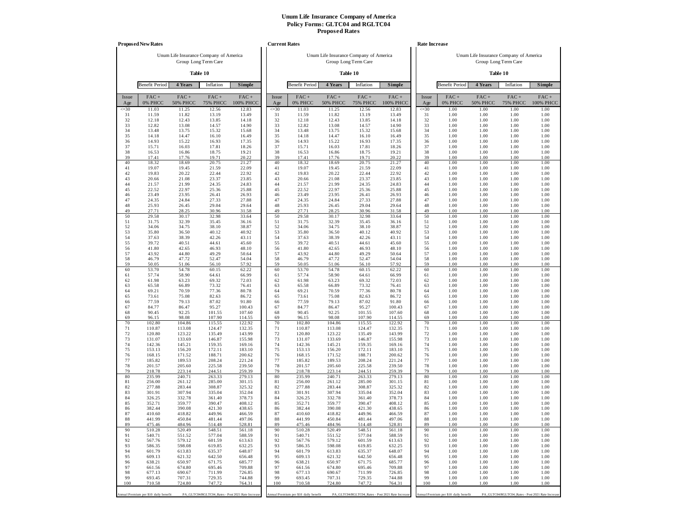|              | <b>Proposed New Rates</b>             |                                        |                            |                                                   | <b>Current Rates</b> |                                       |                                        |                         |                                                   | Rate Increase |                                       |                                        |                                                  |                      |
|--------------|---------------------------------------|----------------------------------------|----------------------------|---------------------------------------------------|----------------------|---------------------------------------|----------------------------------------|-------------------------|---------------------------------------------------|---------------|---------------------------------------|----------------------------------------|--------------------------------------------------|----------------------|
|              |                                       | Unum Life Insurance Company of America |                            |                                                   |                      |                                       | Unum Life Insurance Company of America |                         |                                                   |               |                                       | Unum Life Insurance Company of America |                                                  |                      |
|              |                                       |                                        | Group Long Term Care       |                                                   |                      |                                       |                                        | Group Long Term Care    |                                                   |               |                                       |                                        | Group Long Term Care                             |                      |
|              |                                       |                                        | Table 10                   |                                                   |                      |                                       |                                        | Table 10                |                                                   |               |                                       |                                        | Table 10                                         |                      |
|              | <b>Benefit Period</b>                 | 4 Years                                | Inflation                  | Simple                                            |                      | <b>Benefit Period</b>                 | 4 Years                                | Inflation               | Simple                                            |               | <b>Benefit Period</b>                 | 4 Years                                | Inflation                                        | Simple               |
| Issue<br>Age | $FAC +$<br>0% PHCC                    | $FAC +$<br><b>50% PHCC</b>             | $FAC +$<br><b>75% PHCC</b> | $FAC +$<br>100% PHCC                              | Issue<br>Age         | $FAC +$<br>0% PHCC                    | $FAC +$<br><b>50% PHCC</b>             | FAC+<br><b>75% PHCC</b> | $FAC +$<br>100% PHCC                              | Issue<br>Age  | $FAC +$<br>0% PHCC                    | $FAC +$<br><b>50% PHCC</b>             | $FAC +$<br><b>75% PHCC</b>                       | $FAC +$<br>100% PHCC |
| $\leq 30$    | 11.03                                 | 11.25                                  | 12.56                      | 12.83                                             | $\leq 30$            | 11.03                                 | 11.25                                  | 12.56                   | 12.83                                             | $\leq 30$     | 1.00                                  | 1.00                                   | 1.00                                             | 1.00                 |
| 31<br>32     | 11.59<br>12.18                        | 11.82<br>12.43                         | 13.19<br>13.85             | 13.49<br>14.18                                    | 31<br>32             | 11.59<br>12.18                        | 11.82<br>12.43                         | 13.19<br>13.85          | 13.49<br>14.18                                    | 31<br>32      | 1.00<br>1.00                          | 1.00<br>1.00                           | 1.00<br>1.00                                     | 1.00<br>1.00         |
| 33<br>34     | 12.82<br>13.48                        | 13.08<br>13.75                         | 14.57<br>15.32             | 14.90                                             | 33<br>34             | 12.82<br>13.48                        | 13.08<br>13.75                         | 14.57<br>15.32          | 14.90<br>15.68                                    | 33<br>34      | 1.00<br>1.00                          | 1.00<br>1.00                           | 1.00<br>1.00                                     | 1.00<br>1.00         |
| 35           | 14.18                                 | 14.47                                  | 16.10                      | 15.68<br>16.49                                    | 35                   | 14.18                                 | 14.47                                  | 16.10                   | 16.49                                             | 35            | 1.00                                  | 1.00                                   | 1.00                                             | 1.00                 |
| 36           | 14.93                                 | 15.22                                  | 16.93                      | 17.35                                             | 36                   | 14.93                                 | 15.22                                  | 16.93                   | 17.35                                             | 36            | 1.00                                  | 1.00                                   | 1.00                                             | 1.00                 |
| 37<br>38     | 15.71<br>16.53                        | 16.03<br>16.86                         | 17.81<br>18.75             | 18.26<br>19.21                                    | 37<br>38             | 15.71<br>16.53                        | 16.03<br>16.86                         | 17.81<br>18.75          | 18.26<br>19.21                                    | 37<br>38      | 1.00<br>1.00                          | 1.00<br>1.00                           | 1.00<br>1.00                                     | 1.00<br>1.00         |
| 39           | 17.41                                 | 17.76                                  | 19.71                      | 20.22                                             | 39                   | 17.41                                 | 17.76                                  | 19.71                   | 20.22                                             | 39            | 1.00                                  | 1.00                                   | 1.00                                             | 1.00                 |
| 40<br>41     | 18.32<br>19.07                        | 18.69                                  | 20.75                      | 21.27                                             | 40<br>41             | 18.32<br>19.07                        | 18.69                                  | 20.75                   | 21.27                                             | 40<br>41      | 1.00                                  | 1.00<br>1.00                           | 1.00                                             | 1.00                 |
| 42           | 19.83                                 | 19.45<br>20.22                         | 21.59<br>22.44             | 22.09<br>22.92                                    | 42                   | 19.83                                 | 19.45<br>20.22                         | 21.59<br>22.44          | 22.09<br>22.92                                    | 42            | 1.00<br>1.00                          | 1.00                                   | 1.00<br>1.00                                     | 1.00<br>1.00         |
| 43           | 20.66                                 | 21.08                                  | 23.37                      | 23.85                                             | 43                   | 20.66                                 | 21.08                                  | 23.37                   | 23.85                                             | 43            | 1.00                                  | 1.00                                   | 1.00                                             | 1.00                 |
| 44<br>45     | 21.57<br>22.52                        | 21.99<br>22.97                         | 24.35<br>25.36             | 24.83<br>25.88                                    | 44<br>45             | 21.57<br>22.52                        | 21.99<br>22.97                         | 24.35<br>25.36          | 24.83<br>25.88                                    | 44<br>45      | 1.00<br>1.00                          | 1.00<br>1.00                           | 1.00<br>1.00                                     | 1.00<br>1.00         |
| 46           | 23.49                                 | 23.95                                  | 26.41                      | 26.93                                             | 46                   | 23.49                                 | 23.95                                  | 26.41                   | 26.93                                             | 46            | 1.00                                  | 1.00                                   | 1.00                                             | 1.00                 |
| 47<br>48     | 24.35<br>25.93                        | 24.84<br>26.45                         | 27.33                      | 27.88                                             | 47<br>48             | 24.35<br>25.93                        | 24.84                                  | 27.33<br>29.04          | 27.88                                             | 47<br>48      | 1.00                                  | 1.00<br>1.00                           | 1.00                                             | 1.00                 |
| 49           | 27.71                                 | 28.25                                  | 29.04<br>30.96             | 29.64<br>31.58                                    | 49                   | 27.71                                 | 26.45<br>28.25                         | 30.96                   | 29.64<br>31.58                                    | 49            | 1.00<br>1.00                          | 1.00                                   | 1.00<br>1.00                                     | 1.00<br>1.00         |
| 50           | 29.58                                 | 30.17                                  | 32.98                      | 33.64                                             | 50                   | 29.58                                 | 30.17                                  | 32.98                   | 33.64                                             | 50            | 1.00                                  | 1.00                                   | 1.00                                             | 1.00                 |
| 51<br>52     | 31.75<br>34.06                        | 32.39<br>34.75                         | 35.45<br>38.10             | 36.16<br>38.87                                    | 51<br>52             | 31.75<br>34.06                        | 32.39<br>34.75                         | 35.45<br>38.10          | 36.16<br>38.87                                    | 51<br>52      | 1.00<br>1.00                          | 1.00<br>1.00                           | 1.00<br>1.00                                     | 1.00<br>1.00         |
| 53           | 35.80                                 | 36.50                                  | 40.12                      | 40.92                                             | 53                   | 35.80                                 | 36.50                                  | 40.12                   | 40.92                                             | 53            | 1.00                                  | 1.00                                   | 1.00                                             | 1.00                 |
| 54<br>55     | 37.63<br>39.72                        | 38.39<br>40.51                         | 42.26<br>44.61             | 43.11<br>45.60                                    | 54<br>55             | 37.63<br>39.72                        | 38.39<br>40.51                         | 42.26<br>44.61          | 43.11<br>45.60                                    | 54<br>55      | 1.00<br>1.00                          | 1.00<br>1.00                           | 1.00<br>1.00                                     | 1.00<br>1.00         |
| 56           | 41.80                                 | 42.65                                  | 46.93                      | 48.10                                             | 56                   | 41.80                                 | 42.65                                  | 46.93                   | 48.10                                             | 56            | 1.00                                  | 1.00                                   | 1.00                                             | 1.00                 |
| 57<br>58     | 43.92<br>46.79                        | 44.80<br>47.72                         | 49.29<br>52.47             | 50.64                                             | 57<br>58             | 43.92<br>46.79                        | 44.80<br>47.72                         | 49.29<br>52.47          | 50.64<br>54.04                                    | 57<br>58      | 1.00<br>1.00                          | 1.00<br>1.00                           | 1.00<br>1.00                                     | 1.00<br>1.00         |
| 59           | 50.05                                 | 51.06                                  | 56.10                      | 54.04<br>57.92                                    | 59                   | 50.05                                 | 51.06                                  | 56.10                   | 57.92                                             | 59            | 1.00                                  | 1.00                                   | 1.00                                             | 1.00                 |
| 60<br>61     | 53.70<br>57.74                        | 54.78<br>58.90                         | 60.15<br>64.61             | 62.22<br>66.99                                    | 60<br>61             | 53.70<br>57.74                        | 54.78<br>58.90                         | 60.15<br>64.61          | 62.22<br>66.99                                    | 60<br>61      | 1.00<br>1.00                          | 1.00<br>1.00                           | 1.00<br>1.00                                     | 1.00<br>1.00         |
| 62           | 61.98                                 | 63.23                                  | 69.32                      | 72.03                                             | 62                   | 61.98                                 | 63.23                                  | 69.32                   | 72.03                                             | 62            | 1.00                                  | 1.00                                   | 1.00                                             | 1.00                 |
| 63           | 65.58                                 | 66.89                                  | 73.32                      | 76.41                                             | 63                   | 65.58                                 | 66.89                                  | 73.32                   | 76.41                                             | 63            | 1.00                                  | 1.00                                   | 1.00                                             | 1.00                 |
| 64<br>65     | 69.21<br>73.61                        | 70.59<br>75.08                         | 77.36<br>82.63             | 80.78<br>86.72                                    | 64<br>65             | 69.21<br>73.61                        | 70.59<br>75.08                         | 77.36<br>82.63          | 80.78<br>86.72                                    | 64<br>65      | 1.00<br>1.00                          | 1.00<br>1.00                           | 1.00<br>1.00                                     | 1.00<br>1.00         |
| 66           | 77.59                                 | 79.13                                  | 87.02                      | 91.80                                             | 66                   | 77.59                                 | 79.13                                  | 87.02                   | 91.80                                             | 66            | 1.00                                  | 1.00                                   | 1.00                                             | 1.00                 |
| 67<br>68     | 84.77<br>90.45                        | 86.47<br>92.25                         | 95.27<br>101.55            | 100.43<br>107.60                                  | 67<br>68             | 84.77<br>90.45                        | 86.47<br>92.25                         | 95.27<br>101.55         | 100.43<br>107.60                                  | 67<br>68      | 1.00<br>1.00                          | 1.00<br>1.00                           | 1.00<br>1.00                                     | 1.00<br>1.00         |
| 69           | 96.15                                 | 98.08                                  | 107.90                     | 114.55                                            | 69                   | 96.15                                 | 98.08                                  | 107.90                  | 114.55                                            | 69            | 1.00                                  | 1.00                                   | 1.00                                             | 1.00                 |
| 70<br>71     | 102.80<br>110.87                      | 104.86<br>113.08                       | 115.55<br>124.47           | 122.92<br>132.35                                  | 70<br>71             | 102.80<br>110.87                      | 104.86<br>113.08                       | 115.55<br>124.47        | 122.92<br>132.35                                  | 70<br>71      | 1.00<br>1.00                          | 1.00<br>1.00                           | 1.00<br>1.00                                     | 1.00<br>1.00         |
| 72           | 120.80                                | 123.22                                 | 135.49                     | 143.99                                            | 72                   | 120.80                                | 123.22                                 | 135.49                  | 143.99                                            | 72            | 1.00                                  | 1.00                                   | 1.00                                             | 1.00                 |
| 73<br>74     | 131.07<br>142.36                      | 133.69<br>145.21                       | 146.87<br>159.35           | 155.98<br>169.16                                  | 73<br>74             | 131.07<br>142.36                      | 133.69<br>145.21                       | 146.87<br>159.35        | 155.98<br>169.16                                  | 73<br>74      | 1.00<br>1.00                          | 1.00<br>1.00                           | 1.00<br>1.00                                     | 1.00<br>1.00         |
| 75           | 153.13                                | 156.20                                 | 172.11                     | 183.10                                            | 75                   | 153.13                                | 156.20                                 | 172.11                  | 183.10                                            | 75            | 1.00                                  | 1.00                                   | 1.00                                             | 1.00                 |
| 76<br>77     | 168.15                                | 171.52                                 | 188.71                     | 200.62<br>221.24                                  | 76<br>77             | 168.15                                | 171.52<br>189.53                       | 188.71                  | 200.62                                            | 76<br>77      | 1.00                                  | 1.00<br>1.00                           | 1.00                                             | 1.00                 |
| 78           | 185.82<br>201.57                      | 189.53<br>205.60                       | 208.24<br>225.58           | 239.50                                            | 78                   | 185.82<br>201.57                      | 205.60                                 | 208.24<br>225.58        | 221.24<br>239.50                                  | 78            | 1.00<br>1.00                          | 1.00                                   | 1.00<br>1.00                                     | 1.00<br>1.00         |
| 79           | 218.78                                | 223.14                                 | 244.51                     | 259.39                                            | 79                   | 218.78                                | 223.14                                 | 244.51                  | 259.39                                            | 79            | 1.00                                  | 1.00                                   | 1.00                                             | 1.00                 |
| 80<br>81     | 235.99<br>256.00                      | 240.71<br>261.12                       | 263.33<br>285.00           | 279.13<br>301.15                                  | 80<br>81             | 235.99<br>256.00                      | 240.71<br>261.12                       | 263.33<br>285.00        | 279.13<br>301.15                                  | 80<br>81      | 1.00<br>1.00                          | 1.00<br>1.00                           | 1.00<br>1.00                                     | 1.00<br>1.00         |
| 82           | 277.88                                | 283.44                                 | 308.87                     | 325.32                                            | 82                   | 277.88                                | 283.44                                 | 308.87                  | 325.32                                            | 82            | 1.00                                  | 1.00                                   | 1.00                                             | 1.00                 |
| 83<br>84     | 301.91<br>326.25                      | 307.94<br>332.78                       | 335.04<br>361.40           | 352.04<br>378.73                                  | 83<br>84             | 301.91<br>326.25                      | 307.94<br>332.78                       | 335.04<br>361.40        | 352.04<br>378.73                                  | 83<br>84      | 1.00<br>1.00                          | 1.00<br>1.00                           | 1.00<br>1.00                                     | 1.00<br>1.00         |
| 85           | 352.71                                | 359.77                                 | 390.47                     | 408.12                                            | 85                   | 352.71                                | 359.77                                 | 390.47                  | 408.12                                            | 85            | 1.00                                  | 1.00                                   | 1.00                                             | 1.00                 |
| 86<br>87     | 382.44<br>410.60                      | 390.08<br>418.82                       | 421.30<br>449.96           | 438.65<br>466.59                                  | 86<br>87             | 382.44<br>410.60                      | 390.08<br>418.82                       | 421.30<br>449.96        | 438.65<br>466.59                                  | 86<br>87      | 1.00<br>1.00                          | 1.00<br>1.00                           | 1.00<br>1.00                                     | 1.00<br>1.00         |
| 88           | 441.99                                | 450.84                                 | 481.44                     | 497.06                                            | 88                   | 441.99                                | 450.84                                 | 481.44                  | 497.06                                            | 88            | 1.00                                  | 1.00                                   | 1.00                                             | 1.00                 |
| 89<br>90     | 475.46<br>510.28                      | 484.96<br>520.49                       | 514.48<br>548.51           | 528.81<br>561.18                                  | 89<br>90             | 475.46<br>510.28                      | 484.96<br>520.49                       | 514.48<br>548.51        | 528.81<br>561.18                                  | 89<br>90      | 1.00<br>1.00                          | 1.00<br>1.00                           | 1.00<br>1.00                                     | 1.00<br>1.00         |
| 91           | 540.71                                | 551.52                                 | 577.04                     | 588.59                                            | 91                   | 540.71                                | 551.52                                 | 577.04                  | 588.59                                            | 91            | 1.00                                  | 1.00                                   | 1.00                                             | 1.00                 |
| 92<br>93     | 567.76<br>586.35                      | 579.12<br>598.08                       | 601.59<br>619.85           | 613.63<br>632.25                                  | 92<br>93             | 567.76<br>586.35                      | 579.12<br>598.08                       | 601.59<br>619.85        | 613.63<br>632.25                                  | 92<br>93      | 1.00<br>1.00                          | 1.00<br>1.00                           | 1.00<br>1.00                                     | 1.00<br>1.00         |
| 94           | 601.79                                | 613.83                                 | 635.37                     | 648.07                                            | 94                   | 601.79                                | 613.83                                 | 635.37                  | 648.07                                            | 94            | 1.00                                  | 1.00                                   | 1.00                                             | 1.00                 |
| 95           | 609.13                                | 621.32                                 | 642.50                     | 656.48                                            | 95                   | 609.13                                | 621.32                                 | 642.50                  | 656.48                                            | 95            | 1.00                                  | 1.00                                   | 1.00                                             | 1.00                 |
| 96<br>97     | 638.21<br>661.56                      | 650.97<br>674.80                       | 671.75<br>695.46           | 685.77<br>709.88                                  | 96<br>97             | 638.21<br>661.56                      | 650.97<br>674.80                       | 671.75<br>695.46        | 685.77<br>709.88                                  | 96<br>97      | 1.00<br>1.00                          | 1.00<br>1.00                           | 1.00<br>1.00                                     | 1.00<br>1.00         |
| 98           | 677.13                                | 690.67                                 | 711.99                     | 726.85                                            | 98                   | 677.13                                | 690.67                                 | 711.99                  | 726.85                                            | 98            | 1.00                                  | 1.00                                   | 1.00                                             | 1.00                 |
| 99<br>100    | 693.45<br>710.58                      | 707.31<br>724.80                       | 729.35<br>747.72           | 744.88<br>764.31                                  | 99<br>100            | 693.45<br>710.58                      | 707.31<br>724.80                       | 729.35<br>747.72        | 744.88<br>764.31                                  | 99<br>100     | 1.00<br>1.00                          | 1.00<br>1.00                           | 1.00<br>1.00                                     | 1.00<br>1.00         |
|              |                                       |                                        |                            |                                                   |                      |                                       |                                        |                         |                                                   |               |                                       |                                        |                                                  |                      |
|              | Annual Premium per \$10 daily benefit |                                        |                            | PA_GLTC04/RGLTC04_Rates - Post 2021 Rate Increase |                      | Annual Premium per \$10 daily benefit |                                        |                         | PA_GLTC04/RGLTC04_Rates - Post 2021 Rate Increase |               | Annual Premium per \$10 daily benefit |                                        | PA_GLTC04/RGLTC04_Rates - Post 2021 Rate Increas |                      |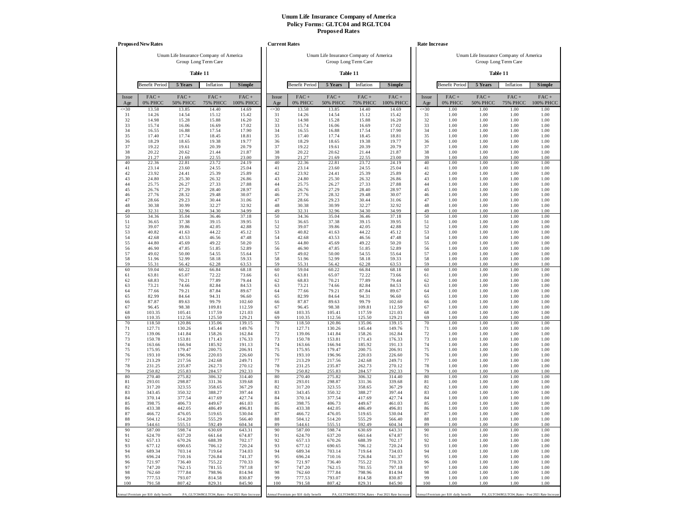|              | <b>Proposed New Rates</b>             |                                        |                            |                                                   | <b>Current Rates</b> |                                       |                                        |                            |                                                   |              | Rate Increase                         |                                        |                                                   |                      |
|--------------|---------------------------------------|----------------------------------------|----------------------------|---------------------------------------------------|----------------------|---------------------------------------|----------------------------------------|----------------------------|---------------------------------------------------|--------------|---------------------------------------|----------------------------------------|---------------------------------------------------|----------------------|
|              |                                       | Unum Life Insurance Company of America |                            |                                                   |                      |                                       | Unum Life Insurance Company of America |                            |                                                   |              |                                       | Unum Life Insurance Company of America |                                                   |                      |
|              |                                       |                                        | Group Long Term Care       |                                                   |                      |                                       |                                        | Group Long Term Care       |                                                   |              |                                       |                                        | Group Long Term Care                              |                      |
|              |                                       |                                        | Table 11                   |                                                   |                      |                                       |                                        | Table 11                   |                                                   |              |                                       |                                        | Table 11                                          |                      |
|              | <b>Benefit Period</b>                 | 5 Years                                | Inflation                  | Simple                                            |                      | <b>Benefit Period</b>                 | 5 Years                                | Inflation                  | <b>Simple</b>                                     |              | <b>Benefit Period</b>                 | 5 Years                                | Inflation                                         | Simple               |
| Issue<br>Age | $FAC +$<br>0% PHCC                    | $FAC +$<br><b>50% PHCC</b>             | $FAC +$<br><b>75% PHCC</b> | $FAC +$<br>100% PHCC                              | Issue<br>Age         | $FAC +$<br>0% PHCC                    | $FAC +$<br><b>50% PHCC</b>             | $FAC +$<br><b>75% PHCC</b> | $FAC +$<br>100% PHCC                              | Issue<br>Age | $FAC +$<br>0% PHCC                    | $FAC +$<br><b>50% PHCC</b>             | $FAC +$<br><b>75% PHCC</b>                        | $FAC +$<br>100% PHCC |
| $\leq 30$    | 13.58                                 | 13.85                                  | 14.40                      | 14.69                                             | $\leq 30$            | 13.58                                 | 13.85                                  | 14.40                      | 14.69                                             | $\leq 30$    | 1.00                                  | 1.00                                   | 1.00                                              | 1.00                 |
| 31<br>32     | 14.26<br>14.98                        | 14.54<br>15.28                         | 15.12<br>15.88             | 15.42<br>16.20                                    | 31<br>32             | 14.26<br>14.98                        | 14.54<br>15.28                         | 15.12<br>15.88             | 15.42<br>16.20                                    | 31<br>32     | 1.00<br>1.00                          | 1.00<br>1.00                           | 1.00<br>1.00                                      | 1.00<br>1.00         |
| 33           | 15.74                                 | 16.06                                  | 16.69                      | 17.02                                             | 33                   | 15.74                                 | 16.06                                  | 16.69                      | 17.02                                             | 33           | 1.00                                  | 1.00                                   | 1.00                                              | 1.00                 |
| 34<br>35     | 16.55<br>17.40                        | 16.88<br>17.74                         | 17.54<br>18.45             | 17.90<br>18.81                                    | 34<br>35             | 16.55<br>17.40                        | 16.88<br>17.74                         | 17.54<br>18.45             | 17.90<br>18.81                                    | 34<br>35     | 1.00<br>1.00                          | 1.00<br>1.00                           | 1.00<br>1.00                                      | 1.00<br>1.00         |
| 36           | 18.29                                 | 18.65                                  | 19.38                      | 19.77                                             | 36                   | 18.29                                 | 18.65                                  | 19.38                      | 19.77                                             | 36           | 1.00                                  | 1.00                                   | 1.00                                              | 1.00                 |
| 37<br>38     | 19.22<br>20.22                        | 19.61<br>20.62                         | 20.39<br>21.44             | 20.79<br>21.87                                    | 37<br>38             | 19.22<br>20.22                        | 19.61<br>20.62                         | 20.39<br>21.44             | 20.79<br>21.87                                    | 37<br>38     | 1.00<br>1.00                          | 1.00<br>1.00                           | 1.00<br>1.00                                      | 1.00<br>1.00         |
| 39           | 21.27                                 | 21.69                                  | 22.55                      | 23.00                                             | 39                   | 21.27                                 | 21.69                                  | 22.55                      | 23.00                                             | 39           | 1.00                                  | 1.00                                   | 1.00                                              | 1.00                 |
| 40           | 22.36                                 | 22.81                                  | 23.72                      | 24.19                                             | 40                   | 22.36                                 | 22.81                                  | 23.72                      | 24.19                                             | 40           | 1.00                                  | 1.00                                   | 1.00                                              | 1.00                 |
| 41<br>42     | 23.14<br>23.92                        | 23.60<br>24.41                         | 24.55<br>25.39             | 25.04<br>25.89                                    | 41<br>42             | 23.14<br>23.92                        | 23.60<br>24.41                         | 24.55<br>25.39             | 25.04<br>25.89                                    | 41<br>42     | 1.00<br>1.00                          | 1.00<br>1.00                           | 1.00<br>1.00                                      | 1.00<br>1.00         |
| 43           | 24.80                                 | 25.30                                  | 26.32                      | 26.86                                             | 43                   | 24.80                                 | 25.30                                  | 26.32                      | 26.86                                             | 43           | 1.00                                  | 1.00                                   | 1.00                                              | 1.00                 |
| 44           | 25.75                                 | 26.27                                  | 27.33                      | 27.88                                             | 44                   | 25.75                                 | 26.27                                  | 27.33                      | 27.88                                             | 44           | 1.00                                  | 1.00                                   | 1.00                                              | 1.00                 |
| 45<br>46     | 26.76<br>27.76                        | 27.29<br>28.32                         | 28.40<br>29.48             | 28.97<br>30.07                                    | 45<br>46             | 26.76<br>27.76                        | 27.29<br>28.32                         | 28.40<br>29.48             | 28.97<br>30.07                                    | 45<br>46     | 1.00<br>1.00                          | 1.00<br>1.00                           | 1.00<br>1.00                                      | 1.00<br>1.00         |
| 47           | 28.66                                 | 29.23                                  | 30.44                      | 31.06                                             | 47                   | 28.66                                 | 29.23                                  | 30.44                      | 31.06                                             | 47           | 1.00                                  | 1.00                                   | 1.00                                              | 1.00                 |
| 48<br>49     | 30.38<br>32.31                        | 30.99<br>32.96                         | 32.27<br>34.30             | 32.92<br>34.99                                    | 48<br>49             | 30.38<br>32.31                        | 30.99<br>32.96                         | 32.27<br>34.30             | 32.92<br>34.99                                    | 48<br>49     | 1.00<br>1.00                          | 1.00<br>1.00                           | 1.00<br>1.00                                      | 1.00<br>1.00         |
| 50           | 34.36                                 | 35.04                                  | 36.46                      | 37.18                                             | 50                   | 34.36                                 | 35.04                                  | 36.46                      | 37.18                                             | 50           | 1.00                                  | 1.00                                   | 1.00                                              | 1.00                 |
| 51           | 36.65                                 | 37.38                                  | 39.15                      | 39.95                                             | 51                   | 36.65                                 | 37.38                                  | 39.15                      | 39.95                                             | 51           | 1.00                                  | 1.00                                   | 1.00                                              | 1.00                 |
| 52<br>53     | 39.07<br>40.82                        | 39.86<br>41.63                         | 42.05<br>44.22             | 42.88<br>45.12                                    | 52<br>53             | 39.07<br>40.82                        | 39.86<br>41.63                         | 42.05<br>44.22             | 42.88<br>45.12                                    | 52<br>53     | 1.00<br>1.00                          | 1.00<br>1.00                           | 1.00<br>1.00                                      | 1.00<br>1.00         |
| 54           | 42.68                                 | 43.53                                  | 46.56                      | 47.48                                             | 54                   | 42.68                                 | 43.53                                  | 46.56                      | 47.48                                             | 54           | 1.00                                  | 1.00                                   | 1.00                                              | 1.00                 |
| 55<br>56     | 44.80<br>46.90                        | 45.69<br>47.85                         | 49.22<br>51.85             | 50.20<br>52.89                                    | 55<br>56             | 44.80<br>46.90                        | 45.69<br>47.85                         | 49.22<br>51.85             | 50.20<br>52.89                                    | 55<br>56     | 1.00<br>1.00                          | 1.00<br>1.00                           | 1.00<br>1.00                                      | 1.00<br>1.00         |
| 57           | 49.02                                 | 50.00                                  | 54.55                      | 55.64                                             | 57                   | 49.02                                 | 50.00                                  | 54.55                      | 55.64                                             | 57           | 1.00                                  | 1.00                                   | 1.00                                              | 1.00                 |
| 58           | 51.96                                 | 52.99                                  | 58.18                      | 59.33                                             | 58                   | 51.96                                 | 52.99                                  | 58.18                      | 59.33                                             | 58           | 1.00                                  | 1.00                                   | 1.00                                              | 1.00                 |
| 59<br>60     | 55.31<br>59.04                        | 56.42<br>60.22                         | 62.28<br>66.84             | 63.53<br>68.18                                    | 59<br>60             | 55.31<br>59.04                        | 56.42<br>60.22                         | 62.28<br>66.84             | 63.53<br>68.18                                    | 59<br>60     | 1.00<br>1.00                          | 1.00<br>1.00                           | 1.00<br>1.00                                      | 1.00<br>1.00         |
| 61           | 63.81                                 | 65.07                                  | 72.22                      | 73.66                                             | 61                   | 63.81                                 | 65.07                                  | 72.22                      | 73.66                                             | 61           | 1.00                                  | 1.00                                   | 1.00                                              | 1.00                 |
| 62<br>63     | 68.83<br>73.21                        | 70.21<br>74.66                         | 77.89<br>82.84             | 79.44<br>84.53                                    | 62<br>63             | 68.83<br>73.21                        | 70.21<br>74.66                         | 77.89<br>82.84             | 79.44<br>84.53                                    | 62<br>63     | 1.00<br>1.00                          | 1.00<br>1.00                           | 1.00<br>1.00                                      | 1.00<br>1.00         |
| 64           | 77.66                                 | 79.21                                  | 87.84                      | 89.67                                             | 64                   | 77.66                                 | 79.21                                  | 87.84                      | 89.67                                             | 64           | 1.00                                  | 1.00                                   | 1.00                                              | 1.00                 |
| 65           | 82.99                                 | 84.64                                  | 94.31                      | 96.60                                             | 65                   | 82.99                                 | 84.64                                  | 94.31                      | 96.60                                             | 65           | 1.00                                  | 1.00                                   | 1.00                                              | 1.00                 |
| 66<br>67     | 87.87<br>96.45                        | 89.63<br>98.38                         | 99.79<br>109.81            | 102.60<br>112.59                                  | 66<br>67             | 87.87<br>96.45                        | 89.63<br>98.38                         | 99.79<br>109.81            | 102.60<br>112.59                                  | 66<br>67     | 1.00<br>1.00                          | 1.00<br>1.00                           | 1.00<br>1.00                                      | 1.00<br>1.00         |
| 68           | 103.35                                | 105.41                                 | 117.59                     | 121.03                                            | 68                   | 103.35                                | 105.41                                 | 117.59                     | 121.03                                            | 68           | 1.00                                  | 1.00                                   | 1.00                                              | 1.00                 |
| 69<br>70     | 110.35<br>118.50                      | 112.56<br>120.86                       | 125.50<br>135.06           | 129.21<br>139.15                                  | 69<br>70             | 110.35<br>118.50                      | 112.56<br>120.86                       | 125.50<br>135.06           | 129.21<br>139.15                                  | 69<br>70     | 1.00<br>1.00                          | 1.00<br>1.00                           | 1.00<br>1.00                                      | 1.00<br>1.00         |
| 71           | 127.71                                | 130.26                                 | 145.44                     | 149.76                                            | 71                   | 127.71                                | 130.26                                 | 145.44                     | 149.76                                            | 71           | 1.00                                  | 1.00                                   | 1.00                                              | 1.00                 |
| 72           | 139.06                                | 141.84                                 | 158.26                     | 162.84                                            | 72                   | 139.06                                | 141.84                                 | 158.26                     | 162.84                                            | 72           | 1.00                                  | 1.00                                   | 1.00                                              | 1.00                 |
| 73<br>74     | 150.78<br>163.66                      | 153.81<br>166.94                       | 171.43<br>185.92           | 176.33<br>191.13                                  | 73<br>74             | 150.78<br>163.66                      | 153.81<br>166.94                       | 171.43<br>185.92           | 176.33<br>191.13                                  | 73<br>74     | 1.00<br>1.00                          | 1.00<br>1.00                           | 1.00<br>1.00                                      | 1.00<br>1.00         |
| 75           | 175.95                                | 179.47                                 | 200.75                     | 206.91                                            | 75                   | 175.95                                | 179.47                                 | 200.75                     | 206.91                                            | 75           | 1.00                                  | 1.00                                   | 1.00                                              | 1.00                 |
| 76<br>77     | 193.10<br>213.29                      | 196.96<br>217.56                       | 220.03<br>242.68           | 226.60<br>249.71                                  | 76<br>77             | 193.10<br>213.29                      | 196.96<br>217.56                       | 220.03<br>242.68           | 226.60<br>249.71                                  | 76<br>77     | 1.00<br>1.00                          | 1.00<br>1.00                           | 1.00<br>1.00                                      | 1.00<br>1.00         |
| 78           | 231.25                                | 235.87                                 | 262.73                     | 270.12                                            | 78                   | 231.25                                | 235.87                                 | 262.73                     | 270.12                                            | 78           | 1.00                                  | 1.00                                   | 1.00                                              | 1.00                 |
| 79<br>80     | 250.82<br>270.40                      | 255.83<br>275.82                       | 284.57<br>306.32           | 292.33<br>314.40                                  | 79<br>80             | 250.82<br>270.40                      | 255.83<br>275.82                       | 284.57<br>306.32           | 292.33<br>314.40                                  | 79<br>80     | 1.00<br>1.00                          | 1.00<br>1.00                           | 1.00<br>1.00                                      | 1.00<br>1.00         |
| 81           | 293.01                                | 298.87                                 | 331.36                     | 339.68                                            | 81                   | 293.01                                | 298.87                                 | 331.36                     | 339.68                                            | 81           | 1.00                                  | 1.00                                   | 1.00                                              | 1.00                 |
| 82           | 317.20                                | 323.55                                 | 358.65                     | 367.29                                            | 82                   | 317.20                                | 323.55                                 | 358.65                     | 367.29                                            | 82           | 1.00                                  | 1.00                                   | 1.00                                              | 1.00                 |
| 83<br>84     | 343.45<br>370.14                      | 350.32<br>377.54                       | 388.27<br>417.69           | 397.44<br>427.74                                  | 83<br>84             | 343.45<br>370.14                      | 350.32<br>377.54                       | 388.27<br>417.69           | 397.44<br>427.74                                  | 83<br>84     | 1.00<br>1.00                          | 1.00<br>1.00                           | 1.00<br>1.00                                      | 1.00<br>1.00         |
| 85           | 398.75                                | 406.73                                 | 449.67                     | 461.03                                            | 85                   | 398.75                                | 406.73                                 | 449.67                     | 461.03                                            | 85           | 1.00                                  | 1.00                                   | 1.00                                              | 1.00                 |
| 86<br>87     | 433.38<br>466.72                      | 442.05<br>476.05                       | 486.49<br>519.65           | 496.81<br>530.04                                  | 86<br>87             | 433.38<br>466.72                      | 442.05<br>476.05                       | 486.49<br>519.65           | 496.81<br>530.04                                  | 86<br>87     | 1.00<br>1.00                          | 1.00<br>1.00                           | 1.00<br>1.00                                      | 1.00<br>1.00         |
| 88           | 504.12                                | 514.20                                 | 555.29                     | 566.40                                            | 88                   | 504.12                                | 514.20                                 | 555.29                     | 566.40                                            | 88           | 1.00                                  | 1.00                                   | 1.00                                              | 1.00                 |
| 89           | 544.61                                | 555.51                                 | 592.49                     | 604.34                                            | 89                   | 544.61                                | 555.51                                 | 592.49                     | 604.34                                            | 89           | 1.00                                  | 1.00                                   | 1.00                                              | 1.00                 |
| 90<br>91     | 587.00<br>624.70                      | 598.74<br>637.20                       | 630.69<br>661.64           | 643.31<br>674.87                                  | 90<br>91             | 587.00<br>624.70                      | 598.74<br>637.20                       | 630.69<br>661.64           | 643.31<br>674.87                                  | 90<br>91     | 1.00<br>1.00                          | 1.00<br>1.00                           | 1.00<br>1.00                                      | 1.00<br>1.00         |
| 92           | 657.13                                | 670.26                                 | 688.39                     | 702.17                                            | 92                   | 657.13                                | 670.26                                 | 688.39                     | 702.17                                            | 92           | 1.00                                  | 1.00                                   | 1.00                                              | 1.00                 |
| 93<br>94     | 677.12                                | 690.65                                 | 706.12                     | 720.24                                            | 93<br>94             | 677.12                                | 690.65                                 | 706.12                     | 720.24                                            | 93<br>94     | 1.00                                  | 1.00                                   | 1.00                                              | 1.00                 |
| 95           | 689.34<br>696.24                      | 703.14<br>710.16                       | 719.64<br>726.84           | 734.03<br>741.37                                  | 95                   | 689.34<br>696.24                      | 703.14<br>710.16                       | 719.64<br>726.84           | 734.03<br>741.37                                  | 95           | 1.00<br>1.00                          | 1.00<br>1.00                           | 1.00<br>1.00                                      | 1.00<br>1.00         |
| 96           | 721.97                                | 736.40                                 | 755.22                     | 770.33                                            | 96                   | 721.97                                | 736.40                                 | 755.22                     | 770.33                                            | 96           | 1.00                                  | 1.00                                   | 1.00                                              | 1.00                 |
| 97<br>98     | 747.20<br>762.60                      | 762.15<br>777.84                       | 781.55<br>798.96           | 797.18<br>814.94                                  | 97<br>98             | 747.20<br>762.60                      | 762.15<br>777.84                       | 781.55<br>798.96           | 797.18<br>814.94                                  | 97<br>98     | 1.00<br>1.00                          | 1.00<br>1.00                           | 1.00<br>1.00                                      | 1.00<br>1.00         |
| 99           | 777.53                                | 793.07                                 | 814.58                     | 830.87                                            | 99                   | 777.53                                | 793.07                                 | 814.58                     | 830.87                                            | 99           | 1.00                                  | 1.00                                   | 1.00                                              | 1.00                 |
| 100          | 791.58                                | 807.42                                 | 829.31                     | 845.90                                            | 100                  | 791.58                                | 807.42                                 | 829.31                     | 845.90                                            | 100          | 1.00                                  | 1.00                                   | 1.00                                              | 1.00                 |
|              | Annual Premium per \$10 daily benefit |                                        |                            | PA_GLTC04/RGLTC04_Rates - Post 2021 Rate Increase |                      | Annual Premium per \$10 daily benefit |                                        |                            | PA_GLTC04/RGLTC04_Rates - Post 2021 Rate Increase |              | Annual Premium per \$10 daily benefit |                                        | PA_GLTC04/RGLTC04_Rates - Post 2021 Rate Increase |                      |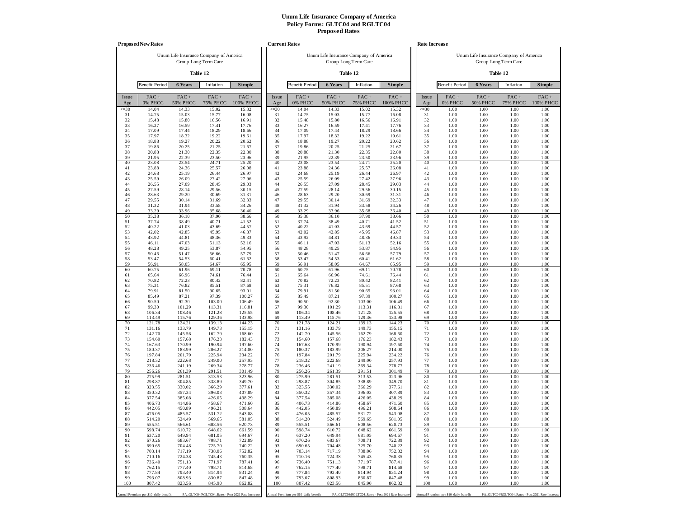|                 | <b>Proposed New Rates</b>             |                                        |                            |                                                   | <b>Current Rates</b> |                                       |                                        |                            |                                                   | Rate Increase   |                                       |                                        |                                                  |                      |
|-----------------|---------------------------------------|----------------------------------------|----------------------------|---------------------------------------------------|----------------------|---------------------------------------|----------------------------------------|----------------------------|---------------------------------------------------|-----------------|---------------------------------------|----------------------------------------|--------------------------------------------------|----------------------|
|                 |                                       | Unum Life Insurance Company of America |                            |                                                   |                      |                                       | Unum Life Insurance Company of America |                            |                                                   |                 |                                       | Unum Life Insurance Company of America |                                                  |                      |
|                 |                                       |                                        | Group Long Term Care       |                                                   |                      |                                       |                                        | Group Long Term Care       |                                                   |                 |                                       |                                        | Group Long Term Care                             |                      |
|                 |                                       |                                        | Table 12                   |                                                   |                      |                                       |                                        | Table 12                   |                                                   |                 |                                       |                                        | Table 12                                         |                      |
|                 | <b>Benefit Period</b>                 | 6 Years                                | Inflation                  | Simple                                            |                      | <b>Benefit Period</b>                 | 6 Years                                | Inflation                  | Simple                                            |                 | <b>Benefit Period</b>                 | 6 Years                                | Inflation                                        | Simple               |
| Issue<br>Age    | $FAC +$<br>0% PHCC                    | $FAC +$<br><b>50% PHCC</b>             | $FAC +$<br><b>75% PHCC</b> | $FAC +$<br>100% PHCC                              | Issue<br>Age         | $FAC +$<br>0% PHCC                    | $FAC +$<br><b>50% PHCC</b>             | $FAC +$<br><b>75% PHCC</b> | $FAC +$<br>100% PHCC                              | Issue<br>Age    | $FAC +$<br>0% PHCC                    | $FAC +$<br><b>50% PHCC</b>             | $FAC +$<br><b>75% PHCC</b>                       | $FAC +$<br>100% PHCC |
| $\leq 30$<br>31 | 14.04<br>14.75                        | 14.33<br>15.03                         | 15.02<br>15.77             | 15.32<br>16.08                                    | $\leq 30$<br>31      | 14.04<br>14.75                        | 14.33<br>15.03                         | 15.02<br>15.77             | 15.32<br>16.08                                    | $\leq 30$<br>31 | 1.00<br>1.00                          | 1.00<br>1.00                           | 1.00<br>1.00                                     | 1.00<br>1.00         |
| 32              | 15.48                                 | 15.80                                  | 16.56                      | 16.91                                             | 32                   | 15.48                                 | 15.80                                  | 16.56                      | 16.91                                             | 32              | 1.00                                  | 1.00                                   | 1.00                                             | 1.00                 |
| 33<br>34        | 16.27<br>17.09                        | 16.59<br>17.44                         | 17.41<br>18.29             | 17.76                                             | 33<br>34             | 16.27<br>17.09                        | 16.59<br>17.44                         | 17.41<br>18.29             | 17.76<br>18.66                                    | 33<br>34        | 1.00<br>1.00                          | 1.00<br>1.00                           | 1.00<br>1.00                                     | 1.00<br>1.00         |
| 35              | 17.97                                 | 18.32                                  | 19.22                      | 18.66<br>19.61                                    | 35                   | 17.97                                 | 18.32                                  | 19.22                      | 19.61                                             | 35              | 1.00                                  | 1.00                                   | 1.00                                             | 1.00                 |
| 36              | 18.88                                 | 19.27                                  | 20.22                      | 20.62                                             | 36                   | 18.88                                 | 19.27                                  | 20.22                      | 20.62                                             | 36              | 1.00                                  | 1.00                                   | 1.00                                             | 1.00                 |
| 37<br>38        | 19.86<br>20.88                        | 20.25<br>21.30                         | 21.25<br>22.35             | 21.67<br>22.80                                    | 37<br>38             | 19.86<br>20.88                        | 20.25<br>21.30                         | 21.25<br>22.35             | 21.67<br>22.80                                    | 37<br>38        | 1.00<br>1.00                          | 1.00<br>1.00                           | 1.00<br>1.00                                     | 1.00<br>1.00         |
| 39              | 21.95                                 | 22.39                                  | 23.50                      | 23.96                                             | 39                   | 21.95                                 | 22.39                                  | 23.50                      | 23.96                                             | 39              | 1.00                                  | 1.00                                   | 1.00                                             | 1.00                 |
| 40              | 23.08                                 | 23.54                                  | 24.71                      | 25.20                                             | 40                   | 23.08                                 | 23.54                                  | 24.71                      | 25.20                                             | 40              | 1.00                                  | 1.00                                   | 1.00                                             | 1.00                 |
| 41<br>42        | 23.88<br>24.68                        | 24.36<br>25.19                         | 25.57<br>26.44             | 26.08<br>26.97                                    | 41<br>42             | 23.88<br>24.68                        | 24.36<br>25.19                         | 25.57<br>26.44             | 26.08<br>26.97                                    | 41<br>42        | 1.00<br>1.00                          | 1.00<br>1.00                           | 1.00<br>1.00                                     | 1.00<br>1.00         |
| 43              | 25.59                                 | 26.09                                  | 27.42                      | 27.96                                             | 43                   | 25.59                                 | 26.09                                  | 27.42                      | 27.96                                             | 43              | 1.00                                  | 1.00                                   | 1.00                                             | 1.00                 |
| 44<br>45        | 26.55<br>27.59                        | 27.09<br>28.14                         | 28.45<br>29.56             | 29.03<br>30.15                                    | 44<br>45             | 26.55<br>27.59                        | 27.09<br>28.14                         | 28.45<br>29.56             | 29.03<br>30.15                                    | 44<br>45        | 1.00<br>1.00                          | 1.00<br>1.00                           | 1.00<br>1.00                                     | 1.00<br>1.00         |
| 46              | 28.63                                 | 29.20                                  | 30.69                      | 31.31                                             | 46                   | 28.63                                 | 29.20                                  | 30.69                      | 31.31                                             | 46              | 1.00                                  | 1.00                                   | 1.00                                             | 1.00                 |
| 47              | 29.55                                 | 30.14                                  | 31.69                      | 32.33                                             | 47                   | 29.55                                 | 30.14                                  | 31.69                      | 32.33                                             | 47              | 1.00                                  | 1.00                                   | 1.00                                             | 1.00                 |
| 48<br>49        | 31.32<br>33.29                        | 31.94<br>33.96                         | 33.58<br>35.68             | 34.26<br>36.40                                    | 48<br>49             | 31.32<br>33.29                        | 31.94<br>33.96                         | 33.58<br>35.68             | 34.26<br>36.40                                    | 48<br>49        | 1.00<br>1.00                          | 1.00<br>1.00                           | 1.00<br>1.00                                     | 1.00<br>1.00         |
| 50              | 35.38                                 | 36.10                                  | 37.90                      | 38.66                                             | 50                   | 35.38                                 | 36.10                                  | 37.90                      | 38.66                                             | 50              | 1.00                                  | 1.00                                   | 1.00                                             | 1.00                 |
| 51              | 37.74                                 | 38.49                                  | 40.71                      | 41.52                                             | 51                   | 37.74                                 | 38.49                                  | 40.71                      | 41.52                                             | 51              | 1.00                                  | 1.00                                   | 1.00                                             | 1.00                 |
| 52<br>53        | 40.22<br>42.02                        | 41.03<br>42.85                         | 43.69<br>45.95             | 44.57<br>46.87                                    | 52<br>53             | 40.22<br>42.02                        | 41.03<br>42.85                         | 43.69<br>45.95             | 44.57<br>46.87                                    | 52<br>53        | 1.00<br>1.00                          | 1.00<br>1.00                           | 1.00<br>1.00                                     | 1.00<br>1.00         |
| 54              | 43.92                                 | 44.81                                  | 48.36                      | 49.33                                             | 54                   | 43.92                                 | 44.81                                  | 48.36                      | 49.33                                             | 54              | 1.00                                  | 1.00                                   | 1.00                                             | 1.00                 |
| 55<br>56        | 46.11<br>48.28                        | 47.03<br>49.25                         | 51.13<br>53.87             | 52.16<br>54.95                                    | 55<br>56             | 46.11<br>48.28                        | 47.03<br>49.25                         | 51.13<br>53.87             | 52.16<br>54.95                                    | 55<br>56        | 1.00<br>1.00                          | 1.00<br>1.00                           | 1.00<br>1.00                                     | 1.00<br>1.00         |
| 57              | 50.46                                 | 51.47                                  | 56.66                      | 57.79                                             | 57                   | 50.46                                 | 51.47                                  | 56.66                      | 57.79                                             | 57              | 1.00                                  | 1.00                                   | 1.00                                             | 1.00                 |
| 58              | 53.47                                 | 54.53                                  | 60.41                      | 61.62                                             | 58                   | 53.47                                 | 54.53                                  | 60.41                      | 61.62                                             | 58              | 1.00                                  | 1.00                                   | 1.00                                             | 1.00                 |
| 59<br>60        | 56.91<br>60.75                        | 58.05<br>61.96                         | 64.67<br>69.11             | 65.95<br>70.78                                    | 59<br>60             | 56.91<br>60.75                        | 58.05<br>61.96                         | 64.67<br>69.11             | 65.95<br>70.78                                    | 59<br>60        | 1.00<br>1.00                          | 1.00<br>1.00                           | 1.00<br>1.00                                     | 1.00<br>1.00         |
| 61              | 65.64                                 | 66.96                                  | 74.61                      | 76.44                                             | 61                   | 65.64                                 | 66.96                                  | 74.61                      | 76.44                                             | 61              | 1.00                                  | 1.00                                   | 1.00                                             | 1.00                 |
| 62<br>63        | 70.82<br>75.31                        | 72.23<br>76.82                         | 80.42<br>85.51             | 82.41<br>87.68                                    | 62<br>63             | 70.82<br>75.31                        | 72.23<br>76.82                         | 80.42<br>85.51             | 82.41<br>87.68                                    | 62<br>63        | 1.00<br>1.00                          | 1.00<br>1.00                           | 1.00<br>1.00                                     | 1.00<br>1.00         |
| 64              | 79.91                                 | 81.50                                  | 90.65                      | 93.01                                             | 64                   | 79.91                                 | 81.50                                  | 90.65                      | 93.01                                             | 64              | 1.00                                  | 1.00                                   | 1.00                                             | 1.00                 |
| 65              | 85.49                                 | 87.21                                  | 97.39                      | 100.27                                            | 65                   | 85.49                                 | 87.21                                  | 97.39                      | 100.27                                            | 65              | 1.00                                  | 1.00                                   | 1.00                                             | 1.00                 |
| 66<br>67        | 90.50<br>99.30                        | 92.30<br>101.29                        | 103.00<br>113.31           | 106.49<br>116.81                                  | 66<br>67             | 90.50<br>99.30                        | 92.30<br>101.29                        | 103.00<br>113.31           | 106.49<br>116.81                                  | 66<br>67        | 1.00<br>1.00                          | 1.00<br>1.00                           | 1.00<br>1.00                                     | 1.00<br>1.00         |
| 68              | 106.34                                | 108.46                                 | 121.28                     | 125.55                                            | 68                   | 106.34                                | 108.46                                 | 121.28                     | 125.55                                            | 68              | 1.00                                  | 1.00                                   | 1.00                                             | 1.00                 |
| 69<br>70        | 113.49<br>121.78                      | 115.76<br>124.21                       | 129.36<br>139.13           | 133.98<br>144.23                                  | 69<br>70             | 113.49<br>121.78                      | 115.76<br>124.21                       | 129.36<br>139.13           | 133.98<br>144.23                                  | 69<br>70        | 1.00<br>1.00                          | 1.00<br>1.00                           | 1.00<br>1.00                                     | 1.00<br>1.00         |
| 71              | 131.16                                | 133.79                                 | 149.73                     | 155.15                                            | 71                   | 131.16                                | 133.79                                 | 149.73                     | 155.15                                            | 71              | 1.00                                  | 1.00                                   | 1.00                                             | 1.00                 |
| 72              | 142.70                                | 145.56                                 | 162.79                     | 168.60                                            | 72                   | 142.70                                | 145.56                                 | 162.79                     | 168.60                                            | 72              | 1.00                                  | 1.00                                   | 1.00                                             | 1.00                 |
| 73<br>74        | 154.60<br>167.63                      | 157.68<br>170.99                       | 176.23<br>190.94           | 182.43<br>197.60                                  | 73<br>74             | 154.60<br>167.63                      | 157.68<br>170.99                       | 176.23<br>190.94           | 182.43<br>197.60                                  | 73<br>74        | 1.00<br>1.00                          | 1.00<br>1.00                           | 1.00<br>1.00                                     | 1.00<br>1.00         |
| 75              | 180.37                                | 183.99                                 | 206.27                     | 214.00                                            | 75                   | 180.37                                | 183.99                                 | 206.27                     | 214.00                                            | 75              | 1.00                                  | 1.00                                   | 1.00                                             | 1.00                 |
| 76<br>77        | 197.84<br>218.32                      | 201.79<br>222.68                       | 225.94<br>249.00           | 234.22<br>257.93                                  | 76<br>77             | 197.84<br>218.32                      | 201.79<br>222.68                       | 225.94<br>249.00           | 234.22<br>257.93                                  | 76<br>77        | 1.00<br>1.00                          | 1.00<br>1.00                           | 1.00<br>1.00                                     | 1.00<br>1.00         |
| 78              | 236.46                                | 241.19                                 | 269.34                     | 278.77                                            | 78                   | 236.46                                | 241.19                                 | 269.34                     | 278.77                                            | 78              | 1.00                                  | 1.00                                   | 1.00                                             | 1.00                 |
| 79              | 256.26                                | 261.39                                 | 291.51                     | 301.49                                            | 79                   | 256.26                                | 261.39                                 | 291.51                     | 301.49                                            | 79              | 1.00                                  | 1.00                                   | 1.00                                             | 1.00                 |
| 80<br>81        | 275.99<br>298.87                      | 281.51<br>304.85                       | 313.53<br>338.89           | 323.96<br>349.70                                  | 80<br>81             | 275.99<br>298.87                      | 281.51<br>304.85                       | 313.53<br>338.89           | 323.96<br>349.70                                  | 80<br>81        | 1.00<br>1.00                          | 1.00<br>1.00                           | 1.00<br>1.00                                     | 1.00<br>1.00         |
| 82              | 323.55                                | 330.02                                 | 366.29                     | 377.61                                            | 82                   | 323.55                                | 330.02                                 | 366.29                     | 377.61                                            | 82              | 1.00                                  | 1.00                                   | 1.00                                             | 1.00                 |
| 83<br>84        | 350.32<br>377.54                      | 357.34<br>385.08                       | 396.03<br>426.05           | 407.89<br>438.29                                  | 83<br>84             | 350.32<br>377.54                      | 357.34<br>385.08                       | 396.03<br>426.05           | 407.89<br>438.29                                  | 83<br>84        | 1.00<br>1.00                          | 1.00<br>1.00                           | 1.00<br>1.00                                     | 1.00<br>1.00         |
| 85              | 406.73                                | 414.86                                 | 458.67                     | 471.60                                            | 85                   | 406.73                                | 414.86                                 | 458.67                     | 471.60                                            | 85              | 1.00                                  | 1.00                                   | 1.00                                             | 1.00                 |
| 86              | 442.05                                | 450.89                                 | 496.21                     | 508.64                                            | 86                   | 442.05                                | 450.89                                 | 496.21                     | 508.64                                            | 86              | 1.00                                  | 1.00                                   | 1.00                                             | 1.00                 |
| 87<br>88        | 476.05<br>514.20                      | 485.57<br>524.49                       | 531.72<br>569.65           | 543.08<br>581.05                                  | 87<br>88             | 476.05<br>514.20                      | 485.57<br>524.49                       | 531.72<br>569.65           | 543.08<br>581.05                                  | 87<br>88        | 1.00<br>1.00                          | 1.00<br>1.00                           | 1.00<br>1.00                                     | 1.00<br>1.00         |
| 89              | 555.51                                | 566.61                                 | 608.56                     | 620.73                                            | 89                   | 555.51                                | 566.61                                 | 608.56                     | 620.73                                            | 89              | 1.00                                  | 1.00                                   | 1.00                                             | 1.00                 |
| 90<br>91        | 598.74                                | 610.72                                 | 648.62                     | 661.59                                            | 90                   | 598.74                                | 610.72                                 | 648.62                     | 661.59                                            | 90              | 1.00                                  | 1.00                                   | 1.00                                             | 1.00                 |
| 92              | 637.20<br>670.26                      | 649.94<br>683.67                       | 681.05<br>708.71           | 694.67<br>722.89                                  | 91<br>92             | 637.20<br>670.26                      | 649.94<br>683.67                       | 681.05<br>708.71           | 694.67<br>722.89                                  | 91<br>92        | 1.00<br>1.00                          | 1.00<br>1.00                           | 1.00<br>1.00                                     | 1.00<br>1.00         |
| 93              | 690.65                                | 704.48                                 | 725.70                     | 740.22                                            | 93                   | 690.65                                | 704.48                                 | 725.70                     | 740.22                                            | 93              | 1.00                                  | 1.00                                   | 1.00                                             | 1.00                 |
| 94<br>95        | 703.14<br>710.16                      | 717.19<br>724.38                       | 738.06<br>745.43           | 752.82<br>760.35                                  | 94<br>95             | 703.14<br>710.16                      | 717.19<br>724.38                       | 738.06<br>745.43           | 752.82<br>760.35                                  | 94<br>95        | 1.00<br>1.00                          | 1.00<br>1.00                           | 1.00<br>1.00                                     | 1.00<br>1.00         |
| 96              | 736.40                                | 751.13                                 | 771.97                     | 787.41                                            | 96                   | 736.40                                | 751.13                                 | 771.97                     | 787.41                                            | 96              | 1.00                                  | 1.00                                   | 1.00                                             | 1.00                 |
| 97              | 762.15                                | 777.40                                 | 798.71                     | 814.68                                            | 97                   | 762.15                                | 777.40                                 | 798.71                     | 814.68                                            | 97              | 1.00                                  | 1.00                                   | 1.00                                             | 1.00                 |
| 98<br>99        | 777.84<br>793.07                      | 793.40<br>808.93                       | 814.94<br>830.87           | 831.24<br>847.48                                  | 98<br>99             | 777.84<br>793.07                      | 793.40<br>808.93                       | 814.94<br>830.87           | 831.24<br>847.48                                  | 98<br>99        | 1.00<br>1.00                          | 1.00<br>1.00                           | 1.00<br>1.00                                     | 1.00<br>1.00         |
| 100             | 807.42                                | 823.56                                 | 845.90                     | 862.82                                            | 100                  | 807.42                                | 823.56                                 | 845.90                     | 862.82                                            | 100             | 1.00                                  | 1.00                                   | 1.00                                             | 1.00                 |
|                 | Annual Premium per \$10 daily benefit |                                        |                            | PA_GLTC04/RGLTC04_Rates - Post 2021 Rate Increase |                      | Annual Premium per \$10 daily benefit |                                        |                            | PA_GLTC04/RGLTC04_Rates - Post 2021 Rate Increase |                 | Annual Premium per \$10 daily benefit |                                        | PA_GLTC04/RGLTC04_Rates - Post 2021 Rate Increas |                      |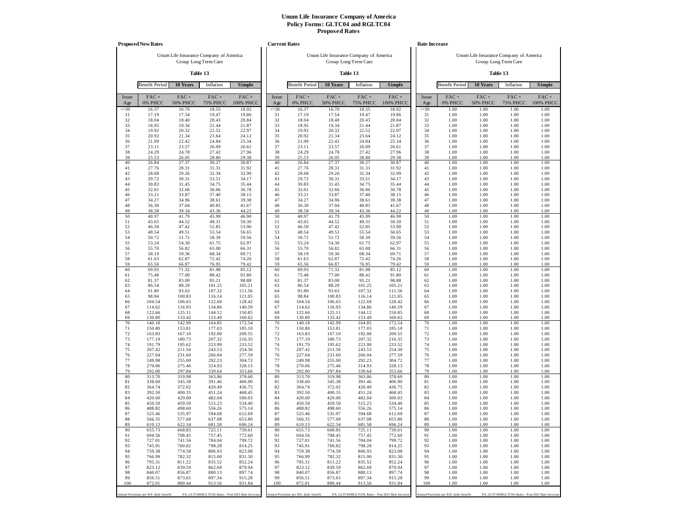|                 | <b>Proposed New Rates</b>             |                            |                                                                |                                                   |                 | <b>Current Rates</b>                  |                                        |                                                   |                      |                 | <b>Rate Increase</b>                  |                                        |                                                  |                      |
|-----------------|---------------------------------------|----------------------------|----------------------------------------------------------------|---------------------------------------------------|-----------------|---------------------------------------|----------------------------------------|---------------------------------------------------|----------------------|-----------------|---------------------------------------|----------------------------------------|--------------------------------------------------|----------------------|
|                 |                                       |                            | Unum Life Insurance Company of America<br>Group Long Term Care |                                                   |                 |                                       | Unum Life Insurance Company of America | Group Long Term Care                              |                      |                 |                                       | Unum Life Insurance Company of America | Group Long Term Care                             |                      |
|                 |                                       |                            | Table 13                                                       |                                                   |                 |                                       |                                        | Table 13                                          |                      |                 |                                       |                                        | Table 13                                         |                      |
|                 | <b>Benefit Period</b>                 | 10 Years                   | Inflation                                                      | Simple                                            |                 | <b>Benefit Period</b>                 | 10 Years                               | Inflation                                         | Simple               |                 | <b>Benefit Period</b>                 | 10 Years                               | Inflation                                        | Simple               |
| Issue<br>Age    | $FAC +$<br>0% PHCC                    | $FAC +$<br><b>50% PHCC</b> | $FAC +$<br><b>75% PHCC</b>                                     | $FAC +$<br>100% PHCC                              | Issue<br>Age    | $FAC +$<br>0% PHCC                    | $FAC +$<br><b>50% PHCC</b>             | $FAC +$<br><b>75% PHCC</b>                        | $FAC +$<br>100% PHCC | Issue<br>Age    | FAC+<br>0% PHCC                       | $FAC +$<br><b>50% PHCC</b>             | $FAC +$<br><b>75% PHCC</b>                       | $FAC +$<br>100% PHCC |
| $\leq 30$<br>31 | 16.37<br>17.19                        | 16.70<br>17.54             | 18.55<br>19.47                                                 | 18.92<br>19.86                                    | $\leq 30$<br>31 | 16.37<br>17.19                        | 16.70<br>17.54                         | 18.55<br>19.47                                    | 18.92<br>19.86       | $\leq 30$<br>31 | 1.00<br>1.00                          | 1.00<br>1.00                           | 1.00<br>1.00                                     | 1.00<br>1.00         |
| 32              | 18.04                                 | 18.40                      | 20.43                                                          | 20.84                                             | 32              | 18.04                                 | 18.40                                  | 20.43                                             | 20.84                | 32              | 1.00                                  | 1.00                                   | 1.00                                             | 1.00                 |
| 33<br>34        | 18.95<br>19.92                        | 19.34<br>20.32             | 21.44<br>22.52                                                 | 21.87<br>22.97                                    | 33<br>34        | 18.95<br>19.92                        | 19.34<br>20.32                         | 21.44<br>22.52                                    | 21.87<br>22.97       | 33<br>34        | 1.00<br>1.00                          | 1.00<br>1.00                           | 1.00<br>1.00                                     | 1.00<br>1.00         |
| 35              | 20.92                                 | 21.34                      | 23.64                                                          | 24.12                                             | 35              | 20.92                                 | 21.34                                  | 23.64                                             | 24.12                | 35              | 1.00                                  | 1.00                                   | 1.00                                             | 1.00                 |
| 36<br>37        | 21.99<br>23.11                        | 22.42<br>23.57             | 24.84<br>26.09                                                 | 25.34<br>26.61                                    | 36<br>37        | 21.99<br>23.11                        | 22.42<br>23.57                         | 24.84<br>26.09                                    | 25.34<br>26.61       | 36<br>37        | 1.00<br>1.00                          | 1.00<br>1.00                           | 1.00<br>1.00                                     | 1.00<br>1.00         |
| 38              | 24.29                                 | 24.78                      | 27.42                                                          | 27.96                                             | 38              | 24.29                                 | 24.78                                  | 27.42                                             | 27.96                | 38              | 1.00                                  | 1.00                                   | 1.00                                             | 1.00                 |
| 39<br>40        | 25.53<br>26.84                        | 26.05<br>27.37             | 28.80<br>30.27                                                 | 29.38<br>30.87                                    | 39<br>40        | 25.53<br>26.84                        | 26.05<br>27.37                         | 28.80<br>30.27                                    | 29.38<br>30.87       | 39<br>40        | 1.00<br>1.00                          | 1.00<br>1.00                           | 1.00<br>1.00                                     | 1.00<br>1.00         |
| 41              | 27.76                                 | 28.31                      | 31.31                                                          | 31.92                                             | 41              | 27.76                                 | 28.31                                  | 31.31                                             | 31.92                | 41              | 1.00                                  | 1.00                                   | 1.00                                             | 1.00                 |
| 42<br>43        | 28.68<br>29.72                        | 29.26<br>30.31             | 32.34<br>33.51                                                 | 32.99<br>34.17                                    | 42<br>43        | 28.68<br>29.72                        | 29.26<br>30.31                         | 32.34<br>33.51                                    | 32.99<br>34.17       | 42<br>43        | 1.00<br>1.00                          | 1.00<br>1.00                           | 1.00<br>1.00                                     | 1.00<br>1.00         |
| 44              | 30.83                                 | 31.45                      | 34.75                                                          | 35.44                                             | 44              | 30.83                                 | 31.45                                  | 34.75                                             | 35.44                | 44              | 1.00                                  | 1.00                                   | 1.00                                             | 1.00                 |
| 45              | 32.01                                 | 32.66<br>33.87             | 36.06<br>37.40                                                 | 36.78<br>38.15                                    | 45              | 32.01<br>33.21                        | 32.66<br>33.87                         | 36.06<br>37.40                                    | 36.78<br>38.15       | 45              | 1.00                                  | 1.00<br>1.00                           | 1.00                                             | 1.00<br>1.00         |
| 46<br>47        | 33.21<br>34.27                        | 34.96                      | 38.61                                                          | 39.38                                             | 46<br>47        | 34.27                                 | 34.96                                  | 38.61                                             | 39.38                | 46<br>47        | 1.00<br>1.00                          | 1.00                                   | 1.00<br>1.00                                     | 1.00                 |
| 48              | 36.30                                 | 37.04                      | 40.85                                                          | 41.67                                             | 48              | 36.30                                 | 37.04                                  | 40.85                                             | 41.67                | 48              | 1.00                                  | 1.00                                   | 1.00                                             | 1.00                 |
| 49<br>50        | 38.58<br>40.97                        | 39.34<br>41.79             | 43.36<br>45.99                                                 | 44.22<br>46.90                                    | 49<br>50        | 38.58<br>40.97                        | 39.34<br>41.79                         | 43.36<br>45.99                                    | 44.22<br>46.90       | 49<br>50        | 1.00<br>1.00                          | 1.00<br>1.00                           | 1.00<br>1.00                                     | 1.00<br>1.00         |
| 51              | 43.65                                 | 44.52                      | 49.31                                                          | 50.30                                             | 51              | 43.65                                 | 44.52                                  | 49.31                                             | 50.30                | 51              | 1.00                                  | 1.00                                   | 1.00                                             | 1.00                 |
| 52<br>53        | 46.50<br>48.54                        | 47.42<br>49.51             | 52.85<br>55.54                                                 | 53.90<br>56.65                                    | 52<br>53        | 46.50<br>48.54                        | 47.42<br>49.51                         | 52.85<br>55.54                                    | 53.90<br>56.65       | 52<br>53        | 1.00<br>1.00                          | 1.00<br>1.00                           | 1.00<br>1.00                                     | 1.00<br>1.00         |
| 54              | 50.72                                 | 51.72                      | 58.39                                                          | 59.56                                             | 54              | 50.72                                 | 51.72                                  | 58.39                                             | 59.56                | 54              | 1.00                                  | 1.00                                   | 1.00                                             | 1.00                 |
| 55<br>56        | 53.24<br>55.70                        | 54.30<br>56.82             | 61.75<br>65.00                                                 | 62.97<br>66.31                                    | 55<br>56        | 53.24<br>55.70                        | 54.30<br>56.82                         | 61.75<br>65.00                                    | 62.97<br>66.31       | 55<br>56        | 1.00<br>1.00                          | 1.00<br>1.00                           | 1.00<br>1.00                                     | 1.00<br>1.00         |
| 57              | 58.19                                 | 59.36                      | 68.34                                                          | 69.71                                             | 57              | 58.19                                 | 59.36                                  | 68.34                                             | 69.71                | 57              | 1.00                                  | 1.00                                   | 1.00                                             | 1.00                 |
| 58<br>59        | 61.63<br>65.56                        | 62.87<br>66.87             | 72.42<br>76.95                                                 | 74.26<br>79.42                                    | 58<br>59        | 61.63<br>65.56                        | 62.87<br>66.87                         | 72.42<br>76.95                                    | 74.26<br>79.42       | 58<br>59        | 1.00<br>1.00                          | 1.00<br>1.00                           | 1.00<br>1.00                                     | 1.00<br>1.00         |
| 60              | 69.93                                 | 71.32                      | 81.98                                                          | 85.12                                             | 60              | 69.93                                 | 71.32                                  | 81.98                                             | 85.12                | 60              | 1.00                                  | 1.00                                   | 1.00                                             | 1.00                 |
| 61<br>62        | 75.48<br>81.37                        | 77.00<br>83.00             | 88.42<br>95.21                                                 | 91.80<br>98.88                                    | 61<br>62        | 75.48<br>81.37                        | 77.00<br>83.00                         | 88.42<br>95.21                                    | 91.80<br>98.88       | 61<br>62        | 1.00<br>1.00                          | 1.00<br>1.00                           | 1.00<br>1.00                                     | 1.00<br>1.00         |
| 63              | 86.54                                 | 88.29                      | 101.25                                                         | 105.21                                            | 63              | 86.54                                 | 88.29                                  | 101.25                                            | 105.21               | 63              | 1.00                                  | 1.00                                   | 1.00                                             | 1.00                 |
| 64<br>65        | 91.80<br>98.84                        | 93.63<br>100.83            | 107.32<br>116.14                                               | 111.56<br>121.05                                  | 64<br>65        | 91.80<br>98.84                        | 93.63<br>100.83                        | 107.32<br>116.14                                  | 111.56<br>121.05     | 64<br>65        | 1.00<br>1.00                          | 1.00<br>1.00                           | 1.00<br>1.00                                     | 1.00<br>1.00         |
| 66              | 104.54                                | 106.65                     | 122.69                                                         | 128.42                                            | 66              | 104.54                                | 106.65                                 | 122.69                                            | 128.42               | 66              | 1.00                                  | 1.00                                   | 1.00                                             | 1.00                 |
| 67<br>68        | 114.62<br>122.66                      | 116.93<br>125.11           | 134.86<br>144.12                                               | 140.59<br>150.85                                  | 67<br>68        | 114.62<br>122.66                      | 116.93<br>125.11                       | 134.86<br>144.12                                  | 140.59<br>150.85     | 67<br>68        | 1.00<br>1.00                          | 1.00<br>1.00                           | 1.00<br>1.00                                     | 1.00<br>1.00         |
| 69              | 130.80                                | 133.42                     | 153.49                                                         | 160.62                                            | 69              | 130.80                                | 133.42                                 | 153.49                                            | 160.62               | 69              | 1.00                                  | 1.00                                   | 1.00                                             | 1.00                 |
| 70<br>71        | 140.18<br>150.80                      | 142.99<br>153.81           | 164.85<br>177.03                                               | 172.54<br>185.10                                  | 70<br>71        | 140.18<br>150.80                      | 142.99<br>153.81                       | 164.85<br>177.03                                  | 172.54<br>185.10     | 70<br>71        | 1.00<br>1.00                          | 1.00<br>1.00                           | 1.00<br>1.00                                     | 1.00<br>1.00         |
| 72              | 163.83                                | 167.10                     | 192.00                                                         | 200.55                                            | 72              | 163.83                                | 167.10                                 | 192.00                                            | 200.55               | 72              | 1.00                                  | 1.00                                   | 1.00                                             | 1.00                 |
| 73<br>74        | 177.19<br>191.79                      | 180.73<br>195.62           | 207.32<br>223.99                                               | 216.35<br>233.52                                  | 73<br>74        | 177.19<br>191.79                      | 180.73<br>195.62                       | 207.32<br>223.99                                  | 216.35<br>233.52     | 73<br>74        | 1.00<br>1.00                          | 1.00<br>1.00                           | 1.00<br>1.00                                     | 1.00<br>1.00         |
| 75              | 207.42                                | 211.56                     | 243.53                                                         | 254.30                                            | 75              | 207.42                                | 211.56                                 | 243.53                                            | 254.30               | 75              | 1.00                                  | 1.00                                   | 1.00                                             | 1.00                 |
| 76<br>77        | 227.04<br>249.98                      | 231.60<br>255.00           | 266.04<br>292.23                                               | 277.59<br>304.72                                  | 76<br>77        | 227.04<br>249.98                      | 231.60<br>255.00                       | 266.04<br>292.23                                  | 277.59<br>304.72     | 76<br>77        | 1.00<br>1.00                          | 1.00<br>1.00                           | 1.00<br>1.00                                     | 1.00<br>1.00         |
| 78              | 270.06                                | 275.46                     | 314.93                                                         | 328.13                                            | 78              | 270.06                                | 275.46                                 | 314.93                                            | 328.13               | 78              | 1.00                                  | 1.00                                   | 1.00                                             | 1.00                 |
| 79<br>80        | 292.00<br>313.70                      | 297.84<br>319.98           | 339.64<br>363.86                                               | 353.66<br>378.60                                  | 79<br>80        | 292.00<br>313.70                      | 297.84<br>319.98                       | 339.64<br>363.86                                  | 353.66<br>378.60     | 79<br>80        | 1.00<br>1.00                          | 1.00<br>1.00                           | 1.00<br>1.00                                     | 1.00<br>1.00         |
| 81              | 338.60                                | 345.38                     | 391.46                                                         | 406.90                                            | 81              | 338.60                                | 345.38                                 | 391.46                                            | 406.90               | 81              | 1.00                                  | 1.00                                   | 1.00                                             | 1.00                 |
| 82<br>83        | 364.74<br>392.50                      | 372.02<br>400.35           | 420.49<br>451.24                                               | 436.75<br>468.45                                  | 82<br>83        | 364.74<br>392.50                      | 372.02<br>400.35                       | 420.49<br>451.24                                  | 436.75<br>468.45     | 82<br>83        | 1.00<br>1.00                          | 1.00<br>1.00                           | 1.00<br>1.00                                     | 1.00<br>1.00         |
| 84              | 420.60                                | 429.00                     | 482.04                                                         | 500.03                                            | 84              | 420.60                                | 429.00                                 | 482.04                                            | 500.03               | 84              | 1.00                                  | 1.00                                   | 1.00                                             | 1.00                 |
| 85<br>86        | 450.50<br>488.82                      | 459.50<br>498.60           | 515.23<br>556.26                                               | 534.40<br>575.14                                  | 85<br>86        | 450.50<br>488.82                      | 459.50<br>498.60                       | 515.23<br>556.26                                  | 534.40<br>575.14     | 85<br>86        | 1.00<br>1.00                          | 1.00<br>1.00                           | 1.00<br>1.00                                     | 1.00<br>1.00         |
| 87              | 525.46                                | 535.97                     | 594.68                                                         | 612.69                                            | 87              | 525.46                                | 535.97                                 | 594.68                                            | 612.69               | 87              | 1.00                                  | 1.00                                   | 1.00                                             | 1.00                 |
| 88              | 566.35                                | 577.68                     | 637.08                                                         | 653.80                                            | 88              | 566.35                                | 577.68                                 | 637.08                                            | 653.80               | 88              | 1.00                                  | 1.00                                   | 1.00                                             | 1.00                 |
| 89<br>90        | 610.13<br>655.73                      | 622.34<br>668.85           | 681.58<br>725.11                                               | 696.24<br>739.61                                  | 89<br>90        | 610.13<br>655.73                      | 622.34<br>668.85                       | 681.58<br>725.11                                  | 696.24<br>739.61     | 89<br>90        | 1.00<br>1.00                          | 1.00<br>1.00                           | 1.00<br>1.00                                     | 1.00<br>1.00         |
| 91              | 694.56                                | 708.45                     | 757.45                                                         | 772.60                                            | 91<br>92        | 694.56                                | 708.45                                 | 757.45                                            | 772.60               | 91<br>92        | 1.00                                  | 1.00                                   | 1.00                                             | 1.00                 |
| 92<br>93        | 727.01<br>745.91                      | 741.56<br>760.82           | 784.04<br>798.28                                               | 799.72<br>814.25                                  | 93              | 727.01<br>745.91                      | 741.56<br>760.82                       | 784.04<br>798.28                                  | 799.72<br>814.25     | 93              | 1.00<br>1.00                          | 1.00<br>1.00                           | 1.00<br>1.00                                     | 1.00<br>1.00         |
| 94              | 759.38                                | 774.58                     | 806.93                                                         | 823.08                                            | 94              | 759.38                                | 774.58                                 | 806.93                                            | 823.08               | 94              | 1.00                                  | 1.00                                   | 1.00                                             | 1.00                 |
| 95<br>96        | 766.99<br>795.31                      | 782.32<br>811.22           | 815.00<br>835.52                                               | 831.30<br>852.24                                  | 95<br>96        | 766.99<br>795.31                      | 782.32<br>811.22                       | 815.00<br>835.52                                  | 831.30<br>852.24     | 95<br>96        | 1.00<br>1.00                          | 1.00<br>1.00                           | 1.00<br>1.00                                     | 1.00<br>1.00         |
| 97              | 823.12                                | 839.59                     | 862.69                                                         | 879.94                                            | 97              | 823.12                                | 839.59                                 | 862.69                                            | 879.94               | 97              | 1.00                                  | 1.00                                   | 1.00                                             | 1.00                 |
| 98<br>99        | 840.07<br>856.51                      | 856.87<br>873.65           | 880.13<br>897.34                                               | 897.74<br>915.28                                  | 98<br>99        | 840.07<br>856.51                      | 856.87<br>873.65                       | 880.13<br>897.34                                  | 897.74<br>915.28     | 98<br>99        | 1.00<br>1.00                          | 1.00<br>1.00                           | 1.00<br>1.00                                     | 1.00<br>1.00         |
| 100             | 872.01                                | 889.44                     | 913.56                                                         | 931.84                                            | 100             | 872.01                                | 889.44                                 | 913.56                                            | 931.84               | 100             | 1.00                                  | 1.00                                   | 1.00                                             | 1.00                 |
|                 | Annual Premium per \$10 daily benefit |                            |                                                                | PA_GLTC04/RGLTC04_Rates - Post 2021 Rate Increase |                 | Annual Premium per \$10 daily benefit |                                        | PA_GLTC04/RGLTC04_Rates - Post 2021 Rate Increase |                      |                 | Annual Premium per \$10 daily benefit |                                        | PA_GLTC04/RGLTC04_Rates - Post 2021 Rate Increas |                      |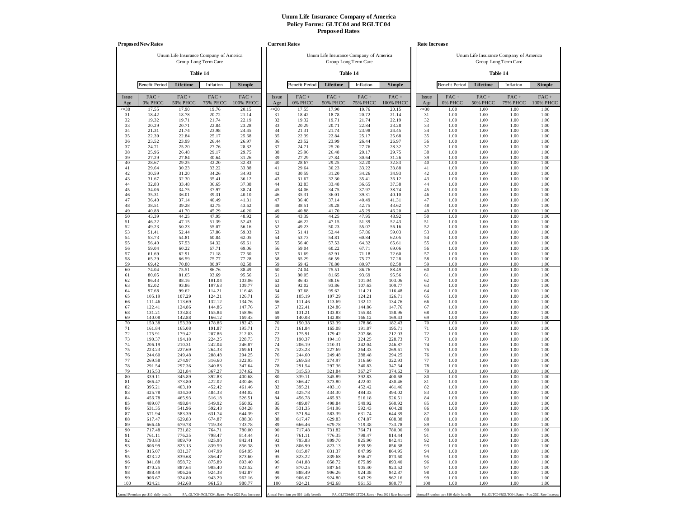|              | <b>Proposed New Rates</b>             |                         |                                                   |                      |              | <b>Current Rates</b>                  |                            |                                                   |                   |              | Rate Increase                         |                            |                                                   |                      |
|--------------|---------------------------------------|-------------------------|---------------------------------------------------|----------------------|--------------|---------------------------------------|----------------------------|---------------------------------------------------|-------------------|--------------|---------------------------------------|----------------------------|---------------------------------------------------|----------------------|
|              |                                       |                         | Unum Life Insurance Company of America            |                      |              |                                       |                            | Unum Life Insurance Company of America            |                   |              |                                       |                            | Unum Life Insurance Company of America            |                      |
|              |                                       |                         | Group Long Term Care                              |                      |              |                                       |                            | Group Long Term Care                              |                   |              |                                       |                            | Group Long Term Care                              |                      |
|              |                                       |                         | Table 14                                          |                      |              |                                       |                            | Table 14                                          |                   |              |                                       |                            | Table 14                                          |                      |
|              | <b>Benefit Period</b>                 | Lifetime                | Inflation                                         | <b>Simple</b>        |              | <b>Benefit Period</b>                 | Lifetime                   | Inflation                                         | Simple            |              | <b>Benefit Period</b>                 | Lifetime                   | Inflation                                         | Simple               |
| Issue<br>Age | $FAC +$<br>0% PHCC                    | FAC+<br><b>50% PHCC</b> | $FAC +$<br><b>75% PHCC</b>                        | $FAC +$<br>100% PHCC | Issue<br>Age | FAC+<br>0% PHCC                       | $FAC +$<br><b>50% PHCC</b> | FAC+<br><b>75% PHCC</b>                           | FAC+<br>100% PHCC | Issue<br>Age | $FAC +$<br>0% PHCC                    | $FAC +$<br><b>50% PHCC</b> | $FAC +$<br><b>75% PHCC</b>                        | $FAC +$<br>100% PHCC |
| $\leq 30$    | 17.55                                 | 17.90                   | 19.76                                             | 20.15                | $\leq 30$    | 17.55                                 | 17.90                      | 19.76                                             | 20.15             | $\leq 30$    | 1.00                                  | 1.00                       | 1.00                                              | 1.00                 |
| 31<br>32     | 18.42<br>19.32                        | 18.78<br>19.71          | 20.72<br>21.74                                    | 21.14<br>22.19       | 31<br>32     | 18.42<br>19.32                        | 18.78<br>19.71             | 20.72<br>21.74                                    | 21.14<br>22.19    | 31<br>32     | 1.00<br>1.00                          | 1.00<br>1.00               | 1.00<br>1.00                                      | 1.00<br>1.00         |
| 33           | 20.29                                 | 20.71                   | 22.84                                             | 23.28                | 33           | 20.29                                 | 20.71                      | 22.84                                             | 23.28             | 33           | 1.00                                  | 1.00                       | 1.00                                              | 1.00                 |
| 34<br>35     | 21.31<br>22.39                        | 21.74<br>22.84          | 23.98<br>25.17                                    | 24.45<br>25.68       | 34<br>35     | 21.31<br>22.39                        | 21.74<br>22.84             | 23.98<br>25.17                                    | 24.45<br>25.68    | 34<br>35     | 1.00<br>1.00                          | 1.00<br>1.00               | 1.00<br>1.00                                      | 1.00<br>1.00         |
| 36           | 23.52                                 | 23.99                   | 26.44                                             | 26.97                | 36           | 23.52                                 | 23.99                      | 26.44                                             | 26.97             | 36           | 1.00                                  | 1.00                       | 1.00                                              | 1.00                 |
| 37           | 24.71                                 | 25.20                   | 27.76                                             | 28.32                | 37           | 24.71                                 | 25.20                      | 27.76                                             | 28.32             | 37           | 1.00                                  | 1.00                       | 1.00                                              | 1.00                 |
| 38<br>39     | 25.96<br>27.29                        | 26.48<br>27.84          | 29.17<br>30.64                                    | 29.75<br>31.26       | 38<br>39     | 25.96<br>27.29                        | 26.48<br>27.84             | 29.17<br>30.64                                    | 29.75<br>31.26    | 38<br>39     | 1.00<br>1.00                          | 1.00<br>1.00               | 1.00<br>1.00                                      | 1.00<br>1.00         |
| 40           | 28.67                                 | 29.25                   | 32.20                                             | 32.83                | 40           | 28.67                                 | 29.25                      | 32.20                                             | 32.83             | 40           | 1.00                                  | 1.00                       | 1.00                                              | 1.00                 |
| 41           | 29.64                                 | 30.23                   | 33.22                                             | 33.88                | 41           | 29.64                                 | 30.23                      | 33.22                                             | 33.88             | 41           | 1.00                                  | 1.00                       | 1.00                                              | 1.00                 |
| 42<br>43     | 30.59<br>31.67                        | 31.20<br>32.30          | 34.26<br>35.41                                    | 34.93<br>36.12       | 42<br>43     | 30.59<br>31.67                        | 31.20<br>32.30             | 34.26<br>35.41                                    | 34.93<br>36.12    | 42<br>43     | 1.00<br>1.00                          | 1.00<br>1.00               | 1.00<br>1.00                                      | 1.00<br>1.00         |
| 44           | 32.83                                 | 33.48                   | 36.65                                             | 37.38                | 44           | 32.83                                 | 33.48                      | 36.65                                             | 37.38             | 44           | 1.00                                  | 1.00                       | 1.00                                              | 1.00                 |
| 45           | 34.06                                 | 34.75                   | 37.97                                             | 38.74                | 45           | 34.06                                 | 34.75                      | 37.97                                             | 38.74             | 45           | 1.00                                  | 1.00                       | 1.00                                              | 1.00                 |
| 46<br>47     | 35.31<br>36.40                        | 36.01<br>37.14          | 39.31<br>40.49                                    | 40.10<br>41.31       | 46<br>47     | 35.31<br>36.40                        | 36.01<br>37.14             | 39.31<br>40.49                                    | 40.10<br>41.31    | 46<br>47     | 1.00<br>1.00                          | 1.00<br>1.00               | 1.00<br>1.00                                      | 1.00<br>1.00         |
| 48           | 38.51                                 | 39.28                   | 42.75                                             | 43.62                | 48           | 38.51                                 | 39.28                      | 42.75                                             | 43.62             | 48           | 1.00                                  | 1.00                       | 1.00                                              | 1.00                 |
| 49<br>50     | 40.88<br>43.39                        | 41.70<br>44.25          | 45.29<br>47.95                                    | 46.20<br>48.92       | 49<br>50     | 40.88<br>43.39                        | 41.70<br>44.25             | 45.29<br>47.95                                    | 46.20<br>48.92    | 49<br>50     | 1.00<br>1.00                          | 1.00<br>1.00               | 1.00<br>1.00                                      | 1.00<br>1.00         |
| 51           | 46.22                                 | 47.15                   | 51.39                                             | 52.43                | 51           | 46.22                                 | 47.15                      | 51.39                                             | 52.43             | 51           | 1.00                                  | 1.00                       | 1.00                                              | 1.00                 |
| 52           | 49.23                                 | 50.23                   | 55.07                                             | 56.16                | 52           | 49.23                                 | 50.23                      | 55.07                                             | 56.16             | 52           | 1.00                                  | 1.00                       | 1.00                                              | 1.00                 |
| 53<br>54     | 51.41<br>53.73                        | 52.44<br>54.81          | 57.86<br>60.84                                    | 59.03<br>62.05       | 53<br>54     | 51.41<br>53.73                        | 52.44<br>54.81             | 57.86<br>60.84                                    | 59.03<br>62.05    | 53<br>54     | 1.00<br>1.00                          | 1.00<br>1.00               | 1.00<br>1.00                                      | 1.00<br>1.00         |
| 55           | 56.40                                 | 57.53                   | 64.32                                             | 65.61                | 55           | 56.40                                 | 57.53                      | 64.32                                             | 65.61             | 55           | 1.00                                  | 1.00                       | 1.00                                              | 1.00                 |
| 56           | 59.04                                 | 60.22                   | 67.71                                             | 69.06                | 56           | 59.04                                 | 60.22                      | 67.71                                             | 69.06             | 56           | 1.00                                  | 1.00                       | 1.00                                              | 1.00                 |
| 57<br>58     | 61.69<br>65.29                        | 62.91<br>66.59          | 71.18<br>75.77                                    | 72.60<br>77.28       | 57<br>58     | 61.69<br>65.29                        | 62.91<br>66.59             | 71.18<br>75.77                                    | 72.60<br>77.28    | 57<br>58     | 1.00<br>1.00                          | 1.00<br>1.00               | 1.00<br>1.00                                      | 1.00<br>1.00         |
| 59           | 69.42                                 | 70.80                   | 80.97                                             | 82.58                | 59           | 69.42                                 | 70.80                      | 80.97                                             | 82.58             | 59           | 1.00                                  | 1.00                       | 1.00                                              | 1.00                 |
| 60<br>61     | 74.04<br>80.05                        | 75.51<br>81.65          | 86.76<br>93.69                                    | 88.49<br>95.56       | 60<br>61     | 74.04<br>80.05                        | 75.51<br>81.65             | 86.76<br>93.69                                    | 88.49<br>95.56    | 60<br>61     | 1.00<br>1.00                          | 1.00<br>1.00               | 1.00<br>1.00                                      | 1.00<br>1.00         |
| 62           | 86.43                                 | 88.16                   | 101.04                                            | 103.06               | 62           | 86.43                                 | 88.16                      | 101.04                                            | 103.06            | 62           | 1.00                                  | 1.00                       | 1.00                                              | 1.00                 |
| 63           | 92.02                                 | 93.86                   | 107.63                                            | 109.77               | 63           | 92.02                                 | 93.86                      | 107.63                                            | 109.77            | 63           | 1.00                                  | 1.00                       | 1.00                                              | 1.00                 |
| 64<br>65     | 97.68<br>105.19                       | 99.62<br>107.29         | 114.21<br>124.21                                  | 116.48<br>126.71     | 64<br>65     | 97.68<br>105.19                       | 99.62<br>107.29            | 114.21<br>124.21                                  | 116.48<br>126.71  | 64<br>65     | 1.00<br>1.00                          | 1.00<br>1.00               | 1.00<br>1.00                                      | 1.00<br>1.00         |
| 66           | 111.46                                | 113.69                  | 132.12                                            | 134.76               | 66           | 111.46                                | 113.69                     | 132.12                                            | 134.76            | 66           | 1.00                                  | 1.00                       | 1.00                                              | 1.00                 |
| 67           | 122.41                                | 124.86                  | 144.86                                            | 147.76               | 67           | 122.41<br>131.21                      | 124.86                     | 144.86                                            | 147.76            | 67           | 1.00                                  | 1.00                       | 1.00                                              | 1.00                 |
| 68<br>69     | 131.21<br>140.08                      | 133.83<br>142.88        | 155.84<br>166.12                                  | 158.96<br>169.43     | 68<br>69     | 140.08                                | 133.83<br>142.88           | 155.84<br>166.12                                  | 158.96<br>169.43  | 68<br>69     | 1.00<br>1.00                          | 1.00<br>1.00               | 1.00<br>1.00                                      | 1.00<br>1.00         |
| 70           | 150.38                                | 153.39                  | 178.86                                            | 182.43               | 70           | 150.38                                | 153.39                     | 178.86                                            | 182.43            | 70           | 1.00                                  | 1.00                       | 1.00                                              | 1.00                 |
| 71<br>72     | 161.84<br>175.91                      | 165.08<br>179.42        | 191.87<br>207.86                                  | 195.71<br>212.03     | 71<br>72     | 161.84<br>175.91                      | 165.08<br>179.42           | 191.87<br>207.86                                  | 195.71<br>212.03  | 71<br>72     | 1.00<br>1.00                          | 1.00<br>1.00               | 1.00<br>1.00                                      | 1.00<br>1.00         |
| 73           | 190.37                                | 194.18                  | 224.25                                            | 228.73               | 73           | 190.37                                | 194.18                     | 224.25                                            | 228.73            | 73           | 1.00                                  | 1.00                       | 1.00                                              | 1.00                 |
| 74           | 206.19                                | 210.31                  | 242.04                                            | 246.87               | 74           | 206.19                                | 210.31                     | 242.04                                            | 246.87            | 74           | 1.00                                  | 1.00                       | 1.00                                              | 1.00                 |
| 75<br>76     | 223.23<br>244.60                      | 227.69<br>249.48        | 264.33<br>288.48                                  | 269.61<br>294.25     | 75<br>76     | 223.23<br>244.60                      | 227.69<br>249.48           | 264.33<br>288.48                                  | 269.61<br>294.25  | 75<br>76     | 1.00<br>1.00                          | 1.00<br>1.00               | 1.00<br>1.00                                      | 1.00<br>1.00         |
| 77           | 269.58                                | 274.97                  | 316.60                                            | 322.93               | 77           | 269.58                                | 274.97                     | 316.60                                            | 322.93            | 77           | 1.00                                  | 1.00                       | 1.00                                              | 1.00                 |
| 78<br>79     | 291.54<br>315.53                      | 297.36<br>321.84        | 340.83<br>367.27                                  | 347.64<br>374.62     | 78<br>79     | 291.54<br>315.53                      | 297.36<br>321.84           | 340.83<br>367.27                                  | 347.64<br>374.62  | 78<br>79     | 1.00<br>1.00                          | 1.00<br>1.00               | 1.00<br>1.00                                      | 1.00<br>1.00         |
| 80           | 339.11                                | 345.89                  | 392.83                                            | 400.68               | 80           | 339.11                                | 345.89                     | 392.83                                            | 400.68            | 80           | 1.00                                  | 1.00                       | 1.00                                              | 1.00                 |
| 81           | 366.47                                | 373.80                  | 422.02                                            | 430.46               | 81           | 366.47                                | 373.80                     | 422.02                                            | 430.46            | 81           | 1.00                                  | 1.00                       | 1.00                                              | 1.00                 |
| 82<br>83     | 395.21<br>425.78                      | 403.10<br>434.30        | 452.42<br>484.33                                  | 461.46<br>494.02     | 82<br>83     | 395.21<br>425.78                      | 403.10<br>434.30           | 452.42<br>484.33                                  | 461.46<br>494.02  | 82<br>83     | 1.00<br>1.00                          | 1.00<br>1.00               | 1.00<br>1.00                                      | 1.00<br>1.00         |
| 84           | 456.78                                | 465.93                  | 516.18                                            | 526.51               | 84           | 456.78                                | 465.93                     | 516.18                                            | 526.51            | 84           | 1.00                                  | 1.00                       | 1.00                                              | 1.00                 |
| 85<br>86     | 489.07<br>531.35                      | 498.84<br>541.96        | 549.92<br>592.43                                  | 560.92<br>604.28     | 85<br>86     | 489.07<br>531.35                      | 498.84<br>541.96           | 549.92<br>592.43                                  | 560.92<br>604.28  | 85<br>86     | 1.00<br>1.00                          | 1.00<br>1.00               | 1.00<br>1.00                                      | 1.00<br>1.00         |
| 87           | 571.94                                | 583.39                  | 631.74                                            | 644.39               | 87           | 571.94                                | 583.39                     | 631.74                                            | 644.39            | 87           | 1.00                                  | 1.00                       | 1.00                                              | 1.00                 |
| 88           | 617.47                                | 629.83                  | 674.87                                            | 688.38               | 88           | 617.47                                | 629.83                     | 674.87                                            | 688.38            | 88           | 1.00                                  | 1.00                       | 1.00                                              | 1.00                 |
| 89<br>90     | 666.46<br>717.48                      | 679.78<br>731.82        | 719.38<br>764.71                                  | 733.78<br>780.00     | 89<br>90     | 666.46<br>717.48                      | 679.78<br>731.82           | 719.38<br>764.71                                  | 733.78<br>780.00  | 89<br>90     | 1.00<br>1.00                          | 1.00<br>1.00               | 1.00<br>1.00                                      | 1.00<br>1.00         |
| 91           | 761.11                                | 776.35                  | 798.47                                            | 814.44               | 91           | 761.11                                | 776.35                     | 798.47                                            | 814.44            | 91           | 1.00                                  | 1.00                       | 1.00                                              | 1.00                 |
| 92           | 793.83                                | 809.70                  | 825.90                                            | 842.41               | 92           | 793.83                                | 809.70                     | 825.90                                            | 842.41            | 92           | 1.00                                  | 1.00                       | 1.00                                              | 1.00                 |
| 93<br>94     | 806.99<br>815.07                      | 823.13<br>831.37        | 839.59<br>847.99                                  | 856.38<br>864.95     | 93<br>94     | 806.99<br>815.07                      | 823.13<br>831.37           | 839.59<br>847.99                                  | 856.38<br>864.95  | 93<br>94     | 1.00<br>1.00                          | 1.00<br>1.00               | 1.00<br>1.00                                      | 1.00<br>1.00         |
| 95           | 823.22                                | 839.68                  | 856.47                                            | 873.60               | 95           | 823.22                                | 839.68                     | 856.47                                            | 873.60            | 95           | 1.00                                  | 1.00                       | 1.00                                              | 1.00                 |
| 96<br>97     | 841.88                                | 858.72                  | 875.89                                            | 893.40               | 96<br>97     | 841.88                                | 858.72                     | 875.89                                            | 893.40            | 96<br>97     | 1.00                                  | 1.00                       | 1.00                                              | 1.00                 |
| 98           | 870.25<br>888.49                      | 887.64<br>906.26        | 905.40<br>924.38                                  | 923.52<br>942.87     | 98           | 870.25<br>888.49                      | 887.64<br>906.26           | 905.40<br>924.38                                  | 923.52<br>942.87  | 98           | 1.00<br>1.00                          | 1.00<br>1.00               | 1.00<br>1.00                                      | 1.00<br>1.00         |
| 99           | 906.67                                | 924.80                  | 943.29                                            | 962.16               | 99           | 906.67                                | 924.80                     | 943.29                                            | 962.16            | 99           | 1.00                                  | 1.00                       | 1.00                                              | 1.00                 |
| 100          | 924.21                                | 942.68                  | 961.53                                            | 980.77               | 100          | 924.21                                | 942.68                     | 961.53                                            | 980.77            | 100          | 1.00                                  | 1.00                       | 1.00                                              | 1.00                 |
|              | Annual Premium per \$10 daily benefit |                         | PA_GLTC04/RGLTC04_Rates - Post 2021 Rate Increase |                      |              | Annual Premium per \$10 daily benefit |                            | PA_GLTC04/RGLTC04_Rates - Post 2021 Rate Increase |                   |              | Annual Premium per \$10 daily benefit |                            | PA_GLTC04/RGLTC04_Rates - Post 2021 Rate Increase |                      |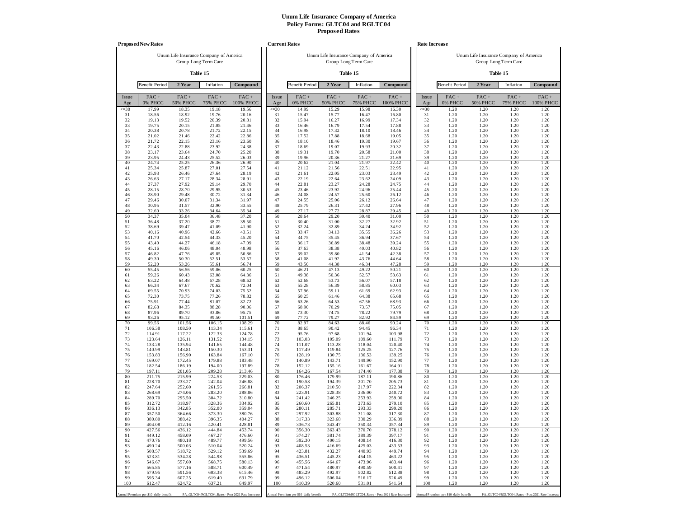|                 | <b>Proposed New Rates</b>             |                                                                |                  |                                                  | <b>Current Rates</b> |                                       |                                        |                      |                                                   |                 | Rate Increase                         |                                        |                                                  |              |
|-----------------|---------------------------------------|----------------------------------------------------------------|------------------|--------------------------------------------------|----------------------|---------------------------------------|----------------------------------------|----------------------|---------------------------------------------------|-----------------|---------------------------------------|----------------------------------------|--------------------------------------------------|--------------|
|                 |                                       | Unum Life Insurance Company of America<br>Group Long Term Care |                  |                                                  |                      |                                       | Unum Life Insurance Company of America | Group Long Term Care |                                                   |                 |                                       | Unum Life Insurance Company of America | Group Long Term Care                             |              |
|                 |                                       | Table 15                                                       |                  |                                                  |                      |                                       |                                        | Table 15             |                                                   |                 |                                       |                                        | Table 15                                         |              |
|                 | <b>Benefit Period</b>                 | 2 Year                                                         | Inflation        | Compound                                         |                      | <b>Benefit Period</b>                 | 2 Year                                 | Inflation            | Compound                                          |                 | <b>Benefit Period</b>                 | 2 Year                                 | Inflation                                        | Compound     |
| Issue           | FAC+                                  | $FAC +$                                                        | $FAC +$          | $FAC +$                                          | Issue                | FAC+                                  | $FAC +$                                | $FAC +$              | $FAC +$                                           | Issue           | $FAC +$                               | $FAC +$                                | $FAC +$                                          | $FAC +$      |
| Age             | 0% PHCC                               | <b>50% PHCC</b>                                                | <b>75% PHCC</b>  | 100% PHCC                                        | Age                  | 0% PHCC                               | <b>50% PHCC</b>                        | <b>75% PHCC</b>      | <b>100% PHCC</b>                                  | Age             | 0% PHCC                               | <b>50% PHCC</b>                        | <b>75% PHCC</b>                                  | 100% PHCC    |
| $\leq 30$<br>31 | 17.99<br>18.56                        | 18.35<br>18.92                                                 | 19.18<br>19.76   | 19.56<br>20.16                                   | $\leq 30$<br>31      | 14.99<br>15.47                        | 15.29<br>15.77                         | 15.98<br>16.47       | 16.30<br>16.80                                    | $\leq 30$<br>31 | 1.20<br>1.20                          | 1.20<br>1.20                           | 1.20<br>1.20                                     | 1.20<br>1.20 |
| 32<br>33        | 19.13<br>19.75                        | 19.52<br>20.15                                                 | 20.39<br>21.05   | 20.81<br>21.46                                   | 32<br>33             | 15.94<br>16.46                        | 16.27<br>16.79                         | 16.99<br>17.54       | 17.34<br>17.88                                    | 32<br>33        | 1.20<br>1.20                          | 1.20<br>1.20                           | 1.20<br>1.20                                     | 1.20<br>1.20 |
| 34              | 20.38                                 | 20.78                                                          | 21.72            | 22.15                                            | 34                   | 16.98                                 | 17.32                                  | 18.10                | 18.46                                             | 34              | 1.20                                  | 1.20                                   | 1.20                                             | 1.20         |
| 35              | 21.02                                 | 21.46                                                          | 22.42            | 22.86                                            | 35                   | 17.52                                 | 17.88                                  | 18.68                | 19.05                                             | 35              | 1.20                                  | 1.20                                   | 1.20                                             | 1.20         |
| 36<br>37        | 21.72<br>22.43                        | 22.15<br>22.88                                                 | 23.16<br>23.92   | 23.60<br>24.38                                   | 36<br>37             | 18.10<br>18.69                        | 18.46<br>19.07                         | 19.30<br>19.93       | 19.67<br>20.32                                    | 36<br>37        | 1.20<br>1.20                          | 1.20<br>1.20                           | 1.20<br>1.20                                     | 1.20<br>1.20 |
| 38              | 23.17                                 | 23.64                                                          | 24.70            | 25.20                                            | 38                   | 19.31                                 | 19.70                                  | 20.58                | 21.00                                             | 38              | 1.20                                  | 1.20                                   | 1.20                                             | 1.20         |
| 39<br>40        | 23.95<br>24.74                        | 24.43<br>25.25                                                 | 25.52<br>26.36   | 26.03<br>26.90                                   | 39<br>40             | 19.96<br>20.62                        | 20.36<br>21.04                         | 21.27<br>21.97       | 21.69<br>22.42                                    | 39<br>40        | 1.20<br>1.20                          | 1.20<br>1.20                           | 1.20<br>1.20                                     | 1.20<br>1.20 |
| 41              | 25.34                                 | 25.87                                                          | 27.01            | 27.54                                            | 41                   | 21.12                                 | 21.56                                  | 22.51                | 22.95                                             | 41              | 1.20                                  | 1.20                                   | 1.20                                             | 1.20         |
| 42<br>43        | 25.93<br>26.63                        | 26.46<br>27.17                                                 | 27.64<br>28.34   | 28.19<br>28.91                                   | 42<br>43             | 21.61<br>22.19                        | 22.05<br>22.64                         | 23.03<br>23.62       | 23.49<br>24.09                                    | 42<br>43        | 1.20<br>1.20                          | 1.20<br>1.20                           | 1.20<br>1.20                                     | 1.20<br>1.20 |
| 44              | 27.37                                 | 27.92                                                          | 29.14            | 29.70                                            | 44                   | 22.81                                 | 23.27                                  | 24.28                | 24.75                                             | 44              | 1.20                                  | 1.20                                   | 1.20                                             | 1.20         |
| 45<br>46        | 28.15<br>28.90                        | 28.70<br>29.48                                                 | 29.95<br>30.72   | 30.53<br>31.34                                   | 45<br>46             | 23.46<br>24.08                        | 23.92<br>24.57                         | 24.96<br>25.60       | 25.44<br>26.12                                    | 45<br>46        | 1.20<br>1.20                          | 1.20<br>1.20                           | 1.20<br>1.20                                     | 1.20<br>1.20 |
| 47              | 29.46                                 | 30.07                                                          | 31.34            | 31.97                                            | 47                   | 24.55                                 | 25.06                                  | 26.12                | 26.64                                             | 47              | 1.20                                  | 1.20                                   | 1.20                                             | 1.20         |
| 48<br>49        | 30.95<br>32.60                        | 31.57<br>33.26                                                 | 32.90<br>34.64   | 33.55<br>35.34                                   | 48<br>49             | 25.79<br>27.17                        | 26.31<br>27.72                         | 27.42<br>28.87       | 27.96<br>29.45                                    | 48<br>49        | 1.20<br>1.20                          | 1.20<br>1.20                           | 1.20<br>1.20                                     | 1.20<br>1.20 |
| 50              | 34.37                                 | 35.04                                                          | 36.48            | 37.20                                            | 50                   | 28.64                                 | 29.20                                  | 30.40                | 31.00                                             | 50              | 1.20                                  | 1.20                                   | 1.20                                             | 1.20         |
| 51<br>52        | 36.48<br>38.69                        | 37.20<br>39.47                                                 | 38.72<br>41.09   | 39.50<br>41.90                                   | 51<br>52             | 30.40<br>32.24                        | 31.00<br>32.89                         | 32.27<br>34.24       | 32.92<br>34.92                                    | 51<br>52        | 1.20<br>1.20                          | 1.20<br>1.20                           | 1.20<br>1.20                                     | 1.20<br>1.20 |
| 53              | 40.16                                 | 40.96                                                          | 42.66            | 43.51                                            | 53                   | 33.47                                 | 34.13                                  | 35.55                | 36.26                                             | 53              | 1.20                                  | 1.20                                   | 1.20                                             | 1.20         |
| 54              | 41.70                                 | 42.54                                                          | 44.33            | 45.20                                            | 54                   | 34.75                                 | 35.45                                  | 36.94                | 37.67                                             | 54              | 1.20                                  | 1.20                                   | 1.20                                             | 1.20         |
| 55<br>56        | 43.40<br>45.16                        | 44.27<br>46.06                                                 | 46.18<br>48.04   | 47.09<br>48.98                                   | 55<br>56             | 36.17<br>37.63                        | 36.89<br>38.38                         | 38.48<br>40.03       | 39.24<br>40.82                                    | 55<br>56        | 1.20<br>1.20                          | 1.20<br>1.20                           | 1.20<br>1.20                                     | 1.20<br>1.20 |
| 57              | 46.82                                 | 47.76                                                          | 49.85            | 50.86                                            | 57                   | 39.02                                 | 39.80                                  | 41.54                | 42.38                                             | 57              | 1.20                                  | 1.20                                   | 1.20                                             | 1.20         |
| 58<br>59        | 49.30<br>52.20                        | 50.30<br>53.26                                                 | 52.51<br>55.61   | 53.57<br>56.74                                   | 58<br>59             | 41.08<br>43.50                        | 41.92<br>44.38                         | 43.76<br>46.34       | 44.64<br>47.28                                    | 58<br>59        | 1.20<br>1.20                          | 1.20<br>1.20                           | 1.20<br>1.20                                     | 1.20<br>1.20 |
| 60              | 55.45                                 | 56.56                                                          | 59.06            | 60.25                                            | 60                   | 46.21                                 | 47.13                                  | 49.22                | 50.21                                             | 60              | 1.20                                  | 1.20                                   | 1.20                                             | 1.20         |
| 61<br>62        | 59.26<br>63.22                        | 60.43<br>64.48                                                 | 63.08<br>67.28   | 64.36<br>68.62                                   | 61<br>62             | 49.38<br>52.68                        | 50.36<br>53.73                         | 52.57<br>56.07       | 53.63<br>57.18                                    | 61<br>62        | 1.20<br>1.20                          | 1.20<br>1.20                           | 1.20<br>1.20                                     | 1.20<br>1.20 |
| 63              | 66.34                                 | 67.67                                                          | 70.62            | 72.04                                            | 63                   | 55.28                                 | 56.39                                  | 58.85                | 60.03                                             | 63              | 1.20                                  | 1.20                                   | 1.20                                             | 1.20         |
| 64<br>65        | 69.55<br>72.30                        | 70.93<br>73.75                                                 | 74.03<br>77.26   | 75.52<br>78.82                                   | 64<br>65             | 57.96<br>60.25                        | 59.11<br>61.46                         | 61.69<br>64.38       | 62.93<br>65.68                                    | 64<br>65        | 1.20<br>1.20                          | 1.20<br>1.20                           | 1.20<br>1.20                                     | 1.20<br>1.20 |
| 66              | 75.91                                 | 77.44                                                          | 81.07            | 82.72                                            | 66                   | 63.26                                 | 64.53                                  | 67.56                | 68.93                                             | 66              | 1.20                                  | 1.20                                   | 1.20                                             | 1.20         |
| 67              | 82.68                                 | 84.35                                                          | 88.28            | 90.06                                            | 67                   | 68.90<br>73.30                        | 70.29                                  | 73.57                | 75.05                                             | 67              | 1.20                                  | 1.20<br>1.20                           | 1.20                                             | 1.20         |
| 68<br>69        | 87.96<br>93.26                        | 89.70<br>95.12                                                 | 93.86<br>99.50   | 95.75<br>101.51                                  | 68<br>69             | 77.72                                 | 74.75<br>79.27                         | 78.22<br>82.92       | 79.79<br>84.59                                    | 68<br>69        | 1.20<br>1.20                          | 1.20                                   | 1.20<br>1.20                                     | 1.20<br>1.20 |
| 70              | 99.56                                 | 101.56                                                         | 106.15           | 108.29                                           | 70                   | 82.97                                 | 84.63                                  | 88.46                | 90.24                                             | 70              | 1.20                                  | 1.20                                   | 1.20                                             | 1.20         |
| 71<br>72        | 106.38<br>114.91                      | 108.50<br>117.22                                               | 113.34<br>122.33 | 115.61<br>124.78                                 | 71<br>72             | 88.65<br>95.76                        | 90.42<br>97.68                         | 94.45<br>101.94      | 96.34<br>103.98                                   | 71<br>72        | 1.20<br>1.20                          | 1.20<br>1.20                           | 1.20<br>1.20                                     | 1.20<br>1.20 |
| 73              | 123.64                                | 126.11                                                         | 131.52           | 134.15                                           | 73                   | 103.03                                | 105.09                                 | 109.60               | 111.79                                            | 73              | 1.20                                  | 1.20                                   | 1.20                                             | 1.20         |
| 74<br>75        | 133.28<br>140.99                      | 135.94<br>143.81                                               | 141.65<br>150.30 | 144.48<br>153.31                                 | 74<br>75             | 111.07<br>117.49                      | 113.28<br>119.84                       | 118.04<br>125.25     | 120.40<br>127.76                                  | 74<br>75        | 1.20<br>1.20                          | 1.20<br>1.20                           | 1.20<br>1.20                                     | 1.20<br>1.20 |
| 76              | 153.83                                | 156.90                                                         | 163.84           | 167.10                                           | 76                   | 128.19                                | 130.75                                 | 136.53               | 139.25                                            | 76              | 1.20                                  | 1.20                                   | 1.20                                             | 1.20         |
| 77<br>78        | 169.07<br>182.54                      | 172.45<br>186.19                                               | 179.88<br>194.00 | 183.48<br>197.89                                 | 77<br>78             | 140.89<br>152.12                      | 143.71<br>155.16                       | 149.90<br>161.67     | 152.90<br>164.91                                  | 77<br>78        | 1.20<br>1.20                          | 1.20<br>1.20                           | 1.20<br>1.20                                     | 1.20<br>1.20 |
| 79              | 197.11                                | 201.05                                                         | 209.28           | 213.46                                           | 79                   | 164.26                                | 167.54                                 | 174.40               | 177.88                                            | 79              | 1.20                                  | 1.20                                   | 1.20                                             | 1.20         |
| 80<br>81        | 211.75<br>228.70                      | 215.99<br>233.27                                               | 224.53<br>242.04 | 229.03<br>246.88                                 | 80<br>81             | 176.46<br>190.58                      | 179.99<br>194.39                       | 187.11<br>201.70     | 190.86<br>205.73                                  | 80<br>81        | 1.20<br>1.20                          | 1.20<br>1.20                           | 1.20<br>1.20                                     | 1.20<br>1.20 |
| 82              | 247.64                                | 252.60                                                         | 261.56           | 266.81                                           | 82                   | 206.37                                | 210.50                                 | 217.97               | 222.34                                            | 82              | 1.20                                  | 1.20                                   | 1.20                                             | 1.20         |
| 83<br>84        | 268.69<br>289.70                      | 274.06<br>295.50                                               | 283.20<br>304.72 | 288.86<br>310.80                                 | 83<br>84             | 223.91<br>241.42                      | 228.38<br>246.25                       | 236.00<br>253.93     | 240.72<br>259.00                                  | 83<br>84        | 1.20<br>1.20                          | 1.20<br>1.20                           | 1.20<br>1.20                                     | 1.20<br>1.20 |
| 85              | 312.72                                | 318.97                                                         | 328.36           | 334.92                                           | 85                   | 260.60                                | 265.81                                 | 273.63               | 279.10                                            | 85              | 1.20                                  | 1.20                                   | 1.20                                             | 1.20         |
| 86<br>87        | 336.13<br>357.50                      | 342.85<br>364.66                                               | 352.00<br>373.30 | 359.04<br>380.76                                 | 86<br>87             | 280.11<br>297.92                      | 285.71<br>303.88                       | 293.33<br>311.08     | 299.20<br>317.30                                  | 86<br>87        | 1.20<br>1.20                          | 1.20<br>1.20                           | 1.20<br>1.20                                     | 1.20<br>1.20 |
| 88              | 380.80                                | 388.42                                                         | 396.35           | 404.27                                           | 88                   | 317.33                                | 323.68                                 | 330.29               | 336.89                                            | 88              | 1.20                                  | 1.20                                   | 1.20                                             | 1.20         |
| 89<br>90        | 404.08<br>427.56                      | 412.16<br>436.12                                               | 420.41<br>444.84 | 428.81<br>453.74                                 | 89<br>90             | 336.73<br>356.30                      | 343.47<br>363.43                       | 350.34<br>370.70     | 357.34<br>378.12                                  | 89<br>90        | 1.20<br>1.20                          | 1.20<br>1.20                           | 1.20<br>1.20                                     | 1.20<br>1.20 |
| 91              | 449.12                                | 458.09                                                         | 467.27           | 476.60                                           | 91                   | 374.27                                | 381.74                                 | 389.39               | 397.17                                            | 91              | 1.20                                  | 1.20                                   | 1.20                                             | 1.20         |
| 92<br>93        | 470.76<br>490.24                      | 480.18<br>500.03                                               | 489.77<br>510.04 | 499.56<br>520.24                                 | 92<br>93             | 392.30<br>408.53                      | 400.15<br>416.69                       | 408.14<br>425.03     | 416.30<br>433.53                                  | 92<br>93        | 1.20<br>1.20                          | 1.20<br>1.20                           | 1.20<br>1.20                                     | 1.20<br>1.20 |
| 94              | 508.57                                | 518.72                                                         | 529.12           | 539.69                                           | 94                   | 423.81                                | 432.27                                 | 440.93               | 449.74                                            | 94              | 1.20                                  | 1.20                                   | 1.20                                             | 1.20         |
| 95              | 523.81                                | 534.28                                                         | 544.98           | 555.86                                           | 95                   | 436.51                                | 445.23                                 | 454.15               | 463.22                                            | 95              | 1.20                                  | 1.20                                   | 1.20                                             | 1.20         |
| 96<br>97        | 546.67<br>565.85                      | 557.60<br>577.16                                               | 568.75<br>588.71 | 580.13<br>600.49                                 | 96<br>97             | 455.56<br>471.54                      | 464.67<br>480.97                       | 473.96<br>490.59     | 483.44<br>500.41                                  | 96<br>97        | 1.20<br>1.20                          | 1.20<br>1.20                           | 1.20<br>1.20                                     | 1.20<br>1.20 |
| 98              | 579.95                                | 591.56                                                         | 603.38           | 615.46                                           | 98                   | 483.29                                | 492.97                                 | 502.82               | 512.88                                            | 98              | 1.20                                  | 1.20                                   | 1.20                                             | 1.20         |
| 99<br>100       | 595.34<br>612.47                      | 607.25<br>624.72                                               | 619.40<br>637.21 | 631.79<br>649.97                                 | 99<br>100            | 496.12<br>510.39                      | 506.04<br>520.60                       | 516.17<br>531.01     | 526.49<br>541.64                                  | 99<br>100       | 1.20<br>1.20                          | 1.20<br>1.20                           | 1.20<br>1.20                                     | 1.20<br>1.20 |
|                 |                                       |                                                                |                  |                                                  |                      |                                       |                                        |                      |                                                   |                 |                                       |                                        |                                                  |              |
|                 | Annual Premium per \$10 daily benefit |                                                                |                  | PA_GLTC04/RGLTC04_Rates - Post 2021 Rate Increas |                      | Annual Premium per \$10 daily benefit |                                        |                      | PA_GLTC04/RGLTC04_Rates - Post 2021 Rate Increase |                 | Annual Premium per \$10 daily benefit |                                        | PA_GLTC04/RGLTC04_Rates - Post 2021 Rate Increas |              |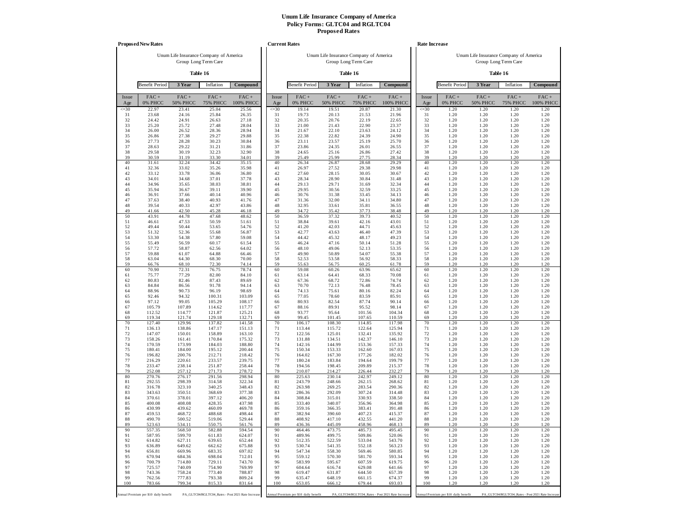|              | <b>Proposed New Rates</b>             |                                        |                            |                                                   |              | <b>Current Rates</b>                  |                                        |                            |                                                   |              | Rate Increase                         |                            |                                                                |                      |
|--------------|---------------------------------------|----------------------------------------|----------------------------|---------------------------------------------------|--------------|---------------------------------------|----------------------------------------|----------------------------|---------------------------------------------------|--------------|---------------------------------------|----------------------------|----------------------------------------------------------------|----------------------|
|              |                                       | Unum Life Insurance Company of America | Group Long Term Care       |                                                   |              |                                       | Unum Life Insurance Company of America | Group Long Term Care       |                                                   |              |                                       |                            | Unum Life Insurance Company of America<br>Group Long Term Care |                      |
|              |                                       |                                        | Table 16                   |                                                   |              |                                       |                                        | Table 16                   |                                                   |              |                                       |                            | Table 16                                                       |                      |
|              | <b>Benefit Period</b>                 | 3 Year                                 | Inflation                  | Compound                                          |              | <b>Benefit Period</b>                 | 3 Year                                 | Inflation                  | Compound                                          |              | <b>Benefit Period</b>                 | 3 Year                     | Inflation                                                      | Compound             |
| Issue<br>Age | $FAC +$<br>0% PHCC                    | $FAC +$<br><b>50% PHCC</b>             | $FAC +$<br><b>75% PHCC</b> | $FAC +$<br>100% PHCC                              | Issue<br>Age | $FAC +$<br>0% PHCC                    | $FAC +$<br><b>50% PHCC</b>             | $FAC +$<br><b>75% PHCC</b> | $FAC +$<br>100% PHCC                              | Issue<br>Age | FAC+<br>0% PHCC                       | $FAC +$<br><b>50% PHCC</b> | $FAC +$<br><b>75% PHCC</b>                                     | $FAC +$<br>100% PHCC |
| $\leq 30$    | 22.97                                 | 23.41                                  | 25.04                      | 25.56                                             | $\leq 30$    | 19.14                                 | 19.51                                  | 20.87                      | 21.30                                             | $\leq 30$    | 1.20                                  | 1.20                       | 1.20                                                           | 1.20                 |
| 31<br>32     | 23.68<br>24.42                        | 24.16<br>24.91                         | 25.84<br>26.63             | 26.35<br>27.18                                    | 31<br>32     | 19.73<br>20.35                        | 20.13<br>20.76                         | 21.53<br>22.19             | 21.96<br>22.65                                    | 31<br>32     | 1.20<br>1.20                          | 1.20<br>1.20               | 1.20<br>1.20                                                   | 1.20<br>1.20         |
| 33           | 25.20                                 | 25.72                                  | 27.48                      | 28.04                                             | 33           | 21.00                                 | 21.43                                  | 22.90                      | 23.37                                             | 33           | 1.20                                  | 1.20                       | 1.20                                                           | 1.20                 |
| 34<br>35     | 26.00<br>26.86                        | 26.52<br>27.38                         | 28.36<br>29.27             | 28.94<br>29.88                                    | 34<br>35     | 21.67<br>22.38                        | 22.10<br>22.82                         | 23.63<br>24.39             | 24.12<br>24.90                                    | 34<br>35     | 1.20<br>1.20                          | 1.20<br>1.20               | 1.20<br>1.20                                                   | 1.20<br>1.20         |
| 36           | 27.73                                 | 28.28                                  | 30.23                      | 30.84                                             | 36           | 23.11                                 | 23.57                                  | 25.19                      | 25.70                                             | 36           | 1.20                                  | 1.20                       | 1.20                                                           | 1.20                 |
| 37           | 28.63                                 | 29.22                                  | 31.21                      | 31.86                                             | 37           | 23.86                                 | 24.35                                  | 26.01                      | 26.55                                             | 37           | 1.20                                  | 1.20                       | 1.20                                                           | 1.20                 |
| 38<br>39     | 29.58<br>30.59                        | 30.19<br>31.19                         | 32.23<br>33.30             | 32.90<br>34.01                                    | 38<br>39     | 24.65<br>25.49                        | 25.16<br>25.99                         | 26.86<br>27.75             | 27.42<br>28.34                                    | 38<br>39     | 1.20<br>1.20                          | 1.20<br>1.20               | 1.20<br>1.20                                                   | 1.20<br>1.20         |
| 40           | 31.61                                 | 32.24                                  | 34.42                      | 35.15                                             | 40           | 26.34                                 | 26.87                                  | 28.68                      | 29.29                                             | 40           | 1.20                                  | 1.20                       | 1.20                                                           | 1.20                 |
| 41<br>42     | 32.36<br>33.12                        | 33.02<br>33.78                         | 35.26<br>36.06             | 35.98<br>36.80                                    | 41<br>42     | 26.97<br>27.60                        | 27.52<br>28.15                         | 29.38<br>30.05             | 29.98<br>30.67                                    | 41<br>42     | 1.20<br>1.20                          | 1.20<br>1.20               | 1.20<br>1.20                                                   | 1.20<br>1.20         |
| 43           | 34.01                                 | 34.68                                  | 37.01                      | 37.78                                             | 43           | 28.34                                 | 28.90                                  | 30.84                      | 31.48                                             | 43           | 1.20                                  | 1.20                       | 1.20                                                           | 1.20                 |
| 44           | 34.96                                 | 35.65                                  | 38.03                      | 38.81                                             | 44           | 29.13                                 | 29.71                                  | 31.69                      | 32.34                                             | 44           | 1.20                                  | 1.20                       | 1.20                                                           | 1.20                 |
| 45<br>46     | 35.94<br>36.91                        | 36.67<br>37.66                         | 39.11<br>40.14             | 39.90<br>40.96                                    | 45<br>46     | 29.95<br>30.76                        | 30.56<br>31.38                         | 32.59<br>33.45             | 33.25<br>34.13                                    | 45<br>46     | 1.20<br>1.20                          | 1.20<br>1.20               | 1.20<br>1.20                                                   | 1.20<br>1.20         |
| 47           | 37.63                                 | 38.40                                  | 40.93                      | 41.76                                             | 47           | 31.36                                 | 32.00                                  | 34.11                      | 34.80                                             | 47           | 1.20                                  | 1.20                       | 1.20                                                           | 1.20                 |
| 48<br>49     | 39.54                                 | 40.33<br>42.50                         | 42.97                      | 43.86                                             | 48<br>49     | 32.95                                 | 33.61                                  | 35.81                      | 36.55                                             | 48<br>49     | 1.20<br>1.20                          | 1.20<br>1.20               | 1.20                                                           | 1.20<br>1.20         |
| 50           | 41.66<br>43.91                        | 44.78                                  | 45.28<br>47.68             | 46.18<br>48.62                                    | 50           | 34.72<br>36.59                        | 35.42<br>37.32                         | 37.73<br>39.73             | 38.48<br>40.52                                    | 50           | 1.20                                  | 1.20                       | 1.20<br>1.20                                                   | 1.20                 |
| 51           | 46.61                                 | 47.53                                  | 50.59                      | 51.61                                             | 51           | 38.84                                 | 39.61                                  | 42.16                      | 43.01                                             | 51           | 1.20                                  | 1.20                       | 1.20                                                           | 1.20                 |
| 52<br>53     | 49.44<br>51.32                        | 50.44<br>52.36                         | 53.65<br>55.68             | 54.76<br>56.87                                    | 52<br>53     | 41.20<br>42.77                        | 42.03<br>43.63                         | 44.71<br>46.40             | 45.63<br>47.39                                    | 52<br>53     | 1.20<br>1.20                          | 1.20<br>1.20               | 1.20<br>1.20                                                   | 1.20<br>1.20         |
| 54           | 53.30                                 | 54.38                                  | 57.80                      | 59.08                                             | 54           | 44.42                                 | 45.32                                  | 48.17                      | 49.23                                             | 54           | 1.20                                  | 1.20                       | 1.20                                                           | 1.20                 |
| 55           | 55.49                                 | 56.59                                  | 60.17                      | 61.54                                             | 55           | 46.24                                 | 47.16                                  | 50.14                      | 51.28                                             | 55           | 1.20                                  | 1.20                       | 1.20                                                           | 1.20                 |
| 56<br>57     | 57.72<br>59.88                        | 58.87<br>61.07                         | 62.56<br>64.88             | 64.02<br>66.46                                    | 56<br>57     | 48.10<br>49.90                        | 49.06<br>50.89                         | 52.13<br>54.07             | 53.35<br>55.38                                    | 56<br>57     | 1.20<br>1.20                          | 1.20<br>1.20               | 1.20<br>1.20                                                   | 1.20<br>1.20         |
| 58           | 63.04                                 | 64.30                                  | 68.30                      | 70.00                                             | 58           | 52.53                                 | 53.58                                  | 56.92                      | 58.33                                             | 58           | 1.20                                  | 1.20                       | 1.20                                                           | 1.20                 |
| 59<br>60     | 66.76<br>70.90                        | 68.10<br>72.31                         | 72.30<br>76.75             | 74.14<br>78.74                                    | 59<br>60     | 55.63<br>59.08                        | 56.75<br>60.26                         | 60.25<br>63.96             | 61.78<br>65.62                                    | 59<br>60     | 1.20<br>1.20                          | 1.20<br>1.20               | 1.20<br>1.20                                                   | 1.20<br>1.20         |
| 61           | 75.77                                 | 77.29                                  | 82.00                      | 84.10                                             | 61           | 63.14                                 | 64.41                                  | 68.33                      | 70.08                                             | 61           | 1.20                                  | 1.20                       | 1.20                                                           | 1.20                 |
| 62<br>63     | 80.83<br>84.84                        | 82.46<br>86.56                         | 87.43<br>91.78             | 89.69<br>94.14                                    | 62<br>63     | 67.36<br>70.70                        | 68.72<br>72.13                         | 72.86<br>76.48             | 74.74<br>78.45                                    | 62<br>63     | 1.20<br>1.20                          | 1.20<br>1.20               | 1.20<br>1.20                                                   | 1.20<br>1.20         |
| 64           | 88.96                                 | 90.73                                  | 96.19                      | 98.69                                             | 64           | 74.13                                 | 75.61                                  | 80.16                      | 82.24                                             | 64           | 1.20                                  | 1.20                       | 1.20                                                           | 1.20                 |
| 65           | 92.46                                 | 94.32                                  | 100.31                     | 103.09                                            | 65           | 77.05                                 | 78.60                                  | 83.59                      | 85.91                                             | 65           | 1.20                                  | 1.20                       | 1.20                                                           | 1.20                 |
| 66<br>67     | 97.12<br>105.79                       | 99.05<br>107.89                        | 105.29<br>114.62           | 108.17<br>117.77                                  | 66<br>67     | 80.93<br>88.16                        | 82.54<br>89.91                         | 87.74<br>95.52             | 90.14<br>98.14                                    | 66<br>67     | 1.20<br>1.20                          | 1.20<br>1.20               | 1.20<br>1.20                                                   | 1.20<br>1.20         |
| 68           | 112.52                                | 114.77                                 | 121.87                     | 125.21                                            | 68           | 93.77                                 | 95.64                                  | 101.56                     | 104.34                                            | 68           | 1.20                                  | 1.20                       | 1.20                                                           | 1.20                 |
| 69<br>70     | 119.34<br>127.40                      | 121.74<br>129.96                       | 129.18<br>137.82           | 132.71<br>141.58                                  | 69<br>70     | 99.45<br>106.17                       | 101.45<br>108.30                       | 107.65<br>114.85           | 110.59<br>117.98                                  | 69<br>70     | 1.20<br>1.20                          | 1.20<br>1.20               | 1.20<br>1.20                                                   | 1.20<br>1.20         |
| 71           | 136.13                                | 138.86                                 | 147.17                     | 151.13                                            | 71           | 113.44                                | 115.72                                 | 122.64                     | 125.94                                            | 71           | 1.20                                  | 1.20                       | 1.20                                                           | 1.20                 |
| 72           | 147.07                                | 150.01                                 | 158.89                     | 163.10                                            | 72           | 122.56                                | 125.01                                 | 132.41                     | 135.92                                            | 72           | 1.20                                  | 1.20                       | 1.20                                                           | 1.20                 |
| 73<br>74     | 158.26<br>170.59                      | 161.41<br>173.99                       | 170.84<br>184.03           | 175.32<br>188.80                                  | 73<br>74     | 131.88<br>142.16                      | 134.51<br>144.99                       | 142.37<br>153.36           | 146.10<br>157.33                                  | 73<br>74     | 1.20<br>1.20                          | 1.20<br>1.20               | 1.20<br>1.20                                                   | 1.20<br>1.20         |
| 75           | 180.41                                | 184.00                                 | 195.12                     | 200.44                                            | 75           | 150.34                                | 153.33                                 | 162.60                     | 167.03                                            | 75           | 1.20                                  | 1.20                       | 1.20                                                           | 1.20                 |
| 76<br>77     | 196.82<br>216.29                      | 200.76<br>220.61                       | 212.71<br>233.57           | 218.42<br>239.75                                  | 76<br>77     | 164.02<br>180.24                      | 167.30<br>183.84                       | 177.26<br>194.64           | 182.02<br>199.79                                  | 76<br>77     | 1.20<br>1.20                          | 1.20<br>1.20               | 1.20<br>1.20                                                   | 1.20<br>1.20         |
| 78           | 233.47                                | 238.14                                 | 251.87                     | 258.44                                            | 78           | 194.56                                | 198.45                                 | 209.89                     | 215.37                                            | 78           | 1.20                                  | 1.20                       | 1.20                                                           | 1.20                 |
| 79           | 252.08                                | 257.12                                 | 271.73                     | 278.72                                            | 79           | 210.07                                | 214.27                                 | 226.44                     | 232.27                                            | 79           | 1.20                                  | 1.20                       | 1.20                                                           | 1.20                 |
| 80<br>81     | 270.76<br>292.55                      | 276.17<br>298.39                       | 291.56<br>314.58           | 298.94<br>322.34                                  | 80<br>81     | 225.63<br>243.79                      | 230.14<br>248.66                       | 242.97<br>262.15           | 249.12<br>268.62                                  | 80<br>81     | 1.20<br>1.20                          | 1.20<br>1.20               | 1.20<br>1.20                                                   | 1.20<br>1.20         |
| 82           | 316.78                                | 323.10                                 | 340.25                     | 348.43                                            | 82           | 263.98                                | 269.25                                 | 283.54                     | 290.36                                            | 82           | 1.20                                  | 1.20                       | 1.20                                                           | 1.20                 |
| 83<br>84     | 343.63<br>370.61                      | 350.51<br>378.01                       | 368.69<br>397.12           | 377.38<br>406.20                                  | 83<br>84     | 286.36<br>308.84                      | 292.09<br>315.01                       | 307.24<br>330.93           | 314.48<br>338.50                                  | 83<br>84     | 1.20<br>1.20                          | 1.20<br>1.20               | 1.20<br>1.20                                                   | 1.20<br>1.20         |
| 85           | 400.08                                | 408.08                                 | 428.35                     | 437.98                                            | 85           | 333.40                                | 340.07                                 | 356.96                     | 364.98                                            | 85           | 1.20                                  | 1.20                       | 1.20                                                           | 1.20                 |
| 86           | 430.99                                | 439.62                                 | 460.09                     | 469.78                                            | 86           | 359.16                                | 366.35                                 | 383.41                     | 391.48                                            | 86           | 1.20                                  | 1.20                       | 1.20                                                           | 1.20                 |
| 87<br>88     | 459.53<br>490.70                      | 468.72<br>500.52                       | 488.68<br>519.06           | 498.44<br>529.44                                  | 87<br>88     | 382.94<br>408.92                      | 390.60<br>417.10                       | 407.23<br>432.55           | 415.37<br>441.20                                  | 87<br>88     | 1.20<br>1.20                          | 1.20<br>1.20               | 1.20<br>1.20                                                   | 1.20<br>1.20         |
| 89           | 523.63                                | 534.11                                 | 550.75                     | 561.76                                            | 89           | 436.36                                | 445.09                                 | 458.96                     | 468.13                                            | 89           | 1.20                                  | 1.20                       | 1.20                                                           | 1.20                 |
| 90<br>91     | 557.35<br>587.95                      | 568.50<br>599.70                       | 582.88<br>611.83           | 594.54<br>624.07                                  | 90<br>91     | 464.46<br>489.96                      | 473.75<br>499.75                       | 485.73<br>509.86           | 495.45<br>520.06                                  | 90<br>91     | 1.20<br>1.20                          | 1.20<br>1.20               | 1.20<br>1.20                                                   | 1.20<br>1.20         |
| 92           | 614.82                                | 627.11                                 | 639.65                     | 652.44                                            | 92           | 512.35                                | 522.59                                 | 533.04                     | 543.70                                            | 92           | 1.20                                  | 1.20                       | 1.20                                                           | 1.20                 |
| 93<br>94     | 636.89<br>656.81                      | 649.62<br>669.96                       | 662.62<br>683.35           | 675.88<br>697.02                                  | 93<br>94     | 530.74<br>547.34                      | 541.35<br>558.30                       | 552.18<br>569.46           | 563.23<br>580.85                                  | 93<br>94     | 1.20                                  | 1.20<br>1.20               | 1.20<br>1.20                                                   | 1.20<br>1.20         |
| 95           | 670.94                                | 684.36                                 | 698.04                     | 712.01                                            | 95           | 559.12                                | 570.30                                 | 581.70                     | 593.34                                            | 95           | 1.20<br>1.20                          | 1.20                       | 1.20                                                           | 1.20                 |
| 96           | 700.79                                | 714.80                                 | 729.11                     | 743.70                                            | 96           | 583.99                                | 595.67                                 | 607.59                     | 619.75                                            | 96           | 1.20                                  | 1.20                       | 1.20                                                           | 1.20                 |
| 97<br>98     | 725.57<br>743.36                      | 740.09<br>758.24                       | 754.90<br>773.40           | 769.99<br>788.87                                  | 97<br>98     | 604.64<br>619.47                      | 616.74<br>631.87                       | 629.08<br>644.50           | 641.66<br>657.39                                  | 97<br>98     | 1.20<br>1.20                          | 1.20<br>1.20               | 1.20<br>1.20                                                   | 1.20<br>1.20         |
| 99           | 762.56                                | 777.83                                 | 793.38                     | 809.24                                            | 99           | 635.47                                | 648.19                                 | 661.15                     | 674.37                                            | 99           | 1.20                                  | 1.20                       | 1.20                                                           | 1.20                 |
| 100          | 783.66                                | 799.34                                 | 815.33                     | 831.64                                            | 100          | 653.05                                | 666.12                                 | 679.44                     | 693.03                                            | 100          | 1.20                                  | 1.20                       | 1.20                                                           | 1.20                 |
|              | Annual Premium per \$10 daily benefit |                                        |                            | PA_GLTC04/RGLTC04_Rates - Post 2021 Rate Increase |              | Annual Premium per \$10 daily benefit |                                        |                            | PA_GLTC04/RGLTC04_Rates - Post 2021 Rate Increase |              | Annual Premium per \$10 daily benefit |                            | PA_GLTC04/RGLTC04_Rates - Post 2021 Rate Increas               |                      |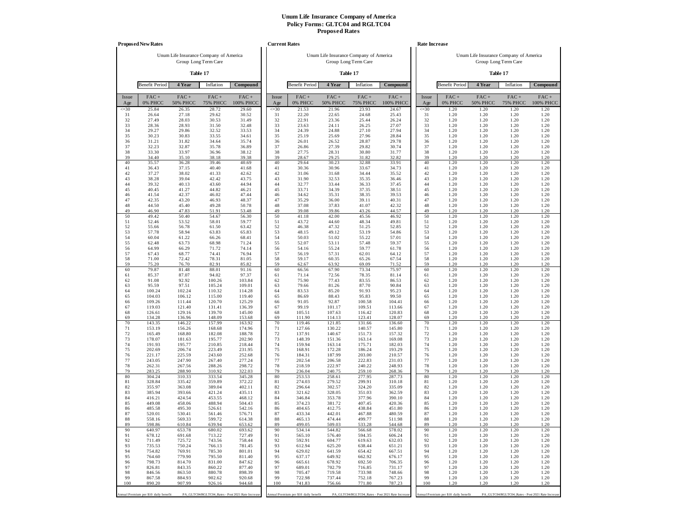|              | <b>Proposed New Rates</b>             |                                        |                            |                                                   |              | <b>Current Rates</b>                  |                                        |                         |                                                   |              | Rate Increase                         |                                        |                            |                                                   |
|--------------|---------------------------------------|----------------------------------------|----------------------------|---------------------------------------------------|--------------|---------------------------------------|----------------------------------------|-------------------------|---------------------------------------------------|--------------|---------------------------------------|----------------------------------------|----------------------------|---------------------------------------------------|
|              |                                       | Unum Life Insurance Company of America |                            |                                                   |              |                                       | Unum Life Insurance Company of America |                         |                                                   |              |                                       | Unum Life Insurance Company of America |                            |                                                   |
|              |                                       |                                        | Group Long Term Care       |                                                   |              |                                       |                                        | Group Long Term Care    |                                                   |              |                                       |                                        | Group Long Term Care       |                                                   |
|              |                                       | Table 17                               |                            |                                                   |              |                                       |                                        | Table 17                |                                                   |              |                                       |                                        | Table 17                   |                                                   |
|              | <b>Benefit Period</b>                 | 4 Year                                 | Inflation                  | Compound                                          |              | <b>Benefit Period</b>                 | 4 Year                                 | Inflation               | Compound                                          |              | <b>Benefit Period</b>                 | 4 Year                                 | Inflation                  | Compound                                          |
| Issue<br>Age | FAC+<br>0% PHCC                       | FAC+<br><b>50% PHCC</b>                | $FAC +$<br><b>75% PHCC</b> | $FAC +$<br>100% PHCC                              | Issue<br>Age | FAC+<br>0% PHCC                       | $FAC +$<br><b>50% PHCC</b>             | FAC+<br><b>75% PHCC</b> | FAC+<br>100% PHCC                                 | Issue<br>Age | FAC+<br>0% PHCC                       | $FAC +$<br><b>50% PHCC</b>             | $FAC +$<br><b>75% PHCC</b> | $FAC +$<br>100% PHCC                              |
| $\leq 30$    | 25.84                                 | 26.35                                  | 28.72                      | 29.60                                             | $\leq 30$    | 21.53                                 | 21.96                                  | 23.93                   | 24.67                                             | $\leq 30$    | 1.20                                  | 1.20                                   | 1.20                       | 1.20                                              |
| 31<br>32     | 26.64<br>27.49                        | 27.18<br>28.03                         | 29.62<br>30.53             | 30.52<br>31.49                                    | 31<br>32     | 22.20<br>22.91                        | 22.65<br>23.36                         | 24.68<br>25.44          | 25.43<br>26.24                                    | 31<br>32     | 1.20<br>1.20                          | 1.20<br>1.20                           | 1.20<br>1.20               | 1.20<br>1.20                                      |
| 33           | 28.36                                 | 28.93                                  | 31.50                      | 32.48                                             | 33           | 23.63                                 | 24.11                                  | 26.25                   | 27.07                                             | 33           | 1.20                                  | 1.20                                   | 1.20                       | 1.20                                              |
| 34<br>35     | 29.27<br>30.23                        | 29.86<br>30.83                         | 32.52<br>33.55             | 33.53<br>34.61                                    | 34<br>35     | 24.39<br>25.19                        | 24.88<br>25.69                         | 27.10<br>27.96          | 27.94<br>28.84                                    | 34<br>35     | 1.20<br>1.20                          | 1.20<br>1.20                           | 1.20<br>1.20               | 1.20<br>1.20                                      |
| 36           | 31.21                                 | 31.82                                  | 34.64                      | 35.74                                             | 36           | 26.01                                 | 26.52                                  | 28.87                   | 29.78                                             | 36           | 1.20                                  | 1.20                                   | 1.20                       | 1.20                                              |
| 37           | 32.23                                 | 32.87                                  | 35.78                      | 36.89                                             | 37           | 26.86                                 | 27.39                                  | 29.82                   | 30.74                                             | 37           | 1.20                                  | 1.20                                   | 1.20                       | 1.20                                              |
| 38<br>39     | 33.30<br>34.40                        | 33.97<br>35.10                         | 36.96<br>38.18             | 38.12<br>39.38                                    | 38<br>39     | 27.75<br>28.67                        | 28.31<br>29.25                         | 30.80<br>31.82          | 31.77<br>32.82                                    | 38<br>39     | 1.20<br>1.20                          | 1.20<br>1.20                           | 1.20<br>1.20               | 1.20<br>1.20                                      |
| 40           | 35.57                                 | 36.28                                  | 39.46                      | 40.69                                             | 40           | 29.64                                 | 30.23                                  | 32.88                   | 33.91                                             | 40           | 1.20                                  | 1.20                                   | 1.20                       | 1.20                                              |
| 41<br>42     | 36.43<br>37.27                        | 37.15<br>38.02                         | 40.40<br>41.33             | 41.68<br>42.62                                    | 41<br>42     | 30.36<br>31.06                        | 30.96<br>31.68                         | 33.67<br>34.44          | 34.73<br>35.52                                    | 41<br>42     | 1.20<br>1.20                          | 1.20<br>1.20                           | 1.20<br>1.20               | 1.20<br>1.20                                      |
| 43           | 38.28                                 | 39.04                                  | 42.42                      | 43.75                                             | 43           | 31.90                                 | 32.53                                  | 35.35                   | 36.46                                             | 43           | 1.20                                  | 1.20                                   | 1.20                       | 1.20                                              |
| 44           | 39.32                                 | 40.13                                  | 43.60                      | 44.94                                             | 44           | 32.77                                 | 33.44                                  | 36.33                   | 37.45                                             | 44           | 1.20                                  | 1.20                                   | 1.20                       | 1.20                                              |
| 45<br>46     | 40.45<br>41.54                        | 41.27<br>42.37                         | 44.82<br>46.02             | 46.21<br>47.44                                    | 45<br>46     | 33.71<br>34.62                        | 34.39<br>35.31                         | 37.35<br>38.35          | 38.51<br>39.53                                    | 45<br>46     | 1.20<br>1.20                          | 1.20<br>1.20                           | 1.20<br>1.20               | 1.20<br>1.20                                      |
| 47           | 42.35                                 | 43.20                                  | 46.93                      | 48.37                                             | 47           | 35.29                                 | 36.00                                  | 39.11                   | 40.31                                             | 47           | 1.20                                  | 1.20                                   | 1.20                       | 1.20                                              |
| 48<br>49     | 44.50                                 | 45.40                                  | 49.28                      | 50.78                                             | 48<br>49     | 37.08                                 | 37.83                                  | 41.07                   | 42.32                                             | 48<br>49     | 1.20                                  | 1.20                                   | 1.20                       | 1.20                                              |
| 50           | 46.90<br>49.42                        | 47.83<br>50.40                         | 51.91<br>54.67             | 53.48<br>56.30                                    | 50           | 39.08<br>41.18                        | 39.86<br>42.00                         | 43.26<br>45.56          | 44.57<br>46.92                                    | 50           | 1.20<br>1.20                          | 1.20<br>1.20                           | 1.20<br>1.20               | 1.20<br>1.20                                      |
| 51           | 52.46                                 | 53.52                                  | 58.01                      | 59.77                                             | 51           | 43.72                                 | 44.60                                  | 48.34                   | 49.81                                             | 51           | 1.20                                  | 1.20                                   | 1.20                       | 1.20                                              |
| 52<br>53     | 55.66<br>57.78                        | 56.78<br>58.94                         | 61.50<br>63.83             | 63.42<br>65.83                                    | 52<br>53     | 46.38<br>48.15                        | 47.32<br>49.12                         | 51.25<br>53.19          | 52.85<br>54.86                                    | 52<br>53     | 1.20<br>1.20                          | 1.20<br>1.20                           | 1.20<br>1.20               | 1.20<br>1.20                                      |
| 54           | 60.04                                 | 61.22                                  | 66.26                      | 68.41                                             | 54           | 50.03                                 | 51.02                                  | 55.22                   | 57.01                                             | 54           | 1.20                                  | 1.20                                   | 1.20                       | 1.20                                              |
| 55           | 62.48                                 | 63.73                                  | 68.98                      | 71.24                                             | 55           | 52.07                                 | 53.11                                  | 57.48                   | 59.37                                             | 55           | 1.20                                  | 1.20                                   | 1.20                       | 1.20                                              |
| 56<br>57     | 64.99<br>67.43                        | 66.29<br>68.77                         | 71.72<br>74.41             | 74.14<br>76.94                                    | 56<br>57     | 54.16<br>56.19                        | 55.24<br>57.31                         | 59.77<br>62.01          | 61.78<br>64.12                                    | 56<br>57     | 1.20<br>1.20                          | 1.20<br>1.20                           | 1.20<br>1.20               | 1.20<br>1.20                                      |
| 58           | 71.00                                 | 72.42                                  | 78.31                      | 81.05                                             | 58           | 59.17                                 | 60.35                                  | 65.26                   | 67.54                                             | 58           | 1.20                                  | 1.20                                   | 1.20                       | 1.20                                              |
| 59<br>60     | 75.20<br>79.87                        | 76.70<br>81.48                         | 82.91<br>88.01             | 85.82<br>91.16                                    | 59<br>60     | 62.67<br>66.56                        | 63.92<br>67.90                         | 69.09<br>73.34          | 71.52<br>75.97                                    | 59<br>60     | 1.20<br>1.20                          | 1.20<br>1.20                           | 1.20<br>1.20               | 1.20<br>1.20                                      |
| 61           | 85.37                                 | 87.07                                  | 94.02                      | 97.37                                             | 61           | 71.14                                 | 72.56                                  | 78.35                   | 81.14                                             | 61           | 1.20                                  | 1.20                                   | 1.20                       | 1.20                                              |
| 62           | 91.08                                 | 92.92                                  | 100.26                     | 103.84                                            | 62           | 75.90                                 | 77.43                                  | 83.55                   | 86.53                                             | 62           | 1.20                                  | 1.20                                   | 1.20                       | 1.20                                              |
| 63<br>64     | 95.59<br>100.24                       | 97.51<br>102.24                        | 105.24<br>110.32           | 109.01<br>114.28                                  | 63<br>64     | 79.66<br>83.53                        | 81.26<br>85.20                         | 87.70<br>91.93          | 90.84<br>95.23                                    | 63<br>64     | 1.20<br>1.20                          | 1.20<br>1.20                           | 1.20<br>1.20               | 1.20<br>1.20                                      |
| 65           | 104.03                                | 106.12                                 | 115.00                     | 119.40                                            | 65           | 86.69                                 | 88.43                                  | 95.83                   | 99.50                                             | 65           | 1.20                                  | 1.20                                   | 1.20                       | 1.20                                              |
| 66<br>67     | 109.26<br>119.03                      | 111.44<br>121.40                       | 120.70<br>131.41           | 125.29<br>136.39                                  | 66<br>67     | 91.05<br>99.19                        | 92.87<br>101.17                        | 100.58<br>109.51        | 104.41<br>113.66                                  | 66<br>67     | 1.20<br>1.20                          | 1.20<br>1.20                           | 1.20<br>1.20               | 1.20<br>1.20                                      |
| 68           | 126.61                                | 129.16                                 | 139.70                     | 145.00                                            | 68           | 105.51                                | 107.63                                 | 116.42                  | 120.83                                            | 68           | 1.20                                  | 1.20                                   | 1.20                       | 1.20                                              |
| 69           | 134.28                                | 136.96                                 | 148.09                     | 153.68                                            | 69           | 111.90                                | 114.13                                 | 123.41                  | 128.07                                            | 69           | 1.20                                  | 1.20                                   | 1.20                       | 1.20                                              |
| 70<br>71     | 143.35<br>153.19                      | 146.22<br>156.26                       | 157.99<br>168.68           | 163.92<br>174.96                                  | 70<br>71     | 119.46<br>127.66                      | 121.85<br>130.22                       | 131.66<br>140.57        | 136.60<br>145.80                                  | 70<br>71     | 1.20<br>1.20                          | 1.20<br>1.20                           | 1.20<br>1.20               | 1.20<br>1.20                                      |
| 72           | 165.49                                | 168.80                                 | 182.08                     | 188.78                                            | 72           | 137.91                                | 140.67                                 | 151.73                  | 157.32                                            | 72           | 1.20                                  | 1.20                                   | 1.20                       | 1.20                                              |
| 73<br>74     | 178.07<br>191.93                      | 181.63<br>195.77                       | 195.77<br>210.85           | 202.90<br>218.44                                  | 73<br>74     | 148.39<br>159.94                      | 151.36<br>163.14                       | 163.14<br>175.71        | 169.08<br>182.03                                  | 73<br>74     | 1.20<br>1.20                          | 1.20<br>1.20                           | 1.20<br>1.20               | 1.20<br>1.20                                      |
| 75           | 202.69                                | 206.74                                 | 223.49                     | 231.95                                            | 75           | 168.91                                | 172.28                                 | 186.24                  | 193.29                                            | 75           | 1.20                                  | 1.20                                   | 1.20                       | 1.20                                              |
| 76           | 221.17                                | 225.59                                 | 243.60                     | 252.68                                            | 76           | 184.31                                | 187.99                                 | 203.00                  | 210.57                                            | 76           | 1.20                                  | 1.20                                   | 1.20                       | 1.20                                              |
| 77<br>78     | 243.05<br>262.31                      | 247.90<br>267.56                       | 267.40<br>288.26           | 277.24<br>298.72                                  | 77<br>78     | 202.54<br>218.59                      | 206.58<br>222.97                       | 222.83<br>240.22        | 231.03<br>248.93                                  | 77<br>78     | 1.20<br>1.20                          | 1.20<br>1.20                           | 1.20<br>1.20               | 1.20<br>1.20                                      |
| 79           | 283.25                                | 288.90                                 | 310.92                     | 322.03                                            | 79           | 236.04                                | 240.75                                 | 259.10                  | 268.36                                            | 79           | 1.20                                  | 1.20                                   | 1.20                       | 1.20                                              |
| 80<br>81     | 304.24<br>328.84                      | 310.33<br>335.42                       | 333.54<br>359.89           | 345.28<br>372.22                                  | 80<br>81     | 253.53<br>274.03                      | 258.61<br>279.52                       | 277.95<br>299.91        | 287.73<br>310.18                                  | 80<br>81     | 1.20<br>1.20                          | 1.20<br>1.20                           | 1.20<br>1.20               | 1.20<br>1.20                                      |
| 82           | 355.97                                | 363.08                                 | 389.04                     | 402.11                                            | 82           | 296.64                                | 302.57                                 | 324.20                  | 335.09                                            | 82           | 1.20                                  | 1.20                                   | 1.20                       | 1.20                                              |
| 83<br>84     | 385.94                                | 393.66<br>424.54                       | 421.24<br>453.55           | 435.11<br>468.12                                  | 83<br>84     | 321.62<br>346.84                      | 328.05<br>353.78                       | 351.03<br>377.96        | 362.59<br>390.10                                  | 83<br>84     | 1.20<br>1.20                          | 1.20<br>1.20                           | 1.20<br>1.20               | 1.20<br>1.20                                      |
| 85           | 416.21<br>449.08                      | 458.06                                 | 488.94                     | 504.43                                            | 85           | 374.23                                | 381.72                                 | 407.45                  | 420.36                                            | 85           | 1.20                                  | 1.20                                   | 1.20                       | 1.20                                              |
| 86           | 485.58                                | 495.30                                 | 526.61                     | 542.16                                            | 86           | 404.65                                | 412.75                                 | 438.84                  | 451.80                                            | 86           | 1.20                                  | 1.20                                   | 1.20                       | 1.20                                              |
| 87<br>88     | 520.01<br>558.16                      | 530.41<br>569.33                       | 561.46<br>599.72           | 576.71<br>614.38                                  | 87<br>88     | 433.34<br>465.13                      | 442.01<br>474.44                       | 467.88<br>499.77        | 480.59<br>511.98                                  | 87<br>88     | 1.20<br>1.20                          | 1.20<br>1.20                           | 1.20<br>1.20               | 1.20<br>1.20                                      |
| 89           | 598.86                                | 610.84                                 | 639.94                     | 653.62                                            | 89           | 499.05                                | 509.03                                 | 533.28                  | 544.68                                            | 89           | 1.20                                  | 1.20                                   | 1.20                       | 1.20                                              |
| 90           | 640.97                                | 653.78                                 | 680.02                     | 693.62                                            | 90           | 534.14                                | 544.82                                 | 566.68                  | 578.02                                            | 90           | 1.20                                  | 1.20                                   | 1.20                       | 1.20                                              |
| 91<br>92     | 678.12<br>711.49                      | 691.68<br>725.72                       | 713.22<br>743.56           | 727.49<br>758.44                                  | 91<br>92     | 565.10<br>592.91                      | 576.40<br>604.77                       | 594.35<br>619.63        | 606.24<br>632.03                                  | 91<br>92     | 1.20<br>1.20                          | 1.20<br>1.20                           | 1.20<br>1.20               | 1.20<br>1.20                                      |
| 93           | 735.53                                | 750.24                                 | 766.13                     | 781.45                                            | 93           | 612.94                                | 625.20                                 | 638.44                  | 651.21                                            | 93           | 1.20                                  | 1.20                                   | 1.20                       | 1.20                                              |
| 94<br>95     | 754.82<br>764.60                      | 769.91<br>779.90                       | 785.30<br>795.50           | 801.01<br>811.40                                  | 94<br>95     | 629.02<br>637.17                      | 641.59<br>649.92                       | 654.42<br>662.92        | 667.51<br>676.17                                  | 94<br>95     | 1.20<br>1.20                          | 1.20<br>1.20                           | 1.20<br>1.20               | 1.20<br>1.20                                      |
| 96           | 798.73                                | 814.70                                 | 831.00                     | 847.62                                            | 96           | 665.61                                | 678.92                                 | 692.50                  | 706.35                                            | 96           | 1.20                                  | 1.20                                   | 1.20                       | 1.20                                              |
| 97           | 826.81                                | 843.35                                 | 860.22                     | 877.40                                            | 97           | 689.01                                | 702.79                                 | 716.85                  | 731.17                                            | 97           | 1.20                                  | 1.20                                   | 1.20                       | 1.20                                              |
| 98<br>99     | 846.56<br>867.58                      | 863.50<br>884.93                       | 880.78<br>902.62           | 898.39<br>920.68                                  | 98<br>99     | 705.47<br>722.98                      | 719.58<br>737.44                       | 733.98<br>752.18        | 748.66<br>767.23                                  | 98<br>99     | 1.20<br>1.20                          | 1.20<br>1.20                           | 1.20<br>1.20               | 1.20<br>1.20                                      |
| 100          | 890.20                                | 907.99                                 | 926.16                     | 944.68                                            | 100          | 741.83                                | 756.66                                 | 771.80                  | 787.23                                            | 100          | 1.20                                  | 1.20                                   | 1.20                       | 1.20                                              |
|              | Annual Premium per \$10 daily benefit |                                        |                            | PA_GLTC04/RGLTC04_Rates - Post 2021 Rate Increase |              | Annual Premium per \$10 daily benefit |                                        |                         | PA_GLTC04/RGLTC04_Rates - Post 2021 Rate Increase |              | Annual Premium per \$10 daily benefit |                                        |                            | PA_GLTC04/RGLTC04_Rates - Post 2021 Rate Increase |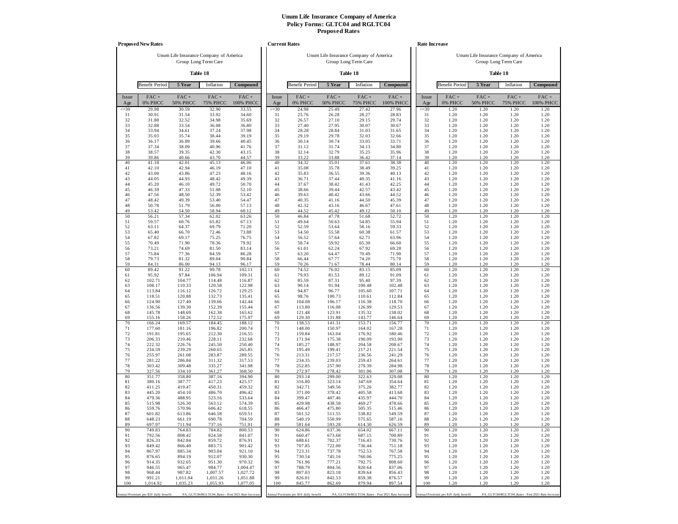|                  | <b>Proposed New Rates</b>             |                                                                |                          |                                                   | <b>Current Rates</b> |                                       |                                        |                          |                                                   |                  | Rate Increase                         |                                        |                                                  |                      |
|------------------|---------------------------------------|----------------------------------------------------------------|--------------------------|---------------------------------------------------|----------------------|---------------------------------------|----------------------------------------|--------------------------|---------------------------------------------------|------------------|---------------------------------------|----------------------------------------|--------------------------------------------------|----------------------|
|                  |                                       | Unum Life Insurance Company of America<br>Group Long Term Care |                          |                                                   |                      |                                       | Unum Life Insurance Company of America | Group Long Term Care     |                                                   |                  |                                       | Unum Life Insurance Company of America | Group Long Term Care                             |                      |
|                  |                                       | Table 18                                                       |                          |                                                   |                      |                                       |                                        | Table 18                 |                                                   |                  |                                       |                                        | Table 18                                         |                      |
|                  | <b>Benefit Period</b>                 | 5 Year                                                         | Inflation                | Compound                                          |                      | <b>Benefit Period</b>                 | 5 Year                                 | Inflation                | Compound                                          |                  | <b>Benefit Period</b>                 | 5 Year                                 | Inflation                                        | Compound             |
| Issue            | FAC+<br>0% PHCC                       | $FAC +$<br><b>50% PHCC</b>                                     | $FAC +$                  | $FAC +$<br>100% PHCC                              | Issue                | FAC+<br>0% PHCC                       | $FAC +$<br><b>50% PHCC</b>             | $FAC +$                  | $FAC +$<br><b>100% PHCC</b>                       | Issue            | $FAC +$<br>0% PHCC                    | $FAC +$<br><b>50% PHCC</b>             | $FAC +$<br><b>75% PHCC</b>                       | $FAC +$<br>100% PHCC |
| Age<br>$\leq 30$ | 29.98                                 | 30.59                                                          | <b>75% PHCC</b><br>32.90 | 33.55                                             | Age<br>$\leq 30$     | 24.98                                 | 25.49                                  | <b>75% PHCC</b><br>27.42 | 27.96                                             | Age<br>$\leq 30$ | 1.20                                  | 1.20                                   | 1.20                                             | 1.20                 |
| 31<br>32         | 30.91<br>31.88                        | 31.54<br>32.52                                                 | 33.92<br>34.98           | 34.60<br>35.69                                    | 31<br>32             | 25.76<br>26.57                        | 26.28<br>27.10                         | 28.27<br>29.15           | 28.83<br>29.74                                    | 31<br>32         | 1.20<br>1.20                          | 1.20<br>1.20                           | 1.20<br>1.20                                     | 1.20<br>1.20         |
| 33               | 32.88                                 | 33.54                                                          | 36.08                    | 36.80                                             | 33                   | 27.40                                 | 27.95                                  | 30.07                    | 30.67                                             | 33               | 1.20                                  | 1.20                                   | 1.20                                             | 1.20                 |
| 34<br>35         | 33.94<br>35.03                        | 34.61<br>35.74                                                 | 37.24<br>38.44           | 37.98<br>39.19                                    | 34<br>35             | 28.28<br>29.19                        | 28.84<br>29.78                         | 31.03<br>32.03           | 31.65<br>32.66                                    | 34<br>35         | 1.20<br>1.20                          | 1.20<br>1.20                           | 1.20<br>1.20                                     | 1.20<br>1.20         |
| 36               | 36.17                                 | 36.89                                                          | 39.66                    | 40.45                                             | 36                   | 30.14                                 | 30.74                                  | 33.05                    | 33.71                                             | 36               | 1.20                                  | 1.20                                   | 1.20                                             | 1.20                 |
| 37               | 37.34                                 | 38.09                                                          | 40.96                    | 41.76                                             | 37                   | 31.12                                 | 31.74                                  | 34.13                    | 34.80                                             | 37               | 1.20                                  | 1.20                                   | 1.20                                             | 1.20                 |
| 38<br>39         | 38.57<br>39.86                        | 39.35<br>40.66                                                 | 42.30<br>43.70           | 43.15<br>44.57                                    | 38<br>39             | 32.14<br>33.22                        | 32.79<br>33.88                         | 35.25<br>36.42           | 35.96<br>37.14                                    | 38<br>39         | 1.20<br>1.20                          | 1.20<br>1.20                           | 1.20<br>1.20                                     | 1.20<br>1.20         |
| 40               | 41.18                                 | 42.01                                                          | 45.13                    | 46.06                                             | 40                   | 34.32                                 | 35.01                                  | 37.61                    | 38.38                                             | 40               | 1.20                                  | 1.20                                   | 1.20                                             | 1.20                 |
| 41<br>42         | 42.10<br>43.00                        | 42.94<br>43.86                                                 | 46.19<br>47.23           | 47.10<br>48.16                                    | 41<br>42             | 35.08<br>35.83                        | 35.78<br>36.55                         | 38.49<br>39.36           | 39.25<br>40.13                                    | 41<br>42         | 1.20<br>1.20                          | 1.20<br>1.20                           | 1.20<br>1.20                                     | 1.20<br>1.20         |
| 43               | 44.05                                 | 44.93                                                          | 48.42                    | 49.39                                             | 43                   | 36.71                                 | 37.44                                  | 40.35                    | 41.16                                             | 43               | 1.20                                  | 1.20                                   | 1.20                                             | 1.20                 |
| 44<br>45         | 45.20<br>46.39                        | 46.10<br>47.33                                                 | 49.72<br>51.08           | 50.70<br>52.10                                    | 44<br>45             | 37.67<br>38.66                        | 38.42<br>39.44                         | 41.43<br>42.57           | 42.25<br>43.42                                    | 44<br>45         | 1.20<br>1.20                          | 1.20<br>1.20                           | 1.20<br>1.20                                     | 1.20<br>1.20         |
| 46               | 47.56                                 | 48.50                                                          | 52.39                    | 53.42                                             | 46                   | 39.63                                 | 40.42                                  | 43.66                    | 44.52                                             | 46               | 1.20                                  | 1.20                                   | 1.20                                             | 1.20                 |
| 47<br>48         | 48.42                                 | 49.39<br>51.79                                                 | 53.40                    | 54.47                                             | 47<br>48             | 40.35                                 | 41.16                                  | 44.50                    | 45.39                                             | 47<br>48         | 1.20                                  | 1.20<br>1.20                           | 1.20                                             | 1.20                 |
| 49               | 50.78<br>53.42                        | 54.50                                                          | 56.00<br>58.94           | 57.13<br>60.12                                    | 49                   | 42.32<br>44.52                        | 43.16<br>45.42                         | 46.67<br>49.12           | 47.61<br>50.10                                    | 49               | 1.20<br>1.20                          | 1.20                                   | 1.20<br>1.20                                     | 1.20<br>1.20         |
| 50               | 56.21                                 | 57.34                                                          | 62.02                    | 63.26                                             | 50                   | 46.84                                 | 47.78                                  | 51.68                    | 52.72                                             | 50               | 1.20                                  | 1.20                                   | 1.20                                             | 1.20                 |
| 51<br>52         | 59.57<br>63.11                        | 60.76<br>64.37                                                 | 65.82<br>69.79           | 67.13<br>71.20                                    | 51<br>52             | 49.64<br>52.59                        | 50.63<br>53.64                         | 54.85<br>58.16           | 55.94<br>59.33                                    | 51<br>52         | 1.20<br>1.20                          | 1.20<br>1.20                           | 1.20<br>1.20                                     | 1.20<br>1.20         |
| 53               | 65.40                                 | 66.70                                                          | 72.46                    | 73.88                                             | 53                   | 54.50                                 | 55.58                                  | 60.38                    | 61.57                                             | 53               | 1.20                                  | 1.20                                   | 1.20                                             | 1.20                 |
| 54<br>55         | 67.82<br>70.49                        | 69.17<br>71.90                                                 | 75.25<br>78.36           | 76.75<br>79.92                                    | 54<br>55             | 56.52<br>58.74                        | 57.64<br>59.92                         | 62.71<br>65.30           | 63.96<br>66.60                                    | 54<br>55         | 1.20<br>1.20                          | 1.20<br>1.20                           | 1.20<br>1.20                                     | 1.20<br>1.20         |
| 56               | 73.21                                 | 74.69                                                          | 81.50                    | 83.14                                             | 56                   | 61.01                                 | 62.24                                  | 67.92                    | 69.28                                             | 56               | 1.20                                  | 1.20                                   | 1.20                                             | 1.20                 |
| 57<br>58         | 75.84<br>79.73                        | 77.36<br>81.32                                                 | 84.59<br>89.04           | 86.28<br>90.84                                    | 57<br>58             | 63.20<br>66.44                        | 64.47<br>67.77                         | 70.49<br>74.20           | 71.90<br>75.70                                    | 57<br>58         | 1.20<br>1.20                          | 1.20<br>1.20                           | 1.20<br>1.20                                     | 1.20<br>1.20         |
| 59               | 84.31                                 | 86.00                                                          | 94.13                    | 96.17                                             | 59                   | 70.26                                 | 71.67                                  | 78.44                    | 80.14                                             | 59               | 1.20                                  | 1.20                                   | 1.20                                             | 1.20                 |
| 60<br>61         | 89.42<br>95.92                        | 91.22<br>97.84                                                 | 99.78<br>106.94          | 102.11<br>109.31                                  | 60<br>61             | 74.52<br>79.93                        | 76.02<br>81.53                         | 83.15<br>89.12           | 85.09<br>91.09                                    | 60<br>61         | 1.20<br>1.20                          | 1.20<br>1.20                           | 1.20<br>1.20                                     | 1.20<br>1.20         |
| 62               | 102.71                                | 104.77                                                         | 114.48                   | 116.87                                            | 62                   | 85.59                                 | 87.31                                  | 95.40                    | 97.39                                             | 62               | 1.20                                  | 1.20                                   | 1.20                                             | 1.20                 |
| 63<br>64         | 108.17<br>113.84                      | 110.33<br>116.12                                               | 120.58<br>126.72         | 122.98<br>129.25                                  | 63<br>64             | 90.14<br>94.87                        | 91.94<br>96.77                         | 100.48<br>105.60         | 102.48<br>107.71                                  | 63<br>64         | 1.20<br>1.20                          | 1.20<br>1.20                           | 1.20<br>1.20                                     | 1.20<br>1.20         |
| 65               | 118.51                                | 120.88                                                         | 132.73                   | 135.41                                            | 65                   | 98.76                                 | 100.73                                 | 110.61                   | 112.84                                            | 65               | 1.20                                  | 1.20                                   | 1.20                                             | 1.20                 |
| 66               | 124.90                                | 127.40                                                         | 139.66                   | 142.44                                            | 66                   | 104.08                                | 106.17                                 | 116.38                   | 118.70                                            | 66               | 1.20                                  | 1.20                                   | 1.20                                             | 1.20                 |
| 67<br>68         | 136.56<br>145.78                      | 139.30<br>148.69                                               | 152.39<br>162.38         | 155.44<br>165.62                                  | 67<br>68             | 113.80<br>121.48                      | 116.08<br>123.91                       | 126.99<br>135.32         | 129.53<br>138.02                                  | 67<br>68         | 1.20<br>1.20                          | 1.20<br>1.20                           | 1.20<br>1.20                                     | 1.20<br>1.20         |
| 69               | 155.16                                | 158.26                                                         | 172.52                   | 175.97                                            | 69                   | 129.30                                | 131.88                                 | 143.77                   | 146.64                                            | 69               | 1.20                                  | 1.20                                   | 1.20                                             | 1.20                 |
| 70<br>71         | 166.24<br>177.60                      | 169.57<br>181.16                                               | 184.45<br>196.82         | 188.12<br>200.74                                  | 70<br>71             | 138.53<br>148.00                      | 141.31<br>150.97                       | 153.71<br>164.02         | 156.77<br>167.28                                  | 70<br>71         | 1.20<br>1.20                          | 1.20<br>1.20                           | 1.20<br>1.20                                     | 1.20<br>1.20         |
| 72               | 191.81                                | 195.65                                                         | 212.30                   | 216.55                                            | 72                   | 159.84                                | 163.04                                 | 176.92                   | 180.46                                            | 72               | 1.20                                  | 1.20                                   | 1.20                                             | 1.20                 |
| 73<br>74         | 206.33<br>222.32                      | 210.46<br>226.76                                               | 228.11<br>245.50         | 232.68<br>250.40                                  | 73<br>74             | 171.94<br>185.27                      | 175.38<br>188.97                       | 190.09<br>204.58         | 193.90<br>208.67                                  | 73<br>74         | 1.20<br>1.20                          | 1.20<br>1.20                           | 1.20<br>1.20                                     | 1.20<br>1.20         |
| 75               | 234.59                                | 239.29                                                         | 260.65                   | 265.85                                            | 75                   | 195.49                                | 199.41                                 | 217.21                   | 221.54                                            | 75               | 1.20                                  | 1.20                                   | 1.20                                             | 1.20                 |
| 76<br>77         | 255.97<br>281.22                      | 261.08<br>286.84                                               | 283.87<br>311.32         | 289.55<br>317.53                                  | 76<br>77             | 213.31<br>234.35                      | 217.57<br>239.03                       | 236.56<br>259.43         | 241.29<br>264.61                                  | 76<br>77         | 1.20<br>1.20                          | 1.20<br>1.20                           | 1.20<br>1.20                                     | 1.20<br>1.20         |
| 78               | 303.42                                | 309.48                                                         | 335.27                   | 341.98                                            | 78                   | 252.85                                | 257.90                                 | 279.39                   | 284.98                                            | 78               | 1.20                                  | 1.20                                   | 1.20                                             | 1.20                 |
| 79<br>80         | 327.56<br>351.77                      | 334.10<br>358.80                                               | 361.27<br>387.16         | 368.50<br>394.90                                  | 79<br>80             | 272.97<br>293.14                      | 278.42<br>299.00                       | 301.06<br>322.63         | 307.08<br>329.08                                  | 79<br>80         | 1.20<br>1.20                          | 1.20<br>1.20                           | 1.20<br>1.20                                     | 1.20<br>1.20         |
| 81               | 380.16                                | 387.77                                                         | 417.23                   | 425.57                                            | 81                   | 316.80                                | 323.14                                 | 347.69                   | 354.64                                            | 81               | 1.20                                  | 1.20                                   | 1.20                                             | 1.20                 |
| 82<br>83         | 411.25<br>445.20                      | 419.47<br>454.10                                               | 450.31<br>486.70         | 459.32<br>496.42                                  | 82<br>83             | 342.71<br>371.00                      | 349.56<br>378.42                       | 375.26<br>405.58         | 382.77<br>413.68                                  | 82<br>83         | 1.20<br>1.20                          | 1.20<br>1.20                           | 1.20<br>1.20                                     | 1.20<br>1.20         |
| 84               | 479.36                                | 488.95                                                         | 523.16                   | 533.64                                            | 84                   | 399.47                                | 407.46                                 | 435.97                   | 444.70                                            | 84               | 1.20                                  | 1.20                                   | 1.20                                             | 1.20                 |
| 85<br>86         | 515.98<br>559.76                      | 526.30<br>570.96                                               | 563.12<br>606.42         | 574.39<br>618.55                                  | 85<br>86             | 429.98<br>466.47                      | 438.58<br>475.80                       | 469.27<br>505.35         | 478.66<br>515.46                                  | 85<br>86         | 1.20<br>1.20                          | 1.20<br>1.20                           | 1.20<br>1.20                                     | 1.20<br>1.20         |
| 87               | 601.82                                | 613.86                                                         | 646.58                   | 659.51                                            | 87                   | 501.52                                | 511.55                                 | 538.82                   | 549.59                                            | 87               | 1.20                                  | 1.20                                   | 1.20                                             | 1.20                 |
| 88               | 648.23                                | 661.19                                                         | 690.78                   | 704.59                                            | 88                   | 540.19                                | 550.99                                 | 575.65                   | 587.16                                            | 88               | 1.20                                  | 1.20                                   | 1.20                                             | 1.20                 |
| 89<br>90         | 697.97<br>749.83                      | 711.94<br>764.83                                               | 737.16<br>784.82         | 751.91<br>800.53                                  | 89<br>90             | 581.64<br>624.86                      | 593.28<br>637.36                       | 614.30<br>654.02         | 626.59<br>667.11                                  | 89<br>90         | 1.20<br>1.20                          | 1.20<br>1.20                           | 1.20<br>1.20                                     | 1.20<br>1.20         |
| 91               | 792.56                                | 808.42                                                         | 824.58                   | 841.07                                            | 91                   | 660.47                                | 673.68                                 | 687.15                   | 700.89                                            | 91               | 1.20                                  | 1.20                                   | 1.20                                             | 1.20                 |
| 92<br>93         | 826.33<br>849.42                      | 842.84<br>866.40                                               | 859.72<br>883.73         | 876.91<br>901.42                                  | 92<br>93             | 688.61<br>707.85                      | 702.37<br>722.00                       | 716.43<br>736.44         | 730.76<br>751.18                                  | 92<br>93         | 1.20<br>1.20                          | 1.20<br>1.20                           | 1.20<br>1.20                                     | 1.20<br>1.20         |
| 94               | 867.97                                | 885.34                                                         | 903.04                   | 921.10                                            | 94                   | 723.31                                | 737.78                                 | 752.53                   | 767.58                                            | 94               | 1.20                                  | 1.20                                   | 1.20                                             | 1.20                 |
| 95<br>96         | 876.65<br>914.35                      | 894.19<br>932.65                                               | 912.07<br>951.30         | 930.30<br>970.32                                  | 95<br>96             | 730.54<br>761.96                      | 745.16<br>777.21                       | 760.06<br>792.75         | 775.25<br>808.60                                  | 95<br>96         | 1.20<br>1.20                          | 1.20<br>1.20                           | 1.20<br>1.20                                     | 1.20<br>1.20         |
| 97               | 946.55                                | 965.47                                                         | 984.77                   | 1,004.47                                          | 97                   | 788.79                                | 804.56                                 | 820.64                   | 837.06                                            | 97               | 1.20                                  | 1.20                                   | 1.20                                             | 1.20                 |
| 98<br>99         | 968.44<br>991.21                      | 987.82<br>1,011.04                                             | 1,007.57<br>1,031.26     | 1,027.72<br>1,051.88                              | 98<br>99             | 807.03<br>826.01                      | 823.18<br>842.53                       | 839.64<br>859.38         | 856.43<br>876.57                                  | 98<br>99         | 1.20<br>1.20                          | 1.20<br>1.20                           | 1.20<br>1.20                                     | 1.20<br>1.20         |
| 100              | 1,014.92                              | 1,035.23                                                       | 1,055.93                 | 1,077.05                                          | 100                  | 845.77                                | 862.69                                 | 879.94                   | 897.54                                            | 100              | 1.20                                  | 1.20                                   | 1.20                                             | 1.20                 |
|                  | Annual Premium per \$10 daily benefit |                                                                |                          | PA_GLTC04/RGLTC04_Rates - Post 2021 Rate Increase |                      | Annual Premium per \$10 daily benefit |                                        |                          | PA_GLTC04/RGLTC04_Rates - Post 2021 Rate Increase |                  | Annual Premium per \$10 daily benefit |                                        | PA_GLTC04/RGLTC04_Rates - Post 2021 Rate Increas |                      |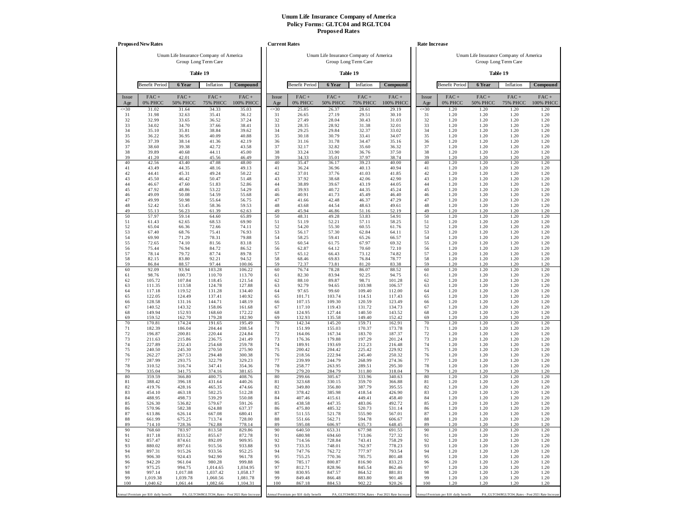|              | <b>Proposed New Rates</b>             |                            |                                                   |                      |              | <b>Current Rates</b>                  |                            |                                                                |                             |              | Rate Increase                         |                            |                                                                |                      |
|--------------|---------------------------------------|----------------------------|---------------------------------------------------|----------------------|--------------|---------------------------------------|----------------------------|----------------------------------------------------------------|-----------------------------|--------------|---------------------------------------|----------------------------|----------------------------------------------------------------|----------------------|
|              |                                       | Group Long Term Care       | Unum Life Insurance Company of America            |                      |              |                                       |                            | Unum Life Insurance Company of America<br>Group Long Term Care |                             |              |                                       |                            | Unum Life Insurance Company of America<br>Group Long Term Care |                      |
|              |                                       | Table 19                   |                                                   |                      |              |                                       |                            | Table 19                                                       |                             |              |                                       |                            | Table 19                                                       |                      |
|              | <b>Benefit Period</b>                 | 6 Year                     | Inflation                                         | Compound             |              | <b>Benefit Period</b>                 | 6 Year                     | Inflation                                                      | Compound                    |              | <b>Benefit Period</b>                 | 6 Year                     | Inflation                                                      | Compound             |
| Issue<br>Age | $FAC +$<br>0% PHCC                    | $FAC +$<br><b>50% PHCC</b> | $FAC +$<br><b>75% PHCC</b>                        | $FAC +$<br>100% PHCC | Issue<br>Age | $FAC +$<br>0% PHCC                    | $FAC +$<br><b>50% PHCC</b> | $FAC +$<br><b>75% PHCC</b>                                     | $FAC +$<br><b>100% PHCC</b> | Issue<br>Age | FAC+<br>0% PHCC                       | $FAC +$<br><b>50% PHCC</b> | $FAC +$<br><b>75% PHCC</b>                                     | $FAC +$<br>100% PHCC |
| $\leq 30$    | 31.02                                 | 31.64                      | 34.33                                             | 35.03                | $\leq 30$    | 25.85                                 | 26.37                      | 28.61                                                          | 29.19                       | $\leq 30$    | 1.20                                  | 1.20                       | 1.20                                                           | 1.20                 |
| 31<br>32     | 31.98<br>32.99                        | 32.63<br>33.65             | 35.41<br>36.52                                    | 36.12<br>37.24       | 31<br>32     | 26.65<br>27.49                        | 27.19<br>28.04             | 29.51<br>30.43                                                 | 30.10<br>31.03              | 31<br>32     | 1.20<br>1.20                          | 1.20<br>1.20               | 1.20<br>1.20                                                   | 1.20<br>1.20         |
| 33           | 34.02                                 | 34.70                      | 37.66                                             | 38.41                | 33           | 28.35                                 | 28.92                      | 31.38                                                          | 32.01                       | 33           | 1.20                                  | 1.20                       | 1.20                                                           | 1.20                 |
| 34<br>35     | 35.10<br>36.22                        | 35.81<br>36.95             | 38.84<br>40.09                                    | 39.62<br>40.88       | 34<br>35     | 29.25<br>30.18                        | 29.84<br>30.79             | 32.37<br>33.41                                                 | 33.02<br>34.07              | 34<br>35     | 1.20<br>1.20                          | 1.20<br>1.20               | 1.20<br>1.20                                                   | 1.20<br>1.20         |
| 36           | 37.39                                 | 38.14                      | 41.36                                             | 42.19                | 36           | 31.16                                 | 31.78                      | 34.47                                                          | 35.16                       | 36           | 1.20                                  | 1.20                       | 1.20                                                           | 1.20                 |
| 37           | 38.60                                 | 39.38                      | 42.72                                             | 43.58                | 37           | 32.17                                 | 32.82                      | 35.60                                                          | 36.32                       | 37           | 1.20                                  | 1.20                       | 1.20                                                           | 1.20                 |
| 38<br>39     | 39.89<br>41.20                        | 40.68<br>42.01             | 44.11<br>45.56                                    | 45.00<br>46.49       | 38<br>39     | 33.24<br>34.33                        | 33.90<br>35.01             | 36.76<br>37.97                                                 | 37.50<br>38.74              | 38<br>39     | 1.20<br>1.20                          | 1.20<br>1.20               | 1.20<br>1.20                                                   | 1.20<br>1.20         |
| 40           | 42.56                                 | 43.40                      | 47.08                                             | 48.00                | 40           | 35.47                                 | 36.17                      | 39.23                                                          | 40.00                       | 40           | 1.20                                  | 1.20                       | 1.20                                                           | 1.20                 |
| 41           | 43.49                                 | 44.35                      | 48.16                                             | 49.13                | 41           | 36.24                                 | 36.96                      | 40.13                                                          | 40.94                       | 41           | 1.20                                  | 1.20                       | 1.20                                                           | 1.20                 |
| 42<br>43     | 44.41<br>45.50                        | 45.31<br>46.42             | 49.24<br>50.47                                    | 50.22<br>51.48       | 42<br>43     | 37.01<br>37.92                        | 37.76<br>38.68             | 41.03<br>42.06                                                 | 41.85<br>42.90              | 42<br>43     | 1.20<br>1.20                          | 1.20<br>1.20               | 1.20<br>1.20                                                   | 1.20<br>1.20         |
| 44           | 46.67                                 | 47.60                      | 51.83                                             | 52.86                | 44           | 38.89                                 | 39.67                      | 43.19                                                          | 44.05                       | 44           | 1.20                                  | 1.20                       | 1.20                                                           | 1.20                 |
| 45<br>46     | 47.92<br>49.09                        | 48.86<br>50.08             | 53.22<br>54.59                                    | 54.29<br>55.68       | 45<br>46     | 39.93<br>40.91                        | 40.72<br>41.73             | 44.35<br>45.49                                                 | 45.24<br>46.40              | 45<br>46     | 1.20<br>1.20                          | 1.20<br>1.20               | 1.20<br>1.20                                                   | 1.20<br>1.20         |
| 47           | 49.99                                 | 50.98                      | 55.64                                             | 56.75                | 47           | 41.66                                 | 42.48                      | 46.37                                                          | 47.29                       | 47           | 1.20                                  | 1.20                       | 1.20                                                           | 1.20                 |
| 48           | 52.42                                 | 53.45                      | 58.36                                             | 59.53                | 48           | 43.68                                 | 44.54                      | 48.63                                                          | 49.61                       | 48           | 1.20                                  | 1.20                       | 1.20                                                           | 1.20                 |
| 49<br>50     | 55.13<br>57.97                        | 56.23<br>59.14             | 61.39<br>64.60                                    | 62.63<br>65.89       | 49<br>50     | 45.94<br>48.31                        | 46.86<br>49.28             | 51.16<br>53.83                                                 | 52.19<br>54.91              | 49<br>50     | 1.20<br>1.20                          | 1.20<br>1.20               | 1.20<br>1.20                                                   | 1.20<br>1.20         |
| 51           | 61.43                                 | 62.65                      | 68.53                                             | 69.90                | 51           | 51.19                                 | 52.21                      | 57.11                                                          | 58.25                       | 51           | 1.20                                  | 1.20                       | 1.20                                                           | 1.20                 |
| 52<br>53     | 65.04<br>67.40                        | 66.36<br>68.76             | 72.66<br>75.41                                    | 74.11<br>76.93       | 52<br>53     | 54.20<br>56.17                        | 55.30<br>57.30             | 60.55<br>62.84                                                 | 61.76<br>64.11              | 52<br>53     | 1.20<br>1.20                          | 1.20<br>1.20               | 1.20<br>1.20                                                   | 1.20<br>1.20         |
| 54           | 69.90                                 | 71.29                      | 78.31                                             | 79.88                | 54           | 58.25                                 | 59.41                      | 65.26                                                          | 66.57                       | 54           | 1.20                                  | 1.20                       | 1.20                                                           | 1.20                 |
| 55           | 72.65                                 | 74.10                      | 81.56                                             | 83.18                | 55           | 60.54                                 | 61.75                      | 67.97                                                          | 69.32                       | 55           | 1.20                                  | 1.20                       | 1.20                                                           | 1.20                 |
| 56<br>57     | 75.44<br>78.14                        | 76.94<br>79.72             | 84.72<br>87.74                                    | 86.52<br>89.78       | 56<br>57     | 62.87<br>65.12                        | 64.12<br>66.43             | 70.60<br>73.12                                                 | 72.10<br>74.82              | 56<br>57     | 1.20<br>1.20                          | 1.20<br>1.20               | 1.20<br>1.20                                                   | 1.20<br>1.20         |
| 58           | 82.15                                 | 83.80                      | 92.21                                             | 94.52                | 58           | 68.46                                 | 69.83                      | 76.84                                                          | 78.77                       | 58           | 1.20                                  | 1.20                       | 1.20                                                           | 1.20                 |
| 59<br>60     | 86.84<br>92.09                        | 88.57<br>93.94             | 97.44<br>103.28                                   | 100.06<br>106.22     | 59<br>60     | 72.37<br>76.74                        | 73.81<br>78.28             | 81.20<br>86.07                                                 | 83.38<br>88.52              | 59<br>60     | 1.20<br>1.20                          | 1.20<br>1.20               | 1.20<br>1.20                                                   | 1.20<br>1.20         |
| 61           | 98.76                                 | 100.73                     | 110.70                                            | 113.70               | 61           | 82.30                                 | 83.94                      | 92.25                                                          | 94.75                       | 61           | 1.20                                  | 1.20                       | 1.20                                                           | 1.20                 |
| 62           | 105.72                                | 107.84                     | 118.45                                            | 121.54               | 62           | 88.10                                 | 89.87                      | 98.71                                                          | 101.28                      | 62           | 1.20                                  | 1.20                       | 1.20                                                           | 1.20                 |
| 63<br>64     | 111.35<br>117.18                      | 113.58<br>119.52           | 124.78<br>131.28                                  | 127.88<br>134.40     | 63<br>64     | 92.79<br>97.65                        | 94.65<br>99.60             | 103.98<br>109.40                                               | 106.57<br>112.00            | 63<br>64     | 1.20<br>1.20                          | 1.20<br>1.20               | 1.20<br>1.20                                                   | 1.20<br>1.20         |
| 65           | 122.05                                | 124.49                     | 137.41                                            | 140.92               | 65           | 101.71                                | 103.74                     | 114.51                                                         | 117.43                      | 65           | 1.20                                  | 1.20                       | 1.20                                                           | 1.20                 |
| 66<br>67     | 128.58<br>140.52                      | 131.16<br>143.32           | 144.71<br>158.06                                  | 148.19<br>161.68     | 66<br>67     | 107.15<br>117.10                      | 109.30<br>119.43           | 120.59<br>131.72                                               | 123.49<br>134.73            | 66<br>67     | 1.20<br>1.20                          | 1.20<br>1.20               | 1.20<br>1.20                                                   | 1.20<br>1.20         |
| 68           | 149.94                                | 152.93                     | 168.60                                            | 172.22               | 68           | 124.95                                | 127.44                     | 140.50                                                         | 143.52                      | 68           | 1.20                                  | 1.20                       | 1.20                                                           | 1.20                 |
| 69           | 159.52                                | 162.70                     | 179.28                                            | 182.90               | 69           | 132.93                                | 135.58                     | 149.40                                                         | 152.42                      | 69           | 1.20                                  | 1.20                       | 1.20                                                           | 1.20                 |
| 70<br>71     | 170.81<br>182.39                      | 174.24<br>186.04           | 191.65<br>204.44                                  | 195.49<br>208.54     | 70<br>71     | 142.34<br>151.99                      | 145.20<br>155.03           | 159.71<br>170.37                                               | 162.91<br>173.78            | 70<br>71     | 1.20<br>1.20                          | 1.20<br>1.20               | 1.20<br>1.20                                                   | 1.20<br>1.20         |
| 72           | 196.87                                | 200.81                     | 220.44                                            | 224.84               | 72           | 164.06                                | 167.34                     | 183.70                                                         | 187.37                      | 72           | 1.20                                  | 1.20                       | 1.20                                                           | 1.20                 |
| 73<br>74     | 211.63<br>227.89                      | 215.86<br>232.43           | 236.75<br>254.68                                  | 241.49<br>259.78     | 73<br>74     | 176.36<br>189.91                      | 179.88<br>193.69           | 197.29<br>212.23                                               | 201.24<br>216.48            | 73<br>74     | 1.20<br>1.20                          | 1.20<br>1.20               | 1.20<br>1.20                                                   | 1.20<br>1.20         |
| 75           | 240.50                                | 245.30                     | 270.50                                            | 275.90               | 75           | 200.42                                | 204.42                     | 225.42                                                         | 229.92                      | 75           | 1.20                                  | 1.20                       | 1.20                                                           | 1.20                 |
| 76           | 262.27                                | 267.53                     | 294.48                                            | 300.38               | 76           | 218.56                                | 222.94                     | 245.40                                                         | 250.32                      | 76           | 1.20                                  | 1.20                       | 1.20                                                           | 1.20                 |
| 77<br>78     | 287.99<br>310.52                      | 293.75<br>316.74           | 322.79<br>347.41                                  | 329.23<br>354.36     | 77<br>78     | 239.99<br>258.77                      | 244.79<br>263.95           | 268.99<br>289.51                                               | 274.36<br>295.30            | 77<br>78     | 1.20<br>1.20                          | 1.20<br>1.20               | 1.20<br>1.20                                                   | 1.20<br>1.20         |
| 79           | 335.04                                | 341.75                     | 374.16                                            | 381.65               | 79           | 279.20                                | 284.79                     | 311.80                                                         | 318.04                      | 79           | 1.20                                  | 1.20                       | 1.20                                                           | 1.20                 |
| 80<br>81     | 359.59<br>388.42                      | 366.80<br>396.18           | 400.75<br>431.64                                  | 408.76<br>440.26     | 80<br>81     | 299.66<br>323.68                      | 305.67<br>330.15           | 333.96<br>359.70                                               | 340.63<br>366.88            | 80<br>81     | 1.20<br>1.20                          | 1.20<br>1.20               | 1.20<br>1.20                                                   | 1.20<br>1.20         |
| 82           | 419.76                                | 428.16                     | 465.35                                            | 474.66               | 82           | 349.80                                | 356.80                     | 387.79                                                         | 395.55                      | 82           | 1.20                                  | 1.20                       | 1.20                                                           | 1.20                 |
| 83           | 454.10                                | 463.18                     | 502.25                                            | 512.28               | 83           | 378.42                                | 385.98                     | 418.54                                                         | 426.90                      | 83           | 1.20                                  | 1.20                       | 1.20                                                           | 1.20                 |
| 84<br>85     | 488.95<br>526.30                      | 498.73<br>536.82           | 539.29<br>579.67                                  | 550.08<br>591.26     | 84<br>85     | 407.46<br>438.58                      | 415.61<br>447.35           | 449.41<br>483.06                                               | 458.40<br>492.72            | 84<br>85     | 1.20<br>1.20                          | 1.20<br>1.20               | 1.20<br>1.20                                                   | 1.20<br>1.20         |
| 86           | 570.96                                | 582.38                     | 624.88                                            | 637.37               | 86           | 475.80                                | 485.32                     | 520.73                                                         | 531.14                      | 86           | 1.20                                  | 1.20                       | 1.20                                                           | 1.20                 |
| 87<br>88     | 613.86<br>661.99                      | 626.14<br>675.25           | 667.08<br>713.74                                  | 680.41<br>728.00     | 87<br>88     | 511.55<br>551.66                      | 521.78<br>562.71           | 555.90<br>594.78                                               | 567.01<br>606.67            | 87<br>88     | 1.20<br>1.20                          | 1.20<br>1.20               | 1.20<br>1.20                                                   | 1.20<br>1.20         |
| 89           | 714.10                                | 728.36                     | 762.88                                            | 778.14               | 89           | 595.08                                | 606.97                     | 635.73                                                         | 648.45                      | 89           | 1.20                                  | 1.20                       | 1.20                                                           | 1.20                 |
| 90           | 768.60                                | 783.97                     | 813.58                                            | 829.86               | 90           | 640.50                                | 653.31                     | 677.98                                                         | 691.55                      | 90           | 1.20                                  | 1.20                       | 1.20                                                           | 1.20                 |
| 91<br>92     | 817.18<br>857.47                      | 833.52<br>874.61           | 855.67<br>892.09                                  | 872.78<br>909.95     | 91<br>92     | 680.98<br>714.56                      | 694.60<br>728.84           | 713.06<br>743.41                                               | 727.32<br>758.29            | 91<br>92     | 1.20<br>1.20                          | 1.20<br>1.20               | 1.20<br>1.20                                                   | 1.20<br>1.20         |
| 93           | 880.02                                | 897.61                     | 915.56                                            | 933.88               | 93           | 733.35                                | 748.01                     | 762.97                                                         | 778.23                      | 93           | 1.20                                  | 1.20                       | 1.20                                                           | 1.20                 |
| 94<br>95     | 897.31                                | 915.26                     | 933.56                                            | 952.25               | 94           | 747.76                                | 762.72                     | 777.97                                                         | 793.54                      | 94           | 1.20                                  | 1.20                       | 1.20                                                           | 1.20                 |
| 96           | 906.30<br>942.20                      | 924.43<br>961.04           | 942.90<br>980.28                                  | 961.78<br>999.88     | 95<br>96     | 755.25<br>785.17                      | 770.36<br>800.87           | 785.75<br>816.90                                               | 801.48<br>833.23            | 95<br>96     | 1.20<br>1.20                          | 1.20<br>1.20               | 1.20<br>1.20                                                   | 1.20<br>1.20         |
| 97           | 975.25                                | 994.75                     | 1,014.65                                          | 1,034.95             | 97           | 812.71                                | 828.96                     | 845.54                                                         | 862.46                      | 97           | 1.20                                  | 1.20                       | 1.20                                                           | 1.20                 |
| 98<br>99     | 997.14<br>1,019.38                    | 1,017.08<br>1,039.78       | 1,037.42<br>1,060.56                              | 1,058.17<br>1,081.78 | 98<br>99     | 830.95<br>849.48                      | 847.57<br>866.48           | 864.52<br>883.80                                               | 881.81<br>901.48            | 98<br>99     | 1.20<br>1.20                          | 1.20<br>1.20               | 1.20<br>1.20                                                   | 1.20<br>1.20         |
| 100          | 1,040.62                              | 1,061.44                   | 1,082.66                                          | 1,104.31             | 100          | 867.18                                | 884.53                     | 902.22                                                         | 920.26                      | 100          | 1.20                                  | 1.20                       | 1.20                                                           | 1.20                 |
|              |                                       |                            |                                                   |                      |              |                                       |                            |                                                                |                             |              |                                       |                            |                                                                |                      |
|              | Annual Premium per \$10 daily benefit |                            | PA_GLTC04/RGLTC04_Rates - Post 2021 Rate Increase |                      |              | Annual Premium per \$10 daily benefit |                            | PA_GLTC04/RGLTC04_Rates - Post 2021 Rate Increase              |                             |              | Annual Premium per \$10 daily benefit |                            | PA_GLTC04/RGLTC04_Rates - Post 2021 Rate Increas               |                      |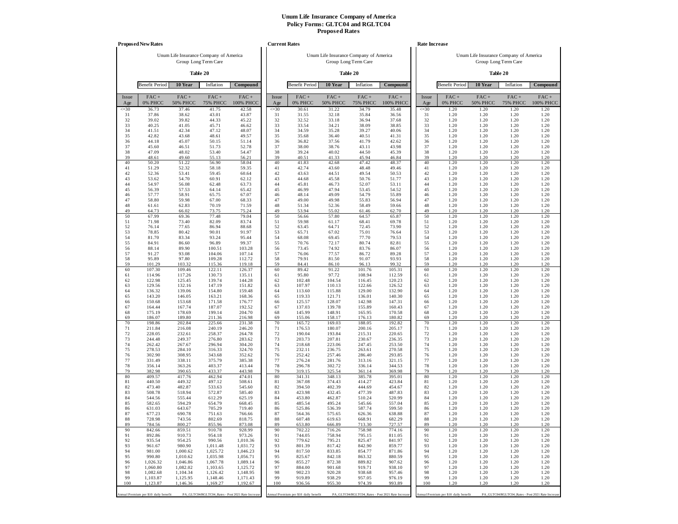|              | <b>Proposed New Rates</b>             |                                        |                            |                                                   |                 | <b>Current Rates</b>                  |                                        |                         |                                                   |              | Rate Increase                         |                                        |                                                   |                      |
|--------------|---------------------------------------|----------------------------------------|----------------------------|---------------------------------------------------|-----------------|---------------------------------------|----------------------------------------|-------------------------|---------------------------------------------------|--------------|---------------------------------------|----------------------------------------|---------------------------------------------------|----------------------|
|              |                                       | Unum Life Insurance Company of America |                            |                                                   |                 |                                       | Unum Life Insurance Company of America |                         |                                                   |              |                                       | Unum Life Insurance Company of America |                                                   |                      |
|              |                                       |                                        | Group Long Term Care       |                                                   |                 |                                       |                                        | Group Long Term Care    |                                                   |              |                                       |                                        | Group Long Term Care                              |                      |
|              |                                       |                                        | Table 20                   |                                                   |                 |                                       |                                        | Table 20                |                                                   |              |                                       |                                        | Table 20                                          |                      |
|              | <b>Benefit Period</b>                 | 10 Year                                | Inflation                  | Compound                                          |                 | <b>Benefit Period</b>                 | 10 Year                                | Inflation               | Compound                                          |              | <b>Benefit Period</b>                 | 10 Year                                | Inflation                                         | Compound             |
| Issue<br>Age | $FAC +$<br>0% PHCC                    | $FAC +$<br><b>50% PHCC</b>             | $FAC +$<br><b>75% PHCC</b> | $FAC +$<br>100% PHCC                              | Issue<br>Age    | $FAC +$<br>0% PHCC                    | $FAC +$<br><b>50% PHCC</b>             | FAC+<br><b>75% PHCC</b> | $FAC +$<br>100% PHCC                              | Issue<br>Age | $FAC +$<br>0% PHCC                    | $FAC +$<br><b>50% PHCC</b>             | $FAC +$<br><b>75% PHCC</b>                        | $FAC +$<br>100% PHCC |
| $\leq 30$    | 36.73<br>37.86                        | 37.46                                  | 41.75<br>43.01             | 42.58<br>43.87                                    | $\leq 30$<br>31 | 30.61<br>31.55                        | 31.22<br>32.18                         | 34.79<br>35.84          | 35.48                                             | $\leq 30$    | 1.20<br>1.20                          | 1.20<br>1.20                           | 1.20<br>1.20                                      | 1.20<br>1.20         |
| 31<br>32     | 39.02                                 | 38.62<br>39.82                         | 44.33                      | 45.22                                             | 32              | 32.52                                 | 33.18                                  | 36.94                   | 36.56<br>37.68                                    | 31<br>32     | 1.20                                  | 1.20                                   | 1.20                                              | 1.20                 |
| 33<br>34     | 40.25                                 | 41.05<br>42.34                         | 45.71<br>47.12             | 46.62<br>48.07                                    | 33<br>34        | 33.54<br>34.59                        | 34.21<br>35.28                         | 38.09<br>39.27          | 38.85<br>40.06                                    | 33<br>34     | 1.20<br>1.20                          | 1.20<br>1.20                           | 1.20<br>1.20                                      | 1.20<br>1.20         |
| 35           | 41.51<br>42.82                        | 43.68                                  | 48.61                      | 49.57                                             | 35              | 35.68                                 | 36.40                                  | 40.51                   | 41.31                                             | 35           | 1.20                                  | 1.20                                   | 1.20                                              | 1.20                 |
| 36           | 44.18                                 | 45.07                                  | 50.15                      | 51.14                                             | 36              | 36.82                                 | 37.56                                  | 41.79                   | 42.62                                             | 36           | 1.20                                  | 1.20                                   | 1.20                                              | 1.20                 |
| 37<br>38     | 45.60<br>47.09                        | 46.51<br>48.02                         | 51.73<br>53.40             | 52.78<br>54.47                                    | 37<br>38        | 38.00<br>39.24                        | 38.76<br>40.02                         | 43.11<br>44.50          | 43.98<br>45.39                                    | 37<br>38     | 1.20<br>1.20                          | 1.20<br>1.20                           | 1.20<br>1.20                                      | 1.20<br>1.20         |
| 39           | 48.61                                 | 49.60                                  | 55.13                      | 56.21                                             | 39              | 40.51                                 | 41.33                                  | 45.94                   | 46.84                                             | 39           | 1.20                                  | 1.20                                   | 1.20                                              | 1.20                 |
| 40<br>41     | 50.20<br>51.29                        | 51.22<br>52.32                         | 56.90<br>58.18             | 58.04<br>59.35                                    | 40<br>41        | 41.83<br>42.74                        | 42.68<br>43.60                         | 47.42<br>48.48          | 48.37<br>49.46                                    | 40<br>41     | 1.20<br>1.20                          | 1.20<br>1.20                           | 1.20<br>1.20                                      | 1.20<br>1.20         |
| 42           | 52.36                                 | 53.41                                  | 59.45                      | 60.64                                             | 42              | 43.63                                 | 44.51                                  | 49.54                   | 50.53                                             | 42           | 1.20                                  | 1.20                                   | 1.20                                              | 1.20                 |
| 43           | 53.62                                 | 54.70                                  | 60.91                      | 62.12                                             | 43              | 44.68                                 | 45.58                                  | 50.76                   | 51.77                                             | 43           | 1.20                                  | 1.20                                   | 1.20                                              | 1.20                 |
| 44<br>45     | 54.97<br>56.39                        | 56.08<br>57.53                         | 62.48<br>64.14             | 63.73<br>65.42                                    | 44<br>45        | 45.81<br>46.99                        | 46.73<br>47.94                         | 52.07<br>53.45          | 53.11<br>54.52                                    | 44<br>45     | 1.20<br>1.20                          | 1.20<br>1.20                           | 1.20<br>1.20                                      | 1.20<br>1.20         |
| 46           | 57.77                                 | 58.91                                  | 65.75                      | 67.07                                             | 46              | 48.14                                 | 49.09                                  | 54.79                   | 55.89                                             | 46           | 1.20                                  | 1.20                                   | 1.20                                              | 1.20                 |
| 47<br>48     | 58.80<br>61.61                        | 59.98<br>62.83                         | 67.00<br>70.19             | 68.33<br>71.59                                    | 47<br>48        | 49.00<br>51.34                        | 49.98<br>52.36                         | 55.83<br>58.49          | 56.94<br>59.66                                    | 47<br>48     | 1.20<br>1.20                          | 1.20<br>1.20                           | 1.20<br>1.20                                      | 1.20<br>1.20         |
| 49           | 64.73                                 | 66.02                                  | 73.75                      | 75.24                                             | 49              | 53.94                                 | 55.02                                  | 61.46                   | 62.70                                             | 49           | 1.20                                  | 1.20                                   | 1.20                                              | 1.20                 |
| 50           | 67.99                                 | 69.36                                  | 77.48                      | 79.04                                             | 50              | 56.66                                 | 57.80                                  | 64.57                   | 65.87                                             | 50           | 1.20                                  | 1.20                                   | 1.20                                              | 1.20                 |
| 51<br>52     | 71.98<br>76.14                        | 73.40<br>77.65                         | 82.09<br>86.94             | 83.74<br>88.68                                    | 51<br>52        | 59.98<br>63.45                        | 61.17<br>64.71                         | 68.41<br>72.45          | 69.78<br>73.90                                    | 51<br>52     | 1.20<br>1.20                          | 1.20<br>1.20                           | 1.20<br>1.20                                      | 1.20<br>1.20         |
| 53           | 78.85                                 | 80.42                                  | 90.01                      | 91.97                                             | 53              | 65.71                                 | 67.02                                  | 75.01                   | 76.64                                             | 53           | 1.20                                  | 1.20                                   | 1.20                                              | 1.20                 |
| 54<br>55     | 81.70<br>84.91                        | 83.34<br>86.60                         | 93.24<br>96.89             | 95.44<br>99.37                                    | 54<br>55        | 68.08<br>70.76                        | 69.45<br>72.17                         | 77.70<br>80.74          | 79.53<br>82.81                                    | 54<br>55     | 1.20<br>1.20                          | 1.20<br>1.20                           | 1.20<br>1.20                                      | 1.20<br>1.20         |
| 56           | 88.14                                 | 89.90                                  | 100.51                     | 103.28                                            | 56              | 73.45                                 | 74.92                                  | 83.76                   | 86.07                                             | 56           | 1.20                                  | 1.20                                   | 1.20                                              | 1.20                 |
| 57<br>58     | 91.27<br>95.89                        | 93.08<br>97.80                         | 104.06<br>109.28           | 107.14<br>112.72                                  | 57<br>58        | 76.06<br>79.91                        | 77.57<br>81.50                         | 86.72<br>91.07          | 89.28<br>93.93                                    | 57<br>58     | 1.20<br>1.20                          | 1.20<br>1.20                           | 1.20<br>1.20                                      | 1.20<br>1.20         |
| 59           | 101.29                                | 103.32                                 | 115.36                     | 119.18                                            | 59              | 84.41                                 | 86.10                                  | 96.13                   | 99.32                                             | 59           | 1.20                                  | 1.20                                   | 1.20                                              | 1.20                 |
| 60           | 107.30                                | 109.46                                 | 122.11                     | 126.37                                            | 60              | 89.42                                 | 91.22                                  | 101.76                  | 105.31                                            | 60           | 1.20                                  | 1.20                                   | 1.20                                              | 1.20                 |
| 61<br>62     | 114.96<br>122.98                      | 117.26<br>125.45                       | 130.73<br>139.74           | 135.11<br>144.28                                  | 61<br>62        | 95.80<br>102.48                       | 97.72<br>104.54                        | 108.94<br>116.45        | 112.59<br>120.23                                  | 61<br>62     | 1.20<br>1.20                          | 1.20<br>1.20                           | 1.20<br>1.20                                      | 1.20<br>1.20         |
| 63           | 129.56                                | 132.16                                 | 147.19                     | 151.82                                            | 63              | 107.97                                | 110.13                                 | 122.66                  | 126.52                                            | 63           | 1.20                                  | 1.20                                   | 1.20                                              | 1.20                 |
| 64<br>65     | 136.32<br>143.20                      | 139.06<br>146.05                       | 154.80<br>163.21           | 159.48<br>168.36                                  | 64<br>65        | 113.60<br>119.33                      | 115.88<br>121.71                       | 129.00<br>136.01        | 132.90<br>140.30                                  | 64<br>65     | 1.20<br>1.20                          | 1.20<br>1.20                           | 1.20<br>1.20                                      | 1.20<br>1.20         |
| 66           | 150.68                                | 153.68                                 | 171.58                     | 176.77                                            | 66              | 125.57                                | 128.07                                 | 142.98                  | 147.31                                            | 66           | 1.20                                  | 1.20                                   | 1.20                                              | 1.20                 |
| 67<br>68     | 164.44<br>175.19                      | 167.74<br>178.69                       | 187.07<br>199.14           | 192.52<br>204.70                                  | 67<br>68        | 137.03<br>145.99                      | 139.78<br>148.91                       | 155.89<br>165.95        | 160.43<br>170.58                                  | 67<br>68     | 1.20<br>1.20                          | 1.20<br>1.20                           | 1.20<br>1.20                                      | 1.20<br>1.20         |
| 69           | 186.07                                | 189.80                                 | 211.36                     | 216.98                                            | 69              | 155.06                                | 158.17                                 | 176.13                  | 180.82                                            | 69           | 1.20                                  | 1.20                                   | 1.20                                              | 1.20                 |
| 70<br>71     | 198.86<br>211.84                      | 202.84<br>216.08                       | 225.66<br>240.19           | 231.38<br>246.20                                  | 70<br>71        | 165.72<br>176.53                      | 169.03<br>180.07                       | 188.05<br>200.16        | 192.82<br>205.17                                  | 70<br>71     | 1.20<br>1.20                          | 1.20<br>1.20                           | 1.20<br>1.20                                      | 1.20<br>1.20         |
| 72           | 228.05                                | 232.61                                 | 258.37                     | 264.78                                            | 72              | 190.04                                | 193.84                                 | 215.31                  | 220.65                                            | 72           | 1.20                                  | 1.20                                   | 1.20                                              | 1.20                 |
| 73<br>74     | 244.48<br>262.42                      | 249.37<br>267.67                       | 276.80<br>296.94           | 283.62<br>304.20                                  | 73<br>74        | 203.73<br>218.68                      | 207.81<br>223.06                       | 230.67<br>247.45        | 236.35<br>253.50                                  | 73<br>74     | 1.20<br>1.20                          | 1.20<br>1.20                           | 1.20<br>1.20                                      | 1.20<br>1.20         |
| 75           | 278.53                                | 284.10                                 | 316.33                     | 324.70                                            | 75              | 232.11                                | 236.75                                 | 263.61                  | 270.58                                            | 75           | 1.20                                  | 1.20                                   | 1.20                                              | 1.20                 |
| 76           | 302.90                                | 308.95                                 | 343.68                     | 352.62                                            | 76              | 252.42                                | 257.46                                 | 286.40                  | 293.85                                            | 76           | 1.20                                  | 1.20                                   | 1.20                                              | 1.20                 |
| 77<br>78     | 331.49<br>356.14                      | 338.11<br>363.26                       | 375.79<br>403.37           | 385.38<br>413.44                                  | 77<br>78        | 276.24<br>296.78                      | 281.76<br>302.72                       | 313.16<br>336.14        | 321.15<br>344.53                                  | 77<br>78     | 1.20<br>1.20                          | 1.20<br>1.20                           | 1.20<br>1.20                                      | 1.20<br>1.20         |
| 79           | 382.98                                | 390.65                                 | 433.37                     | 443.98                                            | 79              | 319.15                                | 325.54                                 | 361.14                  | 369.98                                            | 79           | 1.20                                  | 1.20                                   | 1.20                                              | 1.20                 |
| 80<br>81     | 409.57<br>440.50                      | 417.76<br>449.32                       | 462.94<br>497.12           | 474.01<br>508.61                                  | 80<br>81        | 341.31<br>367.08                      | 348.13<br>374.43                       | 385.78<br>414.27        | 395.01<br>423.84                                  | 80<br>81     | 1.20<br>1.20                          | 1.20<br>1.20                           | 1.20<br>1.20                                      | 1.20<br>1.20         |
| 82           | 473.40                                | 482.87                                 | 533.63                     | 545.60                                            | 82              | 394.50                                | 402.39                                 | 444.69                  | 454.67                                            | 82           | 1.20                                  | 1.20                                   | 1.20                                              | 1.20                 |
| 83<br>84     | 508.78<br>544.56                      | 518.94<br>555.44                       | 572.87<br>612.29           | 585.40<br>625.19                                  | 83<br>84        | 423.98<br>453.80                      | 432.45<br>462.87                       | 477.39<br>510.24        | 487.83<br>520.99                                  | 83<br>84     | 1.20<br>1.20                          | 1.20<br>1.20                           | 1.20<br>1.20                                      | 1.20<br>1.20         |
| 85           | 582.65                                | 594.29                                 | 654.79                     | 668.45                                            | 85              | 485.54                                | 495.24                                 | 545.66                  | 557.04                                            | 85           | 1.20                                  | 1.20                                   | 1.20                                              | 1.20                 |
| 86<br>87     | 631.03<br>677.23                      | 643.67<br>690.78                       | 705.29<br>751.63           | 719.40<br>766.66                                  | 86<br>87        | 525.86<br>564.36                      | 536.39<br>575.65                       | 587.74<br>626.36        | 599.50<br>638.88                                  | 86<br>87     | 1.20<br>1.20                          | 1.20<br>1.20                           | 1.20<br>1.20                                      | 1.20<br>1.20         |
| 88           | 728.98                                | 743.56                                 | 802.69                     | 818.75                                            | 88              | 607.48                                | 619.63                                 | 668.91                  | 682.29                                            | 88           | 1.20                                  | 1.20                                   | 1.20                                              | 1.20                 |
| 89<br>90     | 784.56<br>842.66                      | 800.27<br>859.51                       | 855.96<br>910.78           | 873.08<br>928.99                                  | 89<br>90        | 653.80<br>702.22                      | 666.89<br>716.26                       | 713.30<br>758.98        | 727.57<br>774.16                                  | 89<br>90     | 1.20<br>1.20                          | 1.20<br>1.20                           | 1.20<br>1.20                                      | 1.20<br>1.20         |
| 91           | 892.86                                | 910.73                                 | 954.18                     | 973.26                                            | 91              | 744.05                                | 758.94                                 | 795.15                  | 811.05                                            | 91           | 1.20                                  | 1.20                                   | 1.20                                              | 1.20                 |
| 92           | 935.54                                | 954.25                                 | 990.56                     | 1,010.36                                          | 92              | 779.62                                | 795.21                                 | 825.47                  | 841.97                                            | 92           | 1.20                                  | 1.20                                   | 1.20                                              | 1.20                 |
| 93<br>94     | 961.67<br>981.00                      | 980.90<br>1,000.62                     | 1,011.48<br>1,025.72       | 1,031.72<br>1,046.23                              | 93<br>94        | 801.39<br>817.50                      | 817.42<br>833.85                       | 842.90<br>854.77        | 859.77<br>871.86                                  | 93<br>94     | 1.20<br>1.20                          | 1.20<br>1.20                           | 1.20<br>1.20                                      | 1.20<br>1.20         |
| 95           | 990.80                                | 1,010.62                               | 1,035.98                   | 1,056.71                                          | 95              | 825.67                                | 842.18                                 | 863.32                  | 880.59                                            | 95           | 1.20                                  | 1.20                                   | 1.20                                              | 1.20                 |
| 96<br>97     | 1,026.32<br>1,060.80                  | 1,046.86<br>1,082.02                   | 1,067.78<br>1,103.65       | 1,089.14<br>1,125.72                              | 96<br>97        | 855.27<br>884.00                      | 872.38<br>901.68                       | 889.82<br>919.71        | 907.62<br>938.10                                  | 96<br>97     | 1.20<br>1.20                          | 1.20<br>1.20                           | 1.20<br>1.20                                      | 1.20<br>1.20         |
| 98           | 1,082.68                              | 1,104.34                               | 1,126.42                   | 1,148.95                                          | 98              | 902.23                                | 920.28                                 | 938.68                  | 957.46                                            | 98           | 1.20                                  | 1.20                                   | 1.20                                              | 1.20                 |
| 99<br>100    | 1,103.87                              | 1,125.95                               | 1,148.46                   | 1,171.43<br>1,192.67                              | 99<br>100       | 919.89                                | 938.29<br>955.30                       | 957.05                  | 976.19                                            | 99<br>100    | 1.20                                  | 1.20                                   | 1.20                                              | 1.20                 |
|              | 1,123.87                              | 1,146.36                               | 1,169.27                   |                                                   |                 | 936.56                                |                                        | 974.39                  | 993.89                                            |              | 1.20                                  | 1.20                                   | 1.20                                              | 1.20                 |
|              | Annual Premium per \$10 daily benefit |                                        |                            | PA_GLTC04/RGLTC04_Rates - Post 2021 Rate Increase |                 | Annual Premium per \$10 daily benefit |                                        |                         | PA_GLTC04/RGLTC04_Rates - Post 2021 Rate Increase |              | Annual Premium per \$10 daily benefit |                                        | PA_GLTC04/RGLTC04_Rates - Post 2021 Rate Increase |                      |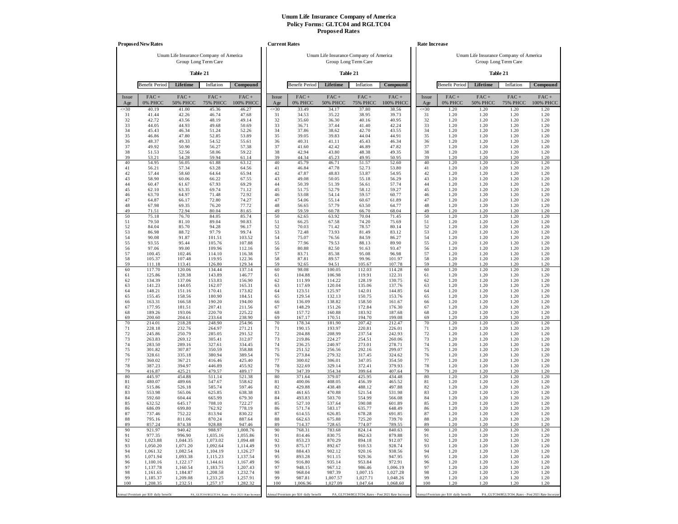|              | <b>Proposed New Rates</b>             |                            |                                                 |                      |              | <b>Current Rates</b>                  |                                        |                            |                                                   |              | Rate Increase                         |                                        |                                                   |                      |
|--------------|---------------------------------------|----------------------------|-------------------------------------------------|----------------------|--------------|---------------------------------------|----------------------------------------|----------------------------|---------------------------------------------------|--------------|---------------------------------------|----------------------------------------|---------------------------------------------------|----------------------|
|              |                                       |                            | Unum Life Insurance Company of America          |                      |              |                                       | Unum Life Insurance Company of America |                            |                                                   |              |                                       | Unum Life Insurance Company of America |                                                   |                      |
|              |                                       |                            | Group Long Term Care                            |                      |              |                                       |                                        | Group Long Term Care       |                                                   |              |                                       |                                        | Group Long Term Care                              |                      |
|              |                                       |                            | Table 21                                        |                      |              |                                       |                                        | Table 21                   |                                                   |              |                                       |                                        | Table 21                                          |                      |
|              | <b>Benefit Period</b>                 | Lifetime                   | Inflation                                       | Compound             |              | <b>Benefit Period</b>                 | Lifetime                               | Inflation                  | Compound                                          |              | <b>Benefit Period</b>                 | Lifetime                               | Inflation                                         | Compound             |
| Issue<br>Age | $FAC +$<br>0% PHCC                    | $FAC +$<br><b>50% PHCC</b> | $FAC +$<br><b>75% PHCC</b>                      | $FAC +$<br>100% PHCC | Issue<br>Age | $FAC +$<br>0% PHCC                    | $FAC +$<br><b>50% PHCC</b>             | $FAC +$<br><b>75% PHCC</b> | FAC+<br>100% PHCC                                 | Issue<br>Age | $FAC +$<br>0% PHCC                    | $FAC +$<br><b>50% PHCC</b>             | $FAC +$<br><b>75% PHCC</b>                        | $FAC +$<br>100% PHCC |
| $\leq 30$    | 40.19                                 | 41.00                      | 45.36                                           | 46.27                | $\leq 30$    | 33.49                                 | 34.17                                  | 37.80                      | 38.56                                             | $\leq 30$    | 1.20                                  | 1.20                                   | 1.20                                              | 1.20                 |
| 31<br>32     | 41.44<br>42.72                        | 42.26<br>43.56             | 46.74<br>48.19                                  | 47.68<br>49.14       | 31<br>32     | 34.53<br>35.60                        | 35.22<br>36.30                         | 38.95<br>40.16             | 39.73<br>40.95                                    | 31<br>32     | 1.20<br>1.20                          | 1.20<br>1.20                           | 1.20<br>1.20                                      | 1.20<br>1.20         |
| 33           | 44.05                                 | 44.93                      | 49.68                                           | 50.69                | 33           | 36.71                                 | 37.44                                  | 41.40                      | 42.24                                             | 33           | 1.20                                  | 1.20                                   | 1.20                                              | 1.20                 |
| 34<br>35     | 45.43<br>46.86                        | 46.34<br>47.80             | 51.24<br>52.85                                  | 52.26<br>53.89       | 34<br>35     | 37.86<br>39.05                        | 38.62<br>39.83                         | 42.70<br>44.04             | 43.55<br>44.91                                    | 34<br>35     | 1.20<br>1.20                          | 1.20<br>1.20                           | 1.20<br>1.20                                      | 1.20<br>1.20         |
| 36           | 48.37                                 | 49.33                      | 54.52                                           | 55.61                | 36           | 40.31                                 | 41.11                                  | 45.43                      | 46.34                                             | 36           | 1.20                                  | 1.20                                   | 1.20                                              | 1.20                 |
| 37           | 49.92                                 | 50.90                      | 56.27                                           | 57.38                | 37           | 41.60                                 | 42.42                                  | 46.89                      | 47.82                                             | 37           | 1.20                                  | 1.20                                   | 1.20                                              | 1.20                 |
| 38<br>39     | 51.53<br>53.21                        | 52.56<br>54.28             | 58.06<br>59.94                                  | 59.22<br>61.14       | 38<br>39     | 42.94<br>44.34                        | 43.80<br>45.23                         | 48.38<br>49.95             | 49.35<br>50.95                                    | 38<br>39     | 1.20<br>1.20                          | 1.20<br>1.20                           | 1.20<br>1.20                                      | 1.20<br>1.20         |
| 40           | 54.95                                 | 56.05                      | 61.88                                           | 63.12                | 40           | 45.79                                 | 46.71                                  | 51.57                      | 52.60                                             | 40           | 1.20                                  | 1.20                                   | 1.20                                              | 1.20                 |
| 41<br>42     | 56.21                                 | 57.34<br>58.60             | 63.28                                           | 64.56                | 41<br>42     | 46.84<br>47.87                        | 47.78<br>48.83                         | 52.73<br>53.87             | 53.80                                             | 41<br>42     | 1.20                                  | 1.20<br>1.20                           | 1.20<br>1.20                                      | 1.20<br>1.20         |
| 43           | 57.44<br>58.90                        | 60.06                      | 64.64<br>66.22                                  | 65.94<br>67.55       | 43           | 49.08                                 | 50.05                                  | 55.18                      | 54.95<br>56.29                                    | 43           | 1.20<br>1.20                          | 1.20                                   | 1.20                                              | 1.20                 |
| 44           | 60.47                                 | 61.67                      | 67.93                                           | 69.29                | 44           | 50.39                                 | 51.39                                  | 56.61                      | 57.74                                             | 44           | 1.20                                  | 1.20                                   | 1.20                                              | 1.20                 |
| 45<br>46     | 62.10<br>63.70                        | 63.35<br>64.97             | 69.74<br>71.48                                  | 71.12<br>72.92       | 45<br>46     | 51.75<br>53.08                        | 52.79<br>54.14                         | 58.12<br>59.57             | 59.27<br>60.77                                    | 45<br>46     | 1.20<br>1.20                          | 1.20<br>1.20                           | 1.20<br>1.20                                      | 1.20<br>1.20         |
| 47           | 64.87                                 | 66.17                      | 72.80                                           | 74.27                | 47           | 54.06                                 | 55.14                                  | 60.67                      | 61.89                                             | 47           | 1.20                                  | 1.20                                   | 1.20                                              | 1.20                 |
| 48           | 67.98                                 | 69.35                      | 76.20                                           | 77.72                | 48           | 56.65                                 | 57.79                                  | 63.50                      | 64.77                                             | 48           | 1.20                                  | 1.20                                   | 1.20                                              | 1.20                 |
| 49<br>50     | 71.51<br>75.18                        | 72.94<br>76.70             | 80.04<br>84.05                                  | 81.65<br>85.74       | 49<br>50     | 59.59<br>62.65                        | 60.78<br>63.92                         | 66.70<br>70.04             | 68.04<br>71.45                                    | 49<br>50     | 1.20<br>1.20                          | 1.20<br>1.20                           | 1.20<br>1.20                                      | 1.20<br>1.20         |
| 51           | 79.50                                 | 81.10                      | 89.04                                           | 90.83                | 51           | 66.25                                 | 67.58                                  | 74.20                      | 75.69                                             | 51           | 1.20                                  | 1.20                                   | 1.20                                              | 1.20                 |
| 52<br>53     | 84.04<br>86.98                        | 85.70<br>88.72             | 94.28<br>97.79                                  | 96.17<br>99.74       | 52<br>53     | 70.03<br>72.48                        | 71.42<br>73.93                         | 78.57<br>81.49             | 80.14<br>83.12                                    | 52<br>53     | 1.20<br>1.20                          | 1.20<br>1.20                           | 1.20<br>1.20                                      | 1.20<br>1.20         |
| 54           | 90.08                                 | 91.87                      | 101.51                                          | 103.52               | 54           | 75.07                                 | 76.56                                  | 84.59                      | 86.27                                             | 54           | 1.20                                  | 1.20                                   | 1.20                                              | 1.20                 |
| 55           | 93.55                                 | 95.44                      | 105.76                                          | 107.88               | 55           | 77.96                                 | 79.53                                  | 88.13                      | 89.90                                             | 55           | 1.20                                  | 1.20                                   | 1.20                                              | 1.20                 |
| 56<br>57     | 97.06<br>100.45                       | 99.00<br>102.46            | 109.96<br>114.10                                | 112.16<br>116.38     | 56<br>57     | 80.88<br>83.71                        | 82.50<br>85.38                         | 91.63<br>95.08             | 93.47<br>96.98                                    | 56<br>57     | 1.20<br>1.20                          | 1.20<br>1.20                           | 1.20<br>1.20                                      | 1.20<br>1.20         |
| 58           | 105.37                                | 107.48                     | 119.95                                          | 122.36               | 58           | 87.81                                 | 89.57                                  | 99.96                      | 101.97                                            | 58           | 1.20                                  | 1.20                                   | 1.20                                              | 1.20                 |
| 59<br>60     | 111.18<br>117.70                      | 113.41<br>120.06           | 126.80<br>134.44                                | 129.34<br>137.14     | 59<br>60     | 92.65<br>98.08                        | 94.51<br>100.05                        | 105.67<br>112.03           | 107.78<br>114.28                                  | 59<br>60     | 1.20<br>1.20                          | 1.20<br>1.20                           | 1.20<br>1.20                                      | 1.20<br>1.20         |
| 61           | 125.86                                | 128.38                     | 143.89                                          | 146.77               | 61           | 104.88                                | 106.98                                 | 119.91                     | 122.31                                            | 61           | 1.20                                  | 1.20                                   | 1.20                                              | 1.20                 |
| 62           | 134.39                                | 137.06                     | 153.83                                          | 156.90               | 62           | 111.99                                | 114.22                                 | 128.19                     | 130.75                                            | 62           | 1.20                                  | 1.20                                   | 1.20                                              | 1.20                 |
| 63<br>64     | 141.23<br>148.21                      | 144.05<br>151.16           | 162.07<br>170.41                                | 165.31<br>173.82     | 63<br>64     | 117.69<br>123.51                      | 120.04<br>125.97                       | 135.06<br>142.01           | 137.76<br>144.85                                  | 63<br>64     | 1.20<br>1.20                          | 1.20<br>1.20                           | 1.20<br>1.20                                      | 1.20<br>1.20         |
| 65           | 155.45                                | 158.56                     | 180.90                                          | 184.51               | 65           | 129.54                                | 132.13                                 | 150.75                     | 153.76                                            | 65           | 1.20                                  | 1.20                                   | 1.20                                              | 1.20                 |
| 66           | 163.31                                | 166.58                     | 190.20                                          | 194.00               | 66           | 136.09                                | 138.82                                 | 158.50                     | 161.67                                            | 66           | 1.20                                  | 1.20<br>1.20                           | 1.20                                              | 1.20                 |
| 67<br>68     | 177.95<br>189.26                      | 181.51<br>193.06           | 207.41<br>220.70                                | 211.56<br>225.22     | 67<br>68     | 148.29<br>157.72                      | 151.26<br>160.88                       | 172.84<br>183.92           | 176.30<br>187.68                                  | 67<br>68     | 1.20<br>1.20                          | 1.20                                   | 1.20<br>1.20                                      | 1.20<br>1.20         |
| 69           | 200.60                                | 204.61                     | 233.64                                          | 238.90               | 69           | 167.17                                | 170.51                                 | 194.70                     | 199.08                                            | 69           | 1.20                                  | 1.20                                   | 1.20                                              | 1.20                 |
| 70<br>71     | 214.01<br>228.18                      | 218.28<br>232.76           | 248.90<br>264.97                                | 254.96<br>271.21     | 70<br>71     | 178.34<br>190.15                      | 181.90<br>193.97                       | 207.42<br>220.81           | 212.47<br>226.01                                  | 70<br>71     | 1.20<br>1.20                          | 1.20<br>1.20                           | 1.20<br>1.20                                      | 1.20<br>1.20         |
| 72           | 245.86                                | 250.79                     | 285.05                                          | 291.52               | 72           | 204.88                                | 208.99                                 | 237.54                     | 242.93                                            | 72           | 1.20                                  | 1.20                                   | 1.20                                              | 1.20                 |
| 73<br>74     | 263.83<br>283.50                      | 269.12<br>289.16           | 305.41<br>327.61                                | 312.07<br>334.45     | 73<br>74     | 219.86<br>236.25                      | 224.27<br>240.97                       | 254.51<br>273.01           | 260.06<br>278.71                                  | 73<br>74     | 1.20<br>1.20                          | 1.20<br>1.20                           | 1.20<br>1.20                                      | 1.20<br>1.20         |
| 75           | 301.82                                | 307.87                     | 350.59                                          | 358.88               | 75           | 251.52                                | 256.56                                 | 292.16                     | 299.07                                            | 75           | 1.20                                  | 1.20                                   | 1.20                                              | 1.20                 |
| 76           | 328.61                                | 335.18                     | 380.94                                          | 389.54               | 76           | 273.84                                | 279.32                                 | 317.45                     | 324.62                                            | 76           | 1.20                                  | 1.20                                   | 1.20                                              | 1.20                 |
| 77<br>78     | 360.02<br>387.23                      | 367.21<br>394.97           | 416.46<br>446.89                                | 425.40<br>455.92     | 77<br>78     | 300.02<br>322.69                      | 306.01<br>329.14                       | 347.05<br>372.41           | 354.50<br>379.93                                  | 77<br>78     | 1.20<br>1.20                          | 1.20<br>1.20                           | 1.20<br>1.20                                      | 1.20<br>1.20         |
| 79           | 416.87                                | 425.21                     | 479.57                                          | 489.17               | 79           | 347.39                                | 354.34                                 | 399.64                     | 407.64                                            | 79           | 1.20                                  | 1.20                                   | 1.20                                              | 1.20                 |
| 80<br>81     | 445.97<br>480.07                      | 454.88<br>489.66           | 511.14<br>547.67                                | 521.38<br>558.62     | 80<br>81     | 371.64<br>400.06                      | 379.07<br>408.05                       | 425.95<br>456.39           | 434.48<br>465.52                                  | 80<br>81     | 1.20<br>1.20                          | 1.20<br>1.20                           | 1.20<br>1.20                                      | 1.20<br>1.20         |
| 82           | 515.86                                | 526.18                     | 585.74                                          | 597.46               | 82           | 429.88                                | 438.48                                 | 488.12                     | 497.88                                            | 82           | 1.20                                  | 1.20                                   | 1.20                                              | 1.20                 |
| 83<br>84     | 553.98                                | 565.06                     | 625.85                                          | 638.38               | 83           | 461.65                                | 470.88                                 | 521.54                     | 531.98                                            | 83           | 1.20                                  | 1.20<br>1.20                           | 1.20                                              | 1.20                 |
| 85           | 592.60<br>632.52                      | 604.44<br>645.17           | 665.99<br>708.10                                | 679.30<br>722.27     | 84<br>85     | 493.83<br>527.10                      | 503.70<br>537.64                       | 554.99<br>590.08           | 566.08<br>601.89                                  | 84<br>85     | 1.20<br>1.20                          | 1.20                                   | 1.20<br>1.20                                      | 1.20<br>1.20         |
| 86           | 686.09                                | 699.80                     | 762.92                                          | 778.19               | 86           | 571.74                                | 583.17                                 | 635.77                     | 648.49                                            | 86           | 1.20                                  | 1.20                                   | 1.20                                              | 1.20                 |
| 87<br>88     | 737.46<br>795.16                      | 752.22<br>811.06           | 813.94<br>870.24                                | 830.22<br>887.64     | 87<br>88     | 614.55<br>662.63                      | 626.85<br>675.88                       | 678.28<br>725.20           | 691.85<br>739.70                                  | 87<br>88     | 1.20<br>1.20                          | 1.20<br>1.20                           | 1.20<br>1.20                                      | 1.20<br>1.20         |
| 89           | 857.24                                | 874.38                     | 928.88                                          | 947.46               | 89           | 714.37                                | 728.65                                 | 774.07                     | 789.55                                            | 89           | 1.20                                  | 1.20                                   | 1.20                                              | 1.20                 |
| 90           | 921.97                                | 940.42                     | 988.97                                          | 1,008.76             | 90           | 768.31                                | 783.68                                 | 824.14                     | 840.63                                            | 90           | 1.20                                  | 1.20                                   | 1.20                                              | 1.20                 |
| 91<br>92     | 977.35<br>1,023.88                    | 996.90<br>1,044.35         | 1,035.16<br>1,073.02                            | 1,055.86<br>1,094.48 | 91<br>92     | 814.46<br>853.23                      | 830.75<br>870.29                       | 862.63<br>894.18           | 879.88<br>912.07                                  | 91<br>92     | 1.20<br>1.20                          | 1.20<br>1.20                           | 1.20<br>1.20                                      | 1.20<br>1.20         |
| 93           | 1,050.20                              | 1,071.20                   | 1,092.64                                        | 1,114.49             | 93           | 875.17                                | 892.67                                 | 910.53                     | 928.74                                            | 93           | 1.20                                  | 1.20                                   | 1.20                                              | 1.20                 |
| 94<br>95     | 1,061.32<br>1,071.94                  | 1,082.54<br>1,093.38       | 1,104.19<br>1,115.23                            | 1,126.27<br>1,137.54 | 94<br>95     | 884.43<br>893.28                      | 902.12<br>911.15                       | 920.16<br>929.36           | 938.56<br>947.95                                  | 94<br>95     | 1.20<br>1.20                          | 1.20<br>1.20                           | 1.20<br>1.20                                      | 1.20<br>1.20         |
| 96           | 1,100.16                              | 1,122.17                   | 1,144.61                                        | 1,167.49             | 96           | 916.80                                | 935.14                                 | 953.84                     | 972.91                                            | 96           | 1.20                                  | 1.20                                   | 1.20                                              | 1.20                 |
| 97           | 1,137.78                              | 1,160.54                   | 1,183.75                                        | 1,207.43             | 97           | 948.15                                | 967.12                                 | 986.46                     | 1,006.19                                          | 97           | 1.20                                  | 1.20                                   | 1.20                                              | 1.20                 |
| 98<br>99     | 1,161.65<br>1,185.37                  | 1,184.87<br>1,209.08       | 1,208.58<br>1,233.25                            | 1,232.74<br>1,257.91 | 98<br>99     | 968.04<br>987.81                      | 987.39<br>1,007.57                     | 1,007.15<br>1,027.71       | 1,027.28<br>1,048.26                              | 98<br>99     | 1.20<br>1.20                          | 1.20<br>1.20                           | 1.20<br>1.20                                      | 1.20<br>1.20         |
| 100          | 1,208.35                              | 1,232.51                   | 1,257.17                                        | 1,282.32             | 100          | 1,006.96                              | 1,027.09                               | 1,047.64                   | 1,068.60                                          | 100          | 1.20                                  | 1.20                                   | 1.20                                              | 1.20                 |
|              | Annual Premium per \$10 daily benefit |                            | PA_GLTC04/RGLTC04_Rates - Post 2021 Rate Increa |                      |              | Annual Premium per \$10 daily benefit |                                        |                            | PA_GLTC04/RGLTC04_Rates - Post 2021 Rate Increase |              | Annual Premium per \$10 daily benefit |                                        | PA_GLTC04/RGLTC04_Rates - Post 2021 Rate Increase |                      |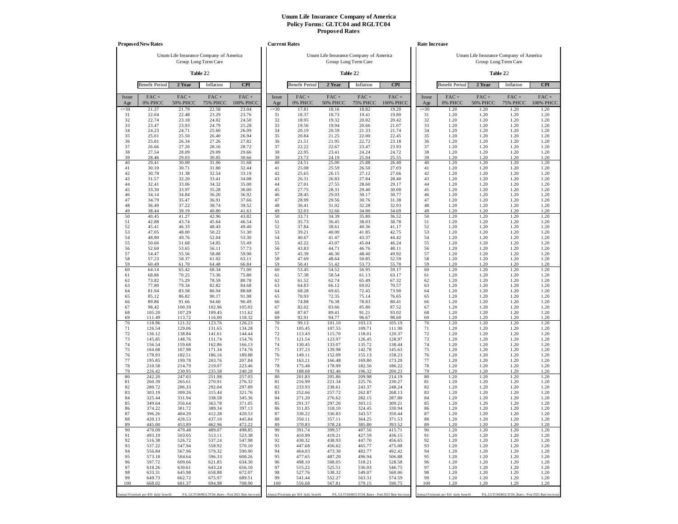|                 | <b>Proposed New Rates</b>             |                                        |                            |                                                   | <b>Current Rates</b> |                                       |                                        |                         |                                                   |                 | <b>Rate Increase</b>                  |                                        |                            |                                                   |
|-----------------|---------------------------------------|----------------------------------------|----------------------------|---------------------------------------------------|----------------------|---------------------------------------|----------------------------------------|-------------------------|---------------------------------------------------|-----------------|---------------------------------------|----------------------------------------|----------------------------|---------------------------------------------------|
|                 |                                       | Unum Life Insurance Company of America | Group Long Term Care       |                                                   |                      |                                       | Unum Life Insurance Company of America | Group Long Term Care    |                                                   |                 |                                       | Unum Life Insurance Company of America | Group Long Term Care       |                                                   |
|                 |                                       |                                        | Table 22                   |                                                   |                      |                                       |                                        | Table 22                |                                                   |                 |                                       |                                        | Table 22                   |                                                   |
|                 | <b>Benefit Period</b>                 | 2 Year                                 | Inflation                  | <b>CPI</b>                                        |                      | <b>Benefit Period</b>                 | 2 Year                                 | Inflation               | <b>CPI</b>                                        |                 | <b>Benefit Period</b>                 | 2 Year                                 | Inflation                  | <b>CPI</b>                                        |
| Issue<br>Age    | $FAC +$<br>0% PHCC                    | FAC+<br><b>50% PHCC</b>                | $FAC +$<br><b>75% PHCC</b> | FAC+<br>100% PHCC                                 | Issue<br>Age         | FAC+<br>0% PHCC                       | $FAC +$<br><b>50% PHCC</b>             | FAC+<br><b>75% PHCC</b> | FAC+<br>100% PHCC                                 | Issue<br>Age    | FAC+<br>0% PHCC                       | $FAC +$<br><b>50% PHCC</b>             | $FAC +$<br><b>75% PHCC</b> | $FAC +$<br>100% PHCC                              |
| $\leq 30$<br>31 | 21.37<br>22.04                        | 21.79<br>22.48                         | 22.58<br>23.29             | 23.04<br>23.76                                    | $\leq 30$<br>31      | 17.81<br>18.37                        | 18.16<br>18.73                         | 18.82<br>19.41          | 19.20<br>19.80                                    | $\leq 30$<br>31 | 1.20<br>1.20                          | 1.20<br>1.20                           | 1.20<br>1.20               | 1.20<br>1.20                                      |
| 32              | 22.74                                 | 23.18                                  | 24.02                      | 24.50                                             | 32                   | 18.95                                 | 19.32                                  | 20.02                   | 20.42                                             | 32              | 1.20                                  | 1.20                                   | 1.20                       | 1.20                                              |
| 33              | 23.47                                 | 23.93                                  | 24.79                      | 25.28                                             | 33<br>34             | 19.56                                 | 19.94                                  | 20.66<br>21.33          | 21.07                                             | 33<br>34        | 1.20                                  | 1.20                                   | 1.20                       | 1.20                                              |
| 34<br>35        | 24.23<br>25.01                        | 24.71<br>25.50                         | 25.60<br>26.40             | 26.09<br>26.94                                    | 35                   | 20.19<br>20.84                        | 20.59<br>21.25                         | 22.00                   | 21.74<br>22.45                                    | 35              | 1.20<br>1.20                          | 1.20<br>1.20                           | 1.20<br>1.20               | 1.20<br>1.20                                      |
| 36              | 25.81                                 | 26.34                                  | 27.26                      | 27.82                                             | 36                   | 21.51                                 | 21.95                                  | 22.72                   | 23.18                                             | 36              | 1.20                                  | 1.20                                   | 1.20                       | 1.20                                              |
| 37<br>38        | 26.66<br>27.54                        | 27.20<br>28.09                         | 28.16<br>29.09             | 28.72<br>29.66                                    | 37<br>38             | 22.22<br>22.95                        | 22.67<br>23.41                         | 23.47<br>24.24          | 23.93<br>24.72                                    | 37<br>38        | 1.20<br>1.20                          | 1.20<br>1.20                           | 1.20<br>1.20               | 1.20<br>1.20                                      |
| 39              | 28.46                                 | 29.03                                  | 30.05                      | 30.66                                             | 39                   | 23.72                                 | 24.19                                  | 25.04                   | 25.55                                             | 39              | 1.20                                  | 1.20                                   | 1.20                       | 1.20                                              |
| 40              | 29.41                                 | 30.00                                  | 31.06                      | 31.68                                             | 40                   | 24.51                                 | 25.00                                  | 25.88                   | 26.40                                             | 40              | 1.20                                  | 1.20                                   | 1.20                       | 1.20                                              |
| 41<br>42        | 30.10<br>30.78                        | 30.71<br>31.38                         | 31.80<br>32.54             | 32.44<br>33.19                                    | 41<br>42             | 25.08<br>25.65                        | 25.59<br>26.15                         | 26.50<br>27.12          | 27.03<br>27.66                                    | 41<br>42        | 1.20<br>1.20                          | 1.20<br>1.20                           | 1.20<br>1.20               | 1.20<br>1.20                                      |
| 43              | 31.57                                 | 32.20                                  | 33.41                      | 34.08                                             | 43                   | 26.31                                 | 26.83                                  | 27.84                   | 28.40                                             | 43              | 1.20                                  | 1.20                                   | 1.20                       | 1.20                                              |
| 44              | 32.41                                 | 33.06                                  | 34.32                      | 35.00                                             | 44                   | 27.01                                 | 27.55                                  | 28.60                   | 29.17                                             | 44              | 1.20                                  | 1.20                                   | 1.20                       | 1.20                                              |
| 45<br>46        | 33.30<br>34.14                        | 33.97<br>34.84                         | 35.28<br>36.20             | 36.00<br>36.92                                    | 45<br>46             | 27.75<br>28.45                        | 28.31<br>29.03                         | 29.40<br>30.17          | 30.00<br>30.77                                    | 45<br>46        | 1.20<br>1.20                          | 1.20<br>1.20                           | 1.20<br>1.20               | 1.20<br>1.20                                      |
| 47              | 34.79                                 | 35.47                                  | 36.91                      | 37.66                                             | 47                   | 28.99                                 | 29.56                                  | 30.76                   | 31.38                                             | 47              | 1.20                                  | 1.20                                   | 1.20                       | 1.20                                              |
| 48<br>49        | 36.49<br>38.44                        | 37.22<br>39.19                         | 38.74<br>40.80             | 39.52<br>41.63                                    | 48<br>49             | 30.41<br>32.03                        | 31.02<br>32.66                         | 32.28<br>34.00          | 32.93<br>34.69                                    | 48<br>49        | 1.20<br>1.20                          | 1.20<br>1.20                           | 1.20<br>1.20               | 1.20<br>1.20                                      |
| 50              | 40.45                                 | 41.27                                  | 42.96                      | 43.82                                             | 50                   | 33.71                                 | 34.39                                  | 35.80                   | 36.52                                             | 50              | 1.20                                  | 1.20                                   | 1.20                       | 1.20                                              |
| 51              | 42.88                                 | 43.74                                  | 45.64                      | 46.54                                             | 51                   | 35.73                                 | 36.45                                  | 38.03                   | 38.78                                             | 51              | 1.20                                  | 1.20<br>1.20                           | 1.20                       | 1.20                                              |
| 52<br>53        | 45.41<br>47.05                        | 46.33<br>48.00                         | 48.43<br>50.22             | 49.40<br>51.30                                    | 52<br>53             | 37.84<br>39.21                        | 38.61<br>40.00                         | 40.36<br>41.85          | 41.17<br>42.75                                    | 52<br>53        | 1.20<br>1.20                          | 1.20                                   | 1.20<br>1.20               | 1.20<br>1.20                                      |
| 54              | 48.80                                 | 49.76                                  | 52.04                      | 53.30                                             | 54                   | 40.67                                 | 41.47                                  | 43.37                   | 44.42                                             | 54              | 1.20                                  | 1.20                                   | 1.20                       | 1.20                                              |
| 55<br>56        | 50.66<br>52.60                        | 51.68<br>53.65                         | 54.05<br>56.11             | 55.49<br>57.73                                    | 55<br>56             | 42.22<br>43.83                        | 43.07<br>44.71                         | 45.04<br>46.76          | 46.24<br>48.11                                    | 55<br>56        | 1.20<br>1.20                          | 1.20<br>1.20                           | 1.20<br>1.20               | 1.20<br>1.20                                      |
| 57              | 54.47                                 | 55.56                                  | 58.08                      | 59.90                                             | 57                   | 45.39                                 | 46.30                                  | 48.40                   | 49.92                                             | 57              | 1.20                                  | 1.20                                   | 1.20                       | 1.20                                              |
| 58              | 57.23                                 | 58.37                                  | 61.02                      | 63.11                                             | 58                   | 47.69                                 | 48.64                                  | 50.85                   | 52.59<br>55.70                                    | 58              | 1.20                                  | 1.20                                   | 1.20                       | 1.20                                              |
| 59<br>60        | 60.49<br>64.14                        | 61.70<br>65.42                         | 64.48<br>68.34             | 66.84<br>71.00                                    | 59<br>60             | 50.41<br>53.45                        | 51.42<br>54.52                         | 53.73<br>56.95          | 59.17                                             | 59<br>60        | 1.20<br>1.20                          | 1.20<br>1.20                           | 1.20<br>1.20               | 1.20<br>1.20                                      |
| 61              | 68.86                                 | 70.25                                  | 73.36                      | 75.80                                             | 61                   | 57.38                                 | 58.54                                  | 61.13                   | 63.17                                             | 61              | 1.20                                  | 1.20                                   | 1.20                       | 1.20                                              |
| 62<br>63        | 73.82<br>77.80                        | 75.29<br>79.34                         | 78.59<br>82.82             | 80.78<br>84.68                                    | 62<br>63             | 61.52<br>64.83                        | 62.74<br>66.12                         | 65.49<br>69.02          | 67.32<br>70.57                                    | 62<br>63        | 1.20<br>1.20                          | 1.20<br>1.20                           | 1.20<br>1.20               | 1.20<br>1.20                                      |
| 64              | 81.94                                 | 83.58                                  | 86.94                      | 88.68                                             | 64                   | 68.28                                 | 69.65                                  | 72.45                   | 73.90                                             | 64              | 1.20                                  | 1.20                                   | 1.20                       | 1.20                                              |
| 65<br>66        | 85.12                                 | 86.82                                  | 90.17                      | 91.98                                             | 65                   | 70.93                                 | 72.35                                  | 75.14<br>78.83          | 76.65                                             | 65<br>66        | 1.20                                  | 1.20<br>1.20                           | 1.20<br>1.20               | 1.20                                              |
| 67              | 89.86<br>98.42                        | 91.66<br>100.39                        | 94.60<br>102.96            | 96.49<br>105.02                                   | 66<br>67             | 74.88<br>82.02                        | 76.38<br>83.66                         | 85.80                   | 80.41<br>87.52                                    | 67              | 1.20<br>1.20                          | 1.20                                   | 1.20                       | 1.20<br>1.20                                      |
| 68              | 105.20                                | 107.29                                 | 109.45                     | 111.62                                            | 68                   | 87.67                                 | 89.41                                  | 91.21                   | 93.02                                             | 68              | 1.20                                  | 1.20                                   | 1.20                       | 1.20                                              |
| 69<br>70        | 111.49<br>118.96                      | 113.72<br>121.32                       | 116.00<br>123.76           | 118.32<br>126.23                                  | 69<br>70             | 92.91<br>99.13                        | 94.77<br>101.10                        | 96.67<br>103.13         | 98.60<br>105.19                                   | 69<br>70        | 1.20<br>1.20                          | 1.20<br>1.20                           | 1.20<br>1.20               | 1.20<br>1.20                                      |
| 71              | 126.54                                | 129.06                                 | 131.65                     | 134.28                                            | 71                   | 105.45                                | 107.55                                 | 109.71                  | 111.90                                            | 71              | 1.20                                  | 1.20                                   | 1.20                       | 1.20                                              |
| 72              | 136.12                                | 138.84                                 | 141.61                     | 144.44                                            | 72                   | 113.43                                | 115.70                                 | 118.01                  | 120.37                                            | 72              | 1.20                                  | 1.20                                   | 1.20                       | 1.20                                              |
| 73<br>74        | 145.85<br>156.54                      | 148.76<br>159.68                       | 151.74<br>162.86           | 154.76<br>166.13                                  | 73<br>74             | 121.54<br>130.45                      | 123.97<br>133.07                       | 126.45<br>135.72        | 128.97<br>138.44                                  | 73<br>74        | 1.20<br>1.20                          | 1.20<br>1.20                           | 1.20<br>1.20               | 1.20<br>1.20                                      |
| 75              | 164.68                                | 167.98                                 | 171.34                     | 174.76                                            | 75                   | 137.23                                | 139.98                                 | 142.78                  | 145.63                                            | 75              | 1.20                                  | 1.20                                   | 1.20                       | 1.20                                              |
| 76<br>77        | 178.93<br>195.85                      | 182.51<br>199.78                       | 186.16<br>203.76           | 189.88<br>207.84                                  | 76<br>77             | 149.11<br>163.21                      | 152.09<br>166.48                       | 155.13<br>169.80        | 158.23<br>173.20                                  | 76<br>77        | 1.20<br>1.20                          | 1.20<br>1.20                           | 1.20<br>1.20               | 1.20<br>1.20                                      |
| 78              | 210.58                                | 214.79                                 | 219.07                     | 223.46                                            | 78                   | 175.48                                | 178.99                                 | 182.56                  | 186.22                                            | 78              | 1.20                                  | 1.20                                   | 1.20                       | 1.20                                              |
| 79<br>80        | 226.42<br>242.20                      | 230.95<br>247.03                       | 235.58<br>251.98           | 240.28<br>257.03                                  | 79<br>80             | 188.68<br>201.83                      | 192.46<br>205.86                       | 196.32<br>209.98        | 200.23<br>214.19                                  | 79<br>80        | 1.20<br>1.20                          | 1.20<br>1.20                           | 1.20<br>1.20               | 1.20<br>1.20                                      |
| 81              | 260.39                                | 265.61                                 | 270.91                     | 276.32                                            | 81                   | 216.99                                | 221.34                                 | 225.76                  | 230.27                                            | 81              | 1.20                                  | 1.20                                   | 1.20                       | 1.20                                              |
| 82              | 280.72                                | 286.33                                 | 292.04                     | 297.89                                            | 82                   | 233.93                                | 238.61                                 | 243.37                  | 248.24                                            | 82              | 1.20                                  | 1.20                                   | 1.20                       | 1.20                                              |
| 83<br>84        | 303.19<br>325.44                      | 309.26<br>331.94                       | 315.44<br>338.58           | 321.76<br>345.36                                  | 83<br>84             | 252.66<br>271.20                      | 257.72<br>276.62                       | 262.87<br>282.15        | 268.13<br>287.80                                  | 83<br>84        | 1.20<br>1.20                          | 1.20<br>1.20                           | 1.20<br>1.20               | 1.20<br>1.20                                      |
| 85              | 349.64                                | 356.64                                 | 363.78                     | 371.05                                            | 85                   | 291.37                                | 297.20                                 | 303.15                  | 309.21                                            | 85              | 1.20                                  | 1.20                                   | 1.20                       | 1.20                                              |
| 86<br>87        | 374.22<br>396.26                      | 381.72<br>404.20                       | 389.34<br>412.28           | 397.13<br>420.53                                  | 86<br>87             | 311.85<br>330.22                      | 318.10<br>336.83                       | 324.45<br>343.57        | 330.94<br>350.44                                  | 86<br>87        | 1.20<br>1.20                          | 1.20<br>1.20                           | 1.20<br>1.20               | 1.20<br>1.20                                      |
| 88              | 420.13                                | 428.53                                 | 437.10                     | 445.84                                            | 88                   | 350.11                                | 357.11                                 | 364.25                  | 371.53                                            | 88              | 1.20                                  | 1.20                                   | 1.20                       | 1.20                                              |
| 89              | 445.00                                | 453.89                                 | 462.96                     | 472.22                                            | 89                   | 370.83                                | 378.24                                 | 385.80                  | 393.52                                            | 89              | 1.20                                  | 1.20                                   | 1.20                       | 1.20                                              |
| 90<br>91        | 470.09<br>493.19                      | 479.48<br>503.05                       | 489.07<br>513.11           | 498.85<br>523.38                                  | 90<br>91             | 391.74<br>410.99                      | 399.57<br>419.21                       | 407.56<br>427.59        | 415.71<br>436.15                                  | 90<br>91        | 1.20<br>1.20                          | 1.20<br>1.20                           | 1.20<br>1.20               | 1.20<br>1.20                                      |
| 92              | 516.38                                | 526.72                                 | 537.24                     | 547.98                                            | 92                   | 430.32                                | 438.93                                 | 447.70                  | 456.65                                            | 92              | 1.20                                  | 1.20                                   | 1.20                       | 1.20                                              |
| 93              | 537.22                                | 547.94                                 | 558.92                     | 570.10                                            | 93                   | 447.68                                | 456.62                                 | 465.77                  | 475.08                                            | 93              | 1.20                                  | 1.20                                   | 1.20                       | 1.20                                              |
| 94<br>95        | 556.84<br>573.18                      | 567.96<br>584.64                       | 579.32<br>596.33           | 590.90<br>608.26                                  | 94<br>95             | 464.03<br>477.65                      | 473.30<br>487.20                       | 482.77<br>496.94        | 492.42<br>506.88                                  | 94<br>95        | 1.20<br>1.20                          | 1.20<br>1.20                           | 1.20<br>1.20               | 1.20<br>1.20                                      |
| 96              | 597.72                                | 609.66                                 | 621.85                     | 634.30                                            | 96                   | 498.10                                | 508.05                                 | 518.21                  | 528.58                                            | 96              | 1.20                                  | 1.20                                   | 1.20                       | 1.20                                              |
| 97<br>98        | 618.26<br>633.31                      | 630.61<br>645.98                       | 643.24<br>658.88           | 656.10<br>672.07                                  | 97<br>98             | 515.22<br>527.76                      | 525.51<br>538.32                       | 536.03<br>549.07        | 546.75<br>560.06                                  | 97<br>98        | 1.20<br>1.20                          | 1.20<br>1.20                           | 1.20<br>1.20               | 1.20<br>1.20                                      |
| 99              | 649.73                                | 662.72                                 | 675.97                     | 689.51                                            | 99                   | 541.44                                | 552.27                                 | 563.31                  | 574.59                                            | 99              | 1.20                                  | 1.20                                   | 1.20                       | 1.20                                              |
| 100             | 668.02                                | 681.37                                 | 694.98                     | 708.90                                            | 100                  | 556.68                                | 567.81                                 | 579.15                  | 590.75                                            | 100             | 1.20                                  | 1.20                                   | 1.20                       | 1.20                                              |
|                 | Annual Premium per \$10 daily benefit |                                        |                            | PA_GLTC04/RGLTC04_Rates - Post 2021 Rate Increase |                      | Annual Premium per \$10 daily benefit |                                        |                         | PA_GLTC04/RGLTC04_Rates - Post 2021 Rate Increase |                 | Annual Premium per \$10 daily benefit |                                        |                            | PA_GLTC04/RGLTC04_Rates - Post 2021 Rate Increase |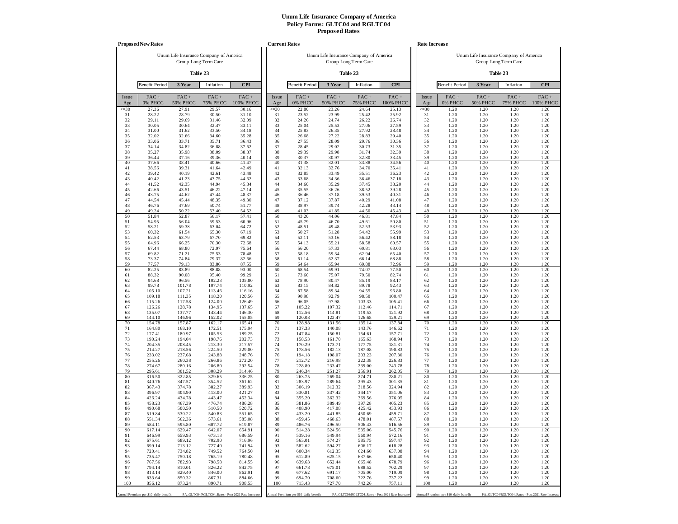|                 | <b>Proposed New Rates</b>             |                                        |                            |                                                   |                 | <b>Current Rates</b>                  |                                        |                            |                                                   |                 | Rate Increase                         |                            |                                                                |                      |
|-----------------|---------------------------------------|----------------------------------------|----------------------------|---------------------------------------------------|-----------------|---------------------------------------|----------------------------------------|----------------------------|---------------------------------------------------|-----------------|---------------------------------------|----------------------------|----------------------------------------------------------------|----------------------|
|                 |                                       | Unum Life Insurance Company of America | Group Long Term Care       |                                                   |                 |                                       | Unum Life Insurance Company of America | Group Long Term Care       |                                                   |                 |                                       |                            | Unum Life Insurance Company of America<br>Group Long Term Care |                      |
|                 |                                       |                                        | Table 23                   |                                                   |                 |                                       |                                        | Table 23                   |                                                   |                 |                                       |                            | Table 23                                                       |                      |
|                 | <b>Benefit Period</b>                 | 3 Year                                 | Inflation                  | <b>CPI</b>                                        |                 | <b>Benefit Period</b>                 | 3 Year                                 | Inflation                  | <b>CPI</b>                                        |                 | <b>Benefit Period</b>                 | 3 Year                     | Inflation                                                      | <b>CPI</b>           |
| Issue<br>Age    | $FAC +$<br>0% PHCC                    | $FAC +$<br><b>50% PHCC</b>             | $FAC +$<br><b>75% PHCC</b> | $FAC +$<br>100% PHCC                              | Issue<br>Age    | $FAC +$<br>0% PHCC                    | $FAC +$<br><b>50% PHCC</b>             | $FAC +$<br><b>75% PHCC</b> | $FAC +$<br>100% PHCC                              | Issue<br>Age    | FAC+<br>0% PHCC                       | $FAC +$<br><b>50% PHCC</b> | $FAC +$<br><b>75% PHCC</b>                                     | $FAC +$<br>100% PHCC |
| $\leq 30$<br>31 | 27.36<br>28.22                        | 27.91<br>28.79                         | 29.57<br>30.50             | 30.16<br>31.10                                    | $\leq 30$<br>31 | 22.80<br>23.52                        | 23.26<br>23.99                         | 24.64<br>25.42             | 25.13<br>25.92                                    | $\leq 30$<br>31 | 1.20<br>1.20                          | 1.20<br>1.20               | 1.20<br>1.20                                                   | 1.20<br>1.20         |
| 32              | 29.11                                 | 29.69                                  | 31.46                      | 32.09                                             | 32              | 24.26                                 | 24.74                                  | 26.22                      | 26.74                                             | 32              | 1.20                                  | 1.20                       | 1.20                                                           | 1.20                 |
| 33<br>34        | 30.05<br>31.00                        | 30.64<br>31.62                         | 32.47<br>33.50             | 33.11<br>34.18                                    | 33<br>34        | 25.04<br>25.83                        | 25.53<br>26.35                         | 27.06<br>27.92             | 27.59<br>28.48                                    | 33<br>34        | 1.20<br>1.20                          | 1.20<br>1.20               | 1.20<br>1.20                                                   | 1.20<br>1.20         |
| 35              | 32.02                                 | 32.66                                  | 34.60                      | 35.28                                             | 35              | 26.68                                 | 27.22                                  | 28.83                      | 29.40                                             | 35              | 1.20                                  | 1.20                       | 1.20                                                           | 1.20                 |
| 36<br>37        | 33.06<br>34.14                        | 33.71<br>34.82                         | 35.71<br>36.88             | 36.43<br>37.62                                    | 36<br>37        | 27.55<br>28.45                        | 28.09<br>29.02                         | 29.76<br>30.73             | 30.36<br>31.35                                    | 36<br>37        | 1.20<br>1.20                          | 1.20<br>1.20               | 1.20<br>1.20                                                   | 1.20<br>1.20         |
| 38              | 35.27                                 | 35.98                                  | 38.09                      | 38.87                                             | 38              | 29.39                                 | 29.98                                  | 31.74                      | 32.39                                             | 38              | 1.20                                  | 1.20                       | 1.20                                                           | 1.20                 |
| 39<br>40        | 36.44<br>37.66                        | 37.16<br>38.41                         | 39.36<br>40.66             | 40.14<br>41.47                                    | 39<br>40        | 30.37<br>31.38                        | 30.97<br>32.01                         | 32.80<br>33.88             | 33.45<br>34.56                                    | 39<br>40        | 1.20<br>1.20                          | 1.20<br>1.20               | 1.20<br>1.20                                                   | 1.20<br>1.20         |
| 41              | 38.56                                 | 39.31                                  | 41.64                      | 42.49                                             | 41              | 32.13                                 | 32.76                                  | 34.70                      | 35.41                                             | 41              | 1.20                                  | 1.20                       | 1.20                                                           | 1.20                 |
| 42<br>43        | 39.42<br>40.42                        | 40.19<br>41.23                         | 42.61<br>43.75             | 43.48<br>44.62                                    | 42<br>43        | 32.85<br>33.68                        | 33.49<br>34.36                         | 35.51<br>36.46             | 36.23<br>37.18                                    | 42<br>43        | 1.20<br>1.20                          | 1.20<br>1.20               | 1.20<br>1.20                                                   | 1.20<br>1.20         |
| 44              | 41.52                                 | 42.35                                  | 44.94                      | 45.84                                             | 44              | 34.60                                 | 35.29                                  | 37.45                      | 38.20                                             | 44              | 1.20                                  | 1.20                       | 1.20                                                           | 1.20                 |
| 45<br>46        | 42.66<br>43.75                        | 43.51<br>44.62                         | 46.22<br>47.44             | 47.14<br>48.37                                    | 45<br>46        | 35.55<br>36.46                        | 36.26<br>37.18                         | 38.52<br>39.53             | 39.28<br>40.31                                    | 45<br>46        | 1.20<br>1.20                          | 1.20<br>1.20               | 1.20<br>1.20                                                   | 1.20<br>1.20         |
| 47              | 44.54                                 | 45.44                                  | 48.35                      | 49.30                                             | 47              | 37.12                                 | 37.87                                  | 40.29                      | 41.08                                             | 47              | 1.20                                  | 1.20                       | 1.20                                                           | 1.20                 |
| 48<br>49        | 46.76<br>49.24                        | 47.69<br>50.22                         | 50.74<br>53.40             | 51.77<br>54.52                                    | 48<br>49        | 38.97<br>41.03                        | 39.74<br>41.85                         | 42.28<br>44.50             | 43.14<br>45.43                                    | 48<br>49        | 1.20<br>1.20                          | 1.20<br>1.20               | 1.20<br>1.20                                                   | 1.20<br>1.20         |
| 50              | 51.84                                 | 52.87                                  | 56.17                      | 57.41                                             | 50              | 43.20                                 | 44.06                                  | 46.81                      | 47.84                                             | 50              | 1.20                                  | 1.20                       | 1.20                                                           | 1.20                 |
| 51<br>52        | 54.95<br>58.21                        | 56.04<br>59.38                         | 59.53<br>63.04             | 60.96<br>64.72                                    | 51<br>52        | 45.79<br>48.51                        | 46.70<br>49.48                         | 49.61<br>52.53             | 50.80<br>53.93                                    | 51<br>52        | 1.20<br>1.20                          | 1.20<br>1.20               | 1.20<br>1.20                                                   | 1.20<br>1.20         |
| 53              | 60.32                                 | 61.54                                  | 65.30                      | 67.19                                             | 53              | 50.27                                 | 51.28                                  | 54.42                      | 55.99                                             | 53              | 1.20                                  | 1.20                       | 1.20                                                           | 1.20                 |
| 54<br>55        | 62.53<br>64.96                        | 63.79<br>66.25                         | 67.70<br>70.30             | 69.82<br>72.68                                    | 54<br>55        | 52.11<br>54.13                        | 53.16<br>55.21                         | 56.42<br>58.58             | 58.18<br>60.57                                    | 54<br>55        | 1.20<br>1.20                          | 1.20<br>1.20               | 1.20<br>1.20                                                   | 1.20<br>1.20         |
| 56              | 67.44                                 | 68.80                                  | 72.97                      | 75.64                                             | 56              | 56.20                                 | 57.33                                  | 60.81                      | 63.03                                             | 56              | 1.20                                  | 1.20                       | 1.20                                                           | 1.20                 |
| 57<br>58        | 69.82<br>73.37                        | 71.21<br>74.84                         | 75.53<br>79.37             | 78.48<br>82.66                                    | 57<br>58        | 58.18<br>61.14                        | 59.34<br>62.37                         | 62.94<br>66.14             | 65.40<br>68.88                                    | 57<br>58        | 1.20<br>1.20                          | 1.20<br>1.20               | 1.20<br>1.20                                                   | 1.20<br>1.20         |
| 59              | 77.57                                 | 79.13                                  | 83.86                      | 87.55                                             | 59              | 64.64                                 | 65.94                                  | 69.88                      | 72.96                                             | 59              | 1.20                                  | 1.20                       | 1.20                                                           | 1.20                 |
| 60<br>61        | 82.25<br>88.32                        | 83.89<br>90.08                         | 88.88<br>95.40             | 93.00<br>99.29                                    | 60<br>61        | 68.54<br>73.60                        | 69.91<br>75.07                         | 74.07<br>79.50             | 77.50<br>82.74                                    | 60<br>61        | 1.20<br>1.20                          | 1.20<br>1.20               | 1.20<br>1.20                                                   | 1.20<br>1.20         |
| 62              | 94.68                                 | 96.56                                  | 102.23                     | 105.80                                            | 62              | 78.90                                 | 80.47                                  | 85.19                      | 88.17                                             | 62              | 1.20                                  | 1.20                       | 1.20                                                           | 1.20                 |
| 63<br>64        | 99.78<br>105.10                       | 101.78<br>107.21                       | 107.74<br>113.46           | 110.92<br>116.16                                  | 63<br>64        | 83.15<br>87.58                        | 84.82<br>89.34                         | 89.78<br>94.55             | 92.43<br>96.80                                    | 63<br>64        | 1.20<br>1.20                          | 1.20<br>1.20               | 1.20<br>1.20                                                   | 1.20<br>1.20         |
| 65              | 109.18                                | 111.35                                 | 118.20                     | 120.56                                            | 65              | 90.98                                 | 92.79                                  | 98.50                      | 100.47                                            | 65              | 1.20                                  | 1.20                       | 1.20                                                           | 1.20                 |
| 66<br>67        | 115.26<br>126.26                      | 117.58<br>128.78                       | 124.00<br>134.95           | 126.49<br>137.65                                  | 66<br>67        | 96.05<br>105.22                       | 97.98<br>107.32                        | 103.33<br>112.46           | 105.41<br>114.71                                  | 66<br>67        | 1.20<br>1.20                          | 1.20<br>1.20               | 1.20<br>1.20                                                   | 1.20<br>1.20         |
| 68              | 135.07                                | 137.77                                 | 143.44                     | 146.30                                            | 68              | 112.56                                | 114.81                                 | 119.53                     | 121.92                                            | 68              | 1.20                                  | 1.20                       | 1.20                                                           | 1.20                 |
| 69<br>70        | 144.10<br>154.78                      | 146.96<br>157.87                       | 152.02<br>162.17           | 155.05<br>165.41                                  | 69<br>70        | 120.08<br>128.98                      | 122.47<br>131.56                       | 126.68<br>135.14           | 129.21<br>137.84                                  | 69<br>70        | 1.20<br>1.20                          | 1.20<br>1.20               | 1.20<br>1.20                                                   | 1.20<br>1.20         |
| 71              | 164.80                                | 168.10                                 | 172.51                     | 175.94                                            | 71              | 137.33                                | 140.08                                 | 143.76                     | 146.62                                            | 71              | 1.20                                  | 1.20                       | 1.20                                                           | 1.20                 |
| 72<br>73        | 177.41<br>190.24                      | 180.97<br>194.04                       | 185.53<br>198.76           | 189.25<br>202.73                                  | 72<br>73        | 147.84<br>158.53                      | 150.81<br>161.70                       | 154.61<br>165.63           | 157.71<br>168.94                                  | 72<br>73        | 1.20<br>1.20                          | 1.20<br>1.20               | 1.20<br>1.20                                                   | 1.20<br>1.20         |
| 74              | 204.35                                | 208.45                                 | 213.30                     | 217.57                                            | 74              | 170.29                                | 173.71                                 | 177.75                     | 181.31                                            | 74              | 1.20                                  | 1.20                       | 1.20                                                           | 1.20                 |
| 75<br>76        | 214.27<br>233.02                      | 218.56<br>237.68                       | 224.50<br>243.88           | 229.00<br>248.76                                  | 75<br>76        | 178.56<br>194.18                      | 182.13<br>198.07                       | 187.08<br>203.23           | 190.83<br>207.30                                  | 75<br>76        | 1.20<br>1.20                          | 1.20<br>1.20               | 1.20<br>1.20                                                   | 1.20<br>1.20         |
| 77<br>78        | 255.26<br>274.67                      | 260.38<br>280.16                       | 266.86<br>286.80           | 272.20<br>292.54                                  | 77<br>78        | 212.72<br>228.89                      | 216.98<br>233.47                       | 222.38<br>239.00           | 226.83<br>243.78                                  | 77<br>78        | 1.20<br>1.20                          | 1.20<br>1.20               | 1.20<br>1.20                                                   | 1.20<br>1.20         |
| 79              | 295.61                                | 301.52                                 | 308.29                     | 314.46                                            | 79              | 246.34                                | 251.27                                 | 256.91                     | 262.05                                            | 79              | 1.20                                  | 1.20                       | 1.20                                                           | 1.20                 |
| 80<br>81        | 316.50<br>340.76                      | 322.85<br>347.57                       | 329.65<br>354.52           | 336.25<br>361.62                                  | 80<br>81        | 263.75<br>283.97                      | 269.04<br>289.64                       | 274.71<br>295.43           | 280.21<br>301.35                                  | 80<br>81        | 1.20<br>1.20                          | 1.20<br>1.20               | 1.20<br>1.20                                                   | 1.20<br>1.20         |
| 82              | 367.43                                | 374.78                                 | 382.27                     | 389.93                                            | 82              | 306.19                                | 312.32                                 | 318.56                     | 324.94                                            | 82              | 1.20                                  | 1.20                       | 1.20                                                           | 1.20                 |
| 83<br>84        | 396.97<br>426.24                      | 404.90<br>434.78                       | 413.00<br>443.47           | 421.27<br>452.34                                  | 83<br>84        | 330.81<br>355.20                      | 337.42<br>362.32                       | 344.17<br>369.56           | 351.06<br>376.95                                  | 83<br>84        | 1.20<br>1.20                          | 1.20<br>1.20               | 1.20<br>1.20                                                   | 1.20<br>1.20         |
| 85              | 458.23                                | 467.39                                 | 476.74                     | 486.28                                            | 85              | 381.86                                | 389.49                                 | 397.28                     | 405.23                                            | 85              | 1.20                                  | 1.20                       | 1.20                                                           | 1.20                 |
| 86<br>87        | 490.68<br>519.84                      | 500.50<br>530.22                       | 510.50<br>540.83           | 520.72<br>551.65                                  | 86<br>87        | 408.90<br>433.20                      | 417.08<br>441.85                       | 425.42<br>450.69           | 433.93<br>459.71                                  | 86<br>87        | 1.20<br>1.20                          | 1.20<br>1.20               | 1.20<br>1.20                                                   | 1.20<br>1.20         |
| 88              | 551.34                                | 562.36                                 | 573.61                     | 585.08                                            | 88              | 459.45                                | 468.63                                 | 478.01                     | 487.57                                            | 88              | 1.20                                  | 1.20                       | 1.20                                                           | 1.20                 |
| 89<br>90        | 584.11<br>617.14                      | 595.80<br>629.47                       | 607.72<br>642.07           | 619.87<br>654.91                                  | 89<br>90        | 486.76<br>514.28                      | 496.50<br>524.56                       | 506.43<br>535.06           | 516.56<br>545.76                                  | 89<br>90        | 1.20<br>1.20                          | 1.20<br>1.20               | 1.20<br>1.20                                                   | 1.20<br>1.20         |
| 91              | 646.99                                | 659.93                                 | 673.13                     | 686.59                                            | 91              | 539.16                                | 549.94                                 | 560.94                     | 572.16                                            | 91              | 1.20                                  | 1.20                       | 1.20                                                           | 1.20                 |
| 92<br>93        | 675.61<br>699.14                      | 689.12<br>713.12                       | 702.90<br>727.40           | 716.96<br>741.94                                  | 92<br>93        | 563.01<br>582.62                      | 574.27<br>594.27                       | 585.75<br>606.17           | 597.47<br>618.28                                  | 92<br>93        | 1.20<br>1.20                          | 1.20<br>1.20               | 1.20<br>1.20                                                   | 1.20<br>1.20         |
| 94<br>95        | 720.41                                | 734.82                                 | 749.52                     | 764.50                                            | 94              | 600.34                                | 612.35                                 | 624.60                     | 637.08                                            | 94              | 1.20                                  | 1.20                       | 1.20                                                           | 1.20                 |
| 96              | 735.47<br>767.56                      | 750.18<br>782.93                       | 765.19<br>798.58           | 780.48<br>814.55                                  | 95<br>96        | 612.89<br>639.63                      | 625.15<br>652.44                       | 637.66<br>665.48           | 650.40<br>678.79                                  | 95<br>96        | 1.20<br>1.20                          | 1.20<br>1.20               | 1.20<br>1.20                                                   | 1.20<br>1.20         |
| 97<br>98        | 794.14                                | 810.01                                 | 826.22                     | 842.75                                            | 97<br>98        | 661.78                                | 675.01                                 | 688.52                     | 702.29                                            | 97<br>98        | 1.20                                  | 1.20                       | 1.20                                                           | 1.20                 |
| 99              | 813.14<br>833.64                      | 829.40<br>850.32                       | 846.00<br>867.31           | 862.91<br>884.66                                  | 99              | 677.62<br>694.70                      | 691.17<br>708.60                       | 705.00<br>722.76           | 719.09<br>737.22                                  | 99              | 1.20<br>1.20                          | 1.20<br>1.20               | 1.20<br>1.20                                                   | 1.20<br>1.20         |
| 100             | 856.12                                | 873.24                                 | 890.71                     | 908.53                                            | 100             | 713.43                                | 727.70                                 | 742.26                     | 757.11                                            | 100             | 1.20                                  | 1.20                       | 1.20                                                           | 1.20                 |
|                 | Annual Premium per \$10 daily benefit |                                        |                            | PA_GLTC04/RGLTC04_Rates - Post 2021 Rate Increase |                 | Annual Premium per \$10 daily benefit |                                        |                            | PA_GLTC04/RGLTC04_Rates - Post 2021 Rate Increase |                 | Annual Premium per \$10 daily benefit |                            | PA_GLTC04/RGLTC04_Rates - Post 2021 Rate Increas               |                      |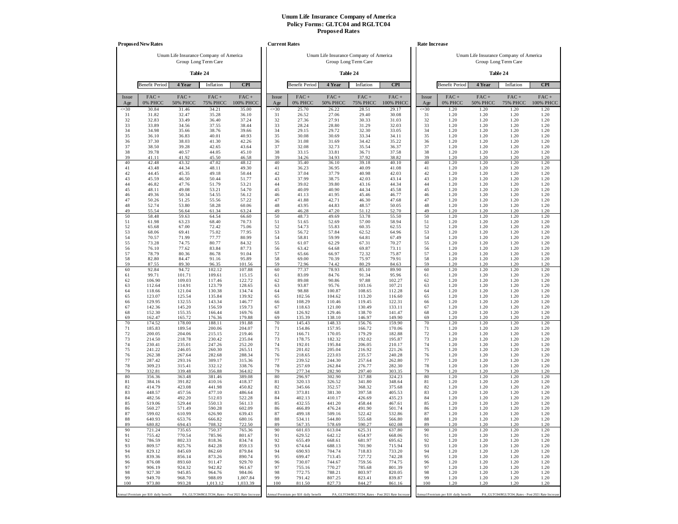|              | <b>Proposed New Rates</b>             |                            |                                                   |                      |                | <b>Current Rates</b>                  |                            |                                                   |                      |              | Rate Increase                         |                            |                                                   |                      |
|--------------|---------------------------------------|----------------------------|---------------------------------------------------|----------------------|----------------|---------------------------------------|----------------------------|---------------------------------------------------|----------------------|--------------|---------------------------------------|----------------------------|---------------------------------------------------|----------------------|
|              |                                       |                            | Unum Life Insurance Company of America            |                      |                |                                       |                            | Unum Life Insurance Company of America            |                      |              |                                       |                            | Unum Life Insurance Company of America            |                      |
|              |                                       |                            | Group Long Term Care                              |                      |                |                                       |                            | Group Long Term Care                              |                      |              |                                       |                            | Group Long Term Care                              |                      |
|              |                                       |                            | Table 24                                          |                      |                |                                       |                            | Table 24                                          |                      |              |                                       |                            | Table 24                                          |                      |
|              | <b>Benefit Period</b>                 | 4 Year                     | Inflation                                         | <b>CPI</b>           |                | <b>Benefit Period</b>                 | 4 Year                     | Inflation                                         | <b>CPI</b>           |              | <b>Benefit Period</b>                 | 4 Year                     | Inflation                                         | <b>CPI</b>           |
| Issue<br>Age | $FAC +$<br>0% PHCC                    | $FAC +$<br><b>50% PHCC</b> | $FAC +$<br><b>75% PHCC</b>                        | $FAC +$<br>100% PHCC | Issue<br>Age   | FAC+<br>0% PHCC                       | $FAC +$<br><b>50% PHCC</b> | $FAC +$<br><b>75% PHCC</b>                        | $FAC +$<br>100% PHCC | Issue<br>Age | $FAC +$<br>0% PHCC                    | $FAC +$<br><b>50% PHCC</b> | $FAC +$<br><b>75% PHCC</b>                        | $FAC +$<br>100% PHCC |
| $\leq 30$    | 30.84                                 | 31.46                      | 34.21                                             | 35.00                | $\leq 30$      | 25.70                                 | 26.22                      | 28.51                                             | 29.17                | $\leq 30$    | 1.20                                  | 1.20                       | 1.20                                              | 1.20                 |
| 31<br>32     | 31.82<br>32.83                        | 32.47<br>33.49             | 35.28<br>36.40                                    | 36.10<br>37.24       | 31<br>32       | 26.52<br>27.36                        | 27.06<br>27.91             | 29.40<br>30.33                                    | 30.08<br>31.03       | 31<br>32     | 1.20<br>1.20                          | 1.20<br>1.20               | 1.20<br>1.20                                      | 1.20<br>1.20         |
| 33           | 33.89                                 | 34.56                      | 37.55                                             | 38.44                | 33             | 28.24                                 | 28.80                      | 31.29                                             | 32.03                | 33           | 1.20                                  | 1.20                       | 1.20                                              | 1.20                 |
| 34<br>35     | 34.98<br>36.10                        | 35.66<br>36.83             | 38.76<br>40.01                                    | 39.66<br>40.93       | 34<br>35       | 29.15<br>30.08                        | 29.72<br>30.69             | 32.30<br>33.34                                    | 33.05<br>34.11       | 34<br>35     | 1.20<br>1.20                          | 1.20<br>1.20               | 1.20<br>1.20                                      | 1.20<br>1.20         |
| 36           | 37.30                                 | 38.03                      | 41.30                                             | 42.26                | 36             | 31.08                                 | 31.69                      | 34.42                                             | 35.22                | 36           | 1.20                                  | 1.20                       | 1.20                                              | 1.20                 |
| 37           | 38.50                                 | 39.28                      | 42.65                                             | 43.64                | 37             | 32.08                                 | 32.73                      | 35.54                                             | 36.37                | 37           | 1.20                                  | 1.20                       | 1.20                                              | 1.20                 |
| 38<br>39     | 39.78<br>41.11                        | 40.57<br>41.92             | 44.05<br>45.50                                    | 45.10<br>46.58       | 38<br>39       | 33.15<br>34.26                        | 33.81<br>34.93             | 36.71<br>37.92                                    | 37.58<br>38.82       | 38<br>39     | 1.20<br>1.20                          | 1.20<br>1.20               | 1.20<br>1.20                                      | 1.20<br>1.20         |
| 40           | 42.48                                 | 43.32                      | 47.02                                             | 48.12                | 40             | 35.40                                 | 36.10                      | 39.18                                             | 40.10                | 40           | 1.20                                  | 1.20                       | 1.20                                              | 1.20                 |
| 41<br>42     | 43.48                                 | 44.34<br>45.35             | 48.11<br>49.18                                    | 49.30                | 41<br>42       | 36.23<br>37.04                        | 36.95<br>37.79             | 40.09<br>40.98                                    | 41.08<br>42.03       | 41<br>42     | 1.20<br>1.20                          | 1.20<br>1.20               | 1.20<br>1.20                                      | 1.20                 |
| 43           | 44.45<br>45.59                        | 46.50                      | 50.44                                             | 50.44<br>51.77       | 43             | 37.99                                 | 38.75                      | 42.03                                             | 43.14                | 43           | 1.20                                  | 1.20                       | 1.20                                              | 1.20<br>1.20         |
| 44           | 46.82                                 | 47.76                      | 51.79                                             | 53.21                | 44             | 39.02                                 | 39.80                      | 43.16                                             | 44.34                | 44           | 1.20                                  | 1.20                       | 1.20                                              | 1.20                 |
| 45<br>46     | 48.11<br>49.36                        | 49.08<br>50.34             | 53.21<br>54.55                                    | 54.70<br>56.12       | 45<br>46       | 40.09<br>41.13                        | 40.90<br>41.95             | 44.34<br>45.46                                    | 45.58<br>46.77       | 45<br>46     | 1.20<br>1.20                          | 1.20<br>1.20               | 1.20<br>1.20                                      | 1.20<br>1.20         |
| 47           | 50.26                                 | 51.25                      | 55.56                                             | 57.22                | 47             | 41.88                                 | 42.71                      | 46.30                                             | 47.68                | 47           | 1.20                                  | 1.20                       | 1.20                                              | 1.20                 |
| 48<br>49     | 52.74                                 | 53.80                      | 58.28                                             | 60.06                | 48<br>49       | 43.95                                 | 44.83                      | 48.57                                             | 50.05                | 48<br>49     | 1.20                                  | 1.20                       | 1.20                                              | 1.20                 |
| 50           | 55.54<br>58.48                        | 56.64<br>59.63             | 61.34<br>64.54                                    | 63.24<br>66.60       | 50             | 46.28<br>48.73                        | 47.20<br>49.69             | 51.12<br>53.78                                    | 52.70<br>55.50       | 50           | 1.20<br>1.20                          | 1.20<br>1.20               | 1.20<br>1.20                                      | 1.20<br>1.20         |
| 51           | 61.98                                 | 63.23                      | 68.40                                             | 70.73                | 51             | 51.65                                 | 52.69                      | 57.00                                             | 58.94                | 51           | 1.20                                  | 1.20                       | 1.20                                              | 1.20                 |
| 52<br>53     | 65.68<br>68.06                        | 67.00<br>69.41             | 72.42<br>75.02                                    | 75.06<br>77.95       | 52<br>53       | 54.73<br>56.72                        | 55.83<br>57.84             | 60.35<br>62.52                                    | 62.55<br>64.96       | 52<br>53     | 1.20<br>1.20                          | 1.20<br>1.20               | 1.20<br>1.20                                      | 1.20<br>1.20         |
| 54           | 70.57                                 | 71.99                      | 77.77                                             | 80.99                | 54             | 58.81                                 | 59.99                      | 64.81                                             | 67.49                | 54           | 1.20                                  | 1.20                       | 1.20                                              | 1.20                 |
| 55           | 73.28                                 | 74.75                      | 80.77                                             | 84.32                | 55             | 61.07                                 | 62.29                      | 67.31                                             | 70.27                | 55           | 1.20                                  | 1.20                       | 1.20                                              | 1.20                 |
| 56<br>57     | 76.10<br>78.79                        | 77.62<br>80.36             | 83.84<br>86.78                                    | 87.73<br>91.04       | 56<br>57       | 63.42<br>65.66                        | 64.68<br>66.97             | 69.87<br>72.32                                    | 73.11<br>75.87       | 56<br>57     | 1.20<br>1.20                          | 1.20<br>1.20               | 1.20<br>1.20                                      | 1.20<br>1.20         |
| 58           | 82.80                                 | 84.47                      | 91.16                                             | 95.89                | 58             | 69.00                                 | 70.39                      | 75.97                                             | 79.91                | 58           | 1.20                                  | 1.20                       | 1.20                                              | 1.20                 |
| 59<br>60     | 87.55<br>92.84                        | 89.30<br>94.72             | 96.35<br>102.12                                   | 101.56<br>107.88     | 59<br>60       | 72.96<br>77.37                        | 74.42<br>78.93             | 80.29<br>85.10                                    | 84.63<br>89.90       | 59<br>60     | 1.20<br>1.20                          | 1.20<br>1.20               | 1.20<br>1.20                                      | 1.20<br>1.20         |
| 61           | 99.71                                 | 101.71                     | 109.61                                            | 115.15               | 61             | 83.09                                 | 84.76                      | 91.34                                             | 95.96                | 61           | 1.20                                  | 1.20                       | 1.20                                              | 1.20                 |
| 62           | 106.90                                | 109.03                     | 117.46                                            | 122.72               | 62             | 89.08                                 | 90.86                      | 97.88                                             | 102.27               | 62           | 1.20                                  | 1.20                       | 1.20                                              | 1.20                 |
| 63<br>64     | 112.64<br>118.66                      | 114.91<br>121.04           | 123.79<br>130.38                                  | 128.65<br>134.74     | 63<br>64       | 93.87<br>98.88                        | 95.76<br>100.87            | 103.16<br>108.65                                  | 107.21<br>112.28     | 63<br>64     | 1.20<br>1.20                          | 1.20<br>1.20               | 1.20<br>1.20                                      | 1.20<br>1.20         |
| 65           | 123.07                                | 125.54                     | 135.84                                            | 139.92               | 65             | 102.56                                | 104.62                     | 113.20                                            | 116.60               | 65           | 1.20                                  | 1.20                       | 1.20                                              | 1.20                 |
| 66<br>67     | 129.95<br>142.36                      | 132.55<br>145.20           | 143.34<br>156.59                                  | 146.77<br>159.73     | 66<br>67       | 108.29<br>118.63                      | 110.46<br>121.00           | 119.45<br>130.49                                  | 122.31<br>133.11     | 66<br>67     | 1.20<br>1.20                          | 1.20<br>1.20               | 1.20<br>1.20                                      | 1.20<br>1.20         |
| 68           | 152.30                                | 155.35                     | 166.44                                            | 169.76               | 68             | 126.92                                | 129.46                     | 138.70                                            | 141.47               | 68           | 1.20                                  | 1.20                       | 1.20                                              | 1.20                 |
| 69           | 162.47                                | 165.72                     | 176.36                                            | 179.88               | 69             | 135.39                                | 138.10                     | 146.97                                            | 149.90               | 69           | 1.20                                  | 1.20                       | 1.20                                              | 1.20                 |
| 70<br>71     | 174.52<br>185.83                      | 178.00<br>189.54           | 188.11<br>200.06                                  | 191.88<br>204.07     | 70<br>71       | 145.43<br>154.86                      | 148.33<br>157.95           | 156.76<br>166.72                                  | 159.90<br>170.06     | 70<br>71     | 1.20<br>1.20                          | 1.20<br>1.20               | 1.20<br>1.20                                      | 1.20<br>1.20         |
| 72           | 200.05                                | 204.06                     | 215.15                                            | 219.46               | 72             | 166.71                                | 170.05                     | 179.29                                            | 182.88               | 72           | 1.20                                  | 1.20                       | 1.20                                              | 1.20                 |
| 73<br>74     | 214.50<br>230.41                      | 218.78<br>235.01           | 230.42<br>247.26                                  | 235.04<br>252.20     | 73<br>74       | 178.75<br>192.01                      | 182.32<br>195.84           | 192.02<br>206.05                                  | 195.87<br>210.17     | 73<br>74     | 1.20<br>1.20                          | 1.20<br>1.20               | 1.20<br>1.20                                      | 1.20<br>1.20         |
| 75           | 241.22                                | 246.05                     | 260.30                                            | 265.51               | 75             | 201.02                                | 205.04                     | 216.92                                            | 221.26               | 75           | 1.20                                  | 1.20                       | 1.20                                              | 1.20                 |
| 76           | 262.38                                | 267.64                     | 282.68                                            | 288.34               | 76             | 218.65                                | 223.03                     | 235.57                                            | 240.28               | 76           | 1.20                                  | 1.20                       | 1.20                                              | 1.20                 |
| 77<br>78     | 287.42<br>309.23                      | 293.16<br>315.41           | 309.17<br>332.12                                  | 315.36<br>338.76     | 77<br>78       | 239.52<br>257.69                      | 244.30<br>262.84           | 257.64<br>276.77                                  | 262.80<br>282.30     | 77<br>78     | 1.20<br>1.20                          | 1.20<br>1.20               | 1.20<br>1.20                                      | 1.20<br>1.20         |
| 79           | 332.81                                | 339.48                     | 356.88                                            | 364.02               | 79             | 277.34                                | 282.90                     | 297.40                                            | 303.35               | 79           | 1.20                                  | 1.20                       | 1.20                                              | 1.20                 |
| 80<br>81     | 356.36<br>384.16                      | 363.48<br>391.82           | 381.46<br>410.16                                  | 389.08<br>418.37     | $\bf 80$<br>81 | 296.97<br>320.13                      | 302.90<br>326.52           | 317.88<br>341.80                                  | 324.23<br>348.64     | 80<br>81     | 1.20<br>1.20                          | 1.20<br>1.20               | 1.20<br>1.20                                      | 1.20<br>1.20         |
| 82           | 414.79                                | 423.08                     | 441.98                                            | 450.82               | 82             | 345.66                                | 352.57                     | 368.32                                            | 375.68               | 82           | 1.20                                  | 1.20                       | 1.20                                              | 1.20                 |
| 83           | 448.57                                | 457.56                     | 477.10                                            | 486.64               | 83             | 373.81                                | 381.30                     | 397.58                                            | 405.53               | 83           | 1.20                                  | 1.20                       | 1.20                                              | 1.20                 |
| 84<br>85     | 482.56<br>519.06                      | 492.20<br>529.44           | 512.03<br>550.13                                  | 522.28<br>561.13     | 84<br>85       | 402.13<br>432.55                      | 410.17<br>441.20           | 426.69<br>458.44                                  | 435.23<br>467.61     | 84<br>85     | 1.20<br>1.20                          | 1.20<br>1.20               | 1.20<br>1.20                                      | 1.20<br>1.20         |
| 86           | 560.27                                | 571.49                     | 590.28                                            | 602.09               | 86             | 466.89                                | 476.24                     | 491.90                                            | 501.74               | 86           | 1.20                                  | 1.20                       | 1.20                                              | 1.20                 |
| 87<br>88     | 599.02                                | 610.99                     | 626.90                                            | 639.43               | 87<br>88       | 499.18                                | 509.16                     | 522.42                                            | 532.86               | 87<br>88     | 1.20<br>1.20                          | 1.20<br>1.20               | 1.20<br>1.20                                      | 1.20                 |
| 89           | 640.93<br>680.82                      | 653.76<br>694.43           | 666.82<br>708.32                                  | 680.16<br>722.50     | 89             | 534.11<br>567.35                      | 544.80<br>578.69           | 555.68<br>590.27                                  | 566.80<br>602.08     | 89           | 1.20                                  | 1.20                       | 1.20                                              | 1.20<br>1.20         |
| 90           | 721.24                                | 735.65                     | 750.37                                            | 765.36               | 90             | 601.03                                | 613.04                     | 625.31                                            | 637.80               | 90           | 1.20                                  | 1.20                       | 1.20                                              | 1.20                 |
| 91<br>92     | 755.42<br>786.59                      | 770.54<br>802.33           | 785.96<br>818.36                                  | 801.67<br>834.74     | 91<br>92       | 629.52<br>655.49                      | 642.12<br>668.61           | 654.97<br>681.97                                  | 668.06<br>695.62     | 91<br>92     | 1.20<br>1.20                          | 1.20<br>1.20               | 1.20<br>1.20                                      | 1.20<br>1.20         |
| 93           | 809.57                                | 825.76                     | 842.28                                            | 859.13               | 93             | 674.64                                | 688.13                     | 701.90                                            | 715.94               | 93           | 1.20                                  | 1.20                       | 1.20                                              | 1.20                 |
| 94           | 829.12                                | 845.69                     | 862.60                                            | 879.84               | 94<br>95       | 690.93                                | 704.74                     | 718.83                                            | 733.20               | 94<br>95     | 1.20                                  | 1.20                       | 1.20                                              | 1.20                 |
| 95<br>96     | 839.36<br>876.08                      | 856.14<br>893.60           | 873.26<br>911.47                                  | 890.74<br>929.70     | 96             | 699.47<br>730.07                      | 713.45<br>744.67           | 727.72<br>759.56                                  | 742.28<br>774.75     | 96           | 1.20<br>1.20                          | 1.20<br>1.20               | 1.20<br>1.20                                      | 1.20<br>1.20         |
| 97           | 906.19                                | 924.32                     | 942.82                                            | 961.67               | 97             | 755.16                                | 770.27                     | 785.68                                            | 801.39               | 97           | 1.20                                  | 1.20                       | 1.20                                              | 1.20                 |
| 98<br>99     | 927.30<br>949.70                      | 945.85<br>968.70           | 964.76<br>988.09                                  | 984.06<br>1,007.84   | 98<br>99       | 772.75<br>791.42                      | 788.21<br>807.25           | 803.97<br>823.41                                  | 820.05<br>839.87     | 98<br>99     | 1.20<br>1.20                          | 1.20<br>1.20               | 1.20<br>1.20                                      | 1.20<br>1.20         |
| 100          | 973.80                                | 993.28                     | 1,013.12                                          | 1,033.39             | 100            | 811.50                                | 827.73                     | 844.27                                            | 861.16               | 100          | 1.20                                  | 1.20                       | 1.20                                              | 1.20                 |
|              |                                       |                            | PA_GLTC04/RGLTC04_Rates - Post 2021 Rate Increase |                      |                | Annual Premium per \$10 daily benefit |                            | PA_GLTC04/RGLTC04_Rates - Post 2021 Rate Increase |                      |              | Annual Premium per \$10 daily benefit |                            | PA_GLTC04/RGLTC04_Rates - Post 2021 Rate Increase |                      |
|              | Annual Premium per \$10 daily benefit |                            |                                                   |                      |                |                                       |                            |                                                   |                      |              |                                       |                            |                                                   |                      |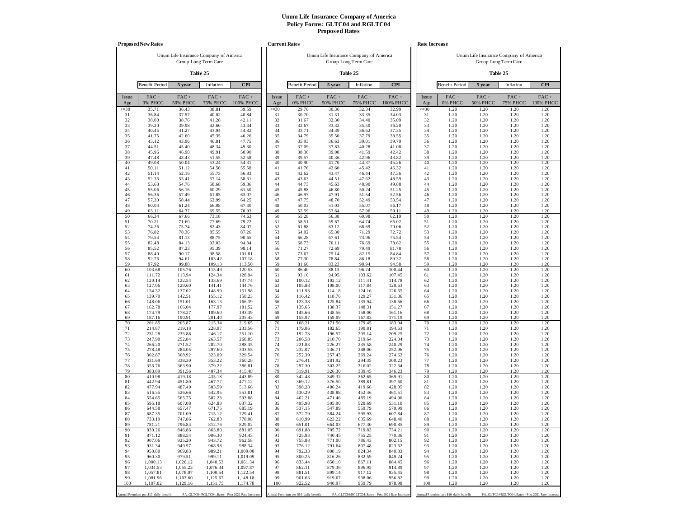|                 | <b>Proposed New Rates</b>             |                                        |                            |                                                   |                 | <b>Current Rates</b>                  |                                        |                            |                                                   |                 | Rate Increase                         |                            |                                                                |                      |
|-----------------|---------------------------------------|----------------------------------------|----------------------------|---------------------------------------------------|-----------------|---------------------------------------|----------------------------------------|----------------------------|---------------------------------------------------|-----------------|---------------------------------------|----------------------------|----------------------------------------------------------------|----------------------|
|                 |                                       | Unum Life Insurance Company of America | Group Long Term Care       |                                                   |                 |                                       | Unum Life Insurance Company of America | Group Long Term Care       |                                                   |                 |                                       |                            | Unum Life Insurance Company of America<br>Group Long Term Care |                      |
|                 |                                       |                                        | Table 25                   |                                                   |                 |                                       |                                        | Table 25                   |                                                   |                 |                                       |                            | Table 25                                                       |                      |
|                 | <b>Benefit Period</b>                 | 5 year                                 | Inflation                  | <b>CPI</b>                                        |                 | <b>Benefit Period</b>                 | 5 year                                 | Inflation                  | <b>CPI</b>                                        |                 | <b>Benefit Period</b>                 | 5 year                     | Inflation                                                      | <b>CPI</b>           |
| Issue<br>Age    | $FAC +$<br>0% PHCC                    | $FAC +$<br><b>50% PHCC</b>             | $FAC +$<br><b>75% PHCC</b> | $FAC +$<br>100% PHCC                              | Issue<br>Age    | $FAC +$<br>0% PHCC                    | $FAC +$<br><b>50% PHCC</b>             | $FAC +$<br><b>75% PHCC</b> | $FAC +$<br>100% PHCC                              | Issue<br>Age    | FAC+<br>0% PHCC                       | $FAC +$<br><b>50% PHCC</b> | $FAC +$<br><b>75% PHCC</b>                                     | $FAC +$<br>100% PHCC |
| $\leq 30$<br>31 | 35.71<br>36.84                        | 36.43<br>37.57                         | 38.81<br>40.02             | 39.59<br>40.84                                    | $\leq 30$<br>31 | 29.76<br>30.70                        | 30.36<br>31.31                         | 32.34<br>33.35             | 32.99<br>34.03                                    | $\leq 30$<br>31 | 1.20<br>1.20                          | 1.20<br>1.20               | 1.20<br>1.20                                                   | 1.20<br>1.20         |
| 32              | 38.00                                 | 38.76                                  | 41.28                      | 42.11                                             | 32              | 31.67                                 | 32.30                                  | 34.40                      | 35.09                                             | 32              | 1.20                                  | 1.20                       | 1.20                                                           | 1.20                 |
| 33<br>34        | 39.20<br>40.45                        | 39.98<br>41.27                         | 42.60<br>43.94             | 43.44<br>44.82                                    | 33<br>34        | 32.67<br>33.71                        | 33.32<br>34.39                         | 35.50<br>36.62             | 36.20<br>37.35                                    | 33<br>34        | 1.20<br>1.20                          | 1.20<br>1.20               | 1.20<br>1.20                                                   | 1.20<br>1.20         |
| 35              | 41.75                                 | 42.60                                  | 45.35                      | 46.26                                             | 35              | 34.79                                 | 35.50                                  | 37.79                      | 38.55                                             | 35              | 1.20                                  | 1.20                       | 1.20                                                           | 1.20                 |
| 36<br>37        | 43.12<br>44.51                        | 43.96<br>45.40                         | 46.81<br>48.34             | 47.75<br>49.30                                    | 36<br>37        | 35.93<br>37.09                        | 36.63<br>37.83                         | 39.01<br>40.28             | 39.79<br>41.08                                    | 36<br>37        | 1.20<br>1.20                          | 1.20<br>1.20               | 1.20<br>1.20                                                   | 1.20<br>1.20         |
| 38              | 45.96                                 | 46.90                                  | 49.91                      | 50.90                                             | 38              | 38.30                                 | 39.08                                  | 41.59                      | 42.42                                             | 38              | 1.20                                  | 1.20                       | 1.20                                                           | 1.20                 |
| 39<br>40        | 47.48<br>49.08                        | 48.43<br>50.04                         | 51.55<br>53.24             | 52.58<br>54.31                                    | 39<br>40        | 39.57<br>40.90                        | 40.36<br>41.70                         | 42.96<br>44.37             | 43.82<br>45.26                                    | 39<br>40        | 1.20<br>1.20                          | 1.20<br>1.20               | 1.20<br>1.20                                                   | 1.20<br>1.20         |
| 41              | 50.11                                 | 51.12                                  | 54.50                      | 55.58                                             | 41              | 41.76                                 | 42.60                                  | 45.42                      | 46.32                                             | 41              | 1.20                                  | 1.20                       | 1.20                                                           | 1.20                 |
| 42              | 51.14                                 | 52.16                                  | 55.73                      | 56.83                                             | 42              | 42.62                                 | 43.47                                  | 46.44                      | 47.36                                             | 42              | 1.20                                  | 1.20                       | 1.20                                                           | 1.20                 |
| 43<br>44        | 52.36<br>53.68                        | 53.41<br>54.76                         | 57.14<br>58.68             | 58.31<br>59.86                                    | 43<br>44        | 43.63<br>44.73                        | 44.51<br>45.63                         | 47.62<br>48.90             | 48.59<br>49.88                                    | 43<br>44        | 1.20<br>1.20                          | 1.20<br>1.20               | 1.20<br>1.20                                                   | 1.20<br>1.20         |
| 45              | 55.06                                 | 56.16                                  | 60.29                      | 61.50                                             | 45              | 45.88                                 | 46.80                                  | 50.24                      | 51.25                                             | 45              | 1.20                                  | 1.20                       | 1.20                                                           | 1.20                 |
| 46<br>47        | 56.36<br>57.30                        | 57.49<br>58.44                         | 61.85<br>62.99             | 63.07<br>64.25                                    | 46<br>47        | 46.97<br>47.75                        | 47.91<br>48.70                         | 51.54<br>52.49             | 52.56<br>53.54                                    | 46<br>47        | 1.20<br>1.20                          | 1.20<br>1.20               | 1.20<br>1.20                                                   | 1.20<br>1.20         |
| 48              | 60.04                                 | 61.24                                  | 66.08                      | 67.40                                             | 48              | 50.03                                 | 51.03                                  | 55.07                      | 56.17                                             | 48              | 1.20                                  | 1.20                       | 1.20                                                           | 1.20                 |
| 49<br>50        | 63.11<br>66.34                        | 64.37<br>67.66                         | 69.55<br>73.18             | 70.93<br>74.63                                    | 49<br>50        | 52.59<br>55.28                        | 53.64<br>56.38                         | 57.96<br>60.98             | 59.11<br>62.19                                    | 49<br>50        | 1.20<br>1.20                          | 1.20<br>1.20               | 1.20<br>1.20                                                   | 1.20<br>1.20         |
| 51              | 70.21                                 | 71.60                                  | 77.69                      | 79.22                                             | 51              | 58.51                                 | 59.67                                  | 64.74                      | 66.02                                             | 51              | 1.20                                  | 1.20                       | 1.20                                                           | 1.20                 |
| 52<br>53        | 74.26<br>76.82                        | 75.74<br>78.36                         | 82.43<br>85.55             | 84.07<br>87.26                                    | 52<br>53        | 61.88<br>64.02                        | 63.12<br>65.30                         | 68.69<br>71.29             | 70.06<br>72.72                                    | 52<br>53        | 1.20<br>1.20                          | 1.20<br>1.20               | 1.20<br>1.20                                                   | 1.20<br>1.20         |
| 54              | 79.54                                 | 81.13                                  | 88.75                      | 90.65                                             | 54              | 66.28                                 | 67.61                                  | 73.96                      | 75.54                                             | 54              | 1.20                                  | 1.20                       | 1.20                                                           | 1.20                 |
| 55<br>56        | 82.48<br>85.52                        | 84.13<br>87.23                         | 92.03<br>95.39             | 94.34<br>98.14                                    | 55<br>56        | 68.73<br>71.27                        | 70.11<br>72.69                         | 76.69<br>79.49             | 78.62<br>81.78                                    | 55<br>56        | 1.20<br>1.20                          | 1.20<br>1.20               | 1.20<br>1.20                                                   | 1.20<br>1.20         |
| 57              | 88.40                                 | 90.17                                  | 98.58                      | 101.81                                            | 57              | 73.67                                 | 75.14                                  | 82.15                      | 84.84                                             | 57              | 1.20                                  | 1.20                       | 1.20                                                           | 1.20                 |
| 58<br>59        | 92.76<br>97.92                        | 94.61<br>99.88                         | 103.42<br>109.13           | 107.18<br>113.50                                  | 58<br>59        | 77.30<br>81.60                        | 78.84<br>83.23                         | 86.18<br>90.94             | 89.32<br>94.58                                    | 58<br>59        | 1.20<br>1.20                          | 1.20<br>1.20               | 1.20<br>1.20                                                   | 1.20<br>1.20         |
| 60              | 103.68                                | 105.76                                 | 115.49                     | 120.53                                            | 60              | 86.40                                 | 88.13                                  | 96.24                      | 100.44                                            | 60              | 1.20                                  | 1.20                       | 1.20                                                           | 1.20                 |
| 61<br>62        | 111.72<br>120.14                      | 113.94<br>122.54                       | 124.34<br>133.69           | 128.94<br>137.74                                  | 61<br>62        | 93.10<br>100.12                       | 94.95<br>102.12                        | 103.62<br>111.41           | 107.45<br>114.78                                  | 61<br>62        | 1.20<br>1.20                          | 1.20<br>1.20               | 1.20<br>1.20                                                   | 1.20<br>1.20         |
| 63              | 127.06                                | 129.60                                 | 141.41                     | 144.76                                            | 63              | 105.88                                | 108.00                                 | 117.84                     | 120.63                                            | 63              | 1.20                                  | 1.20                       | 1.20                                                           | 1.20                 |
| 64<br>65        | 134.32<br>139.70                      | 137.02<br>142.51                       | 148.99<br>155.12           | 151.98<br>158.23                                  | 64<br>65        | 111.93<br>116.42                      | 114.18<br>118.76                       | 124.16<br>129.27           | 126.65<br>131.86                                  | 64<br>65        | 1.20<br>1.20                          | 1.20<br>1.20               | 1.20<br>1.20                                                   | 1.20<br>1.20         |
| 66              | 148.06                                | 151.01                                 | 163.13                     | 166.39                                            | 66              | 123.38                                | 125.84                                 | 135.94                     | 138.66                                            | 66              | 1.20                                  | 1.20                       | 1.20                                                           | 1.20                 |
| 67<br>68        | 162.78<br>174.79                      | 166.04<br>178.27                       | 177.97<br>189.60           | 181.52                                            | 67<br>68        | 135.65                                | 138.37<br>148.56                       | 148.31<br>158.00           | 151.27                                            | 67<br>68        | 1.20                                  | 1.20<br>1.20               | 1.20<br>1.20                                                   | 1.20<br>1.20         |
| 69              | 187.16                                | 190.91                                 | 201.40                     | 193.39<br>205.43                                  | 69              | 145.66<br>155.97                      | 159.09                                 | 167.83                     | 161.16<br>171.19                                  | 69              | 1.20<br>1.20                          | 1.20                       | 1.20                                                           | 1.20                 |
| 70<br>71        | 201.85<br>214.87                      | 205.87<br>219.18                       | 215.34<br>228.97           | 219.65                                            | 70<br>71        | 168.21<br>179.06                      | 171.56<br>182.65                       | 179.45<br>190.81           | 183.04                                            | 70<br>71        | 1.20<br>1.20                          | 1.20<br>1.20               | 1.20<br>1.20                                                   | 1.20<br>1.20         |
| 72              | 231.28                                | 235.88                                 | 246.17                     | 233.56<br>251.10                                  | 72              | 192.73                                | 196.57                                 | 205.14                     | 194.63<br>209.25                                  | 72              | 1.20                                  | 1.20                       | 1.20                                                           | 1.20                 |
| 73              | 247.90                                | 252.84                                 | 263.57                     | 268.85                                            | 73              | 206.58                                | 210.70                                 | 219.64                     | 224.04                                            | 73              | 1.20                                  | 1.20                       | 1.20                                                           | 1.20                 |
| 74<br>75        | 266.20<br>278.48                      | 271.52<br>284.05                       | 282.70<br>297.60           | 288.35<br>303.55                                  | 74<br>75        | 221.83<br>232.07                      | 226.27<br>236.71                       | 235.58<br>248.00           | 240.29<br>252.96                                  | 74<br>75        | 1.20<br>1.20                          | 1.20<br>1.20               | 1.20<br>1.20                                                   | 1.20<br>1.20         |
| 76              | 302.87                                | 308.92                                 | 323.09                     | 329.54                                            | 76              | 252.39                                | 257.43                                 | 269.24                     | 274.62                                            | 76              | 1.20                                  | 1.20                       | 1.20                                                           | 1.20                 |
| 77<br>78        | 331.69<br>356.76                      | 338.30<br>363.90                       | 353.22<br>379.22           | 360.28<br>386.81                                  | 77<br>78        | 276.41<br>297.30                      | 281.92<br>303.25                       | 294.35<br>316.02           | 300.23<br>322.34                                  | 77<br>78        | 1.20<br>1.20                          | 1.20<br>1.20               | 1.20<br>1.20                                                   | 1.20<br>1.20         |
| 79              | 383.89                                | 391.56                                 | 407.34                     | 415.48                                            | 79              | 319.91                                | 326.30                                 | 339.45                     | 346.23                                            | 79              | 1.20                                  | 1.20                       | 1.20                                                           | 1.20                 |
| 80<br>81        | 410.98<br>442.94                      | 419.18<br>451.80                       | 435.18<br>467.77           | 443.89<br>477.12                                  | 80<br>81        | 342.48<br>369.12                      | 349.32<br>376.50                       | 362.65<br>389.81           | 369.91<br>397.60                                  | 80<br>81        | 1.20<br>1.20                          | 1.20<br>1.20               | 1.20<br>1.20                                                   | 1.20<br>1.20         |
| 82              | 477.94                                | 487.49                                 | 503.59                     | 513.66                                            | 82              | 398.28                                | 406.24                                 | 419.66                     | 428.05                                            | 82              | 1.20                                  | 1.20                       | 1.20                                                           | 1.20                 |
| 83<br>84        | 516.35<br>554.65                      | 526.66<br>565.75                       | 542.95<br>582.23           | 553.81<br>593.88                                  | 83<br>84        | 430.29<br>462.21                      | 438.88<br>471.46                       | 452.46<br>485.19           | 461.51<br>494.90                                  | 83<br>84        | 1.20<br>1.20                          | 1.20<br>1.20               | 1.20<br>1.20                                                   | 1.20<br>1.20         |
| 85              | 595.18                                | 607.08                                 | 624.83                     | 637.32                                            | 85              | 495.98                                | 505.90                                 | 520.69                     | 531.10                                            | 85              | 1.20                                  | 1.20                       | 1.20                                                           | 1.20                 |
| 86<br>87        | 644.58<br>687.35                      | 657.47<br>701.09                       | 671.75<br>715.12           | 685.19<br>729.41                                  | 86<br>87        | 537.15<br>572.79                      | 547.89<br>584.24                       | 559.79<br>595.93           | 570.99<br>607.84                                  | 86<br>87        | 1.20<br>1.20                          | 1.20<br>1.20               | 1.20<br>1.20                                                   | 1.20<br>1.20         |
| 88              | 733.19                                | 747.86                                 | 762.83                     | 778.08                                            | 88              | 610.99                                | 623.22                                 | 635.69                     | 648.40                                            | 88              | 1.20                                  | 1.20                       | 1.20                                                           | 1.20                 |
| 89<br>90        | 781.21<br>830.26                      | 796.84<br>846.86                       | 812.76<br>863.80           | 829.02<br>881.05                                  | 89<br>90        | 651.01<br>691.88                      | 664.03<br>705.72                       | 677.30<br>719.83           | 690.85<br>734.21                                  | 89<br>90        | 1.20<br>1.20                          | 1.20<br>1.20               | 1.20<br>1.20                                                   | 1.20<br>1.20         |
| 91              | 871.12                                | 888.54                                 | 906.30                     | 924.43                                            | 91              | 725.93                                | 740.45                                 | 755.25                     | 770.36                                            | 91              | 1.20                                  | 1.20                       | 1.20                                                           | 1.20                 |
| 92<br>93        | 907.06<br>931.34                      | 925.20<br>949.97                       | 943.72<br>968.98           | 962.58<br>988.34                                  | 92<br>93        | 755.88<br>776.12                      | 771.00<br>791.64                       | 786.43<br>807.48           | 802.15<br>823.62                                  | 92<br>93        | 1.20<br>1.20                          | 1.20<br>1.20               | 1.20<br>1.20                                                   | 1.20<br>1.20         |
| 94              | 950.80                                | 969.83                                 | 989.21                     | 1,009.00                                          | 94              | 792.33                                | 808.19                                 | 824.34                     | 840.83                                            | 94              | 1.20                                  | 1.20                       | 1.20                                                           | 1.20                 |
| 95<br>96        | 960.30<br>1,000.13                    | 979.51<br>1,020.12                     | 999.11<br>1,040.53         | 1,019.09<br>1,061.34                              | 95<br>96        | 800.25<br>833.44                      | 816.26<br>850.10                       | 832.59<br>867.11           | 849.24<br>884.45                                  | 95<br>96        | 1.20<br>1.20                          | 1.20<br>1.20               | 1.20<br>1.20                                                   | 1.20<br>1.20         |
| 97              | 1,034.53                              | 1,055.23                               | 1,076.34                   | 1,097.87                                          | 97              | 862.11                                | 879.36                                 | 896.95                     | 914.89                                            | 97              | 1.20                                  | 1.20                       | 1.20                                                           | 1.20                 |
| 98<br>99        | 1,057.81<br>1,081.96                  | 1,078.97<br>1,103.60                   | 1,100.54<br>1,125.67       | 1,122.54<br>1,148.18                              | 98<br>99        | 881.51<br>901.63                      | 899.14<br>919.67                       | 917.12<br>938.06           | 935.45<br>956.82                                  | 98<br>99        | 1.20<br>1.20                          | 1.20<br>1.20               | 1.20<br>1.20                                                   | 1.20<br>1.20         |
| 100             | 1,107.02                              | 1,129.16                               | 1,151.75                   | 1,174.78                                          | 100             | 922.52                                | 940.97                                 | 959.79                     | 978.98                                            | 100             | 1.20                                  | 1.20                       | 1.20                                                           | 1.20                 |
|                 | Annual Premium per \$10 daily benefit |                                        |                            | PA_GLTC04/RGLTC04_Rates - Post 2021 Rate Increase |                 | Annual Premium per \$10 daily benefit |                                        |                            | PA_GLTC04/RGLTC04_Rates - Post 2021 Rate Increase |                 | Annual Premium per \$10 daily benefit |                            | PA_GLTC04/RGLTC04_Rates - Post 2021 Rate Increas               |                      |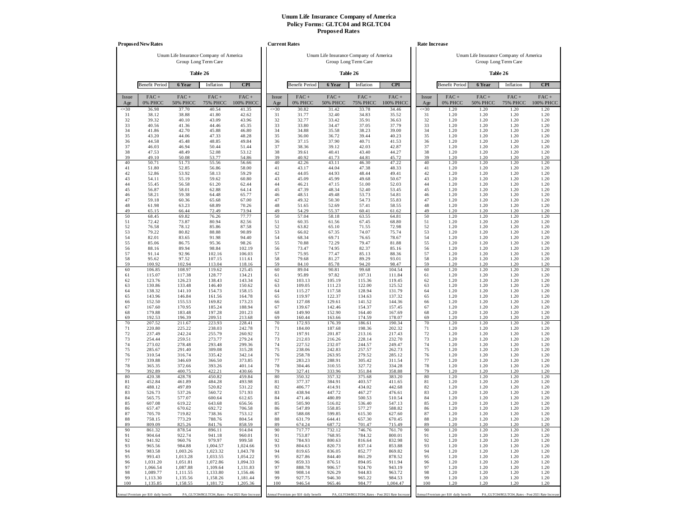|              | <b>Proposed New Rates</b>             |                            |                                                                |                      |              | <b>Current Rates</b>                  |                                        |                                                   |                      |              | Rate Increase                         |                            |                                                                |                      |
|--------------|---------------------------------------|----------------------------|----------------------------------------------------------------|----------------------|--------------|---------------------------------------|----------------------------------------|---------------------------------------------------|----------------------|--------------|---------------------------------------|----------------------------|----------------------------------------------------------------|----------------------|
|              |                                       |                            | Unum Life Insurance Company of America<br>Group Long Term Care |                      |              |                                       | Unum Life Insurance Company of America | Group Long Term Care                              |                      |              |                                       |                            | Unum Life Insurance Company of America<br>Group Long Term Care |                      |
|              |                                       |                            | Table 26                                                       |                      |              |                                       |                                        | Table 26                                          |                      |              |                                       |                            | Table 26                                                       |                      |
|              | <b>Benefit Period</b>                 | 6 Year                     | Inflation                                                      | <b>CPI</b>           |              | <b>Benefit Period</b>                 | 6 Year                                 | Inflation                                         | <b>CPI</b>           |              | <b>Benefit Period</b>                 | 6 Year                     | Inflation                                                      | <b>CPI</b>           |
| Issue<br>Age | $FAC +$<br>0% PHCC                    | $FAC +$<br><b>50% PHCC</b> | $FAC +$<br><b>75% PHCC</b>                                     | $FAC +$<br>100% PHCC | Issue<br>Age | FAC+<br>0% PHCC                       | $FAC +$<br><b>50% PHCC</b>             | $FAC +$<br><b>75% PHCC</b>                        | $FAC +$<br>100% PHCC | Issue<br>Age | FAC+<br>0% PHCC                       | $FAC +$<br><b>50% PHCC</b> | $FAC +$<br><b>75% PHCC</b>                                     | $FAC +$<br>100% PHCC |
| $\leq 30$    | 36.98                                 | 37.70                      | 40.54                                                          | 41.35                | $\leq 30$    | 30.82                                 | 31.42                                  | 33.78                                             | 34.46                | $\leq 30$    | 1.20                                  | 1.20                       | 1.20                                                           | 1.20                 |
| 31<br>32     | 38.12<br>39.32                        | 38.88<br>40.10             | 41.80<br>43.09                                                 | 42.62<br>43.96       | 31<br>32     | 31.77<br>32.77                        | 32.40<br>33.42                         | 34.83<br>35.91                                    | 35.52<br>36.63       | 31<br>32     | 1.20<br>1.20                          | 1.20<br>1.20               | 1.20<br>1.20                                                   | 1.20<br>1.20         |
| 33           | 40.56                                 | 41.36                      | 44.46                                                          | 45.35                | 33           | 33.80                                 | 34.47                                  | 37.05                                             | 37.79                | 33           | 1.20                                  | 1.20                       | 1.20                                                           | 1.20                 |
| 34<br>35     | 41.86<br>43.20                        | 42.70<br>44.06             | 45.88<br>47.33                                                 | 46.80<br>48.28       | 34<br>35     | 34.88<br>36.00                        | 35.58<br>36.72                         | 38.23<br>39.44                                    | 39.00<br>40.23       | 34<br>35     | 1.20<br>1.20                          | 1.20<br>1.20               | 1.20<br>1.20                                                   | 1.20<br>1.20         |
| 36           | 44.58                                 | 45.48                      | 48.85                                                          | 49.84                | 36           | 37.15                                 | 37.90                                  | 40.71                                             | 41.53                | 36           | 1.20                                  | 1.20                       | 1.20                                                           | 1.20                 |
| 37           | 46.03                                 | 46.94                      | 50.44                                                          | 51.44                | 37<br>38     | 38.36                                 | 39.12                                  | 42.03                                             | 42.87                | 37<br>38     | 1.20                                  | 1.20                       | 1.20                                                           | 1.20                 |
| 38<br>39     | 47.53<br>49.10                        | 48.49<br>50.08             | 52.08<br>53.77                                                 | 53.12<br>54.86       | 39           | 39.61<br>40.92                        | 40.41<br>41.73                         | 43.40<br>44.81                                    | 44.27<br>45.72       | 39           | 1.20<br>1.20                          | 1.20<br>1.20               | 1.20<br>1.20                                                   | 1.20<br>1.20         |
| 40           | 50.71                                 | 51.73                      | 55.56                                                          | 56.66                | 40           | 42.26                                 | 43.11                                  | 46.30                                             | 47.22                | 40           | 1.20                                  | 1.20                       | 1.20                                                           | 1.20                 |
| 41<br>42     | 51.80<br>52.86                        | 52.85<br>53.92             | 56.86<br>58.13                                                 | 58.00<br>59.29       | 41<br>42     | 43.17<br>44.05                        | 44.04<br>44.93                         | 47.38<br>48.44                                    | 48.33<br>49.41       | 41<br>42     | 1.20<br>1.20                          | 1.20<br>1.20               | 1.20<br>1.20                                                   | 1.20<br>1.20         |
| 43           | 54.11                                 | 55.19                      | 59.62                                                          | 60.80                | 43           | 45.09                                 | 45.99                                  | 49.68                                             | 50.67                | 43           | 1.20                                  | 1.20                       | 1.20                                                           | 1.20                 |
| 44           | 55.45                                 | 56.58                      | 61.20                                                          | 62.44                | 44           | 46.21                                 | 47.15                                  | 51.00                                             | 52.03                | 44           | 1.20                                  | 1.20                       | 1.20                                                           | 1.20                 |
| 45<br>46     | 56.87<br>58.21                        | 58.01<br>59.38             | 62.88<br>64.48                                                 | 64.14<br>65.77       | 45<br>46     | 47.39<br>48.51                        | 48.34<br>49.48                         | 52.40<br>53.73                                    | 53.45<br>54.81       | 45<br>46     | 1.20<br>1.20                          | 1.20<br>1.20               | 1.20<br>1.20                                                   | 1.20<br>1.20         |
| 47           | 59.18                                 | 60.36                      | 65.68                                                          | 67.00                | 47           | 49.32                                 | 50.30                                  | 54.73                                             | 55.83                | 47           | 1.20                                  | 1.20                       | 1.20                                                           | 1.20                 |
| 48<br>49     | 61.98<br>65.15                        | 63.23<br>66.44             | 68.89<br>72.49                                                 | 70.26<br>73.94       | 48<br>49     | 51.65<br>54.29                        | 52.69<br>55.37                         | 57.41<br>60.41                                    | 58.55<br>61.62       | 48<br>49     | 1.20<br>1.20                          | 1.20<br>1.20               | 1.20<br>1.20                                                   | 1.20<br>1.20         |
| 50           | 68.45                                 | 69.82                      | 76.26                                                          | 77.77                | 50           | 57.04                                 | 58.18                                  | 63.55                                             | 64.81                | 50           | 1.20                                  | 1.20                       | 1.20                                                           | 1.20                 |
| 51           | 72.42                                 | 73.87                      | 80.94                                                          | 82.56                | 51           | 60.35                                 | 61.56                                  | 67.45                                             | 68.80                | 51           | 1.20                                  | 1.20                       | 1.20                                                           | 1.20                 |
| 52<br>53     | 76.58<br>79.22                        | 78.12<br>80.82             | 85.86<br>88.88                                                 | 87.58<br>90.89       | 52<br>53     | 63.82<br>66.02                        | 65.10<br>67.35                         | 71.55<br>74.07                                    | 72.98<br>75.74       | 52<br>53     | 1.20<br>1.20                          | 1.20<br>1.20               | 1.20<br>1.20                                                   | 1.20<br>1.20         |
| 54           | 82.01                                 | 83.65                      | 91.98                                                          | 94.40                | 54           | 68.34                                 | 69.71                                  | 76.65                                             | 78.67                | 54           | 1.20                                  | 1.20                       | 1.20                                                           | 1.20                 |
| 55<br>56     | 85.06<br>88.16                        | 86.75<br>89.94             | 95.36<br>98.84                                                 | 98.26<br>102.19      | 55<br>56     | 70.88<br>73.47                        | 72.29<br>74.95                         | 79.47<br>82.37                                    | 81.88<br>85.16       | 55<br>56     | 1.20<br>1.20                          | 1.20<br>1.20               | 1.20<br>1.20                                                   | 1.20<br>1.20         |
| 57           | 91.14                                 | 92.96                      | 102.16                                                         | 106.03               | 57           | 75.95                                 | 77.47                                  | 85.13                                             | 88.36                | 57           | 1.20                                  | 1.20                       | 1.20                                                           | 1.20                 |
| 58           | 95.62                                 | 97.52                      | 107.15                                                         | 111.61               | 58           | 79.68                                 | 81.27                                  | 89.29                                             | 93.01                | 58           | 1.20                                  | 1.20                       | 1.20                                                           | 1.20                 |
| 59<br>60     | 100.92<br>106.85                      | 102.94<br>108.97           | 113.04<br>119.62                                               | 118.16<br>125.45     | 59<br>60     | 84.10<br>89.04                        | 85.78<br>90.81                         | 94.20<br>99.68                                    | 98.47<br>104.54      | 59<br>60     | 1.20<br>1.20                          | 1.20<br>1.20               | 1.20<br>1.20                                                   | 1.20<br>1.20         |
| 61           | 115.07                                | 117.38                     | 128.77                                                         | 134.21               | 61           | 95.89                                 | 97.82                                  | 107.31                                            | 111.84               | 61           | 1.20                                  | 1.20                       | 1.20                                                           | 1.20                 |
| 62<br>63     | 123.76<br>130.86                      | 126.23<br>133.48           | 138.43<br>146.40                                               | 143.34<br>150.62     | 62<br>63     | 103.13<br>109.05                      | 105.19<br>111.23                       | 115.36<br>122.00                                  | 119.45<br>125.52     | 62<br>63     | 1.20<br>1.20                          | 1.20<br>1.20               | 1.20<br>1.20                                                   | 1.20<br>1.20         |
| 64           | 138.32                                | 141.10                     | 154.73                                                         | 158.15               | 64           | 115.27                                | 117.58                                 | 128.94                                            | 131.79               | 64           | 1.20                                  | 1.20                       | 1.20                                                           | 1.20                 |
| 65           | 143.96                                | 146.84                     | 161.56                                                         | 164.78               | 65           | 119.97                                | 122.37                                 | 134.63                                            | 137.32               | 65           | 1.20                                  | 1.20                       | 1.20                                                           | 1.20                 |
| 66<br>67     | 152.50<br>167.60                      | 155.53<br>170.95           | 169.82<br>185.24                                               | 173.23<br>188.94     | 66<br>67     | 127.08<br>139.67                      | 129.61<br>142.46                       | 141.52<br>154.37                                  | 144.36<br>157.45     | 66<br>67     | 1.20<br>1.20                          | 1.20<br>1.20               | 1.20<br>1.20                                                   | 1.20<br>1.20         |
| 68           | 179.88                                | 183.48                     | 197.28                                                         | 201.23               | 68           | 149.90                                | 152.90                                 | 164.40                                            | 167.69               | 68           | 1.20                                  | 1.20                       | 1.20                                                           | 1.20                 |
| 69<br>70     | 192.53<br>207.52                      | 196.39<br>211.67           | 209.51<br>223.93                                               | 213.68<br>228.41     | 69<br>70     | 160.44<br>172.93                      | 163.66<br>176.39                       | 174.59<br>186.61                                  | 178.07<br>190.34     | 69<br>70     | 1.20<br>1.20                          | 1.20<br>1.20               | 1.20<br>1.20                                                   | 1.20<br>1.20         |
| 71           | 220.80                                | 225.22                     | 238.03                                                         | 242.78               | 71           | 184.00                                | 187.68                                 | 198.36                                            | 202.32               | 71           | 1.20                                  | 1.20                       | 1.20                                                           | 1.20                 |
| 72           | 237.49                                | 242.24                     | 255.79                                                         | 260.92               | 72           | 197.91                                | 201.87                                 | 213.16                                            | 217.43               | 72           | 1.20                                  | 1.20                       | 1.20                                                           | 1.20                 |
| 73<br>74     | 254.44<br>273.02                      | 259.51<br>278.48           | 273.77<br>293.48                                               | 279.24<br>299.36     | 73<br>74     | 212.03<br>227.52                      | 216.26<br>232.07                       | 228.14<br>244.57                                  | 232.70<br>249.47     | 73<br>74     | 1.20<br>1.20                          | 1.20<br>1.20               | 1.20<br>1.20                                                   | 1.20<br>1.20         |
| 75           | 285.67                                | 291.40                     | 309.08                                                         | 315.28               | 75           | 238.06                                | 242.83                                 | 257.57                                            | 262.73               | 75           | 1.20                                  | 1.20                       | 1.20                                                           | 1.20                 |
| 76<br>77     | 310.54<br>339.88                      | 316.74<br>346.69           | 335.42<br>366.50                                               | 342.14<br>373.85     | 76<br>77     | 258.78<br>283.23                      | 263.95<br>288.91                       | 279.52<br>305.42                                  | 285.12<br>311.54     | 76<br>77     | 1.20<br>1.20                          | 1.20<br>1.20               | 1.20<br>1.20                                                   | 1.20<br>1.20         |
| 78           | 365.35                                | 372.66                     | 393.26                                                         | 401.14               | 78           | 304.46                                | 310.55                                 | 327.72                                            | 334.28               | 78           | 1.20                                  | 1.20                       | 1.20                                                           | 1.20                 |
| 79<br>80     | 392.89<br>420.38                      | 400.75<br>428.78           | 422.21<br>450.82                                               | 430.66<br>459.84     | 79<br>80     | 327.41<br>350.32                      | 333.96<br>357.32                       | 351.84<br>375.68                                  | 358.88<br>383.20     | 79<br>80     | 1.20<br>1.20                          | 1.20<br>1.20               | 1.20<br>1.20                                                   | 1.20<br>1.20         |
| 81           | 452.84                                | 461.89                     | 484.28                                                         | 493.98               | 81           | 377.37                                | 384.91                                 | 403.57                                            | 411.65               | 81           | 1.20                                  | 1.20                       | 1.20                                                           | 1.20                 |
| 82           | 488.12                                | 497.89                     | 520.82                                                         | 531.22               | 82           | 406.77                                | 414.91                                 | 434.02                                            | 442.68               | 82           | 1.20                                  | 1.20                       | 1.20                                                           | 1.20                 |
| 83<br>84     | 526.73<br>565.75                      | 537.26<br>577.07           | 560.72<br>600.64                                               | 571.93<br>612.65     | 83<br>84     | 438.94<br>471.46                      | 447.72<br>480.89                       | 467.27<br>500.53                                  | 476.61<br>510.54     | 83<br>84     | 1.20<br>1.20                          | 1.20<br>1.20               | 1.20<br>1.20                                                   | 1.20<br>1.20         |
| 85           | 607.08                                | 619.22                     | 643.68                                                         | 656.56               | 85           | 505.90                                | 516.02                                 | 536.40                                            | 547.13               | 85           | 1.20                                  | 1.20                       | 1.20                                                           | 1.20                 |
| 86<br>87     | 657.47<br>705.70                      | 670.62<br>719.82           | 692.72<br>738.36                                               | 706.58<br>753.12     | 86<br>87     | 547.89<br>588.08                      | 558.85<br>599.85                       | 577.27<br>615.30                                  | 588.82<br>627.60     | 86<br>87     | 1.20<br>1.20                          | 1.20<br>1.20               | 1.20<br>1.20                                                   | 1.20<br>1.20         |
| 88           | 758.15                                | 773.29                     | 788.76                                                         | 804.54               | 88           | 631.79                                | 644.41                                 | 657.30                                            | 670.45               | 88           | 1.20                                  | 1.20                       | 1.20                                                           | 1.20                 |
| 89           | 809.09                                | 825.26                     | 841.76                                                         | 858.59               | 89           | 674.24                                | 687.72                                 | 701.47                                            | 715.49               | 89           | 1.20                                  | 1.20                       | 1.20                                                           | 1.20                 |
| 90<br>91     | 861.32<br>904.64                      | 878.54<br>922.74           | 896.11<br>941.18                                               | 914.04<br>960.01     | 90<br>91     | 717.77<br>753.87                      | 732.12<br>768.95                       | 746.76<br>784.32                                  | 761.70<br>800.01     | 90<br>91     | 1.20<br>1.20                          | 1.20<br>1.20               | 1.20<br>1.20                                                   | 1.20<br>1.20         |
| 92           | 941.92                                | 960.76                     | 979.97                                                         | 999.58               | 92           | 784.93                                | 800.63                                 | 816.64                                            | 832.98               | 92           | 1.20                                  | 1.20                       | 1.20                                                           | 1.20                 |
| 93<br>94     | 965.56                                | 984.88                     | 1,004.57                                                       | 1,024.66             | 93           | 804.63                                | 820.73<br>836.05                       | 837.14                                            | 853.88               | 93<br>94     | 1.20                                  | 1.20                       | 1.20<br>1.20                                                   | 1.20                 |
| 95           | 983.58<br>993.43                      | 1,003.26<br>1,013.28       | 1,023.32<br>1,033.55                                           | 1,043.78<br>1,054.22 | 94<br>95     | 819.65<br>827.86                      | 844.40                                 | 852.77<br>861.29                                  | 869.82<br>878.52     | 95           | 1.20<br>1.20                          | 1.20<br>1.20               | 1.20                                                           | 1.20<br>1.20         |
| 96           | 1,031.20                              | 1,051.81                   | 1,072.86                                                       | 1,094.33             | 96           | 859.33                                | 876.51                                 | 894.05                                            | 911.94               | 96           | 1.20                                  | 1.20                       | 1.20                                                           | 1.20                 |
| 97<br>98     | 1,066.54<br>1,089.77                  | 1,087.88<br>1,111.55       | 1,109.64<br>1,133.80                                           | 1,131.83<br>1,156.46 | 97<br>98     | 888.78<br>908.14                      | 906.57<br>926.29                       | 924.70<br>944.83                                  | 943.19<br>963.72     | 97<br>98     | 1.20<br>1.20                          | 1.20<br>1.20               | 1.20<br>1.20                                                   | 1.20<br>1.20         |
| 99           | 1,113.30                              | 1,135.56                   | 1,158.26                                                       | 1,181.44             | 99           | 927.75                                | 946.30                                 | 965.22                                            | 984.53               | 99           | 1.20                                  | 1.20                       | 1.20                                                           | 1.20                 |
| 100          | 1,135.85                              | 1,158.55                   | 1,181.72                                                       | 1,205.36             | 100          | 946.54                                | 965.46                                 | 984.77                                            | 1,004.47             | 100          | 1.20                                  | 1.20                       | 1.20                                                           | 1.20                 |
|              | Annual Premium per \$10 daily benefit |                            | PA_GLTC04/RGLTC04_Rates - Post 2021 Rate Increase              |                      |              | Annual Premium per \$10 daily benefit |                                        | PA_GLTC04/RGLTC04_Rates - Post 2021 Rate Increase |                      |              | Annual Premium per \$10 daily benefit |                            | PA_GLTC04/RGLTC04_Rates - Post 2021 Rate Increase              |                      |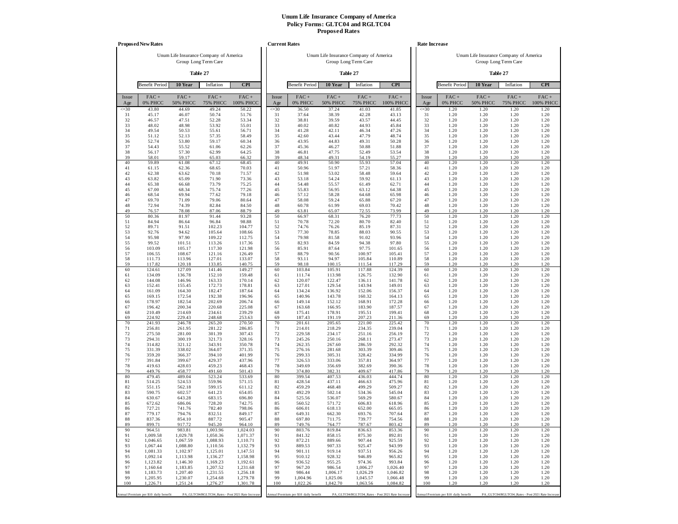|              | <b>Proposed New Rates</b>             |                            |                                                                |                      |              | <b>Current Rates</b>                  |                                        |                            |                                                   |              | <b>Rate Increase</b>                  |                                        |                                                   |                      |
|--------------|---------------------------------------|----------------------------|----------------------------------------------------------------|----------------------|--------------|---------------------------------------|----------------------------------------|----------------------------|---------------------------------------------------|--------------|---------------------------------------|----------------------------------------|---------------------------------------------------|----------------------|
|              |                                       |                            | Unum Life Insurance Company of America<br>Group Long Term Care |                      |              |                                       | Unum Life Insurance Company of America | Group Long Term Care       |                                                   |              |                                       | Unum Life Insurance Company of America | Group Long Term Care                              |                      |
|              |                                       |                            | Table 27                                                       |                      |              |                                       |                                        | Table 27                   |                                                   |              |                                       |                                        | Table 27                                          |                      |
|              | <b>Benefit Period</b>                 | 10 Year                    | Inflation                                                      | <b>CPI</b>           |              | <b>Benefit Period</b>                 | 10 Year                                | Inflation                  | <b>CPI</b>                                        |              | <b>Benefit Period</b>                 | 10 Year                                | Inflation                                         | <b>CPI</b>           |
| Issue<br>Age | FAC+<br>0% PHCC                       | $FAC +$<br><b>50% PHCC</b> | $FAC +$<br><b>75% PHCC</b>                                     | $FAC +$<br>100% PHCC | Issue<br>Age | FAC+<br>0% PHCC                       | $FAC +$<br><b>50% PHCC</b>             | $FAC +$<br><b>75% PHCC</b> | $FAC +$<br><b>100% PHCC</b>                       | Issue<br>Age | FAC+<br>0% PHCC                       | $FAC +$<br><b>50% PHCC</b>             | $FAC +$<br><b>75% PHCC</b>                        | $FAC +$<br>100% PHCC |
| $\leq 30$    | 43.80                                 | 44.69                      | 49.24                                                          | 50.22                | $\leq 30$    | 36.50                                 | 37.24                                  | 41.03                      | 41.85                                             | $\leq 30$    | 1.20                                  | 1.20                                   | 1.20                                              | 1.20                 |
| 31<br>32     | 45.17<br>46.57                        | 46.07<br>47.51             | 50.74<br>52.28                                                 | 51.76<br>53.34       | 31<br>32     | 37.64<br>38.81                        | 38.39<br>39.59                         | 42.28<br>43.57             | 43.13<br>44.45                                    | 31<br>32     | 1.20<br>1.20                          | 1.20<br>1.20                           | 1.20<br>1.20                                      | 1.20<br>1.20         |
| 33<br>34     | 48.02<br>49.54                        | 48.98<br>50.53             | 53.92                                                          | 55.01                | 33<br>34     | 40.02                                 | 40.82<br>42.11                         | 44.93                      | 45.84<br>47.26                                    | 33<br>34     | 1.20<br>1.20                          | 1.20<br>1.20                           | 1.20<br>1.20                                      | 1.20                 |
| 35           | 51.12                                 | 52.13                      | 55.61<br>57.35                                                 | 56.71<br>58.49       | 35           | 41.28<br>42.60                        | 43.44                                  | 46.34<br>47.79             | 48.74                                             | 35           | 1.20                                  | 1.20                                   | 1.20                                              | 1.20<br>1.20         |
| 36           | 52.74                                 | 53.80                      | 59.17                                                          | 60.34                | 36           | 43.95                                 | 44.83                                  | 49.31                      | 50.28                                             | 36           | 1.20                                  | 1.20                                   | 1.20                                              | 1.20                 |
| 37<br>38     | 54.43<br>56.17                        | 55.52<br>57.30             | 61.06<br>62.99                                                 | 62.26<br>64.25       | 37<br>38     | 45.36<br>46.81                        | 46.27<br>47.75                         | 50.88<br>52.49             | 51.88<br>53.54                                    | 37<br>38     | 1.20<br>1.20                          | 1.20<br>1.20                           | 1.20<br>1.20                                      | 1.20<br>1.20         |
| 39           | 58.01                                 | 59.17                      | 65.03                                                          | 66.32                | 39           | 48.34                                 | 49.31                                  | 54.19                      | 55.27                                             | 39           | 1.20                                  | 1.20                                   | 1.20                                              | 1.20                 |
| 40<br>41     | 59.89<br>61.15                        | 61.08<br>62.36             | 67.12<br>68.65                                                 | 68.45<br>70.03       | 40<br>41     | 49.91<br>50.96                        | 50.90<br>51.97                         | 55.93<br>57.21             | 57.04<br>58.36                                    | 40<br>41     | 1.20<br>1.20                          | 1.20<br>1.20                           | 1.20<br>1.20                                      | 1.20<br>1.20         |
| 42           | 62.38                                 | 63.62                      | 70.18                                                          | 71.57                | 42           | 51.98                                 | 53.02                                  | 58.48                      | 59.64                                             | 42           | 1.20                                  | 1.20                                   | 1.20                                              | 1.20                 |
| 43<br>44     | 63.82<br>65.38                        | 65.09<br>66.68             | 71.90<br>73.79                                                 | 73.36<br>75.25       | 43<br>44     | 53.18<br>54.48                        | 54.24<br>55.57                         | 59.92<br>61.49             | 61.13<br>62.71                                    | 43<br>44     | 1.20<br>1.20                          | 1.20<br>1.20                           | 1.20<br>1.20                                      | 1.20<br>1.20         |
| 45           | 67.00                                 | 68.34                      | 75.74                                                          | 77.26                | 45           | 55.83                                 | 56.95                                  | 63.12                      | 64.38                                             | 45           | 1.20                                  | 1.20                                   | 1.20                                              | 1.20                 |
| 46<br>47     | 68.54<br>69.70                        | 69.94<br>71.09             | 77.62<br>79.06                                                 | 79.18                | 46<br>47     | 57.12                                 | 58.28                                  | 64.68                      | 65.98                                             | 46<br>47     | 1.20<br>1.20                          | 1.20<br>1.20                           | 1.20<br>1.20                                      | 1.20                 |
| 48           | 72.94                                 | 74.39                      | 82.84                                                          | 80.64<br>84.50       | 48           | 58.08<br>60.78                        | 59.24<br>61.99                         | 65.88<br>69.03             | 67.20<br>70.42                                    | 48           | 1.20                                  | 1.20                                   | 1.20                                              | 1.20<br>1.20         |
| 49           | 76.57                                 | 78.08                      | 87.06                                                          | 88.79                | 49           | 63.81                                 | 65.07                                  | 72.55                      | 73.99                                             | 49           | 1.20                                  | 1.20                                   | 1.20                                              | 1.20                 |
| 50<br>51     | 80.36<br>84.94                        | 81.97<br>86.64             | 91.44<br>96.84                                                 | 93.28<br>98.88       | 50<br>51     | 66.97<br>70.78                        | 68.31<br>72.20                         | 76.20<br>80.70             | 77.73<br>82.40                                    | 50<br>51     | 1.20<br>1.20                          | 1.20<br>1.20                           | 1.20<br>1.20                                      | 1.20<br>1.20         |
| 52           | 89.71                                 | 91.51                      | 102.23                                                         | 104.77               | 52           | 74.76                                 | 76.26                                  | 85.19                      | 87.31                                             | 52           | 1.20                                  | 1.20                                   | 1.20                                              | 1.20                 |
| 53<br>54     | 92.76<br>95.98                        | 94.62<br>97.90             | 105.64<br>109.22                                               | 108.66<br>112.75     | 53<br>54     | 77.30<br>79.98                        | 78.85<br>81.58                         | 88.03<br>91.02             | 90.55<br>93.96                                    | 53<br>54     | 1.20<br>1.20                          | 1.20<br>1.20                           | 1.20<br>1.20                                      | 1.20<br>1.20         |
| 55           | 99.52                                 | 101.51                     | 113.26                                                         | 117.36               | 55           | 82.93                                 | 84.59                                  | 94.38                      | 97.80                                             | 55           | 1.20                                  | 1.20                                   | 1.20                                              | 1.20                 |
| 56<br>57     | 103.09<br>106.55                      | 105.17<br>108.67           | 117.30<br>121.16                                               | 121.98<br>126.49     | 56<br>57     | 85.91<br>88.79                        | 87.64<br>90.56                         | 97.75<br>100.97            | 101.65<br>105.41                                  | 56<br>57     | 1.20<br>1.20                          | 1.20<br>1.20                           | 1.20<br>1.20                                      | 1.20<br>1.20         |
| 58           | 111.73                                | 113.96                     | 127.01                                                         | 133.07               | 58           | 93.11                                 | 94.97                                  | 105.84                     | 110.89                                            | 58           | 1.20                                  | 1.20                                   | 1.20                                              | 1.20                 |
| 59<br>60     | 117.82<br>124.61                      | 120.18<br>127.09           | 133.85                                                         | 140.75               | 59<br>60     | 98.18<br>103.84                       | 100.15<br>105.91                       | 111.54                     | 117.29                                            | 59<br>60     | 1.20<br>1.20                          | 1.20<br>1.20                           | 1.20<br>1.20                                      | 1.20<br>1.20         |
| 61           | 134.09                                | 136.78                     | 141.46<br>152.10                                               | 149.27<br>159.48     | 61           | 111.74                                | 113.98                                 | 117.88<br>126.75           | 124.39<br>132.90                                  | 61           | 1.20                                  | 1.20                                   | 1.20                                              | 1.20                 |
| 62           | 144.08                                | 146.96                     | 163.33                                                         | 170.14               | 62           | 120.07                                | 122.47                                 | 136.11                     | 141.78                                            | 62           | 1.20                                  | 1.20                                   | 1.20                                              | 1.20                 |
| 63<br>64     | 152.41<br>161.09                      | 155.45<br>164.30           | 172.73<br>182.47                                               | 178.81<br>187.64     | 63<br>64     | 127.01<br>134.24                      | 129.54<br>136.92                       | 143.94<br>152.06           | 149.01<br>156.37                                  | 63<br>64     | 1.20<br>1.20                          | 1.20<br>1.20                           | 1.20<br>1.20                                      | 1.20<br>1.20         |
| 65           | 169.15                                | 172.54                     | 192.38                                                         | 196.96               | 65           | 140.96                                | 143.78                                 | 160.32                     | 164.13                                            | 65           | 1.20                                  | 1.20                                   | 1.20                                              | 1.20                 |
| 66<br>67     | 178.97<br>196.42                      | 182.54<br>200.34           | 202.69<br>220.68                                               | 206.74<br>225.08     | 66<br>67     | 149.14<br>163.68                      | 152.12<br>166.95                       | 168.91<br>183.90           | 172.28<br>187.57                                  | 66<br>67     | 1.20<br>1.20                          | 1.20<br>1.20                           | 1.20<br>1.20                                      | 1.20<br>1.20         |
| 68           | 210.49                                | 214.69                     | 234.61                                                         | 239.29               | 68           | 175.41                                | 178.91                                 | 195.51                     | 199.41                                            | 68           | 1.20                                  | 1.20                                   | 1.20                                              | 1.20                 |
| 69<br>70     | 224.92<br>241.93                      | 229.43<br>246.78           | 248.68<br>265.20                                               | 253.63<br>270.50     | 69<br>70     | 187.43<br>201.61                      | 191.19<br>205.65                       | 207.23<br>221.00           | 211.36<br>225.42                                  | 69<br>70     | 1.20<br>1.20                          | 1.20<br>1.20                           | 1.20<br>1.20                                      | 1.20<br>1.20         |
| 71           | 256.81                                | 261.95                     | 281.22                                                         | 286.85               | 71           | 214.01                                | 218.29                                 | 234.35                     | 239.04                                            | 71           | 1.20                                  | 1.20                                   | 1.20                                              | 1.20                 |
| 72<br>73     | 275.50<br>294.31                      | 281.00<br>300.19           | 301.39<br>321.73                                               | 307.43<br>328.16     | 72<br>73     | 229.58<br>245.26                      | 234.17<br>250.16                       | 251.16<br>268.11           | 256.19<br>273.47                                  | 72<br>73     | 1.20<br>1.20                          | 1.20<br>1.20                           | 1.20<br>1.20                                      | 1.20<br>1.20         |
| 74           | 314.82                                | 321.12                     | 343.91                                                         | 350.78               | 74           | 262.35                                | 267.60                                 | 286.59                     | 292.32                                            | 74           | 1.20                                  | 1.20                                   | 1.20                                              | 1.20                 |
| 75           | 331.39                                | 338.02                     | 364.07                                                         | 371.35               | 75           | 276.16                                | 281.68                                 | 303.39                     | 309.46                                            | 75           | 1.20                                  | 1.20                                   | 1.20                                              | 1.20                 |
| 76<br>77     | 359.20<br>391.84                      | 366.37<br>399.67           | 394.10<br>429.37                                               | 401.99<br>437.96     | 76<br>77     | 299.33<br>326.53                      | 305.31<br>333.06                       | 328.42<br>357.81           | 334.99<br>364.97                                  | 76<br>77     | 1.20<br>1.20                          | 1.20<br>1.20                           | 1.20<br>1.20                                      | 1.20<br>1.20         |
| 78           | 419.63                                | 428.03                     | 459.23                                                         | 468.43               | 78           | 349.69                                | 356.69                                 | 382.69                     | 390.36                                            | 78           | 1.20                                  | 1.20                                   | 1.20                                              | 1.20                 |
| 79<br>80     | 449.76<br>479.45                      | 458.77<br>489.04           | 491.60<br>523.24                                               | 501.43<br>533.69     | 79<br>80     | 374.80<br>399.54                      | 382.31<br>407.53                       | 409.67<br>436.03           | 417.86<br>444.74                                  | 79<br>80     | 1.20<br>1.20                          | 1.20<br>1.20                           | 1.20<br>1.20                                      | 1.20<br>1.20         |
| 81           | 514.25                                | 524.53                     | 559.96                                                         | 571.15               | 81           | 428.54                                | 437.11                                 | 466.63                     | 475.96                                            | 81           | 1.20                                  | 1.20                                   | 1.20                                              | 1.20                 |
| 82<br>83     | 551.15<br>590.75                      | 562.18<br>602.57           | 599.15<br>641.23                                               | 611.12<br>654.05     | 82<br>83     | 459.29<br>492.29                      | 468.48<br>502.14                       | 499.29<br>534.36           | 509.27<br>545.04                                  | 82<br>83     | 1.20<br>1.20                          | 1.20<br>1.20                           | 1.20<br>1.20                                      | 1.20<br>1.20         |
| 84           | 630.67                                | 643.28                     | 683.15                                                         | 696.80               | 84           | 525.56                                | 536.07                                 | 569.29                     | 580.67                                            | 84           | 1.20                                  | 1.20                                   | 1.20                                              | 1.20                 |
| 85<br>86     | 672.62<br>727.21                      | 686.06<br>741.76           | 728.20<br>782.40                                               | 742.75<br>798.06     | 85<br>86     | 560.52<br>606.01                      | 571.72<br>618.13                       | 606.83<br>652.00           | 618.96<br>665.05                                  | 85<br>86     | 1.20<br>1.20                          | 1.20<br>1.20                           | 1.20<br>1.20                                      | 1.20<br>1.20         |
| 87           | 779.17                                | 794.76                     | 832.51                                                         | 849.17               | 87           | 649.31                                | 662.30                                 | 693.76                     | 707.64                                            | 87           | 1.20                                  | 1.20                                   | 1.20                                              | 1.20                 |
| 88<br>89     | 837.36<br>899.71                      | 854.10<br>917.72           | 887.72<br>945.20                                               | 905.47<br>964.10     | 88<br>89     | 697.80                                | 711.75<br>764.77                       | 739.77<br>787.67           | 754.56<br>803.42                                  | 88<br>89     | 1.20<br>1.20                          | 1.20<br>1.20                           | 1.20<br>1.20                                      | 1.20<br>1.20         |
| 90           | 964.51                                | 983.81                     | 1,003.96                                                       | 1,024.03             | 90           | 749.76<br>803.76                      | 819.84                                 | 836.63                     | 853.36                                            | 90           | 1.20                                  | 1.20                                   | 1.20                                              | 1.20                 |
| 91           | 1,009.58                              | 1,029.78                   | 1,050.36                                                       | 1,071.37             | 91           | 841.32                                | 858.15                                 | 875.30                     | 892.81                                            | 91           | 1.20                                  | 1.20                                   | 1.20                                              | 1.20                 |
| 92<br>93     | 1,046.65<br>1,067.44                  | 1,067.59<br>1,088.80       | 1,088.93<br>1,110.56                                           | 1,110.71<br>1,132.79 | 92<br>93     | 872.21<br>889.53                      | 889.66<br>907.33                       | 907.44<br>925.47           | 925.59<br>943.99                                  | 92<br>93     | 1.20<br>1.20                          | 1.20<br>1.20                           | 1.20<br>1.20                                      | 1.20<br>1.20         |
| 94           | 1,081.33                              | 1,102.97                   | 1,125.01                                                       | 1,147.51             | 94           | 901.11                                | 919.14                                 | 937.51                     | 956.26                                            | 94           | 1.20                                  | 1.20                                   | 1.20                                              | 1.20                 |
| 95<br>96     | 1,092.14<br>1,123.82                  | 1,113.98<br>1,146.30       | 1,136.27<br>1,169.23                                           | 1,158.98<br>1,192.61 | 95<br>96     | 910.12<br>936.52                      | 928.32<br>955.25                       | 946.89<br>974.36           | 965.82<br>993.84                                  | 95<br>96     | 1.20<br>1.20                          | 1.20<br>1.20                           | 1.20<br>1.20                                      | 1.20<br>1.20         |
| 97           | 1,160.64                              | 1,183.85                   | 1,207.52                                                       | 1,231.68             | 97           | 967.20                                | 986.54                                 | 1,006.27                   | 1,026.40                                          | 97           | 1.20                                  | 1.20                                   | 1.20                                              | 1.20                 |
| 98<br>99     | 1,183.73<br>1,205.95                  | 1,207.40<br>1,230.07       | 1,231.55<br>1,254.68                                           | 1,256.18<br>1,279.78 | 98<br>99     | 986.44<br>1,004.96                    | 1,006.17<br>1,025.06                   | 1,026.29<br>1,045.57       | 1,046.82<br>1,066.48                              | 98<br>99     | 1.20<br>1.20                          | 1.20<br>1.20                           | 1.20<br>1.20                                      | 1.20<br>1.20         |
| 100          | 1,226.71                              | 1,251.24                   | 1,276.27                                                       | 1,301.78             | 100          | 1.022.26                              | 1,042.70                               | 1,063.56                   | 1,084.82                                          | 100          | 1.20                                  | 1.20                                   | 1.20                                              | 1.20                 |
|              | Annual Premium per \$10 daily benefit |                            | PA_GLTC04/RGLTC04_Rates - Post 2021 Rate Increase              |                      |              | Annual Premium per \$10 daily benefit |                                        |                            | PA_GLTC04/RGLTC04_Rates - Post 2021 Rate Increase |              | Annual Premium per \$10 daily benefit |                                        | PA_GLTC04/RGLTC04_Rates - Post 2021 Rate Increase |                      |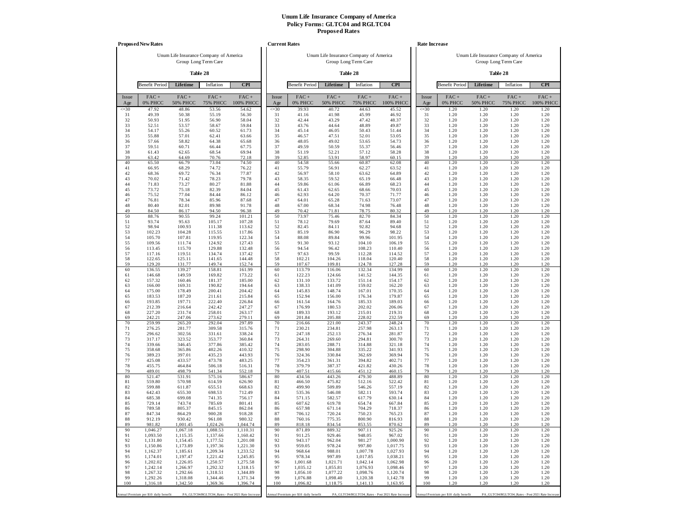|              | <b>Proposed New Rates</b>             |                                        |                                                   |                      | <b>Current Rates</b> |                                       |                                        |                                                   |                      |              | Rate Increase                         |                            |                                                   |                      |
|--------------|---------------------------------------|----------------------------------------|---------------------------------------------------|----------------------|----------------------|---------------------------------------|----------------------------------------|---------------------------------------------------|----------------------|--------------|---------------------------------------|----------------------------|---------------------------------------------------|----------------------|
|              |                                       | Unum Life Insurance Company of America |                                                   |                      |                      |                                       | Unum Life Insurance Company of America |                                                   |                      |              |                                       |                            | Unum Life Insurance Company of America            |                      |
|              |                                       |                                        | Group Long Term Care                              |                      |                      |                                       |                                        | Group Long Term Care                              |                      |              |                                       |                            | Group Long Term Care                              |                      |
|              |                                       |                                        | Table 28                                          |                      |                      |                                       |                                        | Table 28                                          |                      |              |                                       |                            | Table 28                                          |                      |
|              | <b>Benefit Period</b>                 | Lifetime                               | Inflation                                         | <b>CPI</b>           |                      | <b>Benefit Period</b>                 | Lifetime                               | Inflation                                         | <b>CPI</b>           |              | <b>Benefit Period</b>                 | Lifetime                   | Inflation                                         | <b>CPI</b>           |
| Issue<br>Age | $FAC +$<br>0% PHCC                    | $FAC +$<br><b>50% PHCC</b>             | $FAC +$<br><b>75% PHCC</b>                        | $FAC +$<br>100% PHCC | Issue<br>Age         | $FAC +$<br>0% PHCC                    | $FAC +$<br><b>50% PHCC</b>             | $FAC +$<br><b>75% PHCC</b>                        | $FAC +$<br>100% PHCC | Issue<br>Age | $FAC +$<br>0% PHCC                    | $FAC +$<br><b>50% PHCC</b> | $FAC +$<br><b>75% PHCC</b>                        | $FAC +$<br>100% PHCC |
| $\leq 30$    | 47.92                                 | 48.86                                  | 53.56                                             | 54.62                | $\leq 30$            | 39.93                                 | 40.72                                  | 44.63                                             | 45.52                | $\leq 30$    | 1.20                                  | 1.20                       | 1.20                                              | 1.20                 |
| 31<br>32     | 49.39<br>50.93                        | 50.38<br>51.95                         | 55.19<br>56.90                                    | 56.30<br>58.04       | 31<br>32             | 41.16<br>42.44                        | 41.98<br>43.29                         | 45.99<br>47.42                                    | 46.92<br>48.37       | 31<br>32     | 1.20<br>1.20                          | 1.20<br>1.20               | 1.20<br>1.20                                      | 1.20<br>1.20         |
| 33           | 52.51                                 | 53.57                                  | 58.67                                             | 59.84                | 33                   | 43.76                                 | 44.64                                  | 48.89                                             | 49.87                | 33           | 1.20                                  | 1.20                       | 1.20                                              | 1.20                 |
| 34<br>35     | 54.17<br>55.88                        | 55.26<br>57.01                         | 60.52<br>62.41                                    | 61.73<br>63.66       | 34<br>35             | 45.14<br>46.57                        | 46.05<br>47.51                         | 50.43<br>52.01                                    | 51.44<br>53.05       | 34<br>35     | 1.20<br>1.20                          | 1.20<br>1.20               | 1.20<br>1.20                                      | 1.20<br>1.20         |
| 36           | 57.66                                 | 58.82                                  | 64.38                                             | 65.68                | 36                   | 48.05                                 | 49.02                                  | 53.65                                             | 54.73                | 36           | 1.20                                  | 1.20                       | 1.20                                              | 1.20                 |
| 37           | 59.51                                 | 60.71                                  | 66.44                                             | 67.75                | 37                   | 49.59                                 | 50.59                                  | 55.37                                             | 56.46                | 37           | 1.20                                  | 1.20                       | 1.20                                              | 1.20                 |
| 38<br>39     | 61.43<br>63.42                        | 62.65<br>64.69                         | 68.54<br>70.76                                    | 69.94<br>72.18       | 38<br>39             | 51.19<br>52.85                        | 52.21<br>53.91                         | 57.12<br>58.97                                    | 58.28<br>60.15       | 38<br>39     | 1.20<br>1.20                          | 1.20<br>1.20               | 1.20<br>1.20                                      | 1.20<br>1.20         |
| 40           | 65.50                                 | 66.79                                  | 73.04                                             | 74.50                | 40                   | 54.58                                 | 55.66                                  | 60.87                                             | 62.08                | 40           | 1.20                                  | 1.20                       | 1.20                                              | 1.20                 |
| 41           | 66.95                                 | 68.29                                  | 74.72                                             | 76.22                | 41                   | 55.79                                 | 56.91                                  | 62.27                                             | 63.52                | 41           | 1.20                                  | 1.20                       | 1.20                                              | 1.20                 |
| 42<br>43     | 68.36<br>70.02                        | 69.72<br>71.42                         | 76.34<br>78.23                                    | 77.87<br>79.78       | 42<br>43             | 56.97<br>58.35                        | 58.10<br>59.52                         | 63.62<br>65.19                                    | 64.89<br>66.48       | 42<br>43     | 1.20<br>1.20                          | 1.20<br>1.20               | 1.20<br>1.20                                      | 1.20<br>1.20         |
| 44           | 71.83                                 | 73.27                                  | 80.27                                             | 81.88                | 44                   | 59.86                                 | 61.06                                  | 66.89                                             | 68.23                | 44           | 1.20                                  | 1.20                       | 1.20                                              | 1.20                 |
| 45           | 73.72                                 | 75.18                                  | 82.39                                             | 84.04                | 45                   | 61.43                                 | 62.65                                  | 68.66                                             | 70.03                | 45           | 1.20                                  | 1.20                       | 1.20                                              | 1.20                 |
| 46<br>47     | 75.52<br>76.81                        | 77.04<br>78.34                         | 84.44<br>85.96                                    | 86.12<br>87.68       | 46<br>47             | 62.93<br>64.01                        | 64.20<br>65.28                         | 70.37<br>71.63                                    | 71.77<br>73.07       | 46<br>47     | 1.20<br>1.20                          | 1.20<br>1.20               | 1.20<br>1.20                                      | 1.20<br>1.20         |
| 48           | 80.40                                 | 82.01                                  | 89.98                                             | 91.78                | 48                   | 67.00                                 | 68.34                                  | 74.98                                             | 76.48                | 48           | 1.20                                  | 1.20                       | 1.20                                              | 1.20                 |
| 49<br>50     | 84.50<br>88.76                        | 86.17<br>90.55                         | 94.50<br>99.24                                    | 96.38<br>101.21      | 49<br>50             | 70.42<br>73.97                        | 71.81<br>75.46                         | 78.75<br>82.70                                    | 80.32<br>84.34       | 49<br>50     | 1.20<br>1.20                          | 1.20<br>1.20               | 1.20<br>1.20                                      | 1.20<br>1.20         |
| 51           | 93.74                                 | 95.63                                  | 105.17                                            | 107.28               | 51                   | 78.12                                 | 79.69                                  | 87.64                                             | 89.40                | 51           | 1.20                                  | 1.20                       | 1.20                                              | 1.20                 |
| 52           | 98.94                                 | 100.93                                 | 111.38                                            | 113.62               | 52                   | 82.45                                 | 84.11                                  | 92.82                                             | 94.68                | 52           | 1.20                                  | 1.20                       | 1.20                                              | 1.20                 |
| 53<br>54     | 102.23<br>105.70                      | 104.28<br>107.81                       | 115.55<br>119.95                                  | 117.86<br>122.34     | 53<br>54             | 85.19<br>88.08                        | 86.90<br>89.84                         | 96.29<br>99.96                                    | 98.22<br>101.95      | 53<br>54     | 1.20<br>1.20                          | 1.20<br>1.20               | 1.20<br>1.20                                      | 1.20<br>1.20         |
| 55           | 109.56                                | 111.74                                 | 124.92                                            | 127.43               | 55                   | 91.30                                 | 93.12                                  | 104.10                                            | 106.19               | 55           | 1.20                                  | 1.20                       | 1.20                                              | 1.20                 |
| 56           | 113.45                                | 115.70                                 | 129.88                                            | 132.48               | 56                   | 94.54                                 | 96.42                                  | 108.23                                            | 110.40               | 56           | 1.20                                  | 1.20                       | 1.20                                              | 1.20                 |
| 57<br>58     | 117.16<br>122.65                      | 119.51<br>125.11                       | 134.74<br>141.65                                  | 137.42<br>144.48     | 57<br>58             | 97.63<br>102.21                       | 99.59<br>104.26                        | 112.28<br>118.04                                  | 114.52<br>120.40     | 57<br>58     | 1.20<br>1.20                          | 1.20<br>1.20               | 1.20<br>1.20                                      | 1.20<br>1.20         |
| 59           | 129.20                                | 131.77                                 | 149.74                                            | 152.74               | 59                   | 107.67                                | 109.81                                 | 124.78                                            | 127.28               | 59           | 1.20                                  | 1.20                       | 1.20                                              | 1.20                 |
| 60           | 136.55                                | 139.27                                 | 158.81                                            | 161.99               | 60                   | 113.79                                | 116.06                                 | 132.34                                            | 134.99               | 60           | 1.20                                  | 1.20                       | 1.20                                              | 1.20                 |
| 61<br>62     | 146.68<br>157.32                      | 149.59<br>160.46                       | 169.82<br>181.37                                  | 173.22<br>185.00     | 61<br>62             | 122.23<br>131.10                      | 124.66<br>133.72                       | 141.52<br>151.14                                  | 144.35<br>154.17     | 61<br>62     | 1.20<br>1.20                          | 1.20<br>1.20               | 1.20<br>1.20                                      | 1.20<br>1.20         |
| 63           | 166.00                                | 169.31                                 | 190.82                                            | 194.64               | 63                   | 138.33                                | 141.09                                 | 159.02                                            | 162.20               | 63           | 1.20                                  | 1.20                       | 1.20                                              | 1.20                 |
| 64<br>65     | 175.00<br>183.53                      | 178.49<br>187.20                       | 200.41<br>211.61                                  | 204.42               | 64<br>65             | 145.83<br>152.94                      | 148.74<br>156.00                       | 167.01                                            | 170.35<br>179.87     | 64<br>65     | 1.20<br>1.20                          | 1.20<br>1.20               | 1.20<br>1.20                                      | 1.20<br>1.20         |
| 66           | 193.85                                | 197.71                                 | 222.40                                            | 215.84<br>226.84     | 66                   | 161.54                                | 164.76                                 | 176.34<br>185.33                                  | 189.03               | 66           | 1.20                                  | 1.20                       | 1.20                                              | 1.20                 |
| 67           | 212.39                                | 216.64                                 | 242.42                                            | 247.27               | 67                   | 176.99                                | 180.53                                 | 202.02                                            | 206.06               | 67           | 1.20                                  | 1.20                       | 1.20                                              | 1.20                 |
| 68<br>69     | 227.20<br>242.21                      | 231.74<br>247.06                       | 258.01<br>273.62                                  | 263.17<br>279.11     | 68<br>69             | 189.33<br>201.84                      | 193.12<br>205.88                       | 215.01<br>228.02                                  | 219.31<br>232.59     | 68<br>69     | 1.20<br>1.20                          | 1.20<br>1.20               | 1.20<br>1.20                                      | 1.20<br>1.20         |
| 70           | 259.99                                | 265.20                                 | 292.04                                            | 297.89               | 70                   | 216.66                                | 221.00                                 | 243.37                                            | 248.24               | 70           | 1.20                                  | 1.20                       | 1.20                                              | 1.20                 |
| 71           | 276.25                                | 281.77                                 | 309.58                                            | 315.76               | 71                   | 230.21                                | 234.81                                 | 257.98                                            | 263.13               | 71           | 1.20                                  | 1.20                       | 1.20                                              | 1.20                 |
| 72<br>73     | 296.62<br>317.17                      | 302.56<br>323.52                       | 331.61<br>353.77                                  | 338.24<br>360.84     | 72<br>73             | 247.18<br>264.31                      | 252.13<br>269.60                       | 276.34<br>294.81                                  | 281.87<br>300.70     | 72<br>73     | 1.20<br>1.20                          | 1.20<br>1.20               | 1.20<br>1.20                                      | 1.20<br>1.20         |
| 74           | 339.66                                | 346.45                                 | 377.86                                            | 385.42               | 74                   | 283.05                                | 288.71                                 | 314.88                                            | 321.18               | 74           | 1.20                                  | 1.20                       | 1.20                                              | 1.20                 |
| 75<br>76     | 358.68<br>389.23                      | 365.86<br>397.01                       | 402.26<br>435.23                                  | 410.32<br>443.93     | 75<br>76             | 298.90<br>324.36                      | 304.88<br>330.84                       | 335.22<br>362.69                                  | 341.93<br>369.94     | 75<br>76     | 1.20<br>1.20                          | 1.20<br>1.20               | 1.20<br>1.20                                      | 1.20<br>1.20         |
| 77           | 425.08                                | 433.57                                 | 473.78                                            | 483.25               | 77                   | 354.23                                | 361.31                                 | 394.82                                            | 402.71               | 77           | 1.20                                  | 1.20                       | 1.20                                              | 1.20                 |
| 78           | 455.75                                | 464.84                                 | 506.18                                            | 516.31               | 78                   | 379.79                                | 387.37                                 | 421.82                                            | 430.26               | 78           | 1.20                                  | 1.20                       | 1.20                                              | 1.20                 |
| 79<br>80     | 489.01<br>521.47                      | 498.79<br>531.91                       | 541.34<br>575.16                                  | 552.18<br>586.67     | 79<br>80             | 407.51<br>434.56                      | 415.66<br>443.26                       | 451.12<br>479.30                                  | 460.15<br>488.89     | 79<br>80     | 1.20<br>1.20                          | 1.20<br>1.20               | 1.20<br>1.20                                      | 1.20<br>1.20         |
| 81           | 559.80                                | 570.98                                 | 614.59                                            | 626.90               | 81                   | 466.50                                | 475.82                                 | 512.16                                            | 522.42               | 81           | 1.20                                  | 1.20                       | 1.20                                              | 1.20                 |
| 82<br>83     | 599.88<br>642.43                      | 611.87<br>655.30                       | 655.51<br>698.53                                  | 668.63<br>712.49     | 82<br>83             | 499.90<br>535.36                      | 509.89<br>546.08                       | 546.26<br>582.11                                  | 557.19<br>593.74     | 82<br>83     | 1.20<br>1.20                          | 1.20<br>1.20               | 1.20<br>1.20                                      | 1.20<br>1.20         |
| 84           | 685.38                                | 699.08                                 | 741.35                                            | 756.17               | 84                   | 571.15                                | 582.57                                 | 617.79                                            | 630.14               | 84           | 1.20                                  | 1.20                       | 1.20                                              | 1.20                 |
| 85           | 729.14                                | 743.74                                 | 785.69                                            | 801.41               | 85                   | 607.62                                | 619.78                                 | 654.74                                            | 667.84               | 85           | 1.20                                  | 1.20                       | 1.20                                              | 1.20                 |
| 86<br>87     | 789.58<br>847.34                      | 805.37<br>864.29                       | 845.15<br>900.28                                  | 862.04<br>918.28     | 86<br>87             | 657.98<br>706.12                      | 671.14<br>720.24                       | 704.29<br>750.23                                  | 718.37<br>765.23     | 86<br>87     | 1.20<br>1.20                          | 1.20<br>1.20               | 1.20<br>1.20                                      | 1.20<br>1.20         |
| 88           | 912.19                                | 930.42                                 | 961.08                                            | 980.32               | 88                   | 760.16                                | 775.35                                 | 800.90                                            | 816.93               | 88           | 1.20                                  | 1.20                       | 1.20                                              | 1.20                 |
| 89           | 981.82                                | 1,001.45                               | 1,024.26                                          | 1,044.74             | 89                   | 818.18                                | 834.54                                 | 853.55                                            | 870.62               | 89           | 1.20                                  | 1.20                       | 1.20                                              | 1.20                 |
| 90<br>91     | 1,046.27<br>1,093.50                  | 1,067.18<br>1,115.35                   | 1,088.53<br>1,137.66                              | 1,110.31<br>1,160.42 | 90<br>91             | 871.89<br>911.25                      | 889.32<br>929.46                       | 907.11<br>948.05                                  | 925.26<br>967.02     | 90<br>91     | 1.20<br>1.20                          | 1.20<br>1.20               | 1.20<br>1.20                                      | 1.20<br>1.20         |
| 92           | 1,131.80                              | 1,154.45                               | 1,177.52                                          | 1,201.08             | 92                   | 943.17                                | 962.04                                 | 981.27                                            | 1,000.90             | 92           | 1.20                                  | 1.20                       | 1.20                                              | 1.20                 |
| 93           | 1,150.86                              | 1,173.89                               | 1,197.36                                          | 1,221.30             | 93                   | 959.05                                | 978.24                                 | 997.80                                            | 1,017.75             | 93           | 1.20                                  | 1.20                       | 1.20                                              | 1.20                 |
| 94<br>95     | 1,162.37<br>1,174.01                  | 1,185.61<br>1,197.47                   | 1,209.34<br>1,221.42                              | 1,233.52<br>1,245.85 | 94<br>95             | 968.64<br>978.34                      | 988.01<br>997.89                       | 1,007.78<br>1,017.85                              | 1,027.93<br>1,038.21 | 94<br>95     | 1.20<br>1.20                          | 1.20<br>1.20               | 1.20<br>1.20                                      | 1.20<br>1.20         |
| 96           | 1,202.02                              | 1,226.05                               | 1,250.57                                          | 1,275.58             | 96                   | 1,001.68                              | 1,021.71                               | 1,042.14                                          | 1,062.98             | 96           | 1.20                                  | 1.20                       | 1.20                                              | 1.20                 |
| 97           | 1,242.14                              | 1,266.97                               | 1,292.32                                          | 1,318.15             | 97                   | 1,035.12                              | 1,055.81                               | 1,076.93                                          | 1,098.46             | 97           | 1.20                                  | 1.20                       | 1.20                                              | 1.20                 |
| 98<br>99     | 1,267.32<br>1,292.26                  | 1,292.66<br>1,318.08                   | 1,318.51<br>1,344.46                              | 1,344.89<br>1,371.34 | 98<br>99             | 1,056.10<br>1,076.88                  | 1,077.22<br>1,098.40                   | 1,098.76<br>1,120.38                              | 1,120.74<br>1,142.78 | 98<br>99     | 1.20<br>1.20                          | 1.20<br>1.20               | 1.20<br>1.20                                      | 1.20<br>1.20         |
| 100          | 1,316.18                              | 1,342.50                               | 1,369.36                                          | 1,396.74             | 100                  | 1,096.82                              | 1,118.75                               | 1,141.13                                          | 1,163.95             | 100          | 1.20                                  | 1.20                       | 1.20                                              | 1.20                 |
|              | Annual Premium per \$10 daily benefit |                                        | PA_GLTC04/RGLTC04_Rates - Post 2021 Rate Increase |                      |                      | Annual Premium per \$10 daily benefit |                                        | PA_GLTC04/RGLTC04_Rates - Post 2021 Rate Increase |                      |              | Annual Premium per \$10 daily benefit |                            | PA_GLTC04/RGLTC04_Rates - Post 2021 Rate Increase |                      |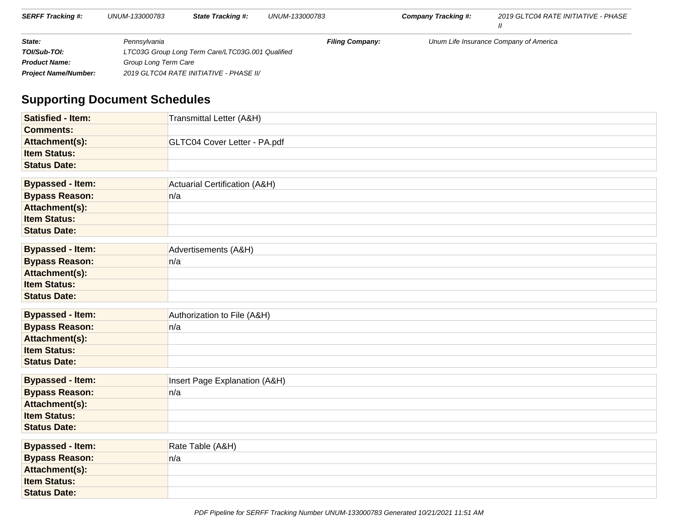| <b>SERFF Tracking #:</b>    | UNUM-133000783 | <b>State Tracking #:</b>                         | UNUM-133000783         | Company Tracking #: | 2019 GLTC04 RATE INITIATIVE - PHASE    |
|-----------------------------|----------------|--------------------------------------------------|------------------------|---------------------|----------------------------------------|
| State:                      | Pennsvlvania   |                                                  | <b>Filing Company:</b> |                     | Unum Life Insurance Company of America |
| TOI/Sub-TOI:                |                | LTC03G Group Long Term Care/LTC03G.001 Qualified |                        |                     |                                        |
| <b>Product Name:</b>        |                | Group Long Term Care                             |                        |                     |                                        |
| <b>Project Name/Number:</b> |                | 2019 GLTC04 RATE INITIATIVE - PHASE II/          |                        |                     |                                        |

# **Supporting Document Schedules**

| <b>Satisfied - Item:</b> | Transmittal Letter (A&H)      |
|--------------------------|-------------------------------|
| <b>Comments:</b>         |                               |
| Attachment(s):           | GLTC04 Cover Letter - PA.pdf  |
| <b>Item Status:</b>      |                               |
| <b>Status Date:</b>      |                               |
|                          |                               |
| <b>Bypassed - Item:</b>  | Actuarial Certification (A&H) |
| <b>Bypass Reason:</b>    | n/a                           |
| Attachment(s):           |                               |
| <b>Item Status:</b>      |                               |
| <b>Status Date:</b>      |                               |
|                          |                               |
| <b>Bypassed - Item:</b>  | Advertisements (A&H)          |
| <b>Bypass Reason:</b>    | n/a                           |
| Attachment(s):           |                               |
| <b>Item Status:</b>      |                               |
| <b>Status Date:</b>      |                               |
| <b>Bypassed - Item:</b>  | Authorization to File (A&H)   |
| <b>Bypass Reason:</b>    | n/a                           |
| Attachment(s):           |                               |
| <b>Item Status:</b>      |                               |
| <b>Status Date:</b>      |                               |
| <b>Bypassed - Item:</b>  | Insert Page Explanation (A&H) |
| <b>Bypass Reason:</b>    | n/a                           |
| Attachment(s):           |                               |
| <b>Item Status:</b>      |                               |
| <b>Status Date:</b>      |                               |
|                          |                               |
| <b>Bypassed - Item:</b>  | Rate Table (A&H)              |
| <b>Bypass Reason:</b>    | n/a                           |
| Attachment(s):           |                               |
| <b>Item Status:</b>      |                               |
| <b>Status Date:</b>      |                               |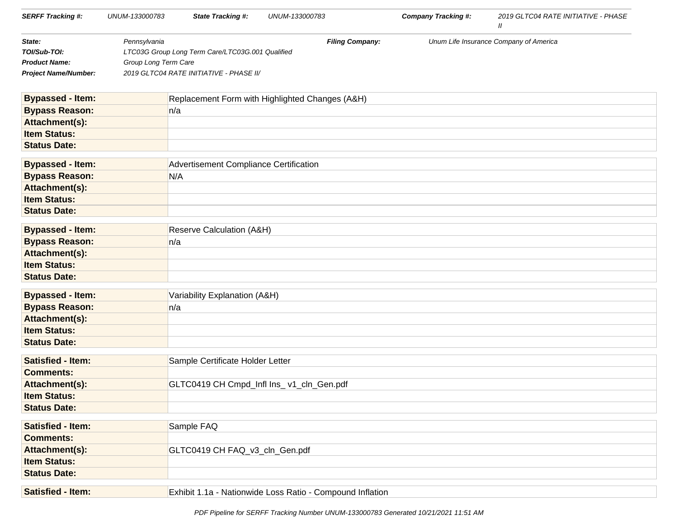| <b>SERFF Tracking #:</b>    | UNUM-133000783       | <b>State Tracking #:</b>                                  | UNUM-133000783 |                        | <b>Company Tracking #:</b> | 2019 GLTC04 RATE INITIATIVE - PHASE<br>$\mathbf{u}$ |
|-----------------------------|----------------------|-----------------------------------------------------------|----------------|------------------------|----------------------------|-----------------------------------------------------|
| State:                      | Pennsylvania         |                                                           |                | <b>Filing Company:</b> |                            | Unum Life Insurance Company of America              |
| TOI/Sub-TOI:                |                      | LTC03G Group Long Term Care/LTC03G.001 Qualified          |                |                        |                            |                                                     |
| <b>Product Name:</b>        | Group Long Term Care |                                                           |                |                        |                            |                                                     |
| <b>Project Name/Number:</b> |                      | 2019 GLTC04 RATE INITIATIVE - PHASE II/                   |                |                        |                            |                                                     |
| <b>Bypassed - Item:</b>     |                      | Replacement Form with Highlighted Changes (A&H)           |                |                        |                            |                                                     |
| <b>Bypass Reason:</b>       |                      | n/a                                                       |                |                        |                            |                                                     |
| Attachment(s):              |                      |                                                           |                |                        |                            |                                                     |
| <b>Item Status:</b>         |                      |                                                           |                |                        |                            |                                                     |
| <b>Status Date:</b>         |                      |                                                           |                |                        |                            |                                                     |
| <b>Bypassed - Item:</b>     |                      | Advertisement Compliance Certification                    |                |                        |                            |                                                     |
| <b>Bypass Reason:</b>       |                      | N/A                                                       |                |                        |                            |                                                     |
| Attachment(s):              |                      |                                                           |                |                        |                            |                                                     |
| <b>Item Status:</b>         |                      |                                                           |                |                        |                            |                                                     |
| <b>Status Date:</b>         |                      |                                                           |                |                        |                            |                                                     |
| <b>Bypassed - Item:</b>     |                      | Reserve Calculation (A&H)                                 |                |                        |                            |                                                     |
| <b>Bypass Reason:</b>       |                      | n/a                                                       |                |                        |                            |                                                     |
| Attachment(s):              |                      |                                                           |                |                        |                            |                                                     |
| <b>Item Status:</b>         |                      |                                                           |                |                        |                            |                                                     |
| <b>Status Date:</b>         |                      |                                                           |                |                        |                            |                                                     |
| <b>Bypassed - Item:</b>     |                      | Variability Explanation (A&H)                             |                |                        |                            |                                                     |
| <b>Bypass Reason:</b>       |                      | n/a                                                       |                |                        |                            |                                                     |
| Attachment(s):              |                      |                                                           |                |                        |                            |                                                     |
| <b>Item Status:</b>         |                      |                                                           |                |                        |                            |                                                     |
| <b>Status Date:</b>         |                      |                                                           |                |                        |                            |                                                     |
| <b>Satisfied - Item:</b>    |                      | Sample Certificate Holder Letter                          |                |                        |                            |                                                     |
| <b>Comments:</b>            |                      |                                                           |                |                        |                            |                                                     |
| Attachment(s):              |                      | GLTC0419 CH Cmpd_Infl Ins_v1_cln_Gen.pdf                  |                |                        |                            |                                                     |
| <b>Item Status:</b>         |                      |                                                           |                |                        |                            |                                                     |
| <b>Status Date:</b>         |                      |                                                           |                |                        |                            |                                                     |
| <b>Satisfied - Item:</b>    |                      | Sample FAQ                                                |                |                        |                            |                                                     |
| <b>Comments:</b>            |                      |                                                           |                |                        |                            |                                                     |
| Attachment(s):              |                      | GLTC0419 CH FAQ_v3_cln_Gen.pdf                            |                |                        |                            |                                                     |
| <b>Item Status:</b>         |                      |                                                           |                |                        |                            |                                                     |
| <b>Status Date:</b>         |                      |                                                           |                |                        |                            |                                                     |
| <b>Satisfied - Item:</b>    |                      | Exhibit 1.1a - Nationwide Loss Ratio - Compound Inflation |                |                        |                            |                                                     |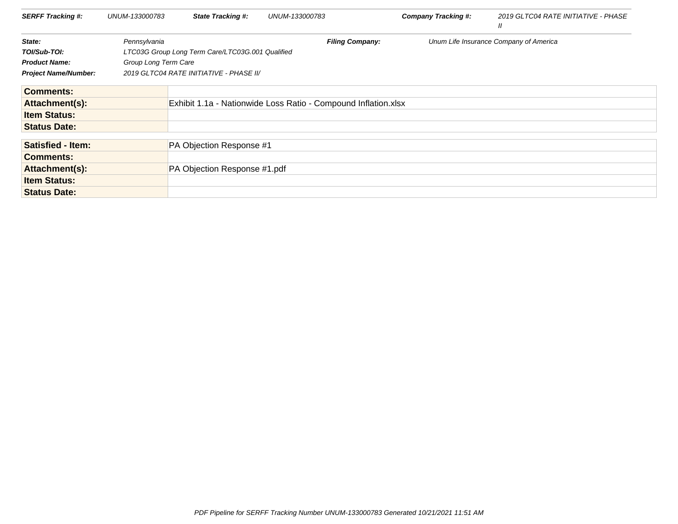| <b>SERFF Tracking #:</b>    | UNUM-133000783       | <b>State Tracking #:</b>                         | UNUM-133000783                                                 | <b>Company Tracking #:</b> | 2019 GLTC04 RATE INITIATIVE - PHASE<br>$^{\prime\prime}$ |
|-----------------------------|----------------------|--------------------------------------------------|----------------------------------------------------------------|----------------------------|----------------------------------------------------------|
| State:                      | Pennsylvania         |                                                  | <b>Filing Company:</b>                                         |                            | Unum Life Insurance Company of America                   |
| TOI/Sub-TOI:                |                      | LTC03G Group Long Term Care/LTC03G.001 Qualified |                                                                |                            |                                                          |
| <b>Product Name:</b>        | Group Long Term Care |                                                  |                                                                |                            |                                                          |
| <b>Project Name/Number:</b> |                      | 2019 GLTC04 RATE INITIATIVE - PHASE II/          |                                                                |                            |                                                          |
| <b>Comments:</b>            |                      |                                                  |                                                                |                            |                                                          |
| Attachment(s):              |                      |                                                  | Exhibit 1.1a - Nationwide Loss Ratio - Compound Inflation.xlsx |                            |                                                          |
| <b>Item Status:</b>         |                      |                                                  |                                                                |                            |                                                          |
| <b>Status Date:</b>         |                      |                                                  |                                                                |                            |                                                          |
| <b>Satisfied - Item:</b>    |                      | PA Objection Response #1                         |                                                                |                            |                                                          |
| <b>Comments:</b>            |                      |                                                  |                                                                |                            |                                                          |
| Attachment(s):              |                      | PA Objection Response #1.pdf                     |                                                                |                            |                                                          |
| <b>Item Status:</b>         |                      |                                                  |                                                                |                            |                                                          |
| <b>Status Date:</b>         |                      |                                                  |                                                                |                            |                                                          |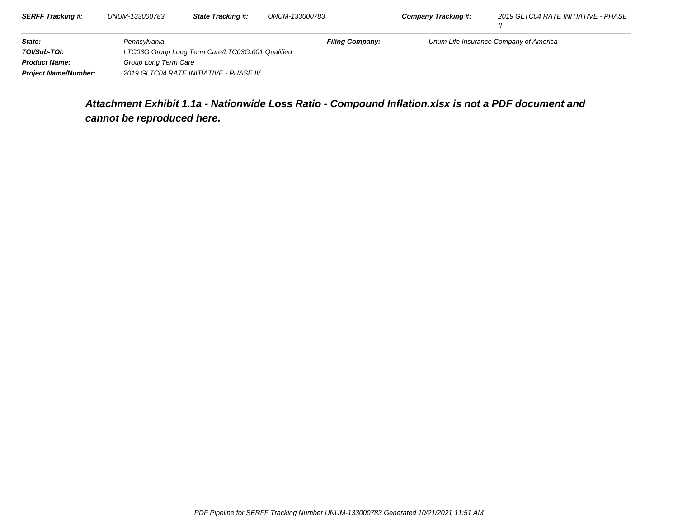| <b>SERFF Tracking #:</b>    | UNUM-133000783                                   | <b>State Tracking #:</b>                | UNUM-133000783         | <b>Company Tracking #:</b> | 2019 GLTC04 RATE INITIATIVE - PHASE    |
|-----------------------------|--------------------------------------------------|-----------------------------------------|------------------------|----------------------------|----------------------------------------|
| State:                      | Pennsylvania                                     |                                         | <b>Filing Company:</b> |                            | Unum Life Insurance Company of America |
| TOI/Sub-TOI:                | LTC03G Group Long Term Care/LTC03G.001 Qualified |                                         |                        |                            |                                        |
| <b>Product Name:</b>        | Group Long Term Care                             |                                         |                        |                            |                                        |
| <b>Project Name/Number:</b> |                                                  | 2019 GLTC04 RATE INITIATIVE - PHASE II/ |                        |                            |                                        |

# **Attachment Exhibit 1.1a - Nationwide Loss Ratio - Compound Inflation.xlsx is not a PDF document andcannot be reproduced here.**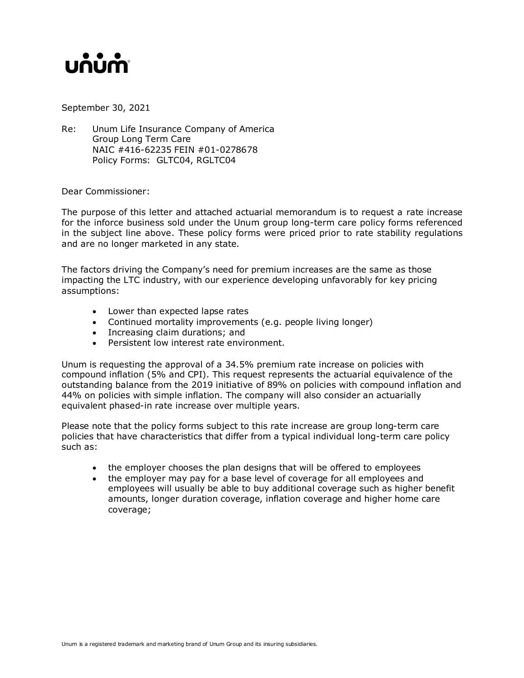# unum

September 30, 2021

Re: Unum Life Insurance Company of America Group Long Term Care NAIC #416-62235 FEIN #01-0278678 Policy Forms: GLTC04, RGLTC04

Dear Commissioner:

The purpose of this letter and attached actuarial memorandum is to request a rate increase for the inforce business sold under the Unum group long-term care policy forms referenced in the subject line above. These policy forms were priced prior to rate stability regulations and are no longer marketed in any state.

The factors driving the Company's need for premium increases are the same as those impacting the LTC industry, with our experience developing unfavorably for key pricing assumptions:

- Lower than expected lapse rates
- Continued mortality improvements (e.g. people living longer)
- Increasing claim durations; and
- Persistent low interest rate environment.

Unum is requesting the approval of a 34.5% premium rate increase on policies with compound inflation (5% and CPI). This request represents the actuarial equivalence of the outstanding balance from the 2019 initiative of 89% on policies with compound inflation and 44% on policies with simple inflation. The company will also consider an actuarially equivalent phased-in rate increase over multiple years.

Please note that the policy forms subject to this rate increase are group long-term care policies that have characteristics that differ from a typical individual long-term care policy such as:

- the employer chooses the plan designs that will be offered to employees
- the employer may pay for a base level of coverage for all employees and employees will usually be able to buy additional coverage such as higher benefit amounts, longer duration coverage, inflation coverage and higher home care coverage;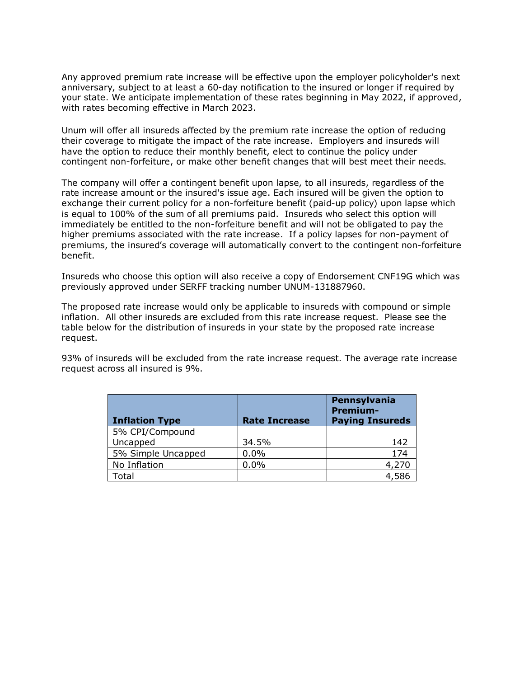Any approved premium rate increase will be effective upon the employer policyholder's next anniversary, subject to at least a 60-day notification to the insured or longer if required by your state. We anticipate implementation of these rates beginning in May 2022, if approved, with rates becoming effective in March 2023.

Unum will offer all insureds affected by the premium rate increase the option of reducing their coverage to mitigate the impact of the rate increase. Employers and insureds will have the option to reduce their monthly benefit, elect to continue the policy under contingent non-forfeiture, or make other benefit changes that will best meet their needs.

The company will offer a contingent benefit upon lapse, to all insureds, regardless of the rate increase amount or the insured's issue age. Each insured will be given the option to exchange their current policy for a non-forfeiture benefit (paid-up policy) upon lapse which is equal to 100% of the sum of all premiums paid. Insureds who select this option will immediately be entitled to the non-forfeiture benefit and will not be obligated to pay the higher premiums associated with the rate increase. If a policy lapses for non-payment of premiums, the insured's coverage will automatically convert to the contingent non-forfeiture benefit.

Insureds who choose this option will also receive a copy of Endorsement CNF19G which was previously approved under SERFF tracking number UNUM-131887960.

The proposed rate increase would only be applicable to insureds with compound or simple inflation. All other insureds are excluded from this rate increase request. Please see the table below for the distribution of insureds in your state by the proposed rate increase request.

93% of insureds will be excluded from the rate increase request. The average rate increase request across all insured is 9%.

| <b>Inflation Type</b> | <b>Rate Increase</b> | Pennsylvania<br><b>Premium-</b><br><b>Paying Insureds</b> |
|-----------------------|----------------------|-----------------------------------------------------------|
| 5% CPI/Compound       |                      |                                                           |
| Uncapped              | 34.5%                | 142                                                       |
| 5% Simple Uncapped    | 0.0%                 | 174                                                       |
| No Inflation          | 0.0%                 | 4,270                                                     |
| <b>Fotal</b>          |                      | 4,586                                                     |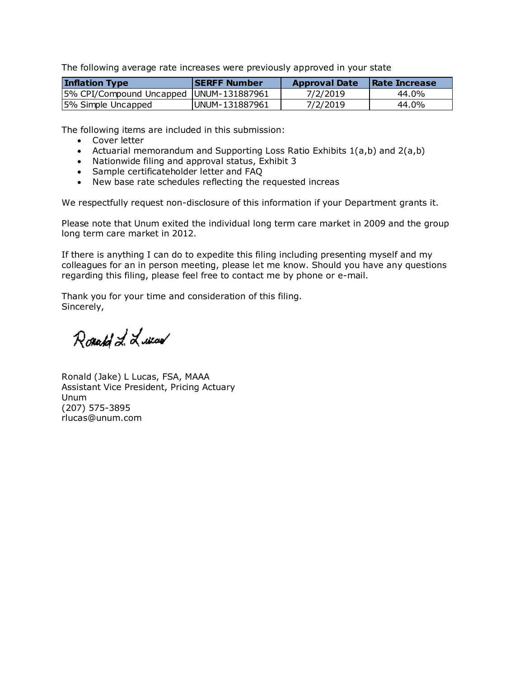The following average rate increases were previously approved in your state

| <b>Inflation Type</b>                     | <b>ISERFF Number</b> | <b>Approval Date</b> | <b>Rate Increase</b> |
|-------------------------------------------|----------------------|----------------------|----------------------|
| 5% CPI/Compound Uncapped   UNUM-131887961 |                      | 7/2/2019             | 44.0%                |
| 5% Simple Uncapped                        | IUNUM-131887961      | 7/2/2019             | 44.0%                |

The following items are included in this submission:

- Cover letter
- Actuarial memorandum and Supporting Loss Ratio Exhibits 1(a,b) and 2(a,b)
- Nationwide filing and approval status, Exhibit 3
- Sample certificateholder letter and FAQ
- New base rate schedules reflecting the requested increas

We respectfully request non-disclosure of this information if your Department grants it.

Please note that Unum exited the individual long term care market in 2009 and the group long term care market in 2012.

If there is anything I can do to expedite this filing including presenting myself and my colleagues for an in person meeting, please let me know. Should you have any questions regarding this filing, please feel free to contact me by phone or e-mail.

Thank you for your time and consideration of this filing. Sincerely,

Ronald L. Lucar

Ronald (Jake) L Lucas, FSA, MAAA Assistant Vice President, Pricing Actuary Unum (207) 575-3895 rlucas@unum.com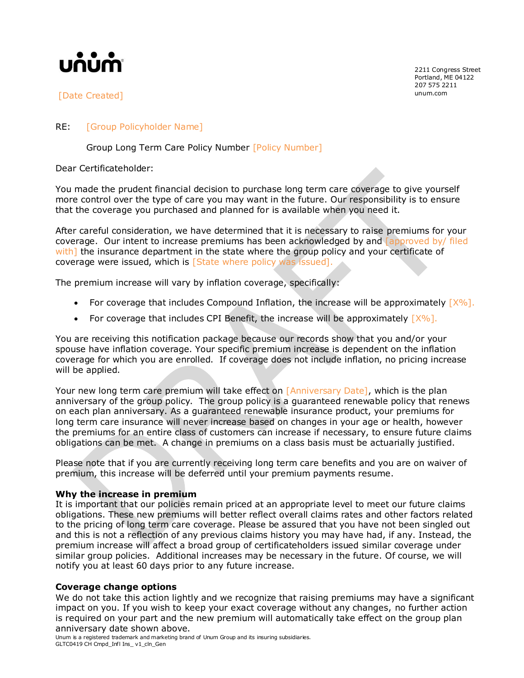

[Date Created] which is a communicated]

2211 Congress Street Portland, ME 04122 207 575 2211

## RE: [Group Policyholder Name]

Group Long Term Care Policy Number [Policy Number]

Dear Certificateholder:

You made the prudent financial decision to purchase long term care coverage to give yourself more control over the type of care you may want in the future. Our responsibility is to ensure that the coverage you purchased and planned for is available when you need it.

After careful consideration, we have determined that it is necessary to raise premiums for your coverage. Our intent to increase premiums has been acknowledged by and *approved by/ filed* with] the insurance department in the state where the group policy and your certificate of coverage were issued, which is [State where policy was issued].

The premium increase will vary by inflation coverage, specifically:

- For coverage that includes Compound Inflation, the increase will be approximately  $[X\%]$ .
- For coverage that includes CPI Benefit, the increase will be approximately  $[X\%]$ .

You are receiving this notification package because our records show that you and/or your spouse have inflation coverage. Your specific premium increase is dependent on the inflation coverage for which you are enrolled. If coverage does not include inflation, no pricing increase will be applied.

Your new long term care premium will take effect on [Anniversary Date], which is the plan anniversary of the group policy. The group policy is a guaranteed renewable policy that renews on each plan anniversary. As a guaranteed renewable insurance product, your premiums for long term care insurance will never increase based on changes in your age or health, however the premiums for an entire class of customers can increase if necessary, to ensure future claims obligations can be met. A change in premiums on a class basis must be actuarially justified.

Please note that if you are currently receiving long term care benefits and you are on waiver of premium, this increase will be deferred until your premium payments resume.

## **Why the increase in premium**

It is important that our policies remain priced at an appropriate level to meet our future claims obligations. These new premiums will better reflect overall claims rates and other factors related to the pricing of long term care coverage. Please be assured that you have not been singled out and this is not a reflection of any previous claims history you may have had, if any. Instead, the premium increase will affect a broad group of certificateholders issued similar coverage under similar group policies. Additional increases may be necessary in the future. Of course, we will notify you at least 60 days prior to any future increase.

## **Coverage change options**

We do not take this action lightly and we recognize that raising premiums may have a significant impact on you. If you wish to keep your exact coverage without any changes, no further action is required on your part and the new premium will automatically take effect on the group plan anniversary date shown above.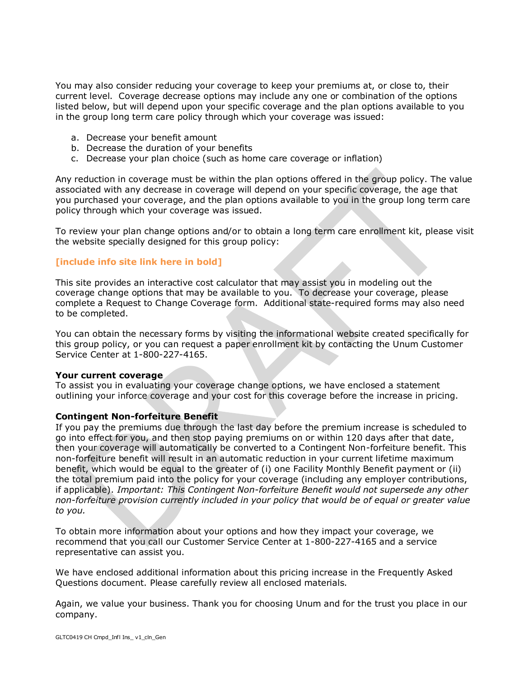You may also consider reducing your coverage to keep your premiums at, or close to, their current level. Coverage decrease options may include any one or combination of the options listed below, but will depend upon your specific coverage and the plan options available to you in the group long term care policy through which your coverage was issued:

- a. Decrease your benefit amount
- b. Decrease the duration of your benefits
- c. Decrease your plan choice (such as home care coverage or inflation)

Any reduction in coverage must be within the plan options offered in the group policy. The value associated with any decrease in coverage will depend on your specific coverage, the age that you purchased your coverage, and the plan options available to you in the group long term care policy through which your coverage was issued.

To review your plan change options and/or to obtain a long term care enrollment kit, please visit the website specially designed for this group policy:

## **[include info site link here in bold]**

This site provides an interactive cost calculator that may assist you in modeling out the coverage change options that may be available to you. To decrease your coverage, please complete a Request to Change Coverage form. Additional state-required forms may also need to be completed.

You can obtain the necessary forms by visiting the informational website created specifically for this group policy, or you can request a paper enrollment kit by contacting the Unum Customer Service Center at 1-800-227-4165.

## **Your current coverage**

To assist you in evaluating your coverage change options, we have enclosed a statement outlining your inforce coverage and your cost for this coverage before the increase in pricing.

## **Contingent Non-forfeiture Benefit**

If you pay the premiums due through the last day before the premium increase is scheduled to go into effect for you, and then stop paying premiums on or within 120 days after that date, then your coverage will automatically be converted to a Contingent Non-forfeiture benefit. This non-forfeiture benefit will result in an automatic reduction in your current lifetime maximum benefit, which would be equal to the greater of (i) one Facility Monthly Benefit payment or (ii) the total premium paid into the policy for your coverage (including any employer contributions, if applicable). *Important: This Contingent Non-forfeiture Benefit would not supersede any other non-forfeiture provision currently included in your policy that would be of equal or greater value to you.*

To obtain more information about your options and how they impact your coverage, we recommend that you call our Customer Service Center at 1-800-227-4165 and a service representative can assist you.

We have enclosed additional information about this pricing increase in the Frequently Asked Questions document. Please carefully review all enclosed materials.

Again, we value your business. Thank you for choosing Unum and for the trust you place in our company.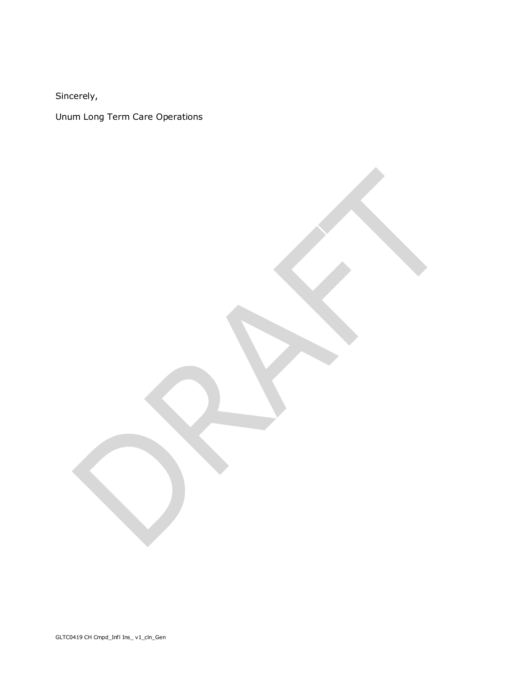Sincerely,

Unum Long Term Care Operations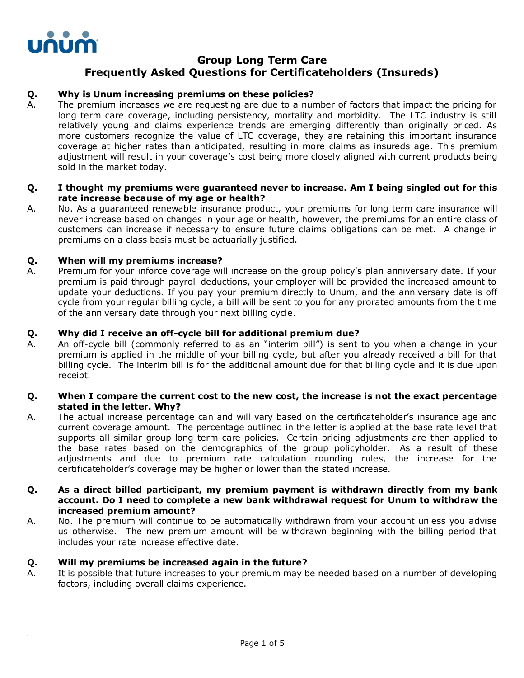

*.*

# **Group Long Term Care Frequently Asked Questions for Certificateholders (Insureds)**

## **Q. Why is Unum increasing premiums on these policies?**

A. The premium increases we are requesting are due to a number of factors that impact the pricing for long term care coverage, including persistency, mortality and morbidity. The LTC industry is still relatively young and claims experience trends are emerging differently than originally priced. As more customers recognize the value of LTC coverage, they are retaining this important insurance coverage at higher rates than anticipated, resulting in more claims as insureds age. This premium adjustment will result in your coverage's cost being more closely aligned with current products being sold in the market today.

## **Q. I thought my premiums were guaranteed never to increase. Am I being singled out for this rate increase because of my age or health?**

A. No. As a guaranteed renewable insurance product, your premiums for long term care insurance will never increase based on changes in your age or health, however, the premiums for an entire class of customers can increase if necessary to ensure future claims obligations can be met. A change in premiums on a class basis must be actuarially justified.

## **Q. When will my premiums increase?**

A. Premium for your inforce coverage will increase on the group policy's plan anniversary date. If your premium is paid through payroll deductions, your employer will be provided the increased amount to update your deductions. If you pay your premium directly to Unum, and the anniversary date is off cycle from your regular billing cycle, a bill will be sent to you for any prorated amounts from the time of the anniversary date through your next billing cycle.

## **Q. Why did I receive an off-cycle bill for additional premium due?**

A. An off-cycle bill (commonly referred to as an "interim bill") is sent to you when a change in your premium is applied in the middle of your billing cycle, but after you already received a bill for that billing cycle. The interim bill is for the additional amount due for that billing cycle and it is due upon receipt.

## **Q. When I compare the current cost to the new cost, the increase is not the exact percentage stated in the letter. Why?**

A. The actual increase percentage can and will vary based on the certificateholder's insurance age and current coverage amount. The percentage outlined in the letter is applied at the base rate level that supports all similar group long term care policies. Certain pricing adjustments are then applied to the base rates based on the demographics of the group policyholder. As a result of these adjustments and due to premium rate calculation rounding rules, the increase for the certificateholder's coverage may be higher or lower than the stated increase.

## **Q. As a direct billed participant, my premium payment is withdrawn directly from my bank account. Do I need to complete a new bank withdrawal request for Unum to withdraw the increased premium amount?**

A. No. The premium will continue to be automatically withdrawn from your account unless you advise us otherwise. The new premium amount will be withdrawn beginning with the billing period that includes your rate increase effective date.

## **Q. Will my premiums be increased again in the future?**

A. It is possible that future increases to your premium may be needed based on a number of developing factors, including overall claims experience.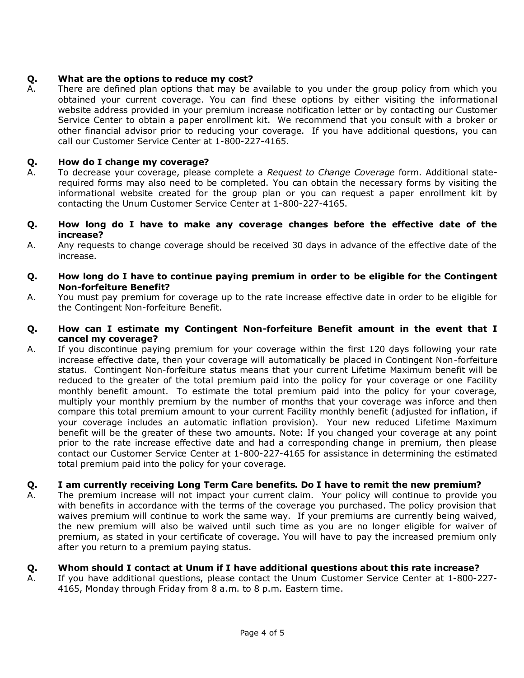## **Q. What are the options to reduce my cost?**

A. There are defined plan options that may be available to you under the group policy from which you obtained your current coverage. You can find these options by either visiting the informational website address provided in your premium increase notification letter or by contacting our Customer Service Center to obtain a paper enrollment kit. We recommend that you consult with a broker or other financial advisor prior to reducing your coverage. If you have additional questions, you can call our Customer Service Center at 1-800-227-4165.

## **Q. How do I change my coverage?**

- A. To decrease your coverage, please complete a *Request to Change Coverage* form. Additional staterequired forms may also need to be completed. You can obtain the necessary forms by visiting the informational website created for the group plan or you can request a paper enrollment kit by contacting the Unum Customer Service Center at 1-800-227-4165.
- **Q. How long do I have to make any coverage changes before the effective date of the increase?**
- A. Any requests to change coverage should be received 30 days in advance of the effective date of the increase.
- **Q. How long do I have to continue paying premium in order to be eligible for the Contingent Non-forfeiture Benefit?**
- A. You must pay premium for coverage up to the rate increase effective date in order to be eligible for the Contingent Non-forfeiture Benefit.

## **Q. How can I estimate my Contingent Non-forfeiture Benefit amount in the event that I cancel my coverage?**

A. If you discontinue paying premium for your coverage within the first 120 days following your rate increase effective date, then your coverage will automatically be placed in Contingent Non-forfeiture status. Contingent Non-forfeiture status means that your current Lifetime Maximum benefit will be reduced to the greater of the total premium paid into the policy for your coverage or one Facility monthly benefit amount. To estimate the total premium paid into the policy for your coverage, multiply your monthly premium by the number of months that your coverage was inforce and then compare this total premium amount to your current Facility monthly benefit (adjusted for inflation, if your coverage includes an automatic inflation provision). Your new reduced Lifetime Maximum benefit will be the greater of these two amounts. Note: If you changed your coverage at any point prior to the rate increase effective date and had a corresponding change in premium, then please contact our Customer Service Center at 1-800-227-4165 for assistance in determining the estimated total premium paid into the policy for your coverage.

## **Q. I am currently receiving Long Term Care benefits. Do I have to remit the new premium?**

A. The premium increase will not impact your current claim. Your policy will continue to provide you with benefits in accordance with the terms of the coverage you purchased. The policy provision that waives premium will continue to work the same way. If your premiums are currently being waived, the new premium will also be waived until such time as you are no longer eligible for waiver of premium, as stated in your certificate of coverage. You will have to pay the increased premium only after you return to a premium paying status.

## **Q. Whom should I contact at Unum if I have additional questions about this rate increase?**

A. If you have additional questions, please contact the Unum Customer Service Center at 1-800-227- 4165, Monday through Friday from 8 a.m. to 8 p.m. Eastern time.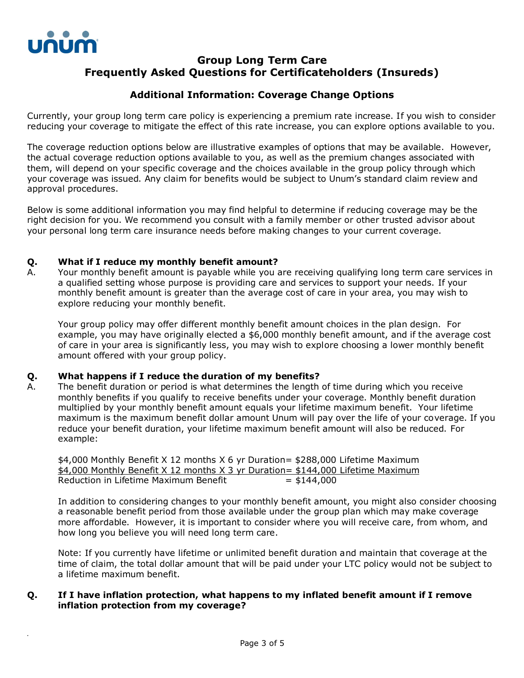

*.*

# **Group Long Term Care Frequently Asked Questions for Certificateholders (Insureds)**

## **Additional Information: Coverage Change Options**

Currently, your group long term care policy is experiencing a premium rate increase. If you wish to consider reducing your coverage to mitigate the effect of this rate increase, you can explore options available to you.

The coverage reduction options below are illustrative examples of options that may be available. However, the actual coverage reduction options available to you, as well as the premium changes associated with them, will depend on your specific coverage and the choices available in the group policy through which your coverage was issued. Any claim for benefits would be subject to Unum's standard claim review and approval procedures.

Below is some additional information you may find helpful to determine if reducing coverage may be the right decision for you. We recommend you consult with a family member or other trusted advisor about your personal long term care insurance needs before making changes to your current coverage.

## **Q. What if I reduce my monthly benefit amount?**

A. Your monthly benefit amount is payable while you are receiving qualifying long term care services in a qualified setting whose purpose is providing care and services to support your needs. If your monthly benefit amount is greater than the average cost of care in your area, you may wish to explore reducing your monthly benefit.

Your group policy may offer different monthly benefit amount choices in the plan design. For example, you may have originally elected a \$6,000 monthly benefit amount, and if the average cost of care in your area is significantly less, you may wish to explore choosing a lower monthly benefit amount offered with your group policy.

## **Q. What happens if I reduce the duration of my benefits?**

A. The benefit duration or period is what determines the length of time during which you receive monthly benefits if you qualify to receive benefits under your coverage. Monthly benefit duration multiplied by your monthly benefit amount equals your lifetime maximum benefit. Your lifetime maximum is the maximum benefit dollar amount Unum will pay over the life of your coverage. If you reduce your benefit duration, your lifetime maximum benefit amount will also be reduced. For example:

\$4,000 Monthly Benefit X 12 months X 6 yr Duration= \$288,000 Lifetime Maximum \$4,000 Monthly Benefit X 12 months X 3 yr Duration= \$144,000 Lifetime Maximum Reduction in Lifetime Maximum Benefit  $= $144,000$ 

In addition to considering changes to your monthly benefit amount, you might also consider choosing a reasonable benefit period from those available under the group plan which may make coverage more affordable. However, it is important to consider where you will receive care, from whom, and how long you believe you will need long term care.

Note: If you currently have lifetime or unlimited benefit duration and maintain that coverage at the time of claim, the total dollar amount that will be paid under your LTC policy would not be subject to a lifetime maximum benefit.

## **Q. If I have inflation protection, what happens to my inflated benefit amount if I remove inflation protection from my coverage?**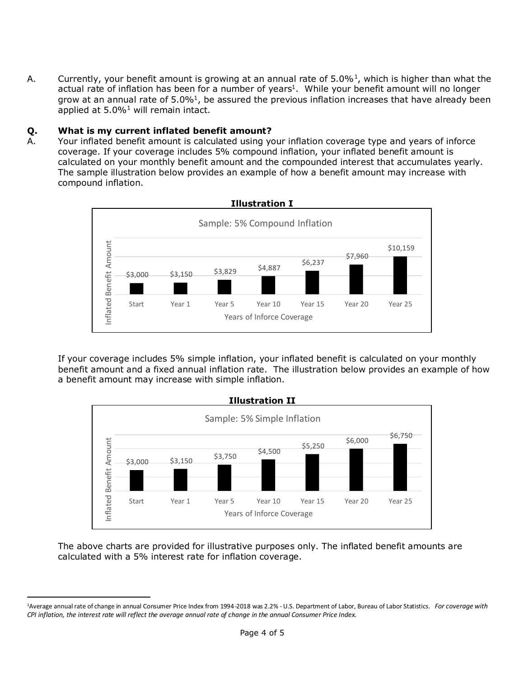A. Currently, your benefit amount is growing at an annual rate of  $5.0\%$ <sup>1</sup>, which is higher than what the actual rate of inflation has been for a number of years<sup>1</sup>. While your benefit amount will no longer grow at an annual rate of  $5.0\%$ <sup>1</sup>, be assured the previous inflation increases that have already been applied at  $5.0\%$ <sup>1</sup> will remain intact.

## **Q. What is my current inflated benefit amount?**

A. Your inflated benefit amount is calculated using your inflation coverage type and years of inforce coverage. If your coverage includes 5% compound inflation, your inflated benefit amount is calculated on your monthly benefit amount and the compounded interest that accumulates yearly. The sample illustration below provides an example of how a benefit amount may increase with compound inflation.



If your coverage includes 5% simple inflation, your inflated benefit is calculated on your monthly benefit amount and a fixed annual inflation rate. The illustration below provides an example of how a benefit amount may increase with simple inflation.



The above charts are provided for illustrative purposes only. The inflated benefit amounts are calculated with a 5% interest rate for inflation coverage.

<sup>1</sup>Average annual rate of change in annual Consumer Price Index from 1994-2018 was 2.2% - U.S. Department of Labor, Bureau of Labor Statistics. *For coverage with CPI inflation, the interest rate will reflect the average annual rate of change in the annual Consumer Price Index.*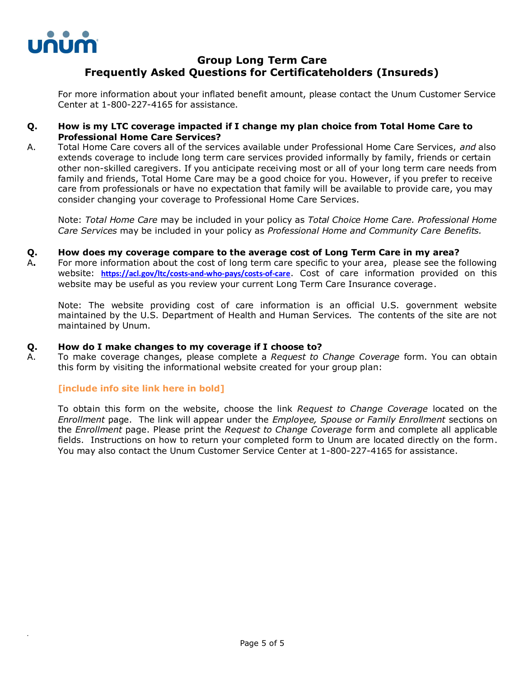

*.*

# **Group Long Term Care Frequently Asked Questions for Certificateholders (Insureds)**

For more information about your inflated benefit amount, please contact the Unum Customer Service Center at 1-800-227-4165 for assistance.

## **Q. How is my LTC coverage impacted if I change my plan choice from Total Home Care to Professional Home Care Services?**

A. Total Home Care covers all of the services available under Professional Home Care Services, *and* also extends coverage to include long term care services provided informally by family, friends or certain other non-skilled caregivers. If you anticipate receiving most or all of your long term care needs from family and friends, Total Home Care may be a good choice for you. However, if you prefer to receive care from professionals or have no expectation that family will be available to provide care, you may consider changing your coverage to Professional Home Care Services.

Note: *Total Home Care* may be included in your policy as *Total Choice Home Care. Professional Home Care Services* may be included in your policy as *Professional Home and Community Care Benefits.*

## **Q. How does my coverage compare to the average cost of Long Term Care in my area?**

A**.** For more information about the cost of long term care specific to your area, please see the following website: **<https://acl.gov/ltc/costs-and-who-pays/costs-of-care>**. Cost of care information provided on this website may be useful as you review your current Long Term Care Insurance coverage.

Note: The website providing cost of care information is an official U.S. government website maintained by the U.S. Department of Health and Human Services. The contents of the site are not maintained by Unum.

## **Q. How do I make changes to my coverage if I choose to?**

A. To make coverage changes, please complete a *Request to Change Coverage* form. You can obtain this form by visiting the informational website created for your group plan:

## **[include info site link here in bold]**

To obtain this form on the website, choose the link *Request to Change Coverage* located on the *Enrollment* page. The link will appear under the *Employee, Spouse or Family Enrollment* sections on the *Enrollment* page. Please print the *Request to Change Coverage* form and complete all applicable fields. Instructions on how to return your completed form to Unum are located directly on the form. You may also contact the Unum Customer Service Center at 1-800-227-4165 for assistance.